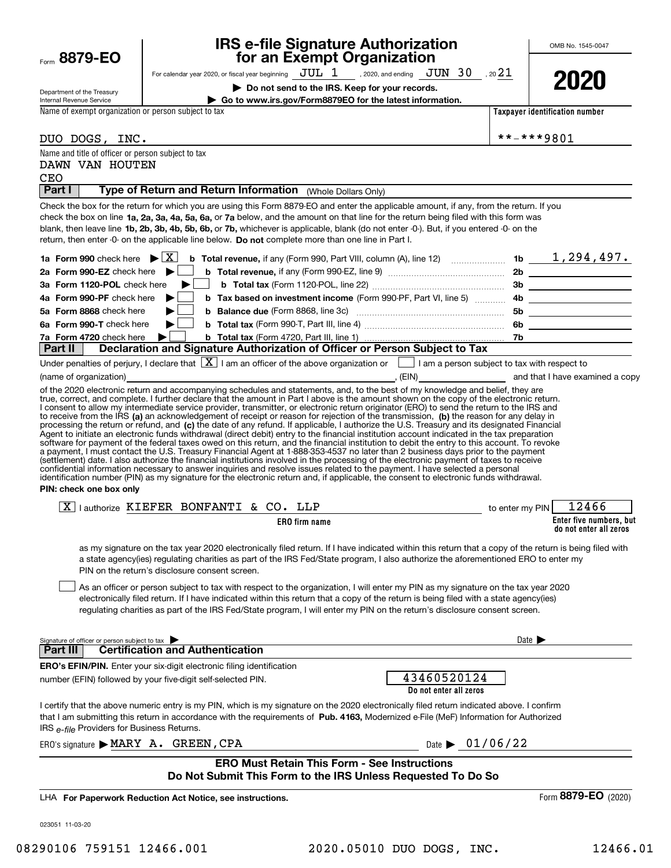| Form 8879-EO                                                                                                                                                                                                                                                                                                                                                                                                                                                                                                                                                                                                                                                                                                                                                                                                                                                                                                                                                                                                                                                                                                                                                                                                                                                                                                                                                                                                                                                  |                                         |  | <u>INS e-lile Signalure Authorization</u><br>for an Exempt Organization                                                                                                                                                                                                                                                                                                                                                                                                                                                                       |                        |                                |                            | OMB No. 1545-0047                                                                                                                                      |  |
|---------------------------------------------------------------------------------------------------------------------------------------------------------------------------------------------------------------------------------------------------------------------------------------------------------------------------------------------------------------------------------------------------------------------------------------------------------------------------------------------------------------------------------------------------------------------------------------------------------------------------------------------------------------------------------------------------------------------------------------------------------------------------------------------------------------------------------------------------------------------------------------------------------------------------------------------------------------------------------------------------------------------------------------------------------------------------------------------------------------------------------------------------------------------------------------------------------------------------------------------------------------------------------------------------------------------------------------------------------------------------------------------------------------------------------------------------------------|-----------------------------------------|--|-----------------------------------------------------------------------------------------------------------------------------------------------------------------------------------------------------------------------------------------------------------------------------------------------------------------------------------------------------------------------------------------------------------------------------------------------------------------------------------------------------------------------------------------------|------------------------|--------------------------------|----------------------------|--------------------------------------------------------------------------------------------------------------------------------------------------------|--|
|                                                                                                                                                                                                                                                                                                                                                                                                                                                                                                                                                                                                                                                                                                                                                                                                                                                                                                                                                                                                                                                                                                                                                                                                                                                                                                                                                                                                                                                               |                                         |  | For calendar year 2020, or fiscal year beginning $JUL$ $1$ , 2020, and ending $JUN$ $30$ , 20 $21$                                                                                                                                                                                                                                                                                                                                                                                                                                            |                        |                                |                            |                                                                                                                                                        |  |
|                                                                                                                                                                                                                                                                                                                                                                                                                                                                                                                                                                                                                                                                                                                                                                                                                                                                                                                                                                                                                                                                                                                                                                                                                                                                                                                                                                                                                                                               |                                         |  | Do not send to the IRS. Keep for your records.                                                                                                                                                                                                                                                                                                                                                                                                                                                                                                |                        |                                |                            | 2020                                                                                                                                                   |  |
| Department of the Treasury<br>Internal Revenue Service                                                                                                                                                                                                                                                                                                                                                                                                                                                                                                                                                                                                                                                                                                                                                                                                                                                                                                                                                                                                                                                                                                                                                                                                                                                                                                                                                                                                        |                                         |  | Go to www.irs.gov/Form8879EO for the latest information.                                                                                                                                                                                                                                                                                                                                                                                                                                                                                      |                        |                                |                            |                                                                                                                                                        |  |
| Name of exempt organization or person subject to tax                                                                                                                                                                                                                                                                                                                                                                                                                                                                                                                                                                                                                                                                                                                                                                                                                                                                                                                                                                                                                                                                                                                                                                                                                                                                                                                                                                                                          |                                         |  |                                                                                                                                                                                                                                                                                                                                                                                                                                                                                                                                               |                        |                                |                            | Taxpayer identification number                                                                                                                         |  |
| DUO DOGS, INC.                                                                                                                                                                                                                                                                                                                                                                                                                                                                                                                                                                                                                                                                                                                                                                                                                                                                                                                                                                                                                                                                                                                                                                                                                                                                                                                                                                                                                                                |                                         |  |                                                                                                                                                                                                                                                                                                                                                                                                                                                                                                                                               |                        |                                | **-***9801                 |                                                                                                                                                        |  |
| Name and title of officer or person subject to tax                                                                                                                                                                                                                                                                                                                                                                                                                                                                                                                                                                                                                                                                                                                                                                                                                                                                                                                                                                                                                                                                                                                                                                                                                                                                                                                                                                                                            |                                         |  |                                                                                                                                                                                                                                                                                                                                                                                                                                                                                                                                               |                        |                                |                            |                                                                                                                                                        |  |
| DAWN VAN HOUTEN<br><b>CEO</b>                                                                                                                                                                                                                                                                                                                                                                                                                                                                                                                                                                                                                                                                                                                                                                                                                                                                                                                                                                                                                                                                                                                                                                                                                                                                                                                                                                                                                                 |                                         |  |                                                                                                                                                                                                                                                                                                                                                                                                                                                                                                                                               |                        |                                |                            |                                                                                                                                                        |  |
| Part I                                                                                                                                                                                                                                                                                                                                                                                                                                                                                                                                                                                                                                                                                                                                                                                                                                                                                                                                                                                                                                                                                                                                                                                                                                                                                                                                                                                                                                                        |                                         |  | Type of Return and Return Information (Whole Dollars Only)                                                                                                                                                                                                                                                                                                                                                                                                                                                                                    |                        |                                |                            |                                                                                                                                                        |  |
| Check the box for the return for which you are using this Form 8879-EO and enter the applicable amount, if any, from the return. If you<br>check the box on line 1a, 2a, 3a, 4a, 5a, 6a, or 7a below, and the amount on that line for the return being filed with this form was<br>blank, then leave line 1b, 2b, 3b, 4b, 5b, 6b, or 7b, whichever is applicable, blank (do not enter -0-). But, if you entered -0- on the<br>return, then enter -0- on the applicable line below. Do not complete more than one line in Part I.                                                                                                                                                                                                                                                                                                                                                                                                                                                                                                                                                                                                                                                                                                                                                                                                                                                                                                                              |                                         |  |                                                                                                                                                                                                                                                                                                                                                                                                                                                                                                                                               |                        |                                |                            |                                                                                                                                                        |  |
| 1a Form 990 check here $\blacktriangleright$ $\mid$ X $\mid$                                                                                                                                                                                                                                                                                                                                                                                                                                                                                                                                                                                                                                                                                                                                                                                                                                                                                                                                                                                                                                                                                                                                                                                                                                                                                                                                                                                                  |                                         |  |                                                                                                                                                                                                                                                                                                                                                                                                                                                                                                                                               |                        |                                |                            | <b>b</b> Total revenue, if any (Form 990, Part VIII, column (A), line 12) $\ldots$ 10 $\ldots$ 1, 294, 497.                                            |  |
| 2a Form 990-EZ check here $\blacktriangleright$                                                                                                                                                                                                                                                                                                                                                                                                                                                                                                                                                                                                                                                                                                                                                                                                                                                                                                                                                                                                                                                                                                                                                                                                                                                                                                                                                                                                               |                                         |  |                                                                                                                                                                                                                                                                                                                                                                                                                                                                                                                                               |                        |                                |                            |                                                                                                                                                        |  |
| 3a Form 1120-POL check here                                                                                                                                                                                                                                                                                                                                                                                                                                                                                                                                                                                                                                                                                                                                                                                                                                                                                                                                                                                                                                                                                                                                                                                                                                                                                                                                                                                                                                   |                                         |  |                                                                                                                                                                                                                                                                                                                                                                                                                                                                                                                                               |                        |                                |                            |                                                                                                                                                        |  |
| 4a Form 990-PF check here                                                                                                                                                                                                                                                                                                                                                                                                                                                                                                                                                                                                                                                                                                                                                                                                                                                                                                                                                                                                                                                                                                                                                                                                                                                                                                                                                                                                                                     |                                         |  |                                                                                                                                                                                                                                                                                                                                                                                                                                                                                                                                               |                        |                                |                            |                                                                                                                                                        |  |
| 5a Form 8868 check here                                                                                                                                                                                                                                                                                                                                                                                                                                                                                                                                                                                                                                                                                                                                                                                                                                                                                                                                                                                                                                                                                                                                                                                                                                                                                                                                                                                                                                       |                                         |  | <b>b</b> Balance due (Form 8868, line 3c) <b>Manual</b> Contract Contract Control Contract Control Contract Control Control Contract Control Control Control Control Control Control Control Control Control Control Control Control Con                                                                                                                                                                                                                                                                                                      |                        |                                |                            | 5b ____________________                                                                                                                                |  |
| 6a Form 990-T check here                                                                                                                                                                                                                                                                                                                                                                                                                                                                                                                                                                                                                                                                                                                                                                                                                                                                                                                                                                                                                                                                                                                                                                                                                                                                                                                                                                                                                                      |                                         |  |                                                                                                                                                                                                                                                                                                                                                                                                                                                                                                                                               |                        |                                |                            |                                                                                                                                                        |  |
| 7a Form 4720 check here                                                                                                                                                                                                                                                                                                                                                                                                                                                                                                                                                                                                                                                                                                                                                                                                                                                                                                                                                                                                                                                                                                                                                                                                                                                                                                                                                                                                                                       |                                         |  |                                                                                                                                                                                                                                                                                                                                                                                                                                                                                                                                               |                        |                                |                            |                                                                                                                                                        |  |
| Part II                                                                                                                                                                                                                                                                                                                                                                                                                                                                                                                                                                                                                                                                                                                                                                                                                                                                                                                                                                                                                                                                                                                                                                                                                                                                                                                                                                                                                                                       |                                         |  |                                                                                                                                                                                                                                                                                                                                                                                                                                                                                                                                               |                        |                                |                            |                                                                                                                                                        |  |
| Under penalties of perjury, I declare that $\boxed{\mathbf{X}}$ I am an officer of the above organization or $\boxed{\phantom{\mathbf{X}}}$ I am a person subject to tax with respect to<br>(name of organization) (IN) and that I have examined a copy                                                                                                                                                                                                                                                                                                                                                                                                                                                                                                                                                                                                                                                                                                                                                                                                                                                                                                                                                                                                                                                                                                                                                                                                       |                                         |  |                                                                                                                                                                                                                                                                                                                                                                                                                                                                                                                                               |                        |                                |                            |                                                                                                                                                        |  |
| true, correct, and complete. I further declare that the amount in Part I above is the amount shown on the copy of the electronic return.<br>I consent to allow my intermediate service provider, transmitter, or electronic return originator (ERO) to send the return to the IRS and<br>to receive from the IRS (a) an acknowledgement of receipt or reason for rejection of the transmission, (b) the reason for any delay in<br>processing the return or refund, and (c) the date of any refund. If applicable, I authorize the U.S. Treasury and its designated Financial<br>Agent to initiate an electronic funds withdrawal (direct debit) entry to the financial institution account indicated in the tax preparation<br>software for payment of the federal taxes owed on this return, and the financial institution to debit the entry to this account. To revoke<br>a payment, I must contact the U.S. Treasury Financial Agent at 1-888-353-4537 no later than 2 business days prior to the payment<br>(settlement) date. I also authorize the financial institutions involved in the processing of the electronic payment of taxes to receive<br>confidential information necessary to answer inquiries and resolve issues related to the payment. I have selected a personal<br>identification number (PIN) as my signature for the electronic return and, if applicable, the consent to electronic funds withdrawal.<br>PIN: check one box only |                                         |  |                                                                                                                                                                                                                                                                                                                                                                                                                                                                                                                                               |                        |                                |                            |                                                                                                                                                        |  |
| $\boxed{X}$   authorize KIEFER BONFANTI & CO. LLP                                                                                                                                                                                                                                                                                                                                                                                                                                                                                                                                                                                                                                                                                                                                                                                                                                                                                                                                                                                                                                                                                                                                                                                                                                                                                                                                                                                                             |                                         |  |                                                                                                                                                                                                                                                                                                                                                                                                                                                                                                                                               |                        |                                | to enter my PIN            | 12466                                                                                                                                                  |  |
|                                                                                                                                                                                                                                                                                                                                                                                                                                                                                                                                                                                                                                                                                                                                                                                                                                                                                                                                                                                                                                                                                                                                                                                                                                                                                                                                                                                                                                                               |                                         |  | <b>ERO</b> firm name                                                                                                                                                                                                                                                                                                                                                                                                                                                                                                                          |                        |                                |                            | Enter five numbers, but<br>do not enter all zeros                                                                                                      |  |
| PIN on the return's disclosure consent screen.                                                                                                                                                                                                                                                                                                                                                                                                                                                                                                                                                                                                                                                                                                                                                                                                                                                                                                                                                                                                                                                                                                                                                                                                                                                                                                                                                                                                                |                                         |  | a state agency(ies) regulating charities as part of the IRS Fed/State program, I also authorize the aforementioned ERO to enter my<br>As an officer or person subject to tax with respect to the organization, I will enter my PIN as my signature on the tax year 2020<br>electronically filed return. If I have indicated within this return that a copy of the return is being filed with a state agency(ies)<br>regulating charities as part of the IRS Fed/State program, I will enter my PIN on the return's disclosure consent screen. |                        |                                |                            | as my signature on the tax year 2020 electronically filed return. If I have indicated within this return that a copy of the return is being filed with |  |
| Signature of officer or person subject to tax                                                                                                                                                                                                                                                                                                                                                                                                                                                                                                                                                                                                                                                                                                                                                                                                                                                                                                                                                                                                                                                                                                                                                                                                                                                                                                                                                                                                                 |                                         |  |                                                                                                                                                                                                                                                                                                                                                                                                                                                                                                                                               |                        |                                | Date $\blacktriangleright$ |                                                                                                                                                        |  |
| Part III                                                                                                                                                                                                                                                                                                                                                                                                                                                                                                                                                                                                                                                                                                                                                                                                                                                                                                                                                                                                                                                                                                                                                                                                                                                                                                                                                                                                                                                      | <b>Certification and Authentication</b> |  |                                                                                                                                                                                                                                                                                                                                                                                                                                                                                                                                               |                        |                                |                            |                                                                                                                                                        |  |
| <b>ERO's EFIN/PIN.</b> Enter your six-digit electronic filing identification                                                                                                                                                                                                                                                                                                                                                                                                                                                                                                                                                                                                                                                                                                                                                                                                                                                                                                                                                                                                                                                                                                                                                                                                                                                                                                                                                                                  |                                         |  |                                                                                                                                                                                                                                                                                                                                                                                                                                                                                                                                               | 43460520124            |                                |                            |                                                                                                                                                        |  |
| number (EFIN) followed by your five-digit self-selected PIN.                                                                                                                                                                                                                                                                                                                                                                                                                                                                                                                                                                                                                                                                                                                                                                                                                                                                                                                                                                                                                                                                                                                                                                                                                                                                                                                                                                                                  |                                         |  |                                                                                                                                                                                                                                                                                                                                                                                                                                                                                                                                               | Do not enter all zeros |                                |                            |                                                                                                                                                        |  |
| I certify that the above numeric entry is my PIN, which is my signature on the 2020 electronically filed return indicated above. I confirm<br>that I am submitting this return in accordance with the requirements of Pub. 4163, Modernized e-File (MeF) Information for Authorized<br>IRS e-file Providers for Business Returns.                                                                                                                                                                                                                                                                                                                                                                                                                                                                                                                                                                                                                                                                                                                                                                                                                                                                                                                                                                                                                                                                                                                             |                                         |  |                                                                                                                                                                                                                                                                                                                                                                                                                                                                                                                                               |                        |                                |                            |                                                                                                                                                        |  |
| ERO's signature $\blacktriangleright$ MARY A. GREEN, CPA                                                                                                                                                                                                                                                                                                                                                                                                                                                                                                                                                                                                                                                                                                                                                                                                                                                                                                                                                                                                                                                                                                                                                                                                                                                                                                                                                                                                      |                                         |  |                                                                                                                                                                                                                                                                                                                                                                                                                                                                                                                                               |                        | Date $\triangleright$ 01/06/22 |                            |                                                                                                                                                        |  |
|                                                                                                                                                                                                                                                                                                                                                                                                                                                                                                                                                                                                                                                                                                                                                                                                                                                                                                                                                                                                                                                                                                                                                                                                                                                                                                                                                                                                                                                               |                                         |  | <b>ERO Must Retain This Form - See Instructions</b><br>Do Not Submit This Form to the IRS Unless Requested To Do So                                                                                                                                                                                                                                                                                                                                                                                                                           |                        |                                |                            |                                                                                                                                                        |  |
| LHA For Paperwork Reduction Act Notice, see instructions.                                                                                                                                                                                                                                                                                                                                                                                                                                                                                                                                                                                                                                                                                                                                                                                                                                                                                                                                                                                                                                                                                                                                                                                                                                                                                                                                                                                                     |                                         |  |                                                                                                                                                                                                                                                                                                                                                                                                                                                                                                                                               |                        |                                |                            | Form 8879-EO (2020)                                                                                                                                    |  |
|                                                                                                                                                                                                                                                                                                                                                                                                                                                                                                                                                                                                                                                                                                                                                                                                                                                                                                                                                                                                                                                                                                                                                                                                                                                                                                                                                                                                                                                               |                                         |  |                                                                                                                                                                                                                                                                                                                                                                                                                                                                                                                                               |                        |                                |                            |                                                                                                                                                        |  |
| 023051 11-03-20                                                                                                                                                                                                                                                                                                                                                                                                                                                                                                                                                                                                                                                                                                                                                                                                                                                                                                                                                                                                                                                                                                                                                                                                                                                                                                                                                                                                                                               |                                         |  |                                                                                                                                                                                                                                                                                                                                                                                                                                                                                                                                               |                        |                                |                            |                                                                                                                                                        |  |

**IRS e-file Signature Authorization**

OMB No. 1545-0047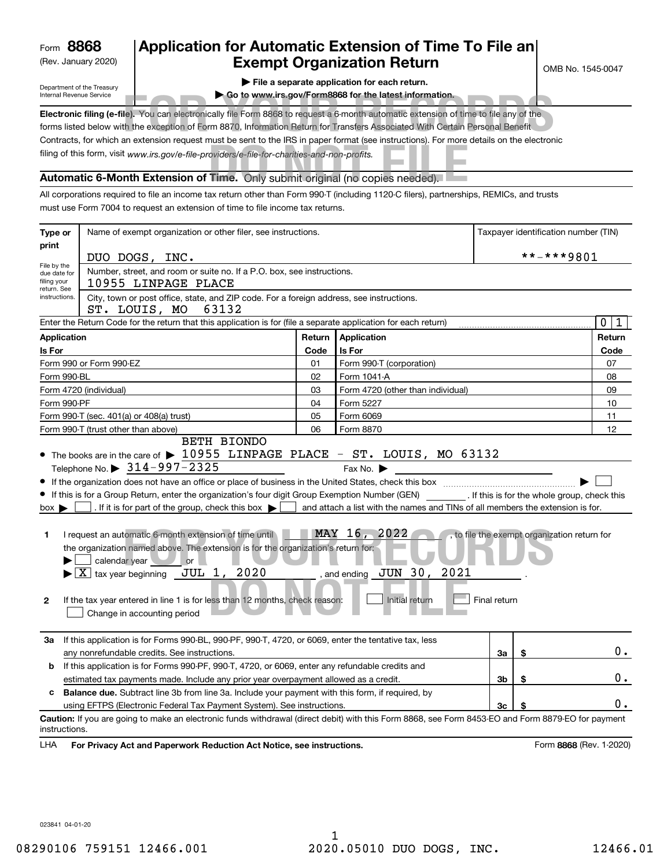(Rev. January 2020)

## **Application for Automatic Extension of Time To File an Exempt Organization Return**

OMB No. 1545-0047

Department of the Treasury Internal Revenue Service

|  |  |  | File a separate application for each return. |  |  |
|--|--|--|----------------------------------------------|--|--|
|--|--|--|----------------------------------------------|--|--|

**| Go to www.irs.gov/Form8868 for the latest information.**

| internal Revenue Service | ► GO to www.irs.gov/Formoooo for the latest information.                                                                                 |
|--------------------------|------------------------------------------------------------------------------------------------------------------------------------------|
|                          | Electronic filing (e-file). You can electronically file Form 8868 to request a 6-month automatic extension of time to file any of the    |
|                          | forms listed below with the exception of Form 8870, Information Return for Transfers Associated With Certain Personal Benefit            |
|                          | Contracts, for which an extension request must be sent to the IRS in paper format (see instructions). For more details on the electronic |
|                          | filing of this form, visit www.irs.gov/e-file-providers/e-file-for-charities-and-non-profits.                                            |
|                          | Automatic 6-Month Extension of Time. Only submit original (no copies needed).                                                            |

All corporations required to file an income tax return other than Form 990-T (including 1120-C filers), partnerships, REMICs, and trusts must use Form 7004 to request an extension of time to file income tax returns.

| Type or                                                | Name of exempt organization or other filer, see instructions.                                                                                                                                                                                                                                                                                                                                                                                                                                                                                                                                                                                      |        |                                                                                                                                                          | Taxpayer identification number (TIN) |                                              |                         |                  |  |
|--------------------------------------------------------|----------------------------------------------------------------------------------------------------------------------------------------------------------------------------------------------------------------------------------------------------------------------------------------------------------------------------------------------------------------------------------------------------------------------------------------------------------------------------------------------------------------------------------------------------------------------------------------------------------------------------------------------------|--------|----------------------------------------------------------------------------------------------------------------------------------------------------------|--------------------------------------|----------------------------------------------|-------------------------|------------------|--|
| print                                                  | DUO DOGS, INC.                                                                                                                                                                                                                                                                                                                                                                                                                                                                                                                                                                                                                                     |        |                                                                                                                                                          |                                      |                                              | **-***9801              |                  |  |
| File by the<br>due date for<br>filing your             | Number, street, and room or suite no. If a P.O. box, see instructions.<br>10955 LINPAGE PLACE                                                                                                                                                                                                                                                                                                                                                                                                                                                                                                                                                      |        |                                                                                                                                                          |                                      |                                              |                         |                  |  |
| return. See<br>instructions.                           | City, town or post office, state, and ZIP code. For a foreign address, see instructions.<br>63132<br>ST. LOUIS, MO                                                                                                                                                                                                                                                                                                                                                                                                                                                                                                                                 |        |                                                                                                                                                          |                                      |                                              |                         |                  |  |
|                                                        | Enter the Return Code for the return that this application is for (file a separate application for each return)                                                                                                                                                                                                                                                                                                                                                                                                                                                                                                                                    |        |                                                                                                                                                          |                                      |                                              |                         | $\mathbf 0$<br>1 |  |
| Application                                            |                                                                                                                                                                                                                                                                                                                                                                                                                                                                                                                                                                                                                                                    | Return | Application                                                                                                                                              |                                      |                                              |                         | Return           |  |
| Is For                                                 |                                                                                                                                                                                                                                                                                                                                                                                                                                                                                                                                                                                                                                                    | Code   | <b>Is For</b>                                                                                                                                            |                                      |                                              |                         | Code             |  |
|                                                        | Form 990 or Form 990-EZ                                                                                                                                                                                                                                                                                                                                                                                                                                                                                                                                                                                                                            | 01     | Form 990-T (corporation)                                                                                                                                 |                                      |                                              |                         | 07               |  |
| Form 990-BL                                            |                                                                                                                                                                                                                                                                                                                                                                                                                                                                                                                                                                                                                                                    | 02     | Form 1041-A                                                                                                                                              |                                      |                                              |                         | 08               |  |
|                                                        | Form 4720 (individual)                                                                                                                                                                                                                                                                                                                                                                                                                                                                                                                                                                                                                             | 03     | Form 4720 (other than individual)                                                                                                                        |                                      |                                              |                         | 09               |  |
| Form 990-PF                                            |                                                                                                                                                                                                                                                                                                                                                                                                                                                                                                                                                                                                                                                    | 04     | Form 5227                                                                                                                                                |                                      |                                              |                         | 10               |  |
|                                                        | Form 990-T (sec. 401(a) or 408(a) trust)                                                                                                                                                                                                                                                                                                                                                                                                                                                                                                                                                                                                           | 05     | Form 6069                                                                                                                                                |                                      |                                              |                         | 11               |  |
| 06<br>Form 990-T (trust other than above)<br>Form 8870 |                                                                                                                                                                                                                                                                                                                                                                                                                                                                                                                                                                                                                                                    |        |                                                                                                                                                          | 12                                   |                                              |                         |                  |  |
| $box \blacktriangleright$<br>1<br>2                    | Telephone No. $\triangleright$ 314-997-2325<br>If this is for a Group Return, enter the organization's four digit Group Exemption Number (GEN) [If this is for the whole group, check this<br>. If it is for part of the group, check this box $\blacktriangleright$<br>I request an automatic 6-month extension of time until<br>the organization named above. The extension is for the organization's return for:<br>calendar year<br>$\blacksquare$ or<br>$\blacktriangleright$ $\boxed{\text{X}}$ tax year beginning JUL 1, 2020<br>If the tax year entered in line 1 is for less than 12 months, check reason:<br>Change in accounting period |        | Fax No.<br>and attach a list with the names and TINs of all members the extension is for.<br>MAY 16, 2022<br>, and ending JUN 30, 2021<br>Initial return | Final return                         | , to file the exempt organization return for |                         |                  |  |
| За                                                     | If this application is for Forms 990-BL, 990-PF, 990-T, 4720, or 6069, enter the tentative tax, less                                                                                                                                                                                                                                                                                                                                                                                                                                                                                                                                               |        |                                                                                                                                                          |                                      |                                              |                         |                  |  |
|                                                        | any nonrefundable credits. See instructions.                                                                                                                                                                                                                                                                                                                                                                                                                                                                                                                                                                                                       |        |                                                                                                                                                          | За                                   | \$                                           |                         | 0.               |  |
| b                                                      | If this application is for Forms 990-PF, 990-T, 4720, or 6069, enter any refundable credits and                                                                                                                                                                                                                                                                                                                                                                                                                                                                                                                                                    |        |                                                                                                                                                          |                                      |                                              |                         |                  |  |
|                                                        | estimated tax payments made. Include any prior year overpayment allowed as a credit.                                                                                                                                                                                                                                                                                                                                                                                                                                                                                                                                                               |        |                                                                                                                                                          | 3b                                   | \$                                           |                         | 0.               |  |
| c                                                      | <b>Balance due.</b> Subtract line 3b from line 3a. Include your payment with this form, if required, by                                                                                                                                                                                                                                                                                                                                                                                                                                                                                                                                            |        |                                                                                                                                                          |                                      |                                              |                         |                  |  |
|                                                        | using EFTPS (Electronic Federal Tax Payment System). See instructions.                                                                                                                                                                                                                                                                                                                                                                                                                                                                                                                                                                             |        |                                                                                                                                                          | Зc                                   |                                              |                         | 0.               |  |
| instructions.                                          | Caution: If you are going to make an electronic funds withdrawal (direct debit) with this Form 8868, see Form 8453-EO and Form 8879-EO for payment                                                                                                                                                                                                                                                                                                                                                                                                                                                                                                 |        |                                                                                                                                                          |                                      |                                              |                         |                  |  |
| LHA                                                    | For Privacy Act and Paperwork Reduction Act Notice, see instructions.                                                                                                                                                                                                                                                                                                                                                                                                                                                                                                                                                                              |        |                                                                                                                                                          |                                      |                                              | Form 8868 (Rev. 1-2020) |                  |  |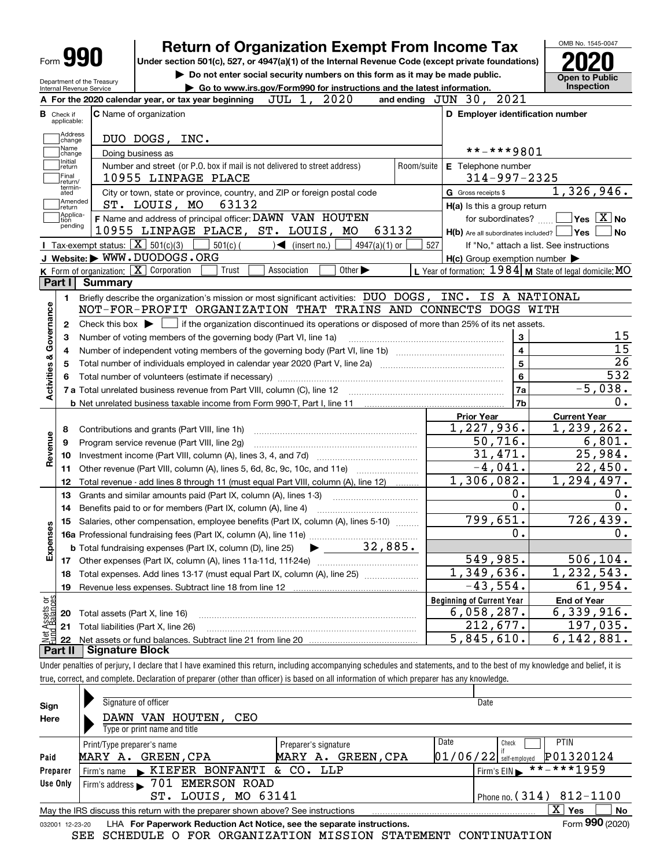| Form | п |
|------|---|
|      |   |

Department of the Treasury Internal Revenue Service

# **Return of Organization Exempt From Income Tax**

**Under section 501(c), 527, or 4947(a)(1) of the Internal Revenue Code (except private foundations) 2020**

**| Do not enter social security numbers on this form as it may be made public.**



|                         | Department of the Treasury<br>Internal Revenue Service | Go to www.irs.gov/Form990 for instructions and the latest information.                                                                              |            |                                                           | Inspection                                        |
|-------------------------|--------------------------------------------------------|-----------------------------------------------------------------------------------------------------------------------------------------------------|------------|-----------------------------------------------------------|---------------------------------------------------|
|                         |                                                        | 2020<br>JUL<br>1<br>A For the 2020 calendar year, or tax year beginning                                                                             |            | 2021<br>and ending $JUN$ 30                               |                                                   |
| в                       | Check if<br>applicable:                                | <b>C</b> Name of organization                                                                                                                       |            | D Employer identification number                          |                                                   |
|                         | Address<br>change                                      | DUO DOGS, INC.                                                                                                                                      |            |                                                           |                                                   |
|                         | Name<br>change                                         | Doing business as                                                                                                                                   |            | **-***9801                                                |                                                   |
|                         | Initial<br> return                                     | Number and street (or P.O. box if mail is not delivered to street address)                                                                          | Room/suite | E Telephone number                                        |                                                   |
|                         | Final<br>return/<br>termin-<br>ated                    | 10955 LINPAGE PLACE                                                                                                                                 |            | $314 - 997 - 2325$                                        |                                                   |
|                         |                                                        | City or town, state or province, country, and ZIP or foreign postal code                                                                            |            | G Gross receipts \$                                       | 1,326,946.                                        |
|                         | Amended<br> return                                     | 63132<br>ST. LOUIS, MO                                                                                                                              |            | $H(a)$ is this a group return                             |                                                   |
|                         | Applica-<br>tion                                       | F Name and address of principal officer: DAWN VAN HOUTEN                                                                                            |            | for subordinates?                                         | $\sqrt{}$ Yes $\sqrt{}$ X $\sqrt{}$ No            |
|                         | pending                                                | 10955 LINPAGE PLACE, ST. LOUIS, MO<br>63132                                                                                                         |            | $H(b)$ Are all subordinates included? $\Box$ Yes          | No                                                |
|                         |                                                        | <b>I</b> Tax-exempt status: $\overline{\mathbf{X}}$ 501(c)(3) 501(c)(<br>$\sqrt{\frac{1}{1}}$ (insert no.)<br>$4947(a)(1)$ or                       | 527        | If "No," attach a list. See instructions                  |                                                   |
|                         |                                                        | J Website: WWW.DUODOGS.ORG                                                                                                                          |            | $H(c)$ Group exemption number $\blacktriangleright$       |                                                   |
|                         |                                                        | <b>K</b> Form of organization: $\boxed{\mathbf{X}}$ Corporation<br>Other $\blacktriangleright$<br>Trust<br>Association                              |            | L Year of formation: $1984$ M State of legal domicile: MO |                                                   |
|                         | Part I                                                 | <b>Summary</b>                                                                                                                                      |            |                                                           |                                                   |
|                         | 1.                                                     | Briefly describe the organization's mission or most significant activities: DUO DOGS, INC. IS A NATIONAL                                            |            |                                                           |                                                   |
| Activities & Governance |                                                        | NOT-FOR-PROFIT ORGANIZATION THAT TRAINS AND CONNECTS DOGS WITH                                                                                      |            |                                                           |                                                   |
|                         | $\mathbf{2}$                                           | Check this box $\blacktriangleright$ $\blacksquare$ if the organization discontinued its operations or disposed of more than 25% of its net assets. |            |                                                           |                                                   |
|                         | з                                                      | Number of voting members of the governing body (Part VI, line 1a)                                                                                   |            | 3                                                         | 15<br>$\overline{15}$                             |
|                         | 4                                                      |                                                                                                                                                     |            | $\overline{4}$                                            |                                                   |
|                         | 5                                                      |                                                                                                                                                     |            | 5                                                         | $\overline{26}$                                   |
|                         | 6                                                      |                                                                                                                                                     |            | $6\phantom{a}$                                            | $\overline{532}$                                  |
|                         |                                                        |                                                                                                                                                     |            | 7a                                                        | $-5,038.$<br>0.                                   |
|                         |                                                        |                                                                                                                                                     |            | 7b                                                        |                                                   |
|                         |                                                        |                                                                                                                                                     |            | Prior Year<br>1,227,936.                                  | <b>Current Year</b><br>$\overline{1}$ , 239, 262. |
| Revenue                 | 8                                                      | Contributions and grants (Part VIII, line 1h)                                                                                                       |            | 50,716.                                                   | 6,801.                                            |
|                         | 9                                                      | Program service revenue (Part VIII, line 2g)                                                                                                        |            | 31,471.                                                   | 25,984.                                           |
|                         | 10                                                     | Investment income (Part VIII, column (A), lines 3, 4, and 7d)                                                                                       |            | $-4,041.$                                                 | 22,450.                                           |
|                         | 11                                                     | Other revenue (Part VIII, column (A), lines 5, 6d, 8c, 9c, 10c, and 11e)                                                                            |            | 1,306,082.                                                | 1,294,497.                                        |
|                         | 12<br>13                                               | Total revenue - add lines 8 through 11 (must equal Part VIII, column (A), line 12)                                                                  |            | ο.                                                        | 0.                                                |
|                         | 14                                                     | Grants and similar amounts paid (Part IX, column (A), lines 1-3)<br>Benefits paid to or for members (Part IX, column (A), line 4)                   |            | 0.                                                        | 0.                                                |
|                         | 15                                                     | Salaries, other compensation, employee benefits (Part IX, column (A), lines 5-10)                                                                   |            | 799,651.                                                  | 726,439.                                          |
| Expenses                |                                                        |                                                                                                                                                     |            | 0.                                                        | 0.                                                |
|                         |                                                        | $\blacktriangleright$ 32,885.<br><b>b</b> Total fundraising expenses (Part IX, column (D), line 25)                                                 |            |                                                           |                                                   |
|                         |                                                        |                                                                                                                                                     |            | 549,985.                                                  | 506, 104.                                         |
|                         | 18                                                     | Total expenses. Add lines 13-17 (must equal Part IX, column (A), line 25) [                                                                         |            | 1,349,636.                                                | 1, 232, 543.                                      |
|                         | 19                                                     |                                                                                                                                                     |            | $-43,554.$                                                | 61,954.                                           |
| ăğ                      |                                                        |                                                                                                                                                     |            | <b>Beginning of Current Year</b>                          | <b>End of Year</b>                                |
| sets                    | 20                                                     | Total assets (Part X, line 16)                                                                                                                      |            | 6,058,287.                                                | 6,339,916.                                        |
|                         |                                                        | 21 Total liabilities (Part X, line 26)                                                                                                              |            | 212,677.                                                  | 197,035.                                          |
|                         | 22                                                     |                                                                                                                                                     |            | 5,845,610.                                                | 6, 142, 881.                                      |
|                         |                                                        | Part II   Signature Block                                                                                                                           |            |                                                           |                                                   |

Under penalties of perjury, I declare that I have examined this return, including accompanying schedules and statements, and to the best of my knowledge and belief, it is true, correct, and complete. Declaration of preparer (other than officer) is based on all information of which preparer has any knowledge.

| Sign     | Signature of officer                                                                                         |                      | Date                                     |  |  |  |  |  |  |  |
|----------|--------------------------------------------------------------------------------------------------------------|----------------------|------------------------------------------|--|--|--|--|--|--|--|
| Here     | DAWN VAN HOUTEN,<br>CEO                                                                                      |                      |                                          |  |  |  |  |  |  |  |
|          | Type or print name and title                                                                                 |                      |                                          |  |  |  |  |  |  |  |
|          | Print/Type preparer's name                                                                                   | Preparer's signature | Date<br><b>PTIN</b><br>Check             |  |  |  |  |  |  |  |
| Paid     | MARY A. GREEN, CPA                                                                                           | A. GREEN.CPA<br>MARY | P01320124<br> 01/06/22 <br>self-emploved |  |  |  |  |  |  |  |
| Preparer | Firm's name KIEFER BONFANTI & CO. LLP                                                                        |                      | **-***1959<br>Firm's EIN                 |  |  |  |  |  |  |  |
| Use Only | <b>EMERSON ROAD</b><br>Firm's address $\textcolor{red}{\blacktriangleright}$ 701                             |                      |                                          |  |  |  |  |  |  |  |
|          | ST. LOUIS, MO 63141                                                                                          |                      | Phone no. $(314)$ 812-1100               |  |  |  |  |  |  |  |
|          | $X \mid Y$ es<br>No<br>May the IRS discuss this return with the preparer shown above? See instructions       |                      |                                          |  |  |  |  |  |  |  |
|          | Form 990 (2020)<br>LHA For Paperwork Reduction Act Notice, see the separate instructions.<br>032001 12-23-20 |                      |                                          |  |  |  |  |  |  |  |

SEE SCHEDULE O FOR ORGANIZATION MISSION STATEMENT CONTINUATION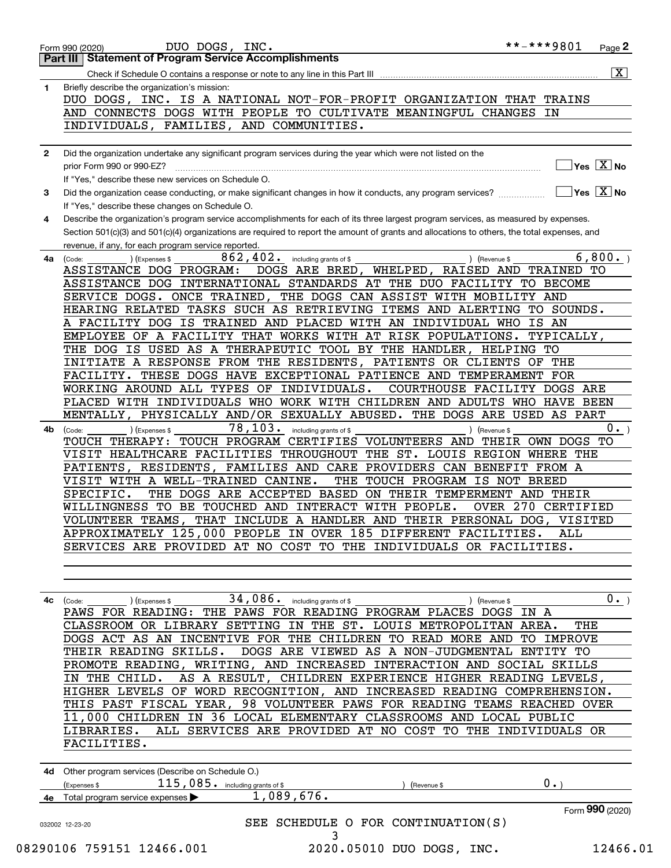| 1  | Briefly describe the organization's mission:                                                                                                        | $\overline{\mathbf{x}}$                                            |
|----|-----------------------------------------------------------------------------------------------------------------------------------------------------|--------------------------------------------------------------------|
|    | DUO DOGS, INC. IS A NATIONAL NOT-FOR-PROFIT ORGANIZATION THAT TRAINS                                                                                |                                                                    |
|    | AND CONNECTS DOGS WITH PEOPLE TO CULTIVATE MEANINGFUL CHANGES<br>ΙN                                                                                 |                                                                    |
|    | INDIVIDUALS, FAMILIES, AND COMMUNITIES.                                                                                                             |                                                                    |
|    |                                                                                                                                                     |                                                                    |
| 2  | Did the organization undertake any significant program services during the year which were not listed on the                                        |                                                                    |
|    | prior Form 990 or 990-EZ?                                                                                                                           | $\sqrt{}$ Yes $\sqrt{X}$ No                                        |
|    | If "Yes," describe these new services on Schedule O.                                                                                                |                                                                    |
| 3  | Did the organization cease conducting, or make significant changes in how it conducts, any program services?                                        | $\overline{\mathsf{Yes} \mathrel{\;\;\overline{\mathbf{X}}\;}}$ No |
|    | If "Yes," describe these changes on Schedule O.                                                                                                     |                                                                    |
| 4  | Describe the organization's program service accomplishments for each of its three largest program services, as measured by expenses.                |                                                                    |
|    | Section 501(c)(3) and 501(c)(4) organizations are required to report the amount of grants and allocations to others, the total expenses, and        |                                                                    |
|    | revenue, if any, for each program service reported.                                                                                                 |                                                                    |
| 4a | 862, 402. including grants of \$<br>) (Revenue \$<br>(Code:<br>(Expenses \$                                                                         | 6,800.                                                             |
|    | ASSISTANCE DOG PROGRAM:<br>DOGS ARE BRED, WHELPED, RAISED AND TRAINED TO                                                                            |                                                                    |
|    | ASSISTANCE DOG INTERNATIONAL STANDARDS AT THE DUO FACILITY TO BECOME                                                                                |                                                                    |
|    | SERVICE DOGS. ONCE TRAINED, THE DOGS CAN ASSIST WITH MOBILITY AND<br>HEARING RELATED TASKS SUCH AS RETRIEVING ITEMS AND ALERTING TO SOUNDS.         |                                                                    |
|    | A FACILITY DOG IS TRAINED AND PLACED WITH AN INDIVIDUAL WHO<br>IS AN                                                                                |                                                                    |
|    | EMPLOYEE OF A FACILITY THAT WORKS WITH AT RISK POPULATIONS. TYPICALLY,                                                                              |                                                                    |
|    | THE DOG IS USED AS A THERAPEUTIC TOOL BY THE HANDLER, HELPING TO                                                                                    |                                                                    |
|    | INITIATE A RESPONSE FROM THE RESIDENTS, PATIENTS OR CLIENTS OF THE                                                                                  |                                                                    |
|    | FACILITY. THESE DOGS HAVE EXCEPTIONAL PATIENCE AND TEMPERAMENT FOR                                                                                  |                                                                    |
|    | WORKING AROUND ALL TYPES OF INDIVIDUALS.<br>COURTHOUSE FACILITY DOGS ARE                                                                            |                                                                    |
|    | PLACED WITH INDIVIDUALS WHO WORK WITH CHILDREN AND ADULTS WHO HAVE BEEN                                                                             |                                                                    |
|    | MENTALLY, PHYSICALLY AND/OR SEXUALLY ABUSED. THE DOGS ARE USED AS PART                                                                              |                                                                    |
| 4b | 78, 103. including grants of \$<br>(Code:<br>) (Expenses \$<br>(Revenue \$                                                                          | 0.                                                                 |
|    | TOUCH THERAPY: TOUCH PROGRAM CERTIFIES VOLUNTEERS AND THEIR OWN DOGS TO                                                                             |                                                                    |
|    | VISIT HEALTHCARE FACILITIES THROUGHOUT THE ST. LOUIS REGION WHERE THE                                                                               |                                                                    |
|    | PATIENTS, RESIDENTS, FAMILIES AND CARE PROVIDERS CAN BENEFIT FROM A                                                                                 |                                                                    |
|    | VISIT WITH A WELL-TRAINED CANINE.<br>THE TOUCH PROGRAM IS NOT BREED                                                                                 |                                                                    |
|    | THE DOGS ARE ACCEPTED BASED ON THEIR TEMPERMENT AND THEIR<br>SPECIFIC.                                                                              |                                                                    |
|    | WILLINGNESS TO BE TOUCHED AND INTERACT WITH PEOPLE.<br>OVER 270 CERTIFIED                                                                           |                                                                    |
|    | THAT INCLUDE A HANDLER AND THEIR PERSONAL DOG, VISITED<br>VOLUNTEER TEAMS,<br>APPROXIMATELY 125,000 PEOPLE IN OVER 185 DIFFERENT FACILITIES.<br>ALL |                                                                    |
|    | SERVICES ARE PROVIDED AT NO COST TO THE INDIVIDUALS OR FACILITIES.                                                                                  |                                                                    |
|    |                                                                                                                                                     |                                                                    |
|    |                                                                                                                                                     |                                                                    |
|    |                                                                                                                                                     |                                                                    |
| 4с | 34,086. including grants of \$<br>) (Expenses \$<br>) (Revenue \$<br>(Code:                                                                         | $\overline{0}$ . )                                                 |
|    | PAWS FOR READING: THE PAWS FOR READING PROGRAM PLACES DOGS IN A                                                                                     |                                                                    |
|    | CLASSROOM OR LIBRARY SETTING IN THE ST. LOUIS METROPOLITAN AREA.                                                                                    | THE                                                                |
|    | DOGS ACT AS AN INCENTIVE FOR THE CHILDREN TO READ MORE AND TO IMPROVE                                                                               |                                                                    |
|    | DOGS ARE VIEWED AS A NON-JUDGMENTAL ENTITY TO<br>THEIR READING SKILLS.                                                                              |                                                                    |
|    | PROMOTE READING, WRITING, AND INCREASED INTERACTION AND SOCIAL SKILLS                                                                               |                                                                    |
|    | IN THE CHILD. AS A RESULT, CHILDREN EXPERIENCE HIGHER READING LEVELS,                                                                               |                                                                    |
|    | HIGHER LEVELS OF WORD RECOGNITION, AND INCREASED READING COMPREHENSION.                                                                             |                                                                    |
|    | THIS PAST FISCAL YEAR, 98 VOLUNTEER PAWS FOR READING TEAMS REACHED OVER                                                                             |                                                                    |
|    | 11,000 CHILDREN IN 36 LOCAL ELEMENTARY CLASSROOMS AND LOCAL PUBLIC                                                                                  |                                                                    |
|    | ALL SERVICES ARE PROVIDED AT NO COST TO THE INDIVIDUALS OR<br>LIBRARIES.<br>FACILITIES.                                                             |                                                                    |
|    |                                                                                                                                                     |                                                                    |
|    | 4d Other program services (Describe on Schedule O.)                                                                                                 |                                                                    |
|    | $115$ , $085$ . including grants of \$<br>0.<br>(Expenses \$<br>(Revenue \$                                                                         |                                                                    |
|    | 1,089,676.<br>4e Total program service expenses                                                                                                     |                                                                    |
|    |                                                                                                                                                     | Form 990 (2020)                                                    |
|    | SEE SCHEDULE O FOR CONTINUATION(S)                                                                                                                  |                                                                    |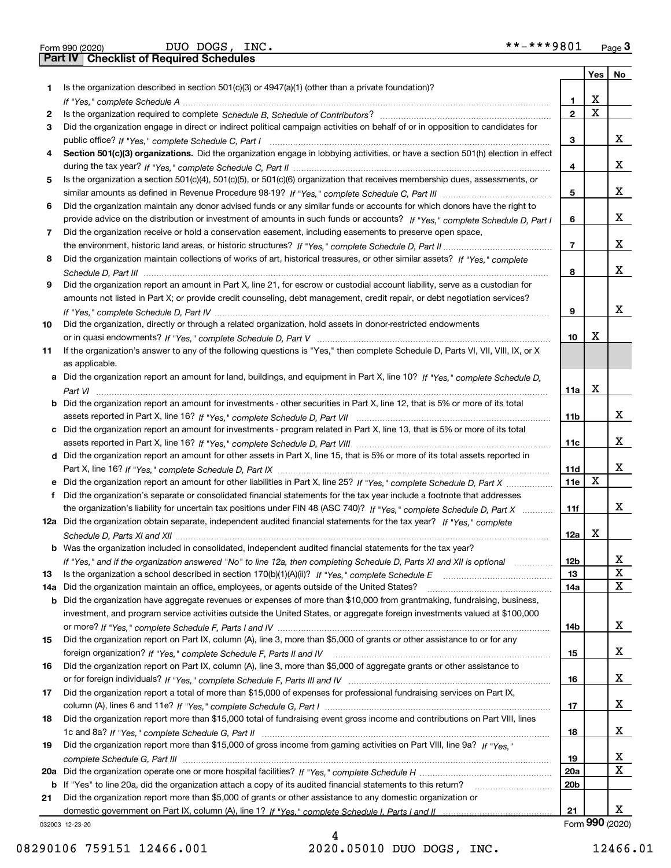|  | Form 990 (2020) |
|--|-----------------|

Form 990 (2020) Page **3Part IV Checklist of Required Schedules** DUO DOGS, INC. \*\*-\*\*\*9801

|     |                                                                                                                                       |                 | Yes   No |                 |
|-----|---------------------------------------------------------------------------------------------------------------------------------------|-----------------|----------|-----------------|
| 1.  | Is the organization described in section $501(c)(3)$ or $4947(a)(1)$ (other than a private foundation)?                               |                 |          |                 |
|     |                                                                                                                                       | 1.              | X        |                 |
| 2   |                                                                                                                                       | $\overline{2}$  | X        |                 |
| 3   | Did the organization engage in direct or indirect political campaign activities on behalf of or in opposition to candidates for       |                 |          |                 |
|     |                                                                                                                                       | 3               |          | x               |
| 4   | Section 501(c)(3) organizations. Did the organization engage in lobbying activities, or have a section 501(h) election in effect      |                 |          |                 |
|     |                                                                                                                                       | 4               |          | x               |
| 5   | Is the organization a section 501(c)(4), 501(c)(5), or 501(c)(6) organization that receives membership dues, assessments, or          |                 |          |                 |
|     |                                                                                                                                       | 5               |          | x               |
| 6   | Did the organization maintain any donor advised funds or any similar funds or accounts for which donors have the right to             |                 |          |                 |
|     | provide advice on the distribution or investment of amounts in such funds or accounts? If "Yes," complete Schedule D, Part I          | 6               |          | x               |
| 7   | Did the organization receive or hold a conservation easement, including easements to preserve open space,                             |                 |          |                 |
|     |                                                                                                                                       | $\overline{7}$  |          | x               |
| 8   | Did the organization maintain collections of works of art, historical treasures, or other similar assets? If "Yes," complete          |                 |          |                 |
|     |                                                                                                                                       | 8               |          | x               |
| 9   | Did the organization report an amount in Part X, line 21, for escrow or custodial account liability, serve as a custodian for         |                 |          |                 |
|     | amounts not listed in Part X; or provide credit counseling, debt management, credit repair, or debt negotiation services?             |                 |          |                 |
|     |                                                                                                                                       | 9               |          | x               |
| 10  | Did the organization, directly or through a related organization, hold assets in donor-restricted endowments                          |                 |          |                 |
|     |                                                                                                                                       | 10              | х        |                 |
| 11  | If the organization's answer to any of the following questions is "Yes," then complete Schedule D, Parts VI, VII, VIII, IX, or X      |                 |          |                 |
|     | as applicable.                                                                                                                        |                 |          |                 |
|     | a Did the organization report an amount for land, buildings, and equipment in Part X, line 10? If "Yes," complete Schedule D.         |                 | X        |                 |
|     |                                                                                                                                       | 11a             |          |                 |
|     | <b>b</b> Did the organization report an amount for investments - other securities in Part X, line 12, that is 5% or more of its total |                 |          | x               |
|     |                                                                                                                                       | 11 <sub>b</sub> |          |                 |
|     | c Did the organization report an amount for investments - program related in Part X, line 13, that is 5% or more of its total         | 11c             |          | x               |
|     | d Did the organization report an amount for other assets in Part X, line 15, that is 5% or more of its total assets reported in       |                 |          |                 |
|     |                                                                                                                                       | 11d             |          | x               |
|     |                                                                                                                                       | 11e             | X        |                 |
| f   | Did the organization's separate or consolidated financial statements for the tax year include a footnote that addresses               |                 |          |                 |
|     | the organization's liability for uncertain tax positions under FIN 48 (ASC 740)? If "Yes," complete Schedule D, Part X                | 11f             |          | x               |
|     | 12a Did the organization obtain separate, independent audited financial statements for the tax year? If "Yes," complete               |                 |          |                 |
|     |                                                                                                                                       | 12a             | х        |                 |
|     | <b>b</b> Was the organization included in consolidated, independent audited financial statements for the tax year?                    |                 |          |                 |
|     | If "Yes," and if the organization answered "No" to line 12a, then completing Schedule D, Parts XI and XII is optional                 | 12 <sub>b</sub> |          | Х               |
| 13  |                                                                                                                                       | 13              |          | X               |
| 14a | Did the organization maintain an office, employees, or agents outside of the United States?                                           | 14a             |          | X               |
|     | <b>b</b> Did the organization have aggregate revenues or expenses of more than \$10,000 from grantmaking, fundraising, business,      |                 |          |                 |
|     | investment, and program service activities outside the United States, or aggregate foreign investments valued at \$100,000            |                 |          |                 |
|     |                                                                                                                                       | 14b             |          | x               |
| 15  | Did the organization report on Part IX, column (A), line 3, more than \$5,000 of grants or other assistance to or for any             |                 |          |                 |
|     |                                                                                                                                       | 15              |          | x               |
| 16  | Did the organization report on Part IX, column (A), line 3, more than \$5,000 of aggregate grants or other assistance to              |                 |          |                 |
|     |                                                                                                                                       | 16              |          | x               |
| 17  | Did the organization report a total of more than \$15,000 of expenses for professional fundraising services on Part IX,               |                 |          |                 |
|     |                                                                                                                                       | 17              |          | x               |
| 18  | Did the organization report more than \$15,000 total of fundraising event gross income and contributions on Part VIII, lines          |                 |          |                 |
|     |                                                                                                                                       | 18              |          | x               |
| 19  | Did the organization report more than \$15,000 of gross income from gaming activities on Part VIII, line 9a? If "Yes."                |                 |          |                 |
|     |                                                                                                                                       | 19              |          | x               |
|     |                                                                                                                                       | 20a             |          | X               |
|     | b If "Yes" to line 20a, did the organization attach a copy of its audited financial statements to this return?                        | 20 <sub>b</sub> |          |                 |
| 21  | Did the organization report more than \$5,000 of grants or other assistance to any domestic organization or                           |                 |          |                 |
|     |                                                                                                                                       | 21              |          | х               |
|     | 032003 12-23-20                                                                                                                       |                 |          | Form 990 (2020) |

032003 12-23-20

08290106 759151 12466.001 2020.05010 DUO DOGS, INC. 12466.01

4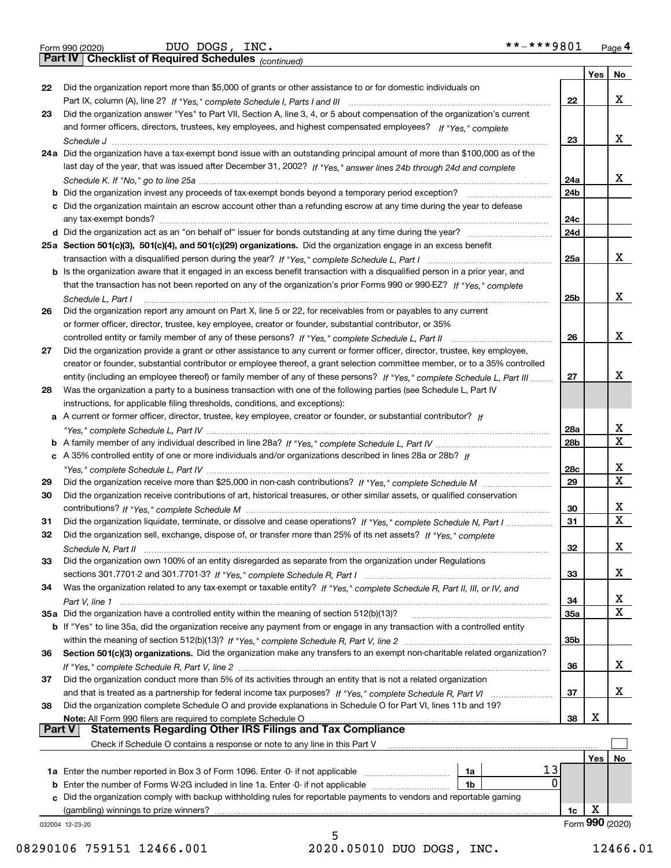|  | Form 990 (2020 |
|--|----------------|

*(continued)*

|               |                                                                                                                                                                                                                                        |                 | Yes | No               |
|---------------|----------------------------------------------------------------------------------------------------------------------------------------------------------------------------------------------------------------------------------------|-----------------|-----|------------------|
| 22            | Did the organization report more than \$5,000 of grants or other assistance to or for domestic individuals on                                                                                                                          |                 |     |                  |
|               |                                                                                                                                                                                                                                        | 22              |     | x                |
| 23            | Did the organization answer "Yes" to Part VII, Section A, line 3, 4, or 5 about compensation of the organization's current                                                                                                             |                 |     |                  |
|               | and former officers, directors, trustees, key employees, and highest compensated employees? If "Yes," complete                                                                                                                         |                 |     |                  |
|               |                                                                                                                                                                                                                                        | 23              |     | x                |
|               | 24a Did the organization have a tax-exempt bond issue with an outstanding principal amount of more than \$100,000 as of the                                                                                                            |                 |     |                  |
|               | last day of the year, that was issued after December 31, 2002? If "Yes," answer lines 24b through 24d and complete                                                                                                                     |                 |     |                  |
|               |                                                                                                                                                                                                                                        | 24a             |     | х                |
|               | b Did the organization invest any proceeds of tax-exempt bonds beyond a temporary period exception?                                                                                                                                    | 24b             |     |                  |
|               | c Did the organization maintain an escrow account other than a refunding escrow at any time during the year to defease                                                                                                                 | 24c             |     |                  |
|               |                                                                                                                                                                                                                                        | 24d             |     |                  |
|               | 25a Section 501(c)(3), 501(c)(4), and 501(c)(29) organizations. Did the organization engage in an excess benefit                                                                                                                       |                 |     |                  |
|               |                                                                                                                                                                                                                                        | 25a             |     | x                |
|               | b Is the organization aware that it engaged in an excess benefit transaction with a disqualified person in a prior year, and                                                                                                           |                 |     |                  |
|               | that the transaction has not been reported on any of the organization's prior Forms 990 or 990-EZ? If "Yes," complete                                                                                                                  |                 |     |                  |
|               | Schedule L, Part I                                                                                                                                                                                                                     | 25b             |     | x                |
| 26            | Did the organization report any amount on Part X, line 5 or 22, for receivables from or payables to any current                                                                                                                        |                 |     |                  |
|               | or former officer, director, trustee, key employee, creator or founder, substantial contributor, or 35%                                                                                                                                |                 |     |                  |
|               |                                                                                                                                                                                                                                        | 26              |     | x                |
| 27            | Did the organization provide a grant or other assistance to any current or former officer, director, trustee, key employee,                                                                                                            |                 |     |                  |
|               | creator or founder, substantial contributor or employee thereof, a grant selection committee member, or to a 35% controlled                                                                                                            |                 |     |                  |
|               | entity (including an employee thereof) or family member of any of these persons? If "Yes," complete Schedule L, Part III                                                                                                               | 27              |     | х                |
| 28            | Was the organization a party to a business transaction with one of the following parties (see Schedule L, Part IV                                                                                                                      |                 |     |                  |
|               | instructions, for applicable filing thresholds, conditions, and exceptions):                                                                                                                                                           |                 |     |                  |
|               | a A current or former officer, director, trustee, key employee, creator or founder, or substantial contributor? If                                                                                                                     |                 |     |                  |
|               |                                                                                                                                                                                                                                        | 28a             |     | х                |
|               |                                                                                                                                                                                                                                        | 28 <sub>b</sub> |     | $\mathbf x$      |
|               | c A 35% controlled entity of one or more individuals and/or organizations described in lines 28a or 28b? If                                                                                                                            |                 |     |                  |
|               |                                                                                                                                                                                                                                        | 28c             |     | х<br>$\mathbf X$ |
| 29            |                                                                                                                                                                                                                                        | 29              |     |                  |
| 30            | Did the organization receive contributions of art, historical treasures, or other similar assets, or qualified conservation                                                                                                            |                 |     | х                |
| 31            |                                                                                                                                                                                                                                        | 30<br>31        |     | X                |
| 32            | Did the organization liquidate, terminate, or dissolve and cease operations? If "Yes," complete Schedule N, Part I<br>Did the organization sell, exchange, dispose of, or transfer more than 25% of its net assets? If "Yes," complete |                 |     |                  |
|               |                                                                                                                                                                                                                                        | 32              |     | х                |
| 33            | Did the organization own 100% of an entity disregarded as separate from the organization under Regulations                                                                                                                             |                 |     |                  |
|               |                                                                                                                                                                                                                                        | 33              |     | х                |
| 34            | Was the organization related to any tax-exempt or taxable entity? If "Yes," complete Schedule R, Part II, III, or IV, and                                                                                                              |                 |     |                  |
|               |                                                                                                                                                                                                                                        | 34              |     | x                |
|               | 35a Did the organization have a controlled entity within the meaning of section 512(b)(13)?                                                                                                                                            | <b>35a</b>      |     | X                |
|               | <b>b</b> If "Yes" to line 35a, did the organization receive any payment from or engage in any transaction with a controlled entity                                                                                                     |                 |     |                  |
|               |                                                                                                                                                                                                                                        | 35 <sub>b</sub> |     |                  |
| 36            | Section 501(c)(3) organizations. Did the organization make any transfers to an exempt non-charitable related organization?                                                                                                             |                 |     |                  |
|               |                                                                                                                                                                                                                                        | 36              |     | X                |
| 37            | Did the organization conduct more than 5% of its activities through an entity that is not a related organization                                                                                                                       |                 |     |                  |
|               |                                                                                                                                                                                                                                        | 37              |     | x                |
| 38            | Did the organization complete Schedule O and provide explanations in Schedule O for Part VI, lines 11b and 19?                                                                                                                         |                 |     |                  |
|               | Note: All Form 990 filers are required to complete Schedule O                                                                                                                                                                          | 38              | х   |                  |
| <b>Part V</b> | <b>Statements Regarding Other IRS Filings and Tax Compliance</b>                                                                                                                                                                       |                 |     |                  |
|               | Check if Schedule O contains a response or note to any line in this Part V                                                                                                                                                             |                 |     |                  |
|               |                                                                                                                                                                                                                                        |                 | Yes | No               |
|               | 13<br>1a Enter the number reported in Box 3 of Form 1096. Enter -0- if not applicable<br>1a<br>0                                                                                                                                       |                 |     |                  |
|               | <b>b</b> Enter the number of Forms W-2G included in line 1a. Enter -0- if not applicable<br>1b<br>c Did the organization comply with backup withholding rules for reportable payments to vendors and reportable gaming                 |                 |     |                  |
|               | (gambling) winnings to prize winners?                                                                                                                                                                                                  | 1c              | X   |                  |
|               | 032004 12-23-20                                                                                                                                                                                                                        |                 |     | Form 990 (2020)  |
|               |                                                                                                                                                                                                                                        |                 |     |                  |

5 08290106 759151 12466.001 2020.05010 DUO DOGS, INC. 12466.01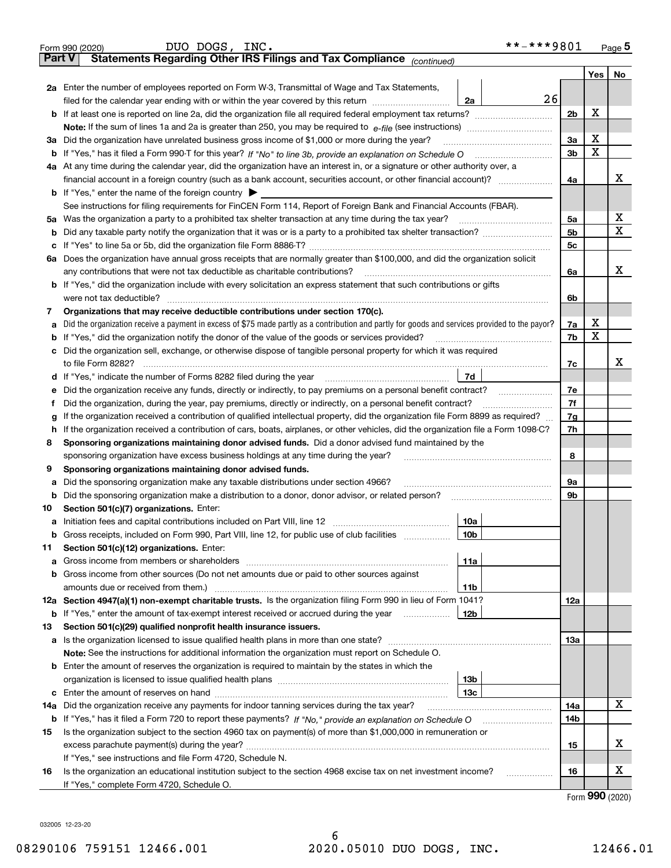| <b>Part V</b><br>Yes $ $<br>No<br>2a Enter the number of employees reported on Form W-3, Transmittal of Wage and Tax Statements,<br>26<br>filed for the calendar year ending with or within the year covered by this return<br>2a<br>X<br>2 <sub>b</sub><br><b>b</b> If at least one is reported on line 2a, did the organization file all required federal employment tax returns?<br><b>Note:</b> If the sum of lines 1a and 2a is greater than 250, you may be required to $e$ -file (see instructions) <i>marrouum</i> manu-<br>X<br>3a<br>3a Did the organization have unrelated business gross income of \$1,000 or more during the year?<br>X<br>3 <sub>b</sub><br><b>b</b> If "Yes," has it filed a Form 990-T for this year? If "No" to line 3b, provide an explanation on Schedule O<br>4a At any time during the calendar year, did the organization have an interest in, or a signature or other authority over, a<br>х<br>4a<br><b>b</b> If "Yes," enter the name of the foreign country $\triangleright$<br>See instructions for filing requirements for FinCEN Form 114, Report of Foreign Bank and Financial Accounts (FBAR).<br>x<br>5a<br>5a Was the organization a party to a prohibited tax shelter transaction at any time during the tax year?<br>$\mathbf x$<br>5 <sub>b</sub><br>b<br>5c<br>с<br>Does the organization have annual gross receipts that are normally greater than \$100,000, and did the organization solicit<br>ба<br>х<br>any contributions that were not tax deductible as charitable contributions?<br>6a<br><b>b</b> If "Yes," did the organization include with every solicitation an express statement that such contributions or gifts<br>were not tax deductible?<br>6b<br>Organizations that may receive deductible contributions under section 170(c).<br>7<br>х<br>Did the organization receive a payment in excess of \$75 made partly as a contribution and partly for goods and services provided to the payor?<br>7a<br>а<br>X<br>7b<br>If "Yes," did the organization notify the donor of the value of the goods or services provided?<br>b<br>Did the organization sell, exchange, or otherwise dispose of tangible personal property for which it was required<br>с<br>х<br>to file Form 8282?<br>7c<br>7d<br>7e<br>Did the organization receive any funds, directly or indirectly, to pay premiums on a personal benefit contract?<br>е<br>7f<br>Did the organization, during the year, pay premiums, directly or indirectly, on a personal benefit contract?<br>f<br>If the organization received a contribution of qualified intellectual property, did the organization file Form 8899 as required?<br>7g<br>g<br>If the organization received a contribution of cars, boats, airplanes, or other vehicles, did the organization file a Form 1098-C?<br>7h<br>h<br>Sponsoring organizations maintaining donor advised funds. Did a donor advised fund maintained by the<br>8<br>8<br>sponsoring organization have excess business holdings at any time during the year?<br>Sponsoring organizations maintaining donor advised funds.<br>9<br>Did the sponsoring organization make any taxable distributions under section 4966?<br>9а<br>а<br>9b<br>Did the sponsoring organization make a distribution to a donor, donor advisor, or related person?<br>b<br>Section 501(c)(7) organizations. Enter:<br>10<br>10a<br>a<br><b>b</b> Gross receipts, included on Form 990, Part VIII, line 12, for public use of club facilities <i>managerecipts</i> ,<br>10b<br>Section 501(c)(12) organizations. Enter:<br>11<br>11a<br>а<br>Gross income from other sources (Do not net amounts due or paid to other sources against<br>b<br>amounts due or received from them.)<br>11b<br>12a Section 4947(a)(1) non-exempt charitable trusts. Is the organization filing Form 990 in lieu of Form 1041?<br>12a<br><b>b</b> If "Yes," enter the amount of tax-exempt interest received or accrued during the year<br>12 <sub>b</sub><br>Section 501(c)(29) qualified nonprofit health insurance issuers.<br>13<br>13а<br><b>Note:</b> See the instructions for additional information the organization must report on Schedule O.<br><b>b</b> Enter the amount of reserves the organization is required to maintain by the states in which the<br>13b<br>13с<br>c<br>X<br>Did the organization receive any payments for indoor tanning services during the tax year?<br>14a<br>14a<br>14b<br>Is the organization subject to the section 4960 tax on payment(s) of more than \$1,000,000 in remuneration or<br>15<br>х<br>15<br>If "Yes," see instructions and file Form 4720, Schedule N.<br>х<br>Is the organization an educational institution subject to the section 4968 excise tax on net investment income?<br>16<br>16<br>.<br>If "Yes," complete Form 4720, Schedule O.<br>$000 \, \text{cm}$ | **-***9801<br>DUO DOGS, INC.<br>Form 990 (2020)                                  |  | Page $5$ |
|---------------------------------------------------------------------------------------------------------------------------------------------------------------------------------------------------------------------------------------------------------------------------------------------------------------------------------------------------------------------------------------------------------------------------------------------------------------------------------------------------------------------------------------------------------------------------------------------------------------------------------------------------------------------------------------------------------------------------------------------------------------------------------------------------------------------------------------------------------------------------------------------------------------------------------------------------------------------------------------------------------------------------------------------------------------------------------------------------------------------------------------------------------------------------------------------------------------------------------------------------------------------------------------------------------------------------------------------------------------------------------------------------------------------------------------------------------------------------------------------------------------------------------------------------------------------------------------------------------------------------------------------------------------------------------------------------------------------------------------------------------------------------------------------------------------------------------------------------------------------------------------------------------------------------------------------------------------------------------------------------------------------------------------------------------------------------------------------------------------------------------------------------------------------------------------------------------------------------------------------------------------------------------------------------------------------------------------------------------------------------------------------------------------------------------------------------------------------------------------------------------------------------------------------------------------------------------------------------------------------------------------------------------------------------------------------------------------------------------------------------------------------------------------------------------------------------------------------------------------------------------------------------------------------------------------------------------------------------------------------------------------------------------------------------------------------------------------------------------------------------------------------------------------------------------------------------------------------------------------------------------------------------------------------------------------------------------------------------------------------------------------------------------------------------------------------------------------------------------------------------------------------------------------------------------------------------------------------------------------------------------------------------------------------------------------------------------------------------------------------------------------------------------------------------------------------------------------------------------------------------------------------------------------------------------------------------------------------------------------------------------------------------------------------------------------------------------------------------------------------------------------------------------------------------------------------------------------------------------------------------------------------------------------------------------------------------------------------------------------------------------------------------------------------------------------------------------------------------------------------------------------------------------------------------------------------------------------------------------------------------------------------------------------------------------------------------------------------------------------------------------------------------------------------------------------------------------------------------------|----------------------------------------------------------------------------------|--|----------|
|                                                                                                                                                                                                                                                                                                                                                                                                                                                                                                                                                                                                                                                                                                                                                                                                                                                                                                                                                                                                                                                                                                                                                                                                                                                                                                                                                                                                                                                                                                                                                                                                                                                                                                                                                                                                                                                                                                                                                                                                                                                                                                                                                                                                                                                                                                                                                                                                                                                                                                                                                                                                                                                                                                                                                                                                                                                                                                                                                                                                                                                                                                                                                                                                                                                                                                                                                                                                                                                                                                                                                                                                                                                                                                                                                                                                                                                                                                                                                                                                                                                                                                                                                                                                                                                                                                                                                                                                                                                                                                                                                                                                                                                                                                                                                                                                                                                         | Statements Regarding Other IRS Filings and Tax Compliance <sub>(continued)</sub> |  |          |
|                                                                                                                                                                                                                                                                                                                                                                                                                                                                                                                                                                                                                                                                                                                                                                                                                                                                                                                                                                                                                                                                                                                                                                                                                                                                                                                                                                                                                                                                                                                                                                                                                                                                                                                                                                                                                                                                                                                                                                                                                                                                                                                                                                                                                                                                                                                                                                                                                                                                                                                                                                                                                                                                                                                                                                                                                                                                                                                                                                                                                                                                                                                                                                                                                                                                                                                                                                                                                                                                                                                                                                                                                                                                                                                                                                                                                                                                                                                                                                                                                                                                                                                                                                                                                                                                                                                                                                                                                                                                                                                                                                                                                                                                                                                                                                                                                                                         |                                                                                  |  |          |
|                                                                                                                                                                                                                                                                                                                                                                                                                                                                                                                                                                                                                                                                                                                                                                                                                                                                                                                                                                                                                                                                                                                                                                                                                                                                                                                                                                                                                                                                                                                                                                                                                                                                                                                                                                                                                                                                                                                                                                                                                                                                                                                                                                                                                                                                                                                                                                                                                                                                                                                                                                                                                                                                                                                                                                                                                                                                                                                                                                                                                                                                                                                                                                                                                                                                                                                                                                                                                                                                                                                                                                                                                                                                                                                                                                                                                                                                                                                                                                                                                                                                                                                                                                                                                                                                                                                                                                                                                                                                                                                                                                                                                                                                                                                                                                                                                                                         |                                                                                  |  |          |
|                                                                                                                                                                                                                                                                                                                                                                                                                                                                                                                                                                                                                                                                                                                                                                                                                                                                                                                                                                                                                                                                                                                                                                                                                                                                                                                                                                                                                                                                                                                                                                                                                                                                                                                                                                                                                                                                                                                                                                                                                                                                                                                                                                                                                                                                                                                                                                                                                                                                                                                                                                                                                                                                                                                                                                                                                                                                                                                                                                                                                                                                                                                                                                                                                                                                                                                                                                                                                                                                                                                                                                                                                                                                                                                                                                                                                                                                                                                                                                                                                                                                                                                                                                                                                                                                                                                                                                                                                                                                                                                                                                                                                                                                                                                                                                                                                                                         |                                                                                  |  |          |
|                                                                                                                                                                                                                                                                                                                                                                                                                                                                                                                                                                                                                                                                                                                                                                                                                                                                                                                                                                                                                                                                                                                                                                                                                                                                                                                                                                                                                                                                                                                                                                                                                                                                                                                                                                                                                                                                                                                                                                                                                                                                                                                                                                                                                                                                                                                                                                                                                                                                                                                                                                                                                                                                                                                                                                                                                                                                                                                                                                                                                                                                                                                                                                                                                                                                                                                                                                                                                                                                                                                                                                                                                                                                                                                                                                                                                                                                                                                                                                                                                                                                                                                                                                                                                                                                                                                                                                                                                                                                                                                                                                                                                                                                                                                                                                                                                                                         |                                                                                  |  |          |
|                                                                                                                                                                                                                                                                                                                                                                                                                                                                                                                                                                                                                                                                                                                                                                                                                                                                                                                                                                                                                                                                                                                                                                                                                                                                                                                                                                                                                                                                                                                                                                                                                                                                                                                                                                                                                                                                                                                                                                                                                                                                                                                                                                                                                                                                                                                                                                                                                                                                                                                                                                                                                                                                                                                                                                                                                                                                                                                                                                                                                                                                                                                                                                                                                                                                                                                                                                                                                                                                                                                                                                                                                                                                                                                                                                                                                                                                                                                                                                                                                                                                                                                                                                                                                                                                                                                                                                                                                                                                                                                                                                                                                                                                                                                                                                                                                                                         |                                                                                  |  |          |
|                                                                                                                                                                                                                                                                                                                                                                                                                                                                                                                                                                                                                                                                                                                                                                                                                                                                                                                                                                                                                                                                                                                                                                                                                                                                                                                                                                                                                                                                                                                                                                                                                                                                                                                                                                                                                                                                                                                                                                                                                                                                                                                                                                                                                                                                                                                                                                                                                                                                                                                                                                                                                                                                                                                                                                                                                                                                                                                                                                                                                                                                                                                                                                                                                                                                                                                                                                                                                                                                                                                                                                                                                                                                                                                                                                                                                                                                                                                                                                                                                                                                                                                                                                                                                                                                                                                                                                                                                                                                                                                                                                                                                                                                                                                                                                                                                                                         |                                                                                  |  |          |
|                                                                                                                                                                                                                                                                                                                                                                                                                                                                                                                                                                                                                                                                                                                                                                                                                                                                                                                                                                                                                                                                                                                                                                                                                                                                                                                                                                                                                                                                                                                                                                                                                                                                                                                                                                                                                                                                                                                                                                                                                                                                                                                                                                                                                                                                                                                                                                                                                                                                                                                                                                                                                                                                                                                                                                                                                                                                                                                                                                                                                                                                                                                                                                                                                                                                                                                                                                                                                                                                                                                                                                                                                                                                                                                                                                                                                                                                                                                                                                                                                                                                                                                                                                                                                                                                                                                                                                                                                                                                                                                                                                                                                                                                                                                                                                                                                                                         |                                                                                  |  |          |
|                                                                                                                                                                                                                                                                                                                                                                                                                                                                                                                                                                                                                                                                                                                                                                                                                                                                                                                                                                                                                                                                                                                                                                                                                                                                                                                                                                                                                                                                                                                                                                                                                                                                                                                                                                                                                                                                                                                                                                                                                                                                                                                                                                                                                                                                                                                                                                                                                                                                                                                                                                                                                                                                                                                                                                                                                                                                                                                                                                                                                                                                                                                                                                                                                                                                                                                                                                                                                                                                                                                                                                                                                                                                                                                                                                                                                                                                                                                                                                                                                                                                                                                                                                                                                                                                                                                                                                                                                                                                                                                                                                                                                                                                                                                                                                                                                                                         |                                                                                  |  |          |
|                                                                                                                                                                                                                                                                                                                                                                                                                                                                                                                                                                                                                                                                                                                                                                                                                                                                                                                                                                                                                                                                                                                                                                                                                                                                                                                                                                                                                                                                                                                                                                                                                                                                                                                                                                                                                                                                                                                                                                                                                                                                                                                                                                                                                                                                                                                                                                                                                                                                                                                                                                                                                                                                                                                                                                                                                                                                                                                                                                                                                                                                                                                                                                                                                                                                                                                                                                                                                                                                                                                                                                                                                                                                                                                                                                                                                                                                                                                                                                                                                                                                                                                                                                                                                                                                                                                                                                                                                                                                                                                                                                                                                                                                                                                                                                                                                                                         |                                                                                  |  |          |
|                                                                                                                                                                                                                                                                                                                                                                                                                                                                                                                                                                                                                                                                                                                                                                                                                                                                                                                                                                                                                                                                                                                                                                                                                                                                                                                                                                                                                                                                                                                                                                                                                                                                                                                                                                                                                                                                                                                                                                                                                                                                                                                                                                                                                                                                                                                                                                                                                                                                                                                                                                                                                                                                                                                                                                                                                                                                                                                                                                                                                                                                                                                                                                                                                                                                                                                                                                                                                                                                                                                                                                                                                                                                                                                                                                                                                                                                                                                                                                                                                                                                                                                                                                                                                                                                                                                                                                                                                                                                                                                                                                                                                                                                                                                                                                                                                                                         |                                                                                  |  |          |
|                                                                                                                                                                                                                                                                                                                                                                                                                                                                                                                                                                                                                                                                                                                                                                                                                                                                                                                                                                                                                                                                                                                                                                                                                                                                                                                                                                                                                                                                                                                                                                                                                                                                                                                                                                                                                                                                                                                                                                                                                                                                                                                                                                                                                                                                                                                                                                                                                                                                                                                                                                                                                                                                                                                                                                                                                                                                                                                                                                                                                                                                                                                                                                                                                                                                                                                                                                                                                                                                                                                                                                                                                                                                                                                                                                                                                                                                                                                                                                                                                                                                                                                                                                                                                                                                                                                                                                                                                                                                                                                                                                                                                                                                                                                                                                                                                                                         |                                                                                  |  |          |
|                                                                                                                                                                                                                                                                                                                                                                                                                                                                                                                                                                                                                                                                                                                                                                                                                                                                                                                                                                                                                                                                                                                                                                                                                                                                                                                                                                                                                                                                                                                                                                                                                                                                                                                                                                                                                                                                                                                                                                                                                                                                                                                                                                                                                                                                                                                                                                                                                                                                                                                                                                                                                                                                                                                                                                                                                                                                                                                                                                                                                                                                                                                                                                                                                                                                                                                                                                                                                                                                                                                                                                                                                                                                                                                                                                                                                                                                                                                                                                                                                                                                                                                                                                                                                                                                                                                                                                                                                                                                                                                                                                                                                                                                                                                                                                                                                                                         |                                                                                  |  |          |
|                                                                                                                                                                                                                                                                                                                                                                                                                                                                                                                                                                                                                                                                                                                                                                                                                                                                                                                                                                                                                                                                                                                                                                                                                                                                                                                                                                                                                                                                                                                                                                                                                                                                                                                                                                                                                                                                                                                                                                                                                                                                                                                                                                                                                                                                                                                                                                                                                                                                                                                                                                                                                                                                                                                                                                                                                                                                                                                                                                                                                                                                                                                                                                                                                                                                                                                                                                                                                                                                                                                                                                                                                                                                                                                                                                                                                                                                                                                                                                                                                                                                                                                                                                                                                                                                                                                                                                                                                                                                                                                                                                                                                                                                                                                                                                                                                                                         |                                                                                  |  |          |
|                                                                                                                                                                                                                                                                                                                                                                                                                                                                                                                                                                                                                                                                                                                                                                                                                                                                                                                                                                                                                                                                                                                                                                                                                                                                                                                                                                                                                                                                                                                                                                                                                                                                                                                                                                                                                                                                                                                                                                                                                                                                                                                                                                                                                                                                                                                                                                                                                                                                                                                                                                                                                                                                                                                                                                                                                                                                                                                                                                                                                                                                                                                                                                                                                                                                                                                                                                                                                                                                                                                                                                                                                                                                                                                                                                                                                                                                                                                                                                                                                                                                                                                                                                                                                                                                                                                                                                                                                                                                                                                                                                                                                                                                                                                                                                                                                                                         |                                                                                  |  |          |
|                                                                                                                                                                                                                                                                                                                                                                                                                                                                                                                                                                                                                                                                                                                                                                                                                                                                                                                                                                                                                                                                                                                                                                                                                                                                                                                                                                                                                                                                                                                                                                                                                                                                                                                                                                                                                                                                                                                                                                                                                                                                                                                                                                                                                                                                                                                                                                                                                                                                                                                                                                                                                                                                                                                                                                                                                                                                                                                                                                                                                                                                                                                                                                                                                                                                                                                                                                                                                                                                                                                                                                                                                                                                                                                                                                                                                                                                                                                                                                                                                                                                                                                                                                                                                                                                                                                                                                                                                                                                                                                                                                                                                                                                                                                                                                                                                                                         |                                                                                  |  |          |
|                                                                                                                                                                                                                                                                                                                                                                                                                                                                                                                                                                                                                                                                                                                                                                                                                                                                                                                                                                                                                                                                                                                                                                                                                                                                                                                                                                                                                                                                                                                                                                                                                                                                                                                                                                                                                                                                                                                                                                                                                                                                                                                                                                                                                                                                                                                                                                                                                                                                                                                                                                                                                                                                                                                                                                                                                                                                                                                                                                                                                                                                                                                                                                                                                                                                                                                                                                                                                                                                                                                                                                                                                                                                                                                                                                                                                                                                                                                                                                                                                                                                                                                                                                                                                                                                                                                                                                                                                                                                                                                                                                                                                                                                                                                                                                                                                                                         |                                                                                  |  |          |
|                                                                                                                                                                                                                                                                                                                                                                                                                                                                                                                                                                                                                                                                                                                                                                                                                                                                                                                                                                                                                                                                                                                                                                                                                                                                                                                                                                                                                                                                                                                                                                                                                                                                                                                                                                                                                                                                                                                                                                                                                                                                                                                                                                                                                                                                                                                                                                                                                                                                                                                                                                                                                                                                                                                                                                                                                                                                                                                                                                                                                                                                                                                                                                                                                                                                                                                                                                                                                                                                                                                                                                                                                                                                                                                                                                                                                                                                                                                                                                                                                                                                                                                                                                                                                                                                                                                                                                                                                                                                                                                                                                                                                                                                                                                                                                                                                                                         |                                                                                  |  |          |
|                                                                                                                                                                                                                                                                                                                                                                                                                                                                                                                                                                                                                                                                                                                                                                                                                                                                                                                                                                                                                                                                                                                                                                                                                                                                                                                                                                                                                                                                                                                                                                                                                                                                                                                                                                                                                                                                                                                                                                                                                                                                                                                                                                                                                                                                                                                                                                                                                                                                                                                                                                                                                                                                                                                                                                                                                                                                                                                                                                                                                                                                                                                                                                                                                                                                                                                                                                                                                                                                                                                                                                                                                                                                                                                                                                                                                                                                                                                                                                                                                                                                                                                                                                                                                                                                                                                                                                                                                                                                                                                                                                                                                                                                                                                                                                                                                                                         |                                                                                  |  |          |
|                                                                                                                                                                                                                                                                                                                                                                                                                                                                                                                                                                                                                                                                                                                                                                                                                                                                                                                                                                                                                                                                                                                                                                                                                                                                                                                                                                                                                                                                                                                                                                                                                                                                                                                                                                                                                                                                                                                                                                                                                                                                                                                                                                                                                                                                                                                                                                                                                                                                                                                                                                                                                                                                                                                                                                                                                                                                                                                                                                                                                                                                                                                                                                                                                                                                                                                                                                                                                                                                                                                                                                                                                                                                                                                                                                                                                                                                                                                                                                                                                                                                                                                                                                                                                                                                                                                                                                                                                                                                                                                                                                                                                                                                                                                                                                                                                                                         |                                                                                  |  |          |
|                                                                                                                                                                                                                                                                                                                                                                                                                                                                                                                                                                                                                                                                                                                                                                                                                                                                                                                                                                                                                                                                                                                                                                                                                                                                                                                                                                                                                                                                                                                                                                                                                                                                                                                                                                                                                                                                                                                                                                                                                                                                                                                                                                                                                                                                                                                                                                                                                                                                                                                                                                                                                                                                                                                                                                                                                                                                                                                                                                                                                                                                                                                                                                                                                                                                                                                                                                                                                                                                                                                                                                                                                                                                                                                                                                                                                                                                                                                                                                                                                                                                                                                                                                                                                                                                                                                                                                                                                                                                                                                                                                                                                                                                                                                                                                                                                                                         |                                                                                  |  |          |
|                                                                                                                                                                                                                                                                                                                                                                                                                                                                                                                                                                                                                                                                                                                                                                                                                                                                                                                                                                                                                                                                                                                                                                                                                                                                                                                                                                                                                                                                                                                                                                                                                                                                                                                                                                                                                                                                                                                                                                                                                                                                                                                                                                                                                                                                                                                                                                                                                                                                                                                                                                                                                                                                                                                                                                                                                                                                                                                                                                                                                                                                                                                                                                                                                                                                                                                                                                                                                                                                                                                                                                                                                                                                                                                                                                                                                                                                                                                                                                                                                                                                                                                                                                                                                                                                                                                                                                                                                                                                                                                                                                                                                                                                                                                                                                                                                                                         |                                                                                  |  |          |
|                                                                                                                                                                                                                                                                                                                                                                                                                                                                                                                                                                                                                                                                                                                                                                                                                                                                                                                                                                                                                                                                                                                                                                                                                                                                                                                                                                                                                                                                                                                                                                                                                                                                                                                                                                                                                                                                                                                                                                                                                                                                                                                                                                                                                                                                                                                                                                                                                                                                                                                                                                                                                                                                                                                                                                                                                                                                                                                                                                                                                                                                                                                                                                                                                                                                                                                                                                                                                                                                                                                                                                                                                                                                                                                                                                                                                                                                                                                                                                                                                                                                                                                                                                                                                                                                                                                                                                                                                                                                                                                                                                                                                                                                                                                                                                                                                                                         |                                                                                  |  |          |
|                                                                                                                                                                                                                                                                                                                                                                                                                                                                                                                                                                                                                                                                                                                                                                                                                                                                                                                                                                                                                                                                                                                                                                                                                                                                                                                                                                                                                                                                                                                                                                                                                                                                                                                                                                                                                                                                                                                                                                                                                                                                                                                                                                                                                                                                                                                                                                                                                                                                                                                                                                                                                                                                                                                                                                                                                                                                                                                                                                                                                                                                                                                                                                                                                                                                                                                                                                                                                                                                                                                                                                                                                                                                                                                                                                                                                                                                                                                                                                                                                                                                                                                                                                                                                                                                                                                                                                                                                                                                                                                                                                                                                                                                                                                                                                                                                                                         |                                                                                  |  |          |
|                                                                                                                                                                                                                                                                                                                                                                                                                                                                                                                                                                                                                                                                                                                                                                                                                                                                                                                                                                                                                                                                                                                                                                                                                                                                                                                                                                                                                                                                                                                                                                                                                                                                                                                                                                                                                                                                                                                                                                                                                                                                                                                                                                                                                                                                                                                                                                                                                                                                                                                                                                                                                                                                                                                                                                                                                                                                                                                                                                                                                                                                                                                                                                                                                                                                                                                                                                                                                                                                                                                                                                                                                                                                                                                                                                                                                                                                                                                                                                                                                                                                                                                                                                                                                                                                                                                                                                                                                                                                                                                                                                                                                                                                                                                                                                                                                                                         |                                                                                  |  |          |
|                                                                                                                                                                                                                                                                                                                                                                                                                                                                                                                                                                                                                                                                                                                                                                                                                                                                                                                                                                                                                                                                                                                                                                                                                                                                                                                                                                                                                                                                                                                                                                                                                                                                                                                                                                                                                                                                                                                                                                                                                                                                                                                                                                                                                                                                                                                                                                                                                                                                                                                                                                                                                                                                                                                                                                                                                                                                                                                                                                                                                                                                                                                                                                                                                                                                                                                                                                                                                                                                                                                                                                                                                                                                                                                                                                                                                                                                                                                                                                                                                                                                                                                                                                                                                                                                                                                                                                                                                                                                                                                                                                                                                                                                                                                                                                                                                                                         |                                                                                  |  |          |
|                                                                                                                                                                                                                                                                                                                                                                                                                                                                                                                                                                                                                                                                                                                                                                                                                                                                                                                                                                                                                                                                                                                                                                                                                                                                                                                                                                                                                                                                                                                                                                                                                                                                                                                                                                                                                                                                                                                                                                                                                                                                                                                                                                                                                                                                                                                                                                                                                                                                                                                                                                                                                                                                                                                                                                                                                                                                                                                                                                                                                                                                                                                                                                                                                                                                                                                                                                                                                                                                                                                                                                                                                                                                                                                                                                                                                                                                                                                                                                                                                                                                                                                                                                                                                                                                                                                                                                                                                                                                                                                                                                                                                                                                                                                                                                                                                                                         |                                                                                  |  |          |
|                                                                                                                                                                                                                                                                                                                                                                                                                                                                                                                                                                                                                                                                                                                                                                                                                                                                                                                                                                                                                                                                                                                                                                                                                                                                                                                                                                                                                                                                                                                                                                                                                                                                                                                                                                                                                                                                                                                                                                                                                                                                                                                                                                                                                                                                                                                                                                                                                                                                                                                                                                                                                                                                                                                                                                                                                                                                                                                                                                                                                                                                                                                                                                                                                                                                                                                                                                                                                                                                                                                                                                                                                                                                                                                                                                                                                                                                                                                                                                                                                                                                                                                                                                                                                                                                                                                                                                                                                                                                                                                                                                                                                                                                                                                                                                                                                                                         |                                                                                  |  |          |
|                                                                                                                                                                                                                                                                                                                                                                                                                                                                                                                                                                                                                                                                                                                                                                                                                                                                                                                                                                                                                                                                                                                                                                                                                                                                                                                                                                                                                                                                                                                                                                                                                                                                                                                                                                                                                                                                                                                                                                                                                                                                                                                                                                                                                                                                                                                                                                                                                                                                                                                                                                                                                                                                                                                                                                                                                                                                                                                                                                                                                                                                                                                                                                                                                                                                                                                                                                                                                                                                                                                                                                                                                                                                                                                                                                                                                                                                                                                                                                                                                                                                                                                                                                                                                                                                                                                                                                                                                                                                                                                                                                                                                                                                                                                                                                                                                                                         |                                                                                  |  |          |
|                                                                                                                                                                                                                                                                                                                                                                                                                                                                                                                                                                                                                                                                                                                                                                                                                                                                                                                                                                                                                                                                                                                                                                                                                                                                                                                                                                                                                                                                                                                                                                                                                                                                                                                                                                                                                                                                                                                                                                                                                                                                                                                                                                                                                                                                                                                                                                                                                                                                                                                                                                                                                                                                                                                                                                                                                                                                                                                                                                                                                                                                                                                                                                                                                                                                                                                                                                                                                                                                                                                                                                                                                                                                                                                                                                                                                                                                                                                                                                                                                                                                                                                                                                                                                                                                                                                                                                                                                                                                                                                                                                                                                                                                                                                                                                                                                                                         |                                                                                  |  |          |
|                                                                                                                                                                                                                                                                                                                                                                                                                                                                                                                                                                                                                                                                                                                                                                                                                                                                                                                                                                                                                                                                                                                                                                                                                                                                                                                                                                                                                                                                                                                                                                                                                                                                                                                                                                                                                                                                                                                                                                                                                                                                                                                                                                                                                                                                                                                                                                                                                                                                                                                                                                                                                                                                                                                                                                                                                                                                                                                                                                                                                                                                                                                                                                                                                                                                                                                                                                                                                                                                                                                                                                                                                                                                                                                                                                                                                                                                                                                                                                                                                                                                                                                                                                                                                                                                                                                                                                                                                                                                                                                                                                                                                                                                                                                                                                                                                                                         |                                                                                  |  |          |
|                                                                                                                                                                                                                                                                                                                                                                                                                                                                                                                                                                                                                                                                                                                                                                                                                                                                                                                                                                                                                                                                                                                                                                                                                                                                                                                                                                                                                                                                                                                                                                                                                                                                                                                                                                                                                                                                                                                                                                                                                                                                                                                                                                                                                                                                                                                                                                                                                                                                                                                                                                                                                                                                                                                                                                                                                                                                                                                                                                                                                                                                                                                                                                                                                                                                                                                                                                                                                                                                                                                                                                                                                                                                                                                                                                                                                                                                                                                                                                                                                                                                                                                                                                                                                                                                                                                                                                                                                                                                                                                                                                                                                                                                                                                                                                                                                                                         |                                                                                  |  |          |
|                                                                                                                                                                                                                                                                                                                                                                                                                                                                                                                                                                                                                                                                                                                                                                                                                                                                                                                                                                                                                                                                                                                                                                                                                                                                                                                                                                                                                                                                                                                                                                                                                                                                                                                                                                                                                                                                                                                                                                                                                                                                                                                                                                                                                                                                                                                                                                                                                                                                                                                                                                                                                                                                                                                                                                                                                                                                                                                                                                                                                                                                                                                                                                                                                                                                                                                                                                                                                                                                                                                                                                                                                                                                                                                                                                                                                                                                                                                                                                                                                                                                                                                                                                                                                                                                                                                                                                                                                                                                                                                                                                                                                                                                                                                                                                                                                                                         |                                                                                  |  |          |
|                                                                                                                                                                                                                                                                                                                                                                                                                                                                                                                                                                                                                                                                                                                                                                                                                                                                                                                                                                                                                                                                                                                                                                                                                                                                                                                                                                                                                                                                                                                                                                                                                                                                                                                                                                                                                                                                                                                                                                                                                                                                                                                                                                                                                                                                                                                                                                                                                                                                                                                                                                                                                                                                                                                                                                                                                                                                                                                                                                                                                                                                                                                                                                                                                                                                                                                                                                                                                                                                                                                                                                                                                                                                                                                                                                                                                                                                                                                                                                                                                                                                                                                                                                                                                                                                                                                                                                                                                                                                                                                                                                                                                                                                                                                                                                                                                                                         |                                                                                  |  |          |
|                                                                                                                                                                                                                                                                                                                                                                                                                                                                                                                                                                                                                                                                                                                                                                                                                                                                                                                                                                                                                                                                                                                                                                                                                                                                                                                                                                                                                                                                                                                                                                                                                                                                                                                                                                                                                                                                                                                                                                                                                                                                                                                                                                                                                                                                                                                                                                                                                                                                                                                                                                                                                                                                                                                                                                                                                                                                                                                                                                                                                                                                                                                                                                                                                                                                                                                                                                                                                                                                                                                                                                                                                                                                                                                                                                                                                                                                                                                                                                                                                                                                                                                                                                                                                                                                                                                                                                                                                                                                                                                                                                                                                                                                                                                                                                                                                                                         |                                                                                  |  |          |
|                                                                                                                                                                                                                                                                                                                                                                                                                                                                                                                                                                                                                                                                                                                                                                                                                                                                                                                                                                                                                                                                                                                                                                                                                                                                                                                                                                                                                                                                                                                                                                                                                                                                                                                                                                                                                                                                                                                                                                                                                                                                                                                                                                                                                                                                                                                                                                                                                                                                                                                                                                                                                                                                                                                                                                                                                                                                                                                                                                                                                                                                                                                                                                                                                                                                                                                                                                                                                                                                                                                                                                                                                                                                                                                                                                                                                                                                                                                                                                                                                                                                                                                                                                                                                                                                                                                                                                                                                                                                                                                                                                                                                                                                                                                                                                                                                                                         |                                                                                  |  |          |
|                                                                                                                                                                                                                                                                                                                                                                                                                                                                                                                                                                                                                                                                                                                                                                                                                                                                                                                                                                                                                                                                                                                                                                                                                                                                                                                                                                                                                                                                                                                                                                                                                                                                                                                                                                                                                                                                                                                                                                                                                                                                                                                                                                                                                                                                                                                                                                                                                                                                                                                                                                                                                                                                                                                                                                                                                                                                                                                                                                                                                                                                                                                                                                                                                                                                                                                                                                                                                                                                                                                                                                                                                                                                                                                                                                                                                                                                                                                                                                                                                                                                                                                                                                                                                                                                                                                                                                                                                                                                                                                                                                                                                                                                                                                                                                                                                                                         |                                                                                  |  |          |
|                                                                                                                                                                                                                                                                                                                                                                                                                                                                                                                                                                                                                                                                                                                                                                                                                                                                                                                                                                                                                                                                                                                                                                                                                                                                                                                                                                                                                                                                                                                                                                                                                                                                                                                                                                                                                                                                                                                                                                                                                                                                                                                                                                                                                                                                                                                                                                                                                                                                                                                                                                                                                                                                                                                                                                                                                                                                                                                                                                                                                                                                                                                                                                                                                                                                                                                                                                                                                                                                                                                                                                                                                                                                                                                                                                                                                                                                                                                                                                                                                                                                                                                                                                                                                                                                                                                                                                                                                                                                                                                                                                                                                                                                                                                                                                                                                                                         |                                                                                  |  |          |
|                                                                                                                                                                                                                                                                                                                                                                                                                                                                                                                                                                                                                                                                                                                                                                                                                                                                                                                                                                                                                                                                                                                                                                                                                                                                                                                                                                                                                                                                                                                                                                                                                                                                                                                                                                                                                                                                                                                                                                                                                                                                                                                                                                                                                                                                                                                                                                                                                                                                                                                                                                                                                                                                                                                                                                                                                                                                                                                                                                                                                                                                                                                                                                                                                                                                                                                                                                                                                                                                                                                                                                                                                                                                                                                                                                                                                                                                                                                                                                                                                                                                                                                                                                                                                                                                                                                                                                                                                                                                                                                                                                                                                                                                                                                                                                                                                                                         |                                                                                  |  |          |
|                                                                                                                                                                                                                                                                                                                                                                                                                                                                                                                                                                                                                                                                                                                                                                                                                                                                                                                                                                                                                                                                                                                                                                                                                                                                                                                                                                                                                                                                                                                                                                                                                                                                                                                                                                                                                                                                                                                                                                                                                                                                                                                                                                                                                                                                                                                                                                                                                                                                                                                                                                                                                                                                                                                                                                                                                                                                                                                                                                                                                                                                                                                                                                                                                                                                                                                                                                                                                                                                                                                                                                                                                                                                                                                                                                                                                                                                                                                                                                                                                                                                                                                                                                                                                                                                                                                                                                                                                                                                                                                                                                                                                                                                                                                                                                                                                                                         |                                                                                  |  |          |
|                                                                                                                                                                                                                                                                                                                                                                                                                                                                                                                                                                                                                                                                                                                                                                                                                                                                                                                                                                                                                                                                                                                                                                                                                                                                                                                                                                                                                                                                                                                                                                                                                                                                                                                                                                                                                                                                                                                                                                                                                                                                                                                                                                                                                                                                                                                                                                                                                                                                                                                                                                                                                                                                                                                                                                                                                                                                                                                                                                                                                                                                                                                                                                                                                                                                                                                                                                                                                                                                                                                                                                                                                                                                                                                                                                                                                                                                                                                                                                                                                                                                                                                                                                                                                                                                                                                                                                                                                                                                                                                                                                                                                                                                                                                                                                                                                                                         |                                                                                  |  |          |
|                                                                                                                                                                                                                                                                                                                                                                                                                                                                                                                                                                                                                                                                                                                                                                                                                                                                                                                                                                                                                                                                                                                                                                                                                                                                                                                                                                                                                                                                                                                                                                                                                                                                                                                                                                                                                                                                                                                                                                                                                                                                                                                                                                                                                                                                                                                                                                                                                                                                                                                                                                                                                                                                                                                                                                                                                                                                                                                                                                                                                                                                                                                                                                                                                                                                                                                                                                                                                                                                                                                                                                                                                                                                                                                                                                                                                                                                                                                                                                                                                                                                                                                                                                                                                                                                                                                                                                                                                                                                                                                                                                                                                                                                                                                                                                                                                                                         |                                                                                  |  |          |
|                                                                                                                                                                                                                                                                                                                                                                                                                                                                                                                                                                                                                                                                                                                                                                                                                                                                                                                                                                                                                                                                                                                                                                                                                                                                                                                                                                                                                                                                                                                                                                                                                                                                                                                                                                                                                                                                                                                                                                                                                                                                                                                                                                                                                                                                                                                                                                                                                                                                                                                                                                                                                                                                                                                                                                                                                                                                                                                                                                                                                                                                                                                                                                                                                                                                                                                                                                                                                                                                                                                                                                                                                                                                                                                                                                                                                                                                                                                                                                                                                                                                                                                                                                                                                                                                                                                                                                                                                                                                                                                                                                                                                                                                                                                                                                                                                                                         |                                                                                  |  |          |
|                                                                                                                                                                                                                                                                                                                                                                                                                                                                                                                                                                                                                                                                                                                                                                                                                                                                                                                                                                                                                                                                                                                                                                                                                                                                                                                                                                                                                                                                                                                                                                                                                                                                                                                                                                                                                                                                                                                                                                                                                                                                                                                                                                                                                                                                                                                                                                                                                                                                                                                                                                                                                                                                                                                                                                                                                                                                                                                                                                                                                                                                                                                                                                                                                                                                                                                                                                                                                                                                                                                                                                                                                                                                                                                                                                                                                                                                                                                                                                                                                                                                                                                                                                                                                                                                                                                                                                                                                                                                                                                                                                                                                                                                                                                                                                                                                                                         |                                                                                  |  |          |
|                                                                                                                                                                                                                                                                                                                                                                                                                                                                                                                                                                                                                                                                                                                                                                                                                                                                                                                                                                                                                                                                                                                                                                                                                                                                                                                                                                                                                                                                                                                                                                                                                                                                                                                                                                                                                                                                                                                                                                                                                                                                                                                                                                                                                                                                                                                                                                                                                                                                                                                                                                                                                                                                                                                                                                                                                                                                                                                                                                                                                                                                                                                                                                                                                                                                                                                                                                                                                                                                                                                                                                                                                                                                                                                                                                                                                                                                                                                                                                                                                                                                                                                                                                                                                                                                                                                                                                                                                                                                                                                                                                                                                                                                                                                                                                                                                                                         |                                                                                  |  |          |
|                                                                                                                                                                                                                                                                                                                                                                                                                                                                                                                                                                                                                                                                                                                                                                                                                                                                                                                                                                                                                                                                                                                                                                                                                                                                                                                                                                                                                                                                                                                                                                                                                                                                                                                                                                                                                                                                                                                                                                                                                                                                                                                                                                                                                                                                                                                                                                                                                                                                                                                                                                                                                                                                                                                                                                                                                                                                                                                                                                                                                                                                                                                                                                                                                                                                                                                                                                                                                                                                                                                                                                                                                                                                                                                                                                                                                                                                                                                                                                                                                                                                                                                                                                                                                                                                                                                                                                                                                                                                                                                                                                                                                                                                                                                                                                                                                                                         |                                                                                  |  |          |
|                                                                                                                                                                                                                                                                                                                                                                                                                                                                                                                                                                                                                                                                                                                                                                                                                                                                                                                                                                                                                                                                                                                                                                                                                                                                                                                                                                                                                                                                                                                                                                                                                                                                                                                                                                                                                                                                                                                                                                                                                                                                                                                                                                                                                                                                                                                                                                                                                                                                                                                                                                                                                                                                                                                                                                                                                                                                                                                                                                                                                                                                                                                                                                                                                                                                                                                                                                                                                                                                                                                                                                                                                                                                                                                                                                                                                                                                                                                                                                                                                                                                                                                                                                                                                                                                                                                                                                                                                                                                                                                                                                                                                                                                                                                                                                                                                                                         |                                                                                  |  |          |
|                                                                                                                                                                                                                                                                                                                                                                                                                                                                                                                                                                                                                                                                                                                                                                                                                                                                                                                                                                                                                                                                                                                                                                                                                                                                                                                                                                                                                                                                                                                                                                                                                                                                                                                                                                                                                                                                                                                                                                                                                                                                                                                                                                                                                                                                                                                                                                                                                                                                                                                                                                                                                                                                                                                                                                                                                                                                                                                                                                                                                                                                                                                                                                                                                                                                                                                                                                                                                                                                                                                                                                                                                                                                                                                                                                                                                                                                                                                                                                                                                                                                                                                                                                                                                                                                                                                                                                                                                                                                                                                                                                                                                                                                                                                                                                                                                                                         |                                                                                  |  |          |
|                                                                                                                                                                                                                                                                                                                                                                                                                                                                                                                                                                                                                                                                                                                                                                                                                                                                                                                                                                                                                                                                                                                                                                                                                                                                                                                                                                                                                                                                                                                                                                                                                                                                                                                                                                                                                                                                                                                                                                                                                                                                                                                                                                                                                                                                                                                                                                                                                                                                                                                                                                                                                                                                                                                                                                                                                                                                                                                                                                                                                                                                                                                                                                                                                                                                                                                                                                                                                                                                                                                                                                                                                                                                                                                                                                                                                                                                                                                                                                                                                                                                                                                                                                                                                                                                                                                                                                                                                                                                                                                                                                                                                                                                                                                                                                                                                                                         |                                                                                  |  |          |
|                                                                                                                                                                                                                                                                                                                                                                                                                                                                                                                                                                                                                                                                                                                                                                                                                                                                                                                                                                                                                                                                                                                                                                                                                                                                                                                                                                                                                                                                                                                                                                                                                                                                                                                                                                                                                                                                                                                                                                                                                                                                                                                                                                                                                                                                                                                                                                                                                                                                                                                                                                                                                                                                                                                                                                                                                                                                                                                                                                                                                                                                                                                                                                                                                                                                                                                                                                                                                                                                                                                                                                                                                                                                                                                                                                                                                                                                                                                                                                                                                                                                                                                                                                                                                                                                                                                                                                                                                                                                                                                                                                                                                                                                                                                                                                                                                                                         |                                                                                  |  |          |
|                                                                                                                                                                                                                                                                                                                                                                                                                                                                                                                                                                                                                                                                                                                                                                                                                                                                                                                                                                                                                                                                                                                                                                                                                                                                                                                                                                                                                                                                                                                                                                                                                                                                                                                                                                                                                                                                                                                                                                                                                                                                                                                                                                                                                                                                                                                                                                                                                                                                                                                                                                                                                                                                                                                                                                                                                                                                                                                                                                                                                                                                                                                                                                                                                                                                                                                                                                                                                                                                                                                                                                                                                                                                                                                                                                                                                                                                                                                                                                                                                                                                                                                                                                                                                                                                                                                                                                                                                                                                                                                                                                                                                                                                                                                                                                                                                                                         |                                                                                  |  |          |
|                                                                                                                                                                                                                                                                                                                                                                                                                                                                                                                                                                                                                                                                                                                                                                                                                                                                                                                                                                                                                                                                                                                                                                                                                                                                                                                                                                                                                                                                                                                                                                                                                                                                                                                                                                                                                                                                                                                                                                                                                                                                                                                                                                                                                                                                                                                                                                                                                                                                                                                                                                                                                                                                                                                                                                                                                                                                                                                                                                                                                                                                                                                                                                                                                                                                                                                                                                                                                                                                                                                                                                                                                                                                                                                                                                                                                                                                                                                                                                                                                                                                                                                                                                                                                                                                                                                                                                                                                                                                                                                                                                                                                                                                                                                                                                                                                                                         |                                                                                  |  |          |
|                                                                                                                                                                                                                                                                                                                                                                                                                                                                                                                                                                                                                                                                                                                                                                                                                                                                                                                                                                                                                                                                                                                                                                                                                                                                                                                                                                                                                                                                                                                                                                                                                                                                                                                                                                                                                                                                                                                                                                                                                                                                                                                                                                                                                                                                                                                                                                                                                                                                                                                                                                                                                                                                                                                                                                                                                                                                                                                                                                                                                                                                                                                                                                                                                                                                                                                                                                                                                                                                                                                                                                                                                                                                                                                                                                                                                                                                                                                                                                                                                                                                                                                                                                                                                                                                                                                                                                                                                                                                                                                                                                                                                                                                                                                                                                                                                                                         |                                                                                  |  |          |
|                                                                                                                                                                                                                                                                                                                                                                                                                                                                                                                                                                                                                                                                                                                                                                                                                                                                                                                                                                                                                                                                                                                                                                                                                                                                                                                                                                                                                                                                                                                                                                                                                                                                                                                                                                                                                                                                                                                                                                                                                                                                                                                                                                                                                                                                                                                                                                                                                                                                                                                                                                                                                                                                                                                                                                                                                                                                                                                                                                                                                                                                                                                                                                                                                                                                                                                                                                                                                                                                                                                                                                                                                                                                                                                                                                                                                                                                                                                                                                                                                                                                                                                                                                                                                                                                                                                                                                                                                                                                                                                                                                                                                                                                                                                                                                                                                                                         |                                                                                  |  |          |
|                                                                                                                                                                                                                                                                                                                                                                                                                                                                                                                                                                                                                                                                                                                                                                                                                                                                                                                                                                                                                                                                                                                                                                                                                                                                                                                                                                                                                                                                                                                                                                                                                                                                                                                                                                                                                                                                                                                                                                                                                                                                                                                                                                                                                                                                                                                                                                                                                                                                                                                                                                                                                                                                                                                                                                                                                                                                                                                                                                                                                                                                                                                                                                                                                                                                                                                                                                                                                                                                                                                                                                                                                                                                                                                                                                                                                                                                                                                                                                                                                                                                                                                                                                                                                                                                                                                                                                                                                                                                                                                                                                                                                                                                                                                                                                                                                                                         |                                                                                  |  |          |

032005 12-23-20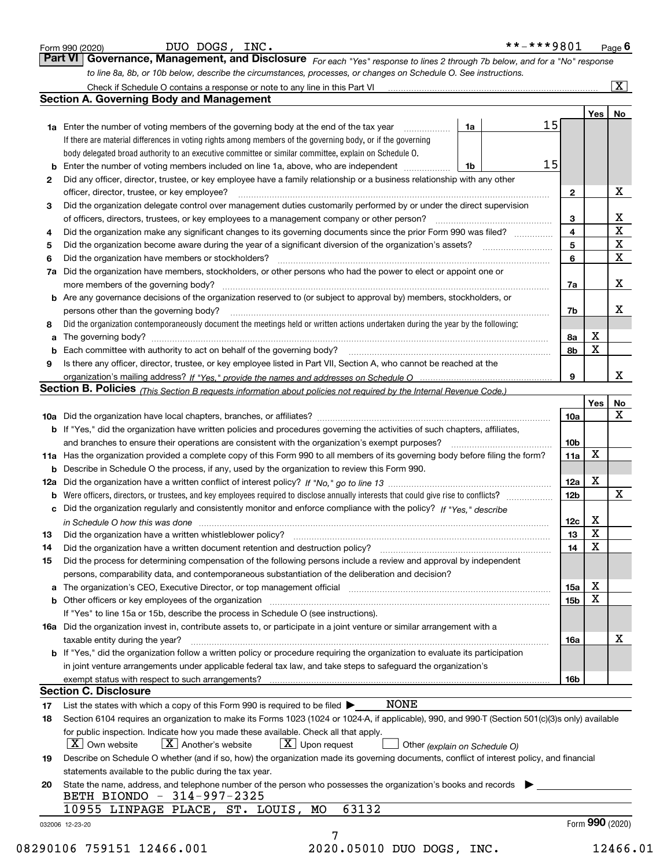|    | to line 8a, 8b, or 10b below, describe the circumstances, processes, or changes on Schedule O. See instructions.                                 |                 |             |                         |
|----|--------------------------------------------------------------------------------------------------------------------------------------------------|-----------------|-------------|-------------------------|
|    |                                                                                                                                                  |                 |             | $\overline{\mathbf{x}}$ |
|    | <b>Section A. Governing Body and Management</b>                                                                                                  |                 |             |                         |
|    |                                                                                                                                                  |                 | Yes         | No                      |
|    | 15<br>1a Enter the number of voting members of the governing body at the end of the tax year<br>1a                                               |                 |             |                         |
|    | If there are material differences in voting rights among members of the governing body, or if the governing                                      |                 |             |                         |
|    | body delegated broad authority to an executive committee or similar committee, explain on Schedule O.                                            |                 |             |                         |
|    | 15<br>1b                                                                                                                                         |                 |             |                         |
| 2  | Did any officer, director, trustee, or key employee have a family relationship or a business relationship with any other                         |                 |             |                         |
|    | officer, director, trustee, or key employee?                                                                                                     | $\mathbf{2}$    |             | х                       |
| З  | Did the organization delegate control over management duties customarily performed by or under the direct supervision                            |                 |             |                         |
|    | of officers, directors, trustees, or key employees to a management company or other person?                                                      | 3               |             | X                       |
| 4  | Did the organization make any significant changes to its governing documents since the prior Form 990 was filed?                                 | 4               |             | $\overline{\mathbf{x}}$ |
| 5  |                                                                                                                                                  | 5               |             | $\mathbf X$             |
| 6  | Did the organization have members or stockholders?                                                                                               | 6               |             | X                       |
|    | 7a Did the organization have members, stockholders, or other persons who had the power to elect or appoint one or                                |                 |             |                         |
|    | more members of the governing body?                                                                                                              | 7a              |             | X                       |
|    | <b>b</b> Are any governance decisions of the organization reserved to (or subject to approval by) members, stockholders, or                      |                 |             |                         |
|    | persons other than the governing body?                                                                                                           | 7b              |             | X                       |
| 8  | Did the organization contemporaneously document the meetings held or written actions undertaken during the year by the following:                |                 |             |                         |
| a  |                                                                                                                                                  | 8а              | X           |                         |
|    |                                                                                                                                                  | 8b              | $\mathbf X$ |                         |
| 9  | Is there any officer, director, trustee, or key employee listed in Part VII, Section A, who cannot be reached at the                             |                 |             |                         |
|    |                                                                                                                                                  | 9               |             | X                       |
|    | Section B. Policies (This Section B requests information about policies not required by the Internal Revenue Code.)                              |                 |             |                         |
|    |                                                                                                                                                  |                 | Yes         | No<br>X                 |
|    |                                                                                                                                                  | 10a             |             |                         |
|    | <b>b</b> If "Yes," did the organization have written policies and procedures governing the activities of such chapters, affiliates,              |                 |             |                         |
|    | and branches to ensure their operations are consistent with the organization's exempt purposes?                                                  | 10 <sub>b</sub> |             |                         |
|    | 11a Has the organization provided a complete copy of this Form 990 to all members of its governing body before filing the form?                  | 11a             | X           |                         |
|    | <b>b</b> Describe in Schedule O the process, if any, used by the organization to review this Form 990.                                           |                 | X           |                         |
|    |                                                                                                                                                  | 12a             |             | X                       |
|    | <b>b</b> Were officers, directors, or trustees, and key employees required to disclose annually interests that could give rise to conflicts?     | 12 <sub>b</sub> |             |                         |
|    | c Did the organization regularly and consistently monitor and enforce compliance with the policy? If "Yes," describe                             |                 | X           |                         |
|    | in Schedule O how this was done manufactured and continuum and contact the United Schedule O how this was done                                   | 12c             |             |                         |
| 13 | Did the organization have a written whistleblower policy?                                                                                        | 13              | X<br>X      |                         |
| 14 | Did the organization have a written document retention and destruction policy? [11] manufaction policy?                                          | 14              |             |                         |
| 15 | Did the process for determining compensation of the following persons include a review and approval by independent                               |                 |             |                         |
|    | persons, comparability data, and contemporaneous substantiation of the deliberation and decision?                                                |                 | X           |                         |
|    | a The organization's CEO, Executive Director, or top management official [111] [11] manument material manument                                   | 15a             | X           |                         |
|    |                                                                                                                                                  | 15 <sub>b</sub> |             |                         |
|    | If "Yes" to line 15a or 15b, describe the process in Schedule O (see instructions).                                                              |                 |             |                         |
|    | 16a Did the organization invest in, contribute assets to, or participate in a joint venture or similar arrangement with a                        |                 |             | X                       |
|    | taxable entity during the year?                                                                                                                  | 16a             |             |                         |
|    | <b>b</b> If "Yes," did the organization follow a written policy or procedure requiring the organization to evaluate its participation            |                 |             |                         |
|    | in joint venture arrangements under applicable federal tax law, and take steps to safeguard the organization's                                   |                 |             |                         |
|    | <b>Section C. Disclosure</b>                                                                                                                     | 16b             |             |                         |
|    |                                                                                                                                                  |                 |             |                         |
| 17 | <b>NONE</b><br>List the states with which a copy of this Form 990 is required to be filed $\blacktriangleright$                                  |                 |             |                         |
| 18 | Section 6104 requires an organization to make its Forms 1023 (1024 or 1024-A, if applicable), 990, and 990-T (Section 501(c)(3)s only) available |                 |             |                         |
|    | for public inspection. Indicate how you made these available. Check all that apply.                                                              |                 |             |                         |
|    | $\lfloor x \rfloor$ Upon request<br>$\mid$ $\rm X\mid$ Own website<br>$X$ Another's website<br>Other (explain on Schedule O)                     |                 |             |                         |
|    | Describe on Schedule O whether (and if so, how) the organization made its governing documents, conflict of interest policy, and financial        |                 |             |                         |
| 19 |                                                                                                                                                  |                 |             |                         |
|    | statements available to the public during the tax year.                                                                                          |                 |             |                         |
| 20 | State the name, address, and telephone number of the person who possesses the organization's books and records                                   |                 |             |                         |
|    | BETH BIONDO - 314-997-2325<br>63132<br>10955 LINPAGE PLACE, ST. LOUIS, MO                                                                        |                 |             |                         |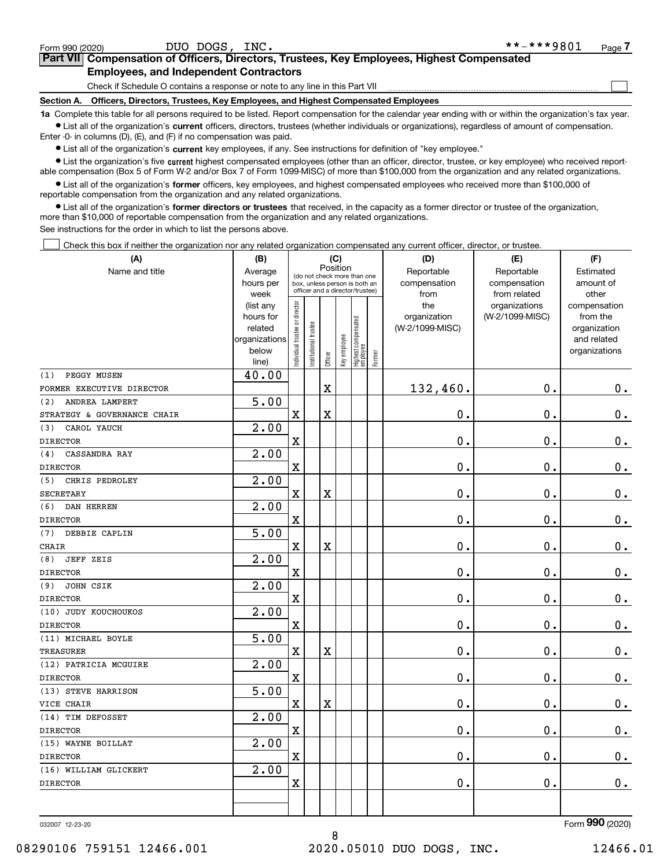DUO DOGS

 $\mathcal{L}^{\text{max}}$ 

### **7Part VII Compensation of Officers, Directors, Trustees, Key Employees, Highest Compensated Employees, and Independent Contractors**

Check if Schedule O contains a response or note to any line in this Part VII

**Section A. Officers, Directors, Trustees, Key Employees, and Highest Compensated Employees**

**1a**  Complete this table for all persons required to be listed. Report compensation for the calendar year ending with or within the organization's tax year. **•** List all of the organization's current officers, directors, trustees (whether individuals or organizations), regardless of amount of compensation.

Enter -0- in columns (D), (E), and (F) if no compensation was paid.

 $\bullet$  List all of the organization's  $\,$ current key employees, if any. See instructions for definition of "key employee."

**•** List the organization's five current highest compensated employees (other than an officer, director, trustee, or key employee) who received reportable compensation (Box 5 of Form W-2 and/or Box 7 of Form 1099-MISC) of more than \$100,000 from the organization and any related organizations.

**•** List all of the organization's former officers, key employees, and highest compensated employees who received more than \$100,000 of reportable compensation from the organization and any related organizations.

**former directors or trustees**  ¥ List all of the organization's that received, in the capacity as a former director or trustee of the organization, more than \$10,000 of reportable compensation from the organization and any related organizations.

See instructions for the order in which to list the persons above.

Check this box if neither the organization nor any related organization compensated any current officer, director, or trustee.  $\mathcal{L}^{\text{max}}$ 

| (A)                         | (B)                    |                               |                      | (C)                     |              |                                                                  |        | (D)                             | (E)             | (F)                      |
|-----------------------------|------------------------|-------------------------------|----------------------|-------------------------|--------------|------------------------------------------------------------------|--------|---------------------------------|-----------------|--------------------------|
| Name and title              | Average                |                               |                      | Position                |              | (do not check more than one                                      |        | Reportable                      | Reportable      | Estimated                |
|                             | hours per              |                               |                      |                         |              | box, unless person is both an<br>officer and a director/trustee) |        | compensation                    | compensation    | amount of                |
|                             | week                   |                               |                      |                         |              |                                                                  |        | from                            | from related    | other                    |
|                             | (list any<br>hours for |                               |                      |                         |              |                                                                  |        | the                             | organizations   | compensation<br>from the |
|                             | related                |                               |                      |                         |              |                                                                  |        | organization<br>(W-2/1099-MISC) | (W-2/1099-MISC) | organization             |
|                             | organizations          |                               |                      |                         |              |                                                                  |        |                                 |                 | and related              |
|                             | below                  | ndividual trustee or director | nstitutional trustee |                         | Key employee |                                                                  |        |                                 |                 | organizations            |
|                             | line)                  |                               |                      | Officer                 |              | Highest compensated<br> employee                                 | Former |                                 |                 |                          |
| PEGGY MUSEN<br>(1)          | 40.00                  |                               |                      |                         |              |                                                                  |        |                                 |                 |                          |
| FORMER EXECUTIVE DIRECTOR   |                        |                               |                      | $\rm X$                 |              |                                                                  |        | 132,460.                        | $\mathbf 0$ .   | $0_{.}$                  |
| ANDREA LAMPERT<br>(2)       | 5.00                   |                               |                      |                         |              |                                                                  |        |                                 |                 |                          |
| STRATEGY & GOVERNANCE CHAIR |                        | $\mathbf X$                   |                      | $\overline{\textbf{X}}$ |              |                                                                  |        | 0.                              | $\mathbf 0$ .   | $\mathbf 0$ .            |
| CAROL YAUCH<br>(3)          | 2.00                   |                               |                      |                         |              |                                                                  |        |                                 |                 |                          |
| <b>DIRECTOR</b>             |                        | $\mathbf X$                   |                      |                         |              |                                                                  |        | $\mathbf 0$ .                   | $\mathbf 0$ .   | $\mathbf 0$ .            |
| CASSANDRA RAY<br>(4)        | 2.00                   |                               |                      |                         |              |                                                                  |        |                                 |                 |                          |
| <b>DIRECTOR</b>             |                        | $\mathbf x$                   |                      |                         |              |                                                                  |        | 0.                              | $\mathbf 0$ .   | $\mathbf 0$ .            |
| CHRIS PEDROLEY<br>(5)       | 2.00                   |                               |                      |                         |              |                                                                  |        |                                 |                 |                          |
| <b>SECRETARY</b>            |                        | $\mathbf X$                   |                      | $\overline{\textbf{X}}$ |              |                                                                  |        | 0.                              | $\mathbf 0$ .   | $\mathbf 0$ .            |
| (6)<br>DAN HERREN           | 2.00                   |                               |                      |                         |              |                                                                  |        |                                 |                 |                          |
| <b>DIRECTOR</b>             |                        | $\mathbf X$                   |                      |                         |              |                                                                  |        | 0.                              | $\mathbf 0$ .   | 0.                       |
| (7)<br>DEBBIE CAPLIN        | 5.00                   |                               |                      |                         |              |                                                                  |        |                                 |                 |                          |
| <b>CHAIR</b>                |                        | $\mathbf x$                   |                      | $\rm X$                 |              |                                                                  |        | 0.                              | $\mathbf 0$ .   | $\mathbf 0$ .            |
| <b>JEFF ZEIS</b><br>(8)     | $\overline{2.00}$      |                               |                      |                         |              |                                                                  |        |                                 |                 |                          |
| <b>DIRECTOR</b>             |                        | X                             |                      |                         |              |                                                                  |        | 0.                              | 0.              | $\mathbf 0$ .            |
| (9)<br>JOHN CSIK            | $\overline{2.00}$      |                               |                      |                         |              |                                                                  |        |                                 |                 |                          |
| <b>DIRECTOR</b>             |                        | $\mathbf x$                   |                      |                         |              |                                                                  |        | 0.                              | $\mathbf 0$ .   | $\mathbf 0$ .            |
| (10) JUDY KOUCHOUKOS        | 2.00                   |                               |                      |                         |              |                                                                  |        |                                 |                 |                          |
| <b>DIRECTOR</b>             |                        | X                             |                      |                         |              |                                                                  |        | 0.                              | $\mathbf 0$ .   | 0.                       |
| (11) MICHAEL BOYLE          | 5.00                   |                               |                      |                         |              |                                                                  |        |                                 |                 |                          |
| <b>TREASURER</b>            |                        | $\mathbf x$                   |                      | $\rm X$                 |              |                                                                  |        | $\mathbf{0}$ .                  | $\mathbf 0$ .   | $\mathbf 0$ .            |
| (12) PATRICIA MCGUIRE       | 2.00                   |                               |                      |                         |              |                                                                  |        |                                 |                 |                          |
| <b>DIRECTOR</b>             |                        | X                             |                      |                         |              |                                                                  |        | 0.                              | 0.              | $\mathbf 0$ .            |
| (13) STEVE HARRISON         | 5.00                   |                               |                      |                         |              |                                                                  |        |                                 |                 |                          |
| VICE CHAIR                  |                        | $\mathbf x$                   |                      | $\rm X$                 |              |                                                                  |        | 0.                              | $\mathbf 0$ .   | 0.                       |
| (14) TIM DEFOSSET           | 2.00                   |                               |                      |                         |              |                                                                  |        |                                 |                 |                          |
| <b>DIRECTOR</b>             |                        | X                             |                      |                         |              |                                                                  |        | 0.                              | $\mathbf 0$ .   | $0$ .                    |
| (15) WAYNE BOILLAT          | 2.00                   |                               |                      |                         |              |                                                                  |        |                                 |                 |                          |
| <b>DIRECTOR</b>             |                        | $\mathbf x$                   |                      |                         |              |                                                                  |        | 0.                              | $\mathbf 0$ .   | $\mathbf 0$ .            |
| (16) WILLIAM GLICKERT       | 2.00                   |                               |                      |                         |              |                                                                  |        |                                 |                 |                          |
| <b>DIRECTOR</b>             |                        | X                             |                      |                         |              |                                                                  |        | 0.                              | $\mathbf 0$ .   | 0.                       |
|                             |                        |                               |                      |                         |              |                                                                  |        |                                 |                 |                          |
|                             |                        |                               |                      |                         |              |                                                                  |        |                                 |                 |                          |

8

032007 12-23-20

Form (2020) **990**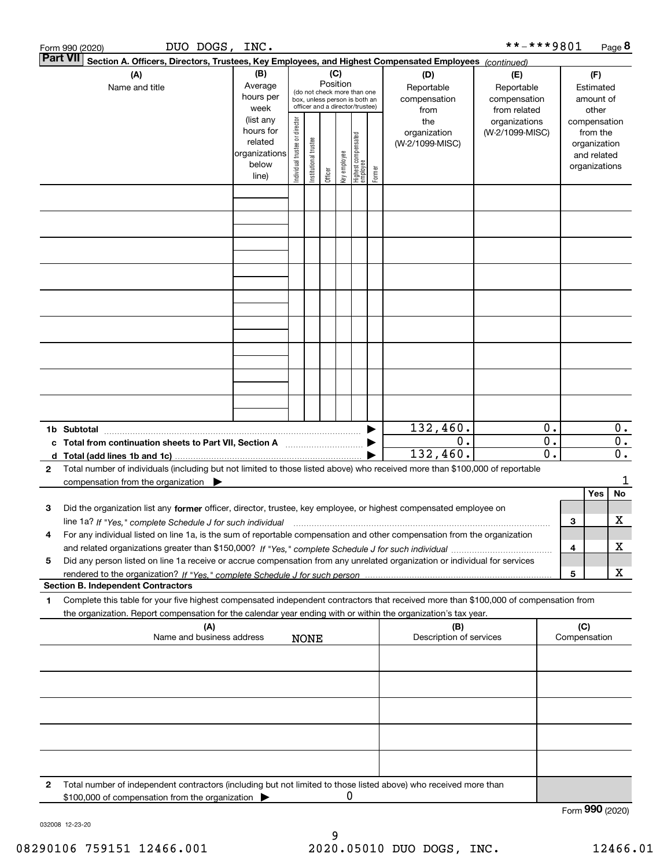|              | DUO DOGS, INC.<br>Form 990 (2020)                                                                                                                                                                                                                             |                                                                              |                                |                       |                 |              |                                                                                                 |        |                                                | **-***9801                                       |                                                          |     |                                                                                   | Page 8                                        |
|--------------|---------------------------------------------------------------------------------------------------------------------------------------------------------------------------------------------------------------------------------------------------------------|------------------------------------------------------------------------------|--------------------------------|-----------------------|-----------------|--------------|-------------------------------------------------------------------------------------------------|--------|------------------------------------------------|--------------------------------------------------|----------------------------------------------------------|-----|-----------------------------------------------------------------------------------|-----------------------------------------------|
|              | <b>Part VII</b><br>Section A. Officers, Directors, Trustees, Key Employees, and Highest Compensated Employees (continued)<br>(A)<br>Name and title                                                                                                            | (B)<br>Average<br>hours per                                                  |                                |                       | (C)<br>Position |              | (do not check more than one<br>box, unless person is both an<br>officer and a director/trustee) |        | (D)<br>Reportable<br>compensation              | (E)<br>Reportable<br>compensation                |                                                          |     | (F)<br>Estimated<br>amount of                                                     |                                               |
|              |                                                                                                                                                                                                                                                               | week<br>(list any<br>hours for<br>related<br>organizations<br>below<br>line) | Individual trustee or director | Institutional trustee | Officer         | key employee | Highest compensated<br>  employee                                                               | Former | from<br>the<br>organization<br>(W-2/1099-MISC) | from related<br>organizations<br>(W-2/1099-MISC) |                                                          |     | other<br>compensation<br>from the<br>organization<br>and related<br>organizations |                                               |
|              |                                                                                                                                                                                                                                                               |                                                                              |                                |                       |                 |              |                                                                                                 |        |                                                |                                                  |                                                          |     |                                                                                   |                                               |
|              |                                                                                                                                                                                                                                                               |                                                                              |                                |                       |                 |              |                                                                                                 |        |                                                |                                                  |                                                          |     |                                                                                   |                                               |
|              |                                                                                                                                                                                                                                                               |                                                                              |                                |                       |                 |              |                                                                                                 |        |                                                |                                                  |                                                          |     |                                                                                   |                                               |
|              |                                                                                                                                                                                                                                                               |                                                                              |                                |                       |                 |              |                                                                                                 |        |                                                |                                                  |                                                          |     |                                                                                   |                                               |
|              |                                                                                                                                                                                                                                                               |                                                                              |                                |                       |                 |              |                                                                                                 |        |                                                |                                                  |                                                          |     |                                                                                   |                                               |
|              |                                                                                                                                                                                                                                                               |                                                                              |                                |                       |                 |              |                                                                                                 |        |                                                |                                                  |                                                          |     |                                                                                   |                                               |
|              | 1b Subtotal                                                                                                                                                                                                                                                   |                                                                              |                                |                       |                 |              |                                                                                                 |        | 132,460.                                       |                                                  | 0.                                                       |     |                                                                                   | $0$ .                                         |
|              | c Total from continuation sheets to Part VII, Section A                                                                                                                                                                                                       |                                                                              |                                |                       |                 |              |                                                                                                 |        | 0.<br>132,460.                                 |                                                  | $\overline{\mathbf{0}}$ .<br>$\overline{\mathfrak{o}}$ . |     |                                                                                   | $\overline{0}$ .<br>$\overline{\mathbf{0}}$ . |
| $\mathbf{2}$ | Total number of individuals (including but not limited to those listed above) who received more than \$100,000 of reportable<br>compensation from the organization $\blacktriangleright$                                                                      |                                                                              |                                |                       |                 |              |                                                                                                 |        |                                                |                                                  |                                                          |     | Yes                                                                               | 1<br>No                                       |
| з            | Did the organization list any former officer, director, trustee, key employee, or highest compensated employee on<br>line 1a? If "Yes," complete Schedule J for such individual manufactured contained and the Yes," complete Schedule J for such individual  |                                                                              |                                |                       |                 |              |                                                                                                 |        |                                                |                                                  |                                                          | 3   |                                                                                   | х                                             |
| 4<br>5       | For any individual listed on line 1a, is the sum of reportable compensation and other compensation from the organization<br>Did any person listed on line 1a receive or accrue compensation from any unrelated organization or individual for services        |                                                                              |                                |                       |                 |              |                                                                                                 |        |                                                |                                                  |                                                          | 4   |                                                                                   | х                                             |
|              | <b>Section B. Independent Contractors</b>                                                                                                                                                                                                                     |                                                                              |                                |                       |                 |              |                                                                                                 |        |                                                |                                                  |                                                          | 5   |                                                                                   | X                                             |
| 1            | Complete this table for your five highest compensated independent contractors that received more than \$100,000 of compensation from<br>the organization. Report compensation for the calendar year ending with or within the organization's tax year.<br>(A) |                                                                              |                                |                       |                 |              |                                                                                                 |        | (B)                                            |                                                  |                                                          | (C) |                                                                                   |                                               |
|              | Name and business address                                                                                                                                                                                                                                     |                                                                              |                                | <b>NONE</b>           |                 |              |                                                                                                 |        | Description of services                        |                                                  |                                                          |     | Compensation                                                                      |                                               |
|              |                                                                                                                                                                                                                                                               |                                                                              |                                |                       |                 |              |                                                                                                 |        |                                                |                                                  |                                                          |     |                                                                                   |                                               |
|              |                                                                                                                                                                                                                                                               |                                                                              |                                |                       |                 |              |                                                                                                 |        |                                                |                                                  |                                                          |     |                                                                                   |                                               |
|              |                                                                                                                                                                                                                                                               |                                                                              |                                |                       |                 |              |                                                                                                 |        |                                                |                                                  |                                                          |     |                                                                                   |                                               |
| 2            | Total number of independent contractors (including but not limited to those listed above) who received more than<br>\$100,000 of compensation from the organization                                                                                           |                                                                              |                                |                       |                 | 0            |                                                                                                 |        |                                                |                                                  |                                                          |     |                                                                                   |                                               |
|              |                                                                                                                                                                                                                                                               |                                                                              |                                |                       |                 |              |                                                                                                 |        |                                                |                                                  |                                                          |     | Form 990 (2020)                                                                   |                                               |

032008 12-23-20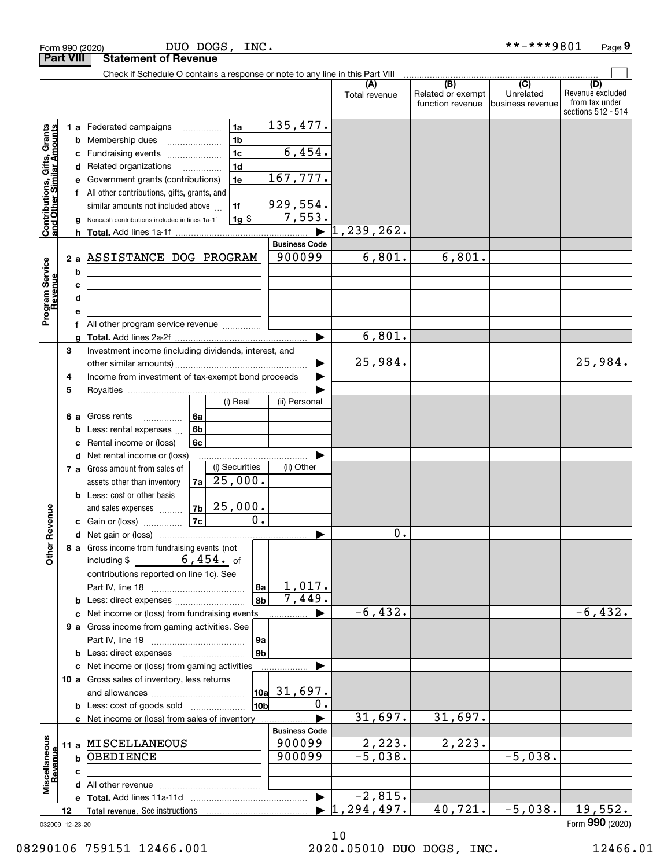|                                                                  | Form 990 (2020)  | DUO DOGS, INC.                                                                                                 |                                  |                                                           | **-***9801                                        | Page 9                                                          |
|------------------------------------------------------------------|------------------|----------------------------------------------------------------------------------------------------------------|----------------------------------|-----------------------------------------------------------|---------------------------------------------------|-----------------------------------------------------------------|
|                                                                  | <b>Part VIII</b> | <b>Statement of Revenue</b>                                                                                    |                                  |                                                           |                                                   |                                                                 |
|                                                                  |                  | Check if Schedule O contains a response or note to any line in this Part VIII                                  |                                  |                                                           |                                                   |                                                                 |
|                                                                  |                  |                                                                                                                | (A)<br>Total revenue             | $\overline{(B)}$<br>Related or exempt<br>function revenue | $\overline{(C)}$<br>Unrelated<br>business revenue | (D)<br>Revenue excluded<br>from tax under<br>sections 512 - 514 |
|                                                                  |                  | 135,477.<br>1a<br>1 a Federated campaigns                                                                      |                                  |                                                           |                                                   |                                                                 |
|                                                                  | b                | 1 <sub>b</sub><br>Membership dues                                                                              |                                  |                                                           |                                                   |                                                                 |
|                                                                  | с                | 6,454.<br>1 <sub>c</sub><br>Fundraising events                                                                 |                                  |                                                           |                                                   |                                                                 |
|                                                                  | d                | 1 <sub>d</sub><br>Related organizations<br>$\overline{\phantom{a}}$                                            |                                  |                                                           |                                                   |                                                                 |
|                                                                  |                  | 167,777.<br>1e<br>Government grants (contributions)                                                            |                                  |                                                           |                                                   |                                                                 |
|                                                                  |                  | f All other contributions, gifts, grants, and<br><u>929,554.</u>                                               |                                  |                                                           |                                                   |                                                                 |
| <b>Contributions, Gifts, Grants</b><br>and Other Similar Amounts |                  | similar amounts not included above<br>1f<br>7,553.<br>$1g$ \$<br>Noncash contributions included in lines 1a-1f |                                  |                                                           |                                                   |                                                                 |
|                                                                  |                  |                                                                                                                | 1, 239, 262.                     |                                                           |                                                   |                                                                 |
|                                                                  |                  | <b>Business Code</b>                                                                                           |                                  |                                                           |                                                   |                                                                 |
|                                                                  | 2a               | 900099<br>ASSISTANCE DOG PROGRAM                                                                               | 6,801.                           | 6,801.                                                    |                                                   |                                                                 |
|                                                                  | b                |                                                                                                                |                                  |                                                           |                                                   |                                                                 |
|                                                                  | c                |                                                                                                                |                                  |                                                           |                                                   |                                                                 |
|                                                                  | d                |                                                                                                                |                                  |                                                           |                                                   |                                                                 |
| Program Service<br>Revenue                                       | е                |                                                                                                                |                                  |                                                           |                                                   |                                                                 |
|                                                                  | a                | All other program service revenue                                                                              | 6,801.                           |                                                           |                                                   |                                                                 |
|                                                                  | 3                | Investment income (including dividends, interest, and                                                          |                                  |                                                           |                                                   |                                                                 |
|                                                                  |                  |                                                                                                                | 25,984.                          |                                                           |                                                   | 25,984.                                                         |
|                                                                  | 4                | Income from investment of tax-exempt bond proceeds                                                             |                                  |                                                           |                                                   |                                                                 |
|                                                                  | 5                |                                                                                                                |                                  |                                                           |                                                   |                                                                 |
|                                                                  |                  | (i) Real<br>(ii) Personal                                                                                      |                                  |                                                           |                                                   |                                                                 |
|                                                                  | 6а               | Gross rents<br>6a<br>.                                                                                         |                                  |                                                           |                                                   |                                                                 |
|                                                                  |                  | 6 <sub>b</sub><br>Less: rental expenses<br>6c<br>Rental income or (loss)                                       |                                  |                                                           |                                                   |                                                                 |
|                                                                  | d                | Net rental income or (loss)                                                                                    |                                  |                                                           |                                                   |                                                                 |
|                                                                  |                  | (i) Securities<br>(ii) Other<br>7 a Gross amount from sales of                                                 |                                  |                                                           |                                                   |                                                                 |
|                                                                  |                  | 25,000.<br>7a  <br>assets other than inventory                                                                 |                                  |                                                           |                                                   |                                                                 |
|                                                                  |                  | <b>b</b> Less: cost or other basis                                                                             |                                  |                                                           |                                                   |                                                                 |
| enueve                                                           |                  | 25,000.<br>7 <sub>b</sub><br>and sales expenses                                                                |                                  |                                                           |                                                   |                                                                 |
|                                                                  |                  | $\overline{0}$ .<br>7c<br>c Gain or (loss)                                                                     | $\overline{0}$ .                 |                                                           |                                                   |                                                                 |
| Other Re                                                         |                  | 8 a Gross income from fundraising events (not                                                                  |                                  |                                                           |                                                   |                                                                 |
|                                                                  |                  | $6,454.$ of<br>including \$                                                                                    |                                  |                                                           |                                                   |                                                                 |
|                                                                  |                  | contributions reported on line 1c). See                                                                        |                                  |                                                           |                                                   |                                                                 |
|                                                                  |                  | 1,017.<br>Part IV, line 18<br>8а                                                                               |                                  |                                                           |                                                   |                                                                 |
|                                                                  |                  | 7,449.<br>8b<br><b>b</b> Less: direct expenses <i>manually contained</i>                                       |                                  |                                                           |                                                   |                                                                 |
|                                                                  |                  | c Net income or (loss) from fundraising events                                                                 | $-6,432.$                        |                                                           |                                                   | $-6,432.$                                                       |
|                                                                  |                  | 9 a Gross income from gaming activities. See                                                                   |                                  |                                                           |                                                   |                                                                 |
|                                                                  |                  | 9а<br>9 <sub>b</sub><br><b>b</b> Less: direct expenses <b>manually</b>                                         |                                  |                                                           |                                                   |                                                                 |
|                                                                  |                  | c Net income or (loss) from gaming activities                                                                  |                                  |                                                           |                                                   |                                                                 |
|                                                                  |                  | 10 a Gross sales of inventory, less returns                                                                    |                                  |                                                           |                                                   |                                                                 |
|                                                                  |                  | $\vert$ 10a 31,697.                                                                                            |                                  |                                                           |                                                   |                                                                 |
|                                                                  |                  | Ο.<br>10bl<br><b>b</b> Less: cost of goods sold                                                                |                                  |                                                           |                                                   |                                                                 |
|                                                                  |                  | c Net income or (loss) from sales of inventory                                                                 | 31,697.                          | 31,697.                                                   |                                                   |                                                                 |
|                                                                  |                  | <b>Business Code</b>                                                                                           |                                  |                                                           |                                                   |                                                                 |
|                                                                  | 11 a             | MISCELLANEOUS<br>900099<br>900099<br>OBEDIENCE                                                                 | 2,223.<br>$\overline{-5}$ , 038. | 2,223.                                                    | $-5,038.$                                         |                                                                 |
| Revenue                                                          | b                |                                                                                                                |                                  |                                                           |                                                   |                                                                 |
| Miscellaneous                                                    | c                |                                                                                                                |                                  |                                                           |                                                   |                                                                 |
|                                                                  |                  |                                                                                                                | $-2,815.$                        |                                                           |                                                   |                                                                 |
|                                                                  | 12               | Total revenue. See instructions                                                                                | 1, 294, 497.                     | 40,721.                                                   | $-5,038.$                                         | 19,552.                                                         |
|                                                                  | 032009 12-23-20  |                                                                                                                |                                  |                                                           |                                                   | Form 990 (2020)                                                 |

032009 12-23-20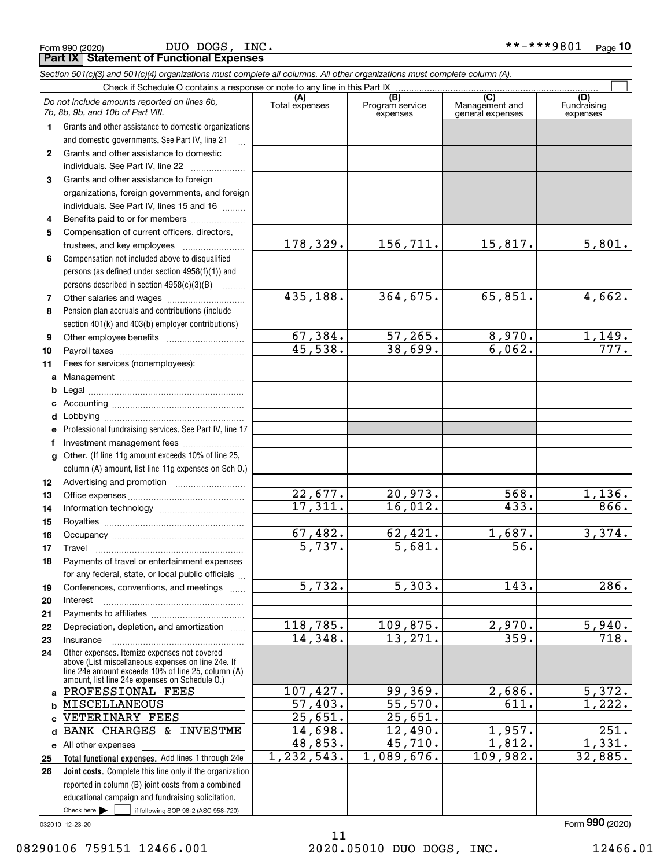Form 990 (2020) DUO DOGS, INC。 \* \* - \* \* \* 9 8 0 1 <sub>Page</sub> **Part IX Statement of Functional Expenses**

|              | Section 501(c)(3) and 501(c)(4) organizations must complete all columns. All other organizations must complete column (A).                                                                                 |                           |                                    |                                           |                                |
|--------------|------------------------------------------------------------------------------------------------------------------------------------------------------------------------------------------------------------|---------------------------|------------------------------------|-------------------------------------------|--------------------------------|
|              | Check if Schedule O contains a response or note to any line in this Part IX                                                                                                                                |                           |                                    |                                           |                                |
|              | Do not include amounts reported on lines 6b,<br>7b, 8b, 9b, and 10b of Part VIII.                                                                                                                          | (A)<br>Total expenses     | (B)<br>Program service<br>expenses | (C)<br>Management and<br>general expenses | (D)<br>Fundraising<br>expenses |
| 1.           | Grants and other assistance to domestic organizations                                                                                                                                                      |                           |                                    |                                           |                                |
|              | and domestic governments. See Part IV, line 21                                                                                                                                                             |                           |                                    |                                           |                                |
| $\mathbf{2}$ | Grants and other assistance to domestic                                                                                                                                                                    |                           |                                    |                                           |                                |
|              | individuals. See Part IV, line 22                                                                                                                                                                          |                           |                                    |                                           |                                |
| 3            | Grants and other assistance to foreign                                                                                                                                                                     |                           |                                    |                                           |                                |
|              | organizations, foreign governments, and foreign                                                                                                                                                            |                           |                                    |                                           |                                |
|              | individuals. See Part IV, lines 15 and 16                                                                                                                                                                  |                           |                                    |                                           |                                |
| 4            | Benefits paid to or for members                                                                                                                                                                            |                           |                                    |                                           |                                |
| 5            | Compensation of current officers, directors,                                                                                                                                                               |                           |                                    |                                           |                                |
|              |                                                                                                                                                                                                            | 178, 329.                 | 156,711.                           | 15,817.                                   | 5,801.                         |
| 6            | Compensation not included above to disqualified                                                                                                                                                            |                           |                                    |                                           |                                |
|              | persons (as defined under section 4958(f)(1)) and                                                                                                                                                          |                           |                                    |                                           |                                |
|              | persons described in section 4958(c)(3)(B)                                                                                                                                                                 |                           |                                    |                                           |                                |
| 7            |                                                                                                                                                                                                            | 435,188.                  | 364,675.                           | 65,851.                                   | 4,662.                         |
| 8            | Pension plan accruals and contributions (include                                                                                                                                                           |                           |                                    |                                           |                                |
|              | section 401(k) and 403(b) employer contributions)                                                                                                                                                          |                           |                                    |                                           |                                |
| 9            |                                                                                                                                                                                                            | $\frac{67,384}{45,538}$ . | 57, 265.                           | 8,970.                                    | 1,149.                         |
| 10           |                                                                                                                                                                                                            |                           | 38,699.                            | 6,062.                                    | 777.                           |
| 11           | Fees for services (nonemployees):                                                                                                                                                                          |                           |                                    |                                           |                                |
| а            |                                                                                                                                                                                                            |                           |                                    |                                           |                                |
| b            |                                                                                                                                                                                                            |                           |                                    |                                           |                                |
| c            |                                                                                                                                                                                                            |                           |                                    |                                           |                                |
| d            | Lobbying                                                                                                                                                                                                   |                           |                                    |                                           |                                |
|              | Professional fundraising services. See Part IV, line 17                                                                                                                                                    |                           |                                    |                                           |                                |
| f            | Investment management fees                                                                                                                                                                                 |                           |                                    |                                           |                                |
| g            | Other. (If line 11g amount exceeds 10% of line 25,<br>column (A) amount, list line 11g expenses on Sch O.)                                                                                                 |                           |                                    |                                           |                                |
| 12           |                                                                                                                                                                                                            |                           |                                    |                                           |                                |
| 13           |                                                                                                                                                                                                            | $\overline{22,677}$ .     | 20,973.                            | 568.                                      | 1,136.                         |
| 14           |                                                                                                                                                                                                            | 17,311.                   | 16,012.                            | 433.                                      | 866.                           |
| 15           |                                                                                                                                                                                                            |                           |                                    |                                           |                                |
| 16           |                                                                                                                                                                                                            | 67, 482.                  | 62,421.                            | 1,687.                                    | 3,374.                         |
| 17           |                                                                                                                                                                                                            | 5,737.                    | $\overline{5,681}$ .               | $\overline{56}$ .                         |                                |
| 18           | Payments of travel or entertainment expenses                                                                                                                                                               |                           |                                    |                                           |                                |
|              | for any federal, state, or local public officials                                                                                                                                                          |                           |                                    |                                           |                                |
| 19           | Conferences, conventions, and meetings                                                                                                                                                                     | $\overline{5,732}$ .      | $\overline{5,303}$ .               | 143.                                      | 286.                           |
| 20           | Interest                                                                                                                                                                                                   |                           |                                    |                                           |                                |
| 21           |                                                                                                                                                                                                            | 118,785.                  | 109,875.                           |                                           |                                |
| 22           | Depreciation, depletion, and amortization                                                                                                                                                                  | 14,348.                   | 13,271.                            | 2,970.<br>359.                            | 5,940.<br>718.                 |
| 23           | Insurance                                                                                                                                                                                                  |                           |                                    |                                           |                                |
| 24           | Other expenses. Itemize expenses not covered<br>above (List miscellaneous expenses on line 24e. If<br>line 24e amount exceeds 10% of line 25, column (A)<br>amount, list line 24e expenses on Schedule O.) |                           |                                    |                                           |                                |
| a            | PROFESSIONAL FEES                                                                                                                                                                                          | 107,427.                  | 99,369.                            | 2,686.                                    | 5,372.                         |
| b            | MISCELLANEOUS                                                                                                                                                                                              | 57,403.                   | $\overline{55,570}$ .              | 611.                                      | 1,222.                         |
|              | VETERINARY FEES                                                                                                                                                                                            | 25,651.                   | 25,651.                            |                                           |                                |
| d            | BANK CHARGES & INVESTME                                                                                                                                                                                    | 14,698.                   | 12,490.                            | 1,957.                                    | $\overline{251}$ .             |
|              | e All other expenses                                                                                                                                                                                       | 48,853.                   | 45,710.                            | 1,812.                                    | 1,331.                         |
| 25           | Total functional expenses. Add lines 1 through 24e                                                                                                                                                         | 1,232,543.                | 1,089,676.                         | 109,982.                                  | 32,885.                        |
| 26           | Joint costs. Complete this line only if the organization                                                                                                                                                   |                           |                                    |                                           |                                |
|              | reported in column (B) joint costs from a combined                                                                                                                                                         |                           |                                    |                                           |                                |
|              | educational campaign and fundraising solicitation.                                                                                                                                                         |                           |                                    |                                           |                                |
|              | Check here $\blacktriangleright$<br>if following SOP 98-2 (ASC 958-720)                                                                                                                                    |                           |                                    |                                           |                                |

032010 12-23-20

11 08290106 759151 12466.001 2020.05010 DUO DOGS, INC. 12466.01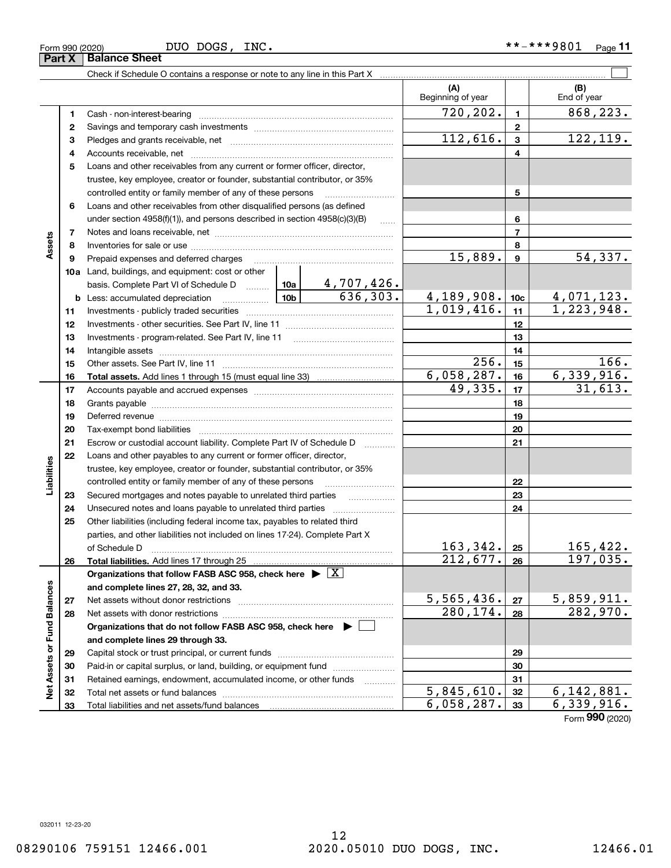|                             |          | Check if Schedule O contains a response or note to any line in this Part X [11] manumeron contains manumeron contains a response or note to any line in this Part X [11] manumeron contains a response or note to any line in |         |                           |                 |                          |
|-----------------------------|----------|-------------------------------------------------------------------------------------------------------------------------------------------------------------------------------------------------------------------------------|---------|---------------------------|-----------------|--------------------------|
|                             |          |                                                                                                                                                                                                                               |         | (A)<br>Beginning of year  |                 | (B)<br>End of year       |
|                             | 1        |                                                                                                                                                                                                                               |         | 720, 202.                 | $\mathbf{1}$    | 868,223.                 |
|                             | 2        |                                                                                                                                                                                                                               |         |                           | $\mathbf{2}$    |                          |
|                             | 3        |                                                                                                                                                                                                                               |         | 112,616.                  | 3               | 122, 119.                |
|                             | 4        |                                                                                                                                                                                                                               |         |                           | 4               |                          |
|                             | 5        | Loans and other receivables from any current or former officer, director,                                                                                                                                                     |         |                           |                 |                          |
|                             |          | trustee, key employee, creator or founder, substantial contributor, or 35%                                                                                                                                                    |         |                           |                 |                          |
|                             |          | controlled entity or family member of any of these persons                                                                                                                                                                    |         |                           | 5               |                          |
|                             | 6        | Loans and other receivables from other disqualified persons (as defined                                                                                                                                                       |         |                           |                 |                          |
|                             |          | under section 4958(f)(1)), and persons described in section 4958(c)(3)(B)                                                                                                                                                     | 1.1.1.1 |                           | 6               |                          |
|                             | 7        |                                                                                                                                                                                                                               |         |                           | $\overline{7}$  |                          |
| Assets                      | 8        |                                                                                                                                                                                                                               |         |                           | 8               |                          |
|                             | 9        | Prepaid expenses and deferred charges                                                                                                                                                                                         |         | 15,889.                   | $\mathbf{9}$    | 54,337.                  |
|                             |          | <b>10a</b> Land, buildings, and equipment: cost or other                                                                                                                                                                      |         |                           |                 |                          |
|                             |          |                                                                                                                                                                                                                               |         |                           |                 |                          |
|                             |          | <b>b</b> Less: accumulated depreciation<br>. 1                                                                                                                                                                                |         | 4,189,908.                | 10 <sub>c</sub> | 4,071,123.<br>1,223,948. |
|                             | 11       |                                                                                                                                                                                                                               |         | 1,019,416.                | 11              |                          |
|                             | 12       |                                                                                                                                                                                                                               |         |                           | 12              |                          |
|                             | 13       |                                                                                                                                                                                                                               |         |                           | 13              |                          |
|                             | 14       |                                                                                                                                                                                                                               |         |                           | 14              |                          |
|                             | 15       |                                                                                                                                                                                                                               |         | 256.                      | 15              | 166.                     |
|                             | 16       |                                                                                                                                                                                                                               |         | 6,058,287.                | 16              | 6, 339, 916.             |
|                             | 17       |                                                                                                                                                                                                                               |         | 49,335.                   | 17              | 31,613.                  |
|                             | 18       |                                                                                                                                                                                                                               |         |                           | 18              |                          |
|                             | 19       | Deferred revenue manual contracts and contracts are all the manual contracts and contracts are contracted and c                                                                                                               |         |                           | 19              |                          |
|                             | 20       |                                                                                                                                                                                                                               |         |                           | 20              |                          |
|                             | 21       | Escrow or custodial account liability. Complete Part IV of Schedule D                                                                                                                                                         |         |                           | 21              |                          |
|                             | 22       | Loans and other payables to any current or former officer, director,                                                                                                                                                          |         |                           |                 |                          |
| Liabilities                 |          | trustee, key employee, creator or founder, substantial contributor, or 35%                                                                                                                                                    |         |                           |                 |                          |
|                             |          | controlled entity or family member of any of these persons                                                                                                                                                                    |         |                           | 22              |                          |
|                             | 23       | Secured mortgages and notes payable to unrelated third parties                                                                                                                                                                |         |                           | 23              |                          |
|                             | 24       | Unsecured notes and loans payable to unrelated third parties                                                                                                                                                                  |         |                           | 24              |                          |
|                             | 25       | Other liabilities (including federal income tax, payables to related third                                                                                                                                                    |         |                           |                 |                          |
|                             |          | parties, and other liabilities not included on lines 17-24). Complete Part X                                                                                                                                                  |         | 163, 342.                 |                 |                          |
|                             |          | of Schedule D                                                                                                                                                                                                                 |         | 212,677.                  | 25              | 165, 422.<br>197,035.    |
|                             | 26       |                                                                                                                                                                                                                               |         |                           | 26              |                          |
|                             |          | Organizations that follow FASB ASC 958, check here $\blacktriangleright \boxed{X}$                                                                                                                                            |         |                           |                 |                          |
|                             |          | and complete lines 27, 28, 32, and 33.                                                                                                                                                                                        |         | 5,565,436.                | 27              | 5,859,911.               |
|                             | 27       |                                                                                                                                                                                                                               |         | 280,174.                  | 28              | 282,970.                 |
|                             | 28       | Organizations that do not follow FASB ASC 958, check here ▶ □                                                                                                                                                                 |         |                           |                 |                          |
|                             |          | and complete lines 29 through 33.                                                                                                                                                                                             |         |                           |                 |                          |
|                             |          |                                                                                                                                                                                                                               |         |                           |                 |                          |
|                             | 29       | Paid-in or capital surplus, or land, building, or equipment fund                                                                                                                                                              |         |                           | 29<br>30        |                          |
| Net Assets or Fund Balances | 30       | Retained earnings, endowment, accumulated income, or other funds                                                                                                                                                              |         |                           | 31              |                          |
|                             | 31<br>32 |                                                                                                                                                                                                                               |         | $\overline{5,845}$ , 610. | 32              | 6, 142, 881.             |
|                             | 33       |                                                                                                                                                                                                                               |         | 6,058,287.                | 33              | 6, 339, 916.             |
|                             |          |                                                                                                                                                                                                                               |         |                           |                 |                          |

Form (2020) **990**

#### Form 990 (2020) DUO DOGS, I.NC. \* \* - \* \* \* 9 8 U I Page **Part X Balance Sheet** DUO DOGS, INC.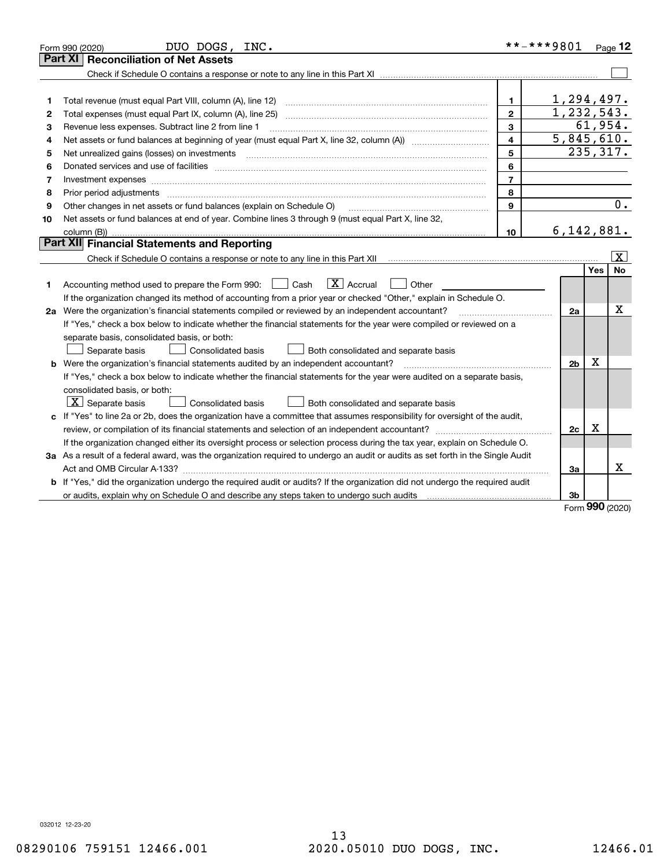| Form 990 (2020) | DUO DOGS, INC.                                                                                                                  | **-***9801              |                |             | Page 12                 |
|-----------------|---------------------------------------------------------------------------------------------------------------------------------|-------------------------|----------------|-------------|-------------------------|
| Part XI         | <b>Reconciliation of Net Assets</b>                                                                                             |                         |                |             |                         |
|                 |                                                                                                                                 |                         |                |             |                         |
|                 |                                                                                                                                 |                         |                |             |                         |
| 1               | Total revenue (must equal Part VIII, column (A), line 12)                                                                       | 1.                      | 1,294,497.     |             |                         |
| 2               |                                                                                                                                 | $\mathbf{2}$            | 1, 232, 543.   |             |                         |
| 3               | Revenue less expenses. Subtract line 2 from line 1                                                                              | 3                       |                |             | 61,954.                 |
| 4               |                                                                                                                                 | $\overline{\mathbf{4}}$ | 5,845,610.     |             |                         |
| 5               |                                                                                                                                 | 5                       |                |             | 235,317.                |
| 6               |                                                                                                                                 | 6                       |                |             |                         |
| 7               |                                                                                                                                 | $\overline{7}$          |                |             |                         |
| 8               | Prior period adjustments                                                                                                        | 8                       |                |             |                         |
| 9               | Other changes in net assets or fund balances (explain on Schedule O)                                                            | 9                       |                |             | 0.                      |
| 10              | Net assets or fund balances at end of year. Combine lines 3 through 9 (must equal Part X, line 32,                              |                         |                |             |                         |
| column (B))     |                                                                                                                                 | 10                      | 6,142,881.     |             |                         |
|                 | Part XII Financial Statements and Reporting                                                                                     |                         |                |             |                         |
|                 |                                                                                                                                 |                         |                |             | $\overline{\mathbf{X}}$ |
|                 |                                                                                                                                 |                         |                | Yes         | <b>No</b>               |
| 1               | $\boxed{\mathbf{X}}$ Accrual<br>Accounting method used to prepare the Form 990: <u>[</u> Cash<br>Other                          |                         |                |             |                         |
|                 | If the organization changed its method of accounting from a prior year or checked "Other," explain in Schedule O.               |                         |                |             |                         |
|                 | 2a Were the organization's financial statements compiled or reviewed by an independent accountant?                              |                         | 2a             |             | х                       |
|                 | If "Yes," check a box below to indicate whether the financial statements for the year were compiled or reviewed on a            |                         |                |             |                         |
|                 | separate basis, consolidated basis, or both:                                                                                    |                         |                |             |                         |
|                 | Separate basis<br>Consolidated basis<br>Both consolidated and separate basis                                                    |                         |                |             |                         |
|                 | <b>b</b> Were the organization's financial statements audited by an independent accountant?                                     |                         | 2 <sub>b</sub> | $\mathbf X$ |                         |
|                 | If "Yes," check a box below to indicate whether the financial statements for the year were audited on a separate basis,         |                         |                |             |                         |
|                 | consolidated basis, or both:                                                                                                    |                         |                |             |                         |
|                 | $\lfloor x \rfloor$ Separate basis<br>Consolidated basis<br>Both consolidated and separate basis                                |                         |                |             |                         |
|                 | c If "Yes" to line 2a or 2b, does the organization have a committee that assumes responsibility for oversight of the audit,     |                         |                |             |                         |
|                 |                                                                                                                                 |                         | 2c             | х           |                         |
|                 | If the organization changed either its oversight process or selection process during the tax year, explain on Schedule O.       |                         |                |             |                         |
|                 | 3a As a result of a federal award, was the organization required to undergo an audit or audits as set forth in the Single Audit |                         |                |             |                         |
|                 |                                                                                                                                 |                         | 3a             |             | x                       |
|                 | b If "Yes," did the organization undergo the required audit or audits? If the organization did not undergo the required audit   |                         |                |             |                         |
|                 |                                                                                                                                 |                         | 3 <sub>b</sub> | 000         |                         |

Form (2020) **990**

032012 12-23-20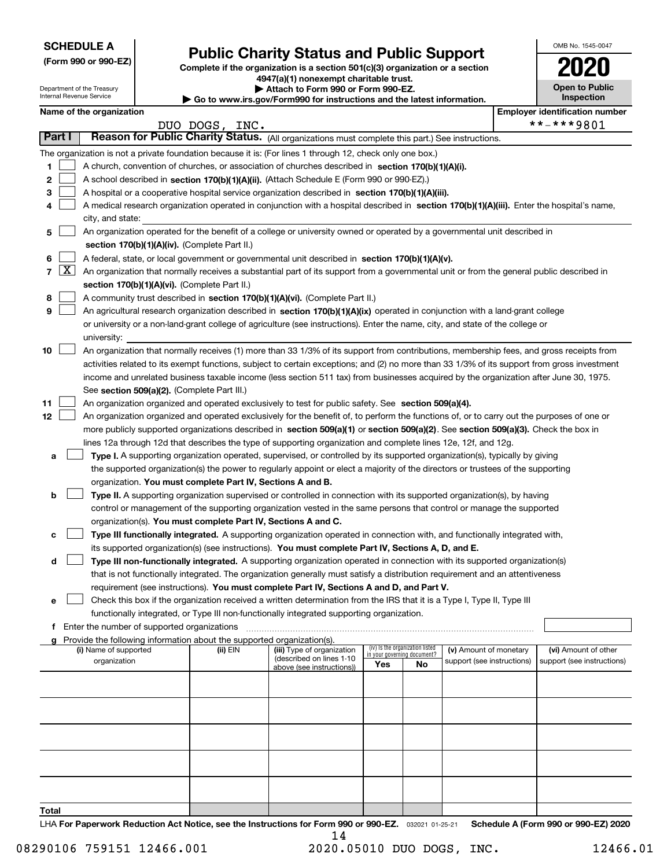| <b>SCHEDULE A</b> |  |
|-------------------|--|
|-------------------|--|

Department of the Treasury Internal Revenue Service

| (Form 990 or 990-EZ) |  |  |  |  |
|----------------------|--|--|--|--|
|----------------------|--|--|--|--|

## **Public Charity Status and Public Support**

**Complete if the organization is a section 501(c)(3) organization or a section 4947(a)(1) nonexempt charitable trust. | Attach to Form 990 or Form 990-EZ.**   $\blacktriangleright$  Go to

**Name of the organization Employer identification** number

| www.irs.gov/Form990 for instructions and the latest information. |  |  |  |
|------------------------------------------------------------------|--|--|--|
|------------------------------------------------------------------|--|--|--|

| OMB No. 1545-0047                   |
|-------------------------------------|
| 2020                                |
| <b>Open to Public</b><br>Inspection |

\*\*-\*\*\*9801

|         | DUO DOGS, INC.                                                                                                                               | **-***9801 |
|---------|----------------------------------------------------------------------------------------------------------------------------------------------|------------|
| Part I  | Reason for Public Charity Status. (All organizations must complete this part.) See instructions.                                             |            |
|         | The organization is not a private foundation because it is: (For lines 1 through 12, check only one box.)                                    |            |
|         | A church, convention of churches, or association of churches described in section 170(b)(1)(A)(i).                                           |            |
| 2       | A school described in section 170(b)(1)(A)(ii). (Attach Schedule E (Form 990 or 990-EZ).)                                                    |            |
| з       | A hospital or a cooperative hospital service organization described in section 170(b)(1)(A)(iii).                                            |            |
| 4       | A medical research organization operated in conjunction with a hospital described in section 170(b)(1)(A)(iii). Enter the hospital's name,   |            |
|         | city, and state:                                                                                                                             |            |
| 5       | An organization operated for the benefit of a college or university owned or operated by a governmental unit described in                    |            |
|         | section 170(b)(1)(A)(iv). (Complete Part II.)                                                                                                |            |
| 6       | A federal, state, or local government or governmental unit described in section 170(b)(1)(A)(v).                                             |            |
| X <br>7 | An organization that normally receives a substantial part of its support from a governmental unit or from the general public described in    |            |
|         | section 170(b)(1)(A)(vi). (Complete Part II.)                                                                                                |            |
| 8       | A community trust described in section 170(b)(1)(A)(vi). (Complete Part II.)                                                                 |            |
| 9       | An agricultural research organization described in section 170(b)(1)(A)(ix) operated in conjunction with a land-grant college                |            |
|         | or university or a non-land-grant college of agriculture (see instructions). Enter the name, city, and state of the college or               |            |
|         | university:                                                                                                                                  |            |
| 10      | An organization that normally receives (1) more than 33 1/3% of its support from contributions, membership fees, and gross receipts from     |            |
|         | activities related to its exempt functions, subject to certain exceptions; and (2) no more than 33 1/3% of its support from gross investment |            |
|         | income and unrelated business taxable income (less section 511 tax) from businesses acquired by the organization after June 30, 1975.        |            |
|         | See section 509(a)(2). (Complete Part III.)                                                                                                  |            |
| 11      | An organization organized and operated exclusively to test for public safety. See section 509(a)(4).                                         |            |
| 12      | An organization organized and operated exclusively for the benefit of, to perform the functions of, or to carry out the purposes of one or   |            |
|         | more publicly supported organizations described in section 509(a)(1) or section 509(a)(2). See section 509(a)(3). Check the box in           |            |
|         | lines 12a through 12d that describes the type of supporting organization and complete lines 12e, 12f, and 12g.                               |            |
| я       | <b>Type I</b> A supporting organization operated supervised or controlled by its supported organization(s) typically by giving               |            |

**aType I.** A supporting organization operated, supervised, or controlled by its supported organization(s), typically by giving organization. **You must complete Part IV, Sections A and B.** and complete lines 12e, 12f, and 12g. the supported organization(s) the power to regularly appoint or elect a majority of the directors or trustees of the supporting  $\mathcal{L}^{\text{max}}$ 

|  | <b>b</b> $\Box$ <b>Type II.</b> A supporting organization supervised or controlled in connection with its supported organization(s), by having |
|--|------------------------------------------------------------------------------------------------------------------------------------------------|
|  | control or management of the supporting organization vested in the same persons that control or manage the supported                           |
|  | organization(s). You must complete Part IV. Sections A and C.                                                                                  |

|  | c <b>Type III functionally integrated.</b> A supporting organization operated in connection with, and functionally integrated with, |  |  |  |
|--|-------------------------------------------------------------------------------------------------------------------------------------|--|--|--|
|  | its supported organization(s) (see instructions). You must complete Part IV, Sections A, D, and E.                                  |  |  |  |

**dType III non-functionally integrated.** A supporting organization operated in connection with its supported organization(s) requirement (see instructions). **You must complete Part IV, Sections A and D, and Part V.** that is not functionally integrated. The organization generally must satisfy a distribution requirement and an attentiveness  $\mathcal{L}^{\text{max}}$ 

**e**Check this box if the organization received a written determination from the IRS that it is a Type I, Type II, Type III functionally integrated, or Type III non-functionally integrated supporting organization.  $\mathcal{L}^{\text{max}}$ 

**f**Enter the number of supported organizations ~~~~~~~~~~~~~~~~~~~~~~~~~~~~~~~~~~~~~

| Provide the following information about the supported organization(s). |          |                            |                                                                |     |                            |                            |  |  |  |  |
|------------------------------------------------------------------------|----------|----------------------------|----------------------------------------------------------------|-----|----------------------------|----------------------------|--|--|--|--|
| (i) Name of supported                                                  | (ii) EIN | (iii) Type of organization | (iv) Is the organization listed<br>in your governing document? |     | (v) Amount of monetary     | (vi) Amount of other       |  |  |  |  |
| organization                                                           |          | (described on lines 1-10   | Yes                                                            | No. | support (see instructions) | support (see instructions) |  |  |  |  |
|                                                                        |          | above (see instructions))  |                                                                |     |                            |                            |  |  |  |  |
|                                                                        |          |                            |                                                                |     |                            |                            |  |  |  |  |
|                                                                        |          |                            |                                                                |     |                            |                            |  |  |  |  |
|                                                                        |          |                            |                                                                |     |                            |                            |  |  |  |  |
|                                                                        |          |                            |                                                                |     |                            |                            |  |  |  |  |
|                                                                        |          |                            |                                                                |     |                            |                            |  |  |  |  |
|                                                                        |          |                            |                                                                |     |                            |                            |  |  |  |  |
|                                                                        |          |                            |                                                                |     |                            |                            |  |  |  |  |
|                                                                        |          |                            |                                                                |     |                            |                            |  |  |  |  |
|                                                                        |          |                            |                                                                |     |                            |                            |  |  |  |  |
|                                                                        |          |                            |                                                                |     |                            |                            |  |  |  |  |
|                                                                        |          |                            |                                                                |     |                            |                            |  |  |  |  |
|                                                                        |          |                            |                                                                |     |                            |                            |  |  |  |  |
| Total                                                                  |          |                            |                                                                |     |                            |                            |  |  |  |  |

LHA For Paperwork Reduction Act Notice, see the Instructions for Form 990 or 990-EZ. <sub>032021</sub> o1-25-21 Schedule A (Form 990 or 990-EZ) 2020

08290106 759151 12466.001 2020.05010 DUO DOGS, INC. 12466.01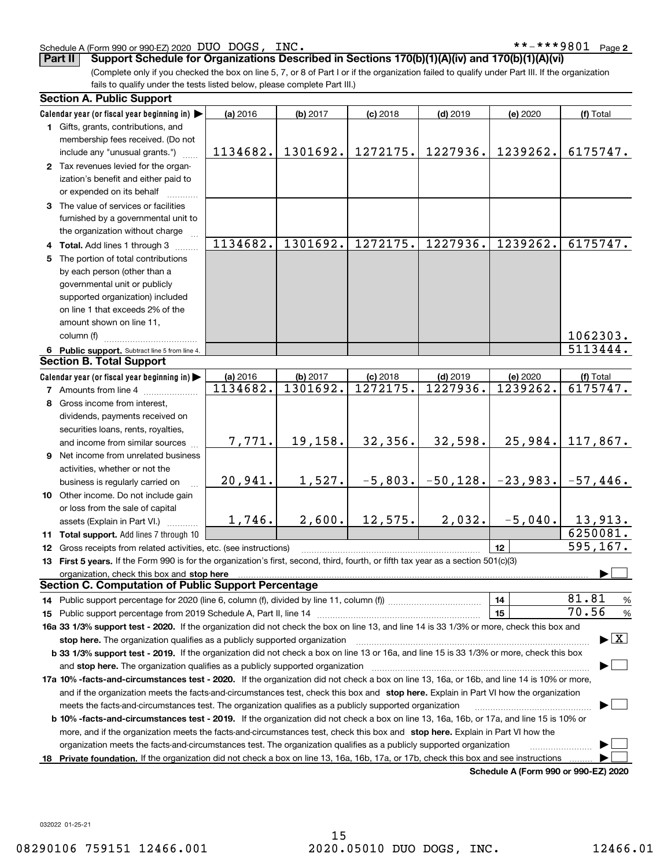#### Schedule A (Form 990 or 990-EZ) 2020 Page DUO DOGS, INC. \*\*-\*\*\*9801

**Part II** Support Schedule for Organizations Described in Sections 170(b)(1)(A)(iv) and 170(b)(1)(A)(vi)

(Complete only if you checked the box on line 5, 7, or 8 of Part I or if the organization failed to qualify under Part III. If the organization fails to qualify under the tests listed below, please complete Part III.)

|    | <b>Section A. Public Support</b>                                                                                                           |          |            |            |            |                                            |                                          |
|----|--------------------------------------------------------------------------------------------------------------------------------------------|----------|------------|------------|------------|--------------------------------------------|------------------------------------------|
|    | Calendar year (or fiscal year beginning in)                                                                                                | (a) 2016 | (b) 2017   | $(c)$ 2018 | $(d)$ 2019 | (e) 2020                                   | (f) Total                                |
|    | 1 Gifts, grants, contributions, and                                                                                                        |          |            |            |            |                                            |                                          |
|    | membership fees received. (Do not                                                                                                          |          |            |            |            |                                            |                                          |
|    | include any "unusual grants.")                                                                                                             | 1134682. | 1301692.   | 1272175.   | 1227936.   | 1239262.                                   | 6175747.                                 |
|    | 2 Tax revenues levied for the organ-                                                                                                       |          |            |            |            |                                            |                                          |
|    | ization's benefit and either paid to                                                                                                       |          |            |            |            |                                            |                                          |
|    | or expended on its behalf                                                                                                                  |          |            |            |            |                                            |                                          |
|    | 3 The value of services or facilities                                                                                                      |          |            |            |            |                                            |                                          |
|    | furnished by a governmental unit to                                                                                                        |          |            |            |            |                                            |                                          |
|    | the organization without charge                                                                                                            |          |            |            |            |                                            |                                          |
|    | 4 Total. Add lines 1 through 3                                                                                                             | 1134682. | 1301692.   | 1272175.   | 1227936.   | 1239262.                                   | 6175747.                                 |
| 5. | The portion of total contributions                                                                                                         |          |            |            |            |                                            |                                          |
|    | by each person (other than a                                                                                                               |          |            |            |            |                                            |                                          |
|    | governmental unit or publicly                                                                                                              |          |            |            |            |                                            |                                          |
|    | supported organization) included                                                                                                           |          |            |            |            |                                            |                                          |
|    | on line 1 that exceeds 2% of the                                                                                                           |          |            |            |            |                                            |                                          |
|    | amount shown on line 11,                                                                                                                   |          |            |            |            |                                            |                                          |
|    | column (f)                                                                                                                                 |          |            |            |            |                                            | 1062303.                                 |
|    | 6 Public support. Subtract line 5 from line 4.                                                                                             |          |            |            |            |                                            | 5113444.                                 |
|    | <b>Section B. Total Support</b>                                                                                                            |          |            |            |            |                                            |                                          |
|    | Calendar year (or fiscal year beginning in)                                                                                                | (a) 2016 | $(b)$ 2017 | $(c)$ 2018 | $(d)$ 2019 | (e) 2020                                   | (f) Total                                |
|    | <b>7</b> Amounts from line 4                                                                                                               | 1134682. | 1301692.   | 1272175.   | 1227936.   | 1239262.                                   | 6175747.                                 |
|    | 8 Gross income from interest,                                                                                                              |          |            |            |            |                                            |                                          |
|    | dividends, payments received on                                                                                                            |          |            |            |            |                                            |                                          |
|    | securities loans, rents, royalties,                                                                                                        |          |            |            |            |                                            |                                          |
|    | and income from similar sources                                                                                                            | 7,771.   | 19, 158.   | 32, 356.   | 32,598.    | 25,984.                                    | 117,867.                                 |
|    | <b>9</b> Net income from unrelated business                                                                                                |          |            |            |            |                                            |                                          |
|    | activities, whether or not the                                                                                                             |          |            |            |            |                                            |                                          |
|    | business is regularly carried on                                                                                                           | 20,941.  | 1,527.     |            |            | $-5,803.$ $-50,128.$ $-23,983.$ $-57,446.$ |                                          |
|    | 10 Other income. Do not include gain                                                                                                       |          |            |            |            |                                            |                                          |
|    | or loss from the sale of capital                                                                                                           |          |            |            |            |                                            |                                          |
|    | assets (Explain in Part VI.)                                                                                                               | 1,746.   | 2,600.     | 12,575.    | 2,032.     | $-5$ , 040 $\boldsymbol{\cdot}$ $\vert$    | 13,913.                                  |
|    | 11 Total support. Add lines 7 through 10                                                                                                   |          |            |            |            |                                            | 6250081.                                 |
| 12 | Gross receipts from related activities, etc. (see instructions)                                                                            |          |            |            |            | 12                                         | $\overline{595,167}$ .                   |
|    | 13 First 5 years. If the Form 990 is for the organization's first, second, third, fourth, or fifth tax year as a section 501(c)(3)         |          |            |            |            |                                            |                                          |
|    | organization, check this box and stop here                                                                                                 |          |            |            |            |                                            |                                          |
|    | <b>Section C. Computation of Public Support Percentage</b>                                                                                 |          |            |            |            |                                            |                                          |
|    |                                                                                                                                            |          |            |            |            | 14                                         | 81.81<br>%                               |
| 15 |                                                                                                                                            |          |            |            |            | 15                                         | 70.56<br>%                               |
|    | 16a 33 1/3% support test - 2020. If the organization did not check the box on line 13, and line 14 is 33 1/3% or more, check this box and  |          |            |            |            |                                            |                                          |
|    | stop here. The organization qualifies as a publicly supported organization                                                                 |          |            |            |            |                                            | $\blacktriangleright$ $\boxed{\text{X}}$ |
|    | b 33 1/3% support test - 2019. If the organization did not check a box on line 13 or 16a, and line 15 is 33 1/3% or more, check this box   |          |            |            |            |                                            |                                          |
|    | and stop here. The organization qualifies as a publicly supported organization                                                             |          |            |            |            |                                            |                                          |
|    | 17a 10% -facts-and-circumstances test - 2020. If the organization did not check a box on line 13, 16a, or 16b, and line 14 is 10% or more, |          |            |            |            |                                            |                                          |
|    | and if the organization meets the facts-and-circumstances test, check this box and stop here. Explain in Part VI how the organization      |          |            |            |            |                                            |                                          |
|    | meets the facts-and-circumstances test. The organization qualifies as a publicly supported organization                                    |          |            |            |            |                                            |                                          |
|    | b 10% -facts-and-circumstances test - 2019. If the organization did not check a box on line 13, 16a, 16b, or 17a, and line 15 is 10% or    |          |            |            |            |                                            |                                          |
|    | more, and if the organization meets the facts-and-circumstances test, check this box and stop here. Explain in Part VI how the             |          |            |            |            |                                            |                                          |
|    | organization meets the facts-and-circumstances test. The organization qualifies as a publicly supported organization                       |          |            |            |            |                                            |                                          |
|    |                                                                                                                                            |          |            |            |            |                                            |                                          |
| 18 | Private foundation. If the organization did not check a box on line 13, 16a, 16b, 17a, or 17b, check this box and see instructions         |          |            |            |            |                                            |                                          |

**Schedule A (Form 990 or 990-EZ) 2020**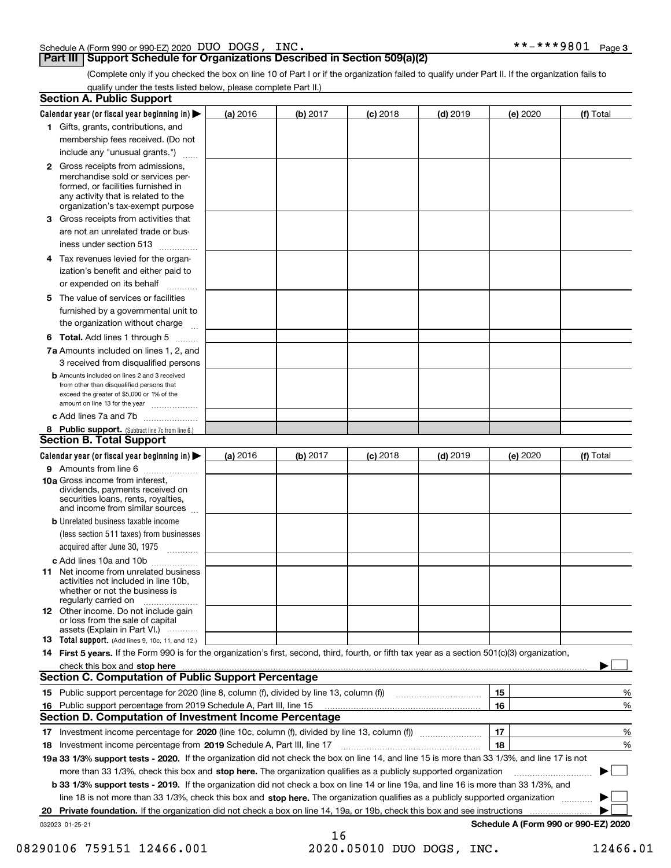|  | Schedule A (Form 990 or 990-EZ) 2020 $\,$ DUO | DOGS, | INC. | ***9801<br>**_ | Page 3 |
|--|-----------------------------------------------|-------|------|----------------|--------|
|  |                                               |       |      |                |        |

## **Part III Support Schedule for Organizations Described in Section 509(a)(2)**

(Complete only if you checked the box on line 10 of Part I or if the organization failed to qualify under Part II. If the organization fails to qualify under the tests listed below, please complete Part II.)

| <b>Section A. Public Support</b>                                                                                                                                                                                                     |          |          |            |            |          |                                      |
|--------------------------------------------------------------------------------------------------------------------------------------------------------------------------------------------------------------------------------------|----------|----------|------------|------------|----------|--------------------------------------|
| Calendar year (or fiscal year beginning in) $\blacktriangleright$                                                                                                                                                                    | (a) 2016 | (b) 2017 | $(c)$ 2018 | $(d)$ 2019 | (e) 2020 | (f) Total                            |
| 1 Gifts, grants, contributions, and                                                                                                                                                                                                  |          |          |            |            |          |                                      |
| membership fees received. (Do not                                                                                                                                                                                                    |          |          |            |            |          |                                      |
| include any "unusual grants.")                                                                                                                                                                                                       |          |          |            |            |          |                                      |
| 2 Gross receipts from admissions,<br>merchandise sold or services per-<br>formed, or facilities furnished in<br>any activity that is related to the<br>organization's tax-exempt purpose                                             |          |          |            |            |          |                                      |
| 3 Gross receipts from activities that<br>are not an unrelated trade or bus-                                                                                                                                                          |          |          |            |            |          |                                      |
| iness under section 513                                                                                                                                                                                                              |          |          |            |            |          |                                      |
| 4 Tax revenues levied for the organ-<br>ization's benefit and either paid to<br>or expended on its behalf<br>.                                                                                                                       |          |          |            |            |          |                                      |
| 5 The value of services or facilities<br>furnished by a governmental unit to<br>the organization without charge                                                                                                                      |          |          |            |            |          |                                      |
| <b>6 Total.</b> Add lines 1 through 5                                                                                                                                                                                                |          |          |            |            |          |                                      |
| 7a Amounts included on lines 1, 2, and<br>3 received from disqualified persons                                                                                                                                                       |          |          |            |            |          |                                      |
| <b>b</b> Amounts included on lines 2 and 3 received<br>from other than disqualified persons that<br>exceed the greater of \$5,000 or 1% of the<br>amount on line 13 for the year                                                     |          |          |            |            |          |                                      |
| c Add lines 7a and 7b                                                                                                                                                                                                                |          |          |            |            |          |                                      |
| 8 Public support. (Subtract line 7c from line 6.)                                                                                                                                                                                    |          |          |            |            |          |                                      |
| <b>Section B. Total Support</b>                                                                                                                                                                                                      |          |          |            |            |          |                                      |
| Calendar year (or fiscal year beginning in) $\blacktriangleright$                                                                                                                                                                    | (a) 2016 | (b) 2017 | $(c)$ 2018 | $(d)$ 2019 | (e) 2020 | (f) Total                            |
| 9 Amounts from line 6                                                                                                                                                                                                                |          |          |            |            |          |                                      |
| 10a Gross income from interest,<br>dividends, payments received on<br>securities loans, rents, royalties,<br>and income from similar sources                                                                                         |          |          |            |            |          |                                      |
| <b>b</b> Unrelated business taxable income<br>(less section 511 taxes) from businesses<br>acquired after June 30, 1975<br>1.1.1.1.1.1.1.1.1.1                                                                                        |          |          |            |            |          |                                      |
| c Add lines 10a and 10b                                                                                                                                                                                                              |          |          |            |            |          |                                      |
| <b>11</b> Net income from unrelated business<br>activities not included in line 10b.<br>whether or not the business is<br>regularly carried on                                                                                       |          |          |            |            |          |                                      |
| <b>12</b> Other income. Do not include gain<br>or loss from the sale of capital<br>assets (Explain in Part VI.)                                                                                                                      |          |          |            |            |          |                                      |
| <b>13</b> Total support. (Add lines 9, 10c, 11, and 12.)                                                                                                                                                                             |          |          |            |            |          |                                      |
| 14 First 5 years. If the Form 990 is for the organization's first, second, third, fourth, or fifth tax year as a section 501(c)(3) organization,                                                                                     |          |          |            |            |          |                                      |
| check this box and stop here <b>contractly contractly and structure and structure of the structure of the structure of the structure of the structure of the structure of the structure of the structure of the structure of the</b> |          |          |            |            |          |                                      |
| <b>Section C. Computation of Public Support Percentage</b>                                                                                                                                                                           |          |          |            |            |          |                                      |
|                                                                                                                                                                                                                                      |          |          |            |            | 15       | %                                    |
| 16 Public support percentage from 2019 Schedule A, Part III, line 15                                                                                                                                                                 |          |          |            |            | 16       | %                                    |
| <b>Section D. Computation of Investment Income Percentage</b>                                                                                                                                                                        |          |          |            |            |          |                                      |
| 17 Investment income percentage for 2020 (line 10c, column (f), divided by line 13, column (f))                                                                                                                                      |          |          |            |            | 17       | %                                    |
| 18 Investment income percentage from 2019 Schedule A, Part III, line 17                                                                                                                                                              |          |          |            |            | 18       | %                                    |
| 19a 33 1/3% support tests - 2020. If the organization did not check the box on line 14, and line 15 is more than 33 1/3%, and line 17 is not                                                                                         |          |          |            |            |          |                                      |
| more than 33 1/3%, check this box and stop here. The organization qualifies as a publicly supported organization                                                                                                                     |          |          |            |            |          |                                      |
| b 33 1/3% support tests - 2019. If the organization did not check a box on line 14 or line 19a, and line 16 is more than 33 1/3%, and                                                                                                |          |          |            |            |          |                                      |
| line 18 is not more than 33 1/3%, check this box and stop here. The organization qualifies as a publicly supported organization                                                                                                      |          |          |            |            |          |                                      |
| 20 Private foundation. If the organization did not check a box on line 14, 19a, or 19b, check this box and see instructions                                                                                                          |          |          |            |            |          | .                                    |
| 032023 01-25-21                                                                                                                                                                                                                      |          | 16       |            |            |          | Schedule A (Form 990 or 990-EZ) 2020 |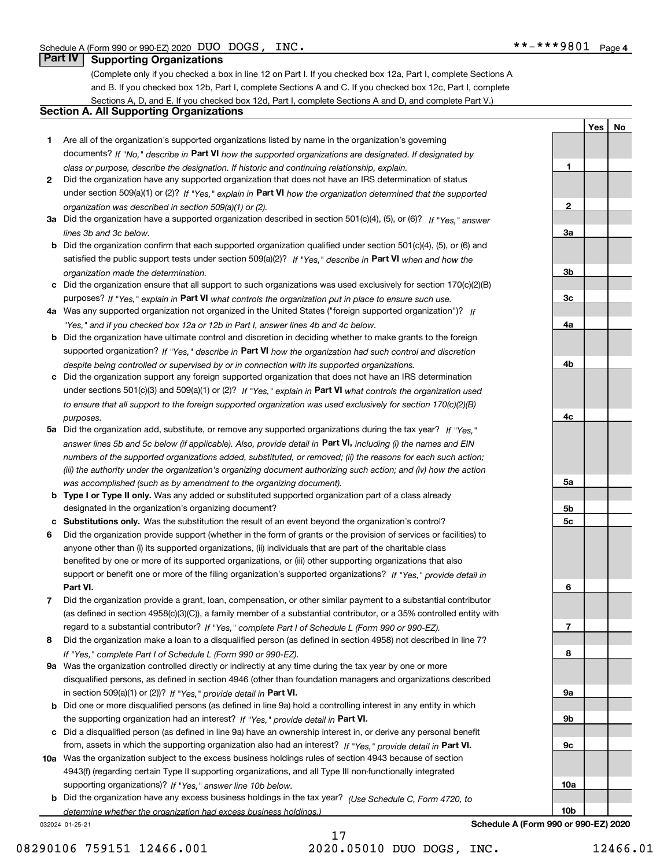**1**

**2**

**3a**

**3b**

**3c**

**4a**

**4b**

**YesNo**

## **Part IV Supporting Organizations**

(Complete only if you checked a box in line 12 on Part I. If you checked box 12a, Part I, complete Sections A and B. If you checked box 12b, Part I, complete Sections A and C. If you checked box 12c, Part I, complete Sections A, D, and E. If you checked box 12d, Part I, complete Sections A and D, and complete Part V.)

### **Section A. All Supporting Organizations**

- **1** Are all of the organization's supported organizations listed by name in the organization's governing documents? If "No," describe in **Part VI** how the supported organizations are designated. If designated by *class or purpose, describe the designation. If historic and continuing relationship, explain.*
- **2** Did the organization have any supported organization that does not have an IRS determination of status under section 509(a)(1) or (2)? If "Yes," explain in Part VI how the organization determined that the supported *organization was described in section 509(a)(1) or (2).*
- **3a** Did the organization have a supported organization described in section 501(c)(4), (5), or (6)? If "Yes," answer *lines 3b and 3c below.*
- **b** Did the organization confirm that each supported organization qualified under section 501(c)(4), (5), or (6) and satisfied the public support tests under section 509(a)(2)? If "Yes," describe in **Part VI** when and how the *organization made the determination.*
- **c**Did the organization ensure that all support to such organizations was used exclusively for section 170(c)(2)(B) purposes? If "Yes," explain in **Part VI** what controls the organization put in place to ensure such use.
- **4a***If* Was any supported organization not organized in the United States ("foreign supported organization")? *"Yes," and if you checked box 12a or 12b in Part I, answer lines 4b and 4c below.*
- **b** Did the organization have ultimate control and discretion in deciding whether to make grants to the foreign supported organization? If "Yes," describe in **Part VI** how the organization had such control and discretion *despite being controlled or supervised by or in connection with its supported organizations.*
- **c** Did the organization support any foreign supported organization that does not have an IRS determination under sections 501(c)(3) and 509(a)(1) or (2)? If "Yes," explain in **Part VI** what controls the organization used *to ensure that all support to the foreign supported organization was used exclusively for section 170(c)(2)(B) purposes.*
- **5a** Did the organization add, substitute, or remove any supported organizations during the tax year? If "Yes," answer lines 5b and 5c below (if applicable). Also, provide detail in **Part VI,** including (i) the names and EIN *numbers of the supported organizations added, substituted, or removed; (ii) the reasons for each such action; (iii) the authority under the organization's organizing document authorizing such action; and (iv) how the action was accomplished (such as by amendment to the organizing document).*
- **b** Type I or Type II only. Was any added or substituted supported organization part of a class already designated in the organization's organizing document?
- **cSubstitutions only.**  Was the substitution the result of an event beyond the organization's control?
- **6** Did the organization provide support (whether in the form of grants or the provision of services or facilities) to **Part VI.** *If "Yes," provide detail in* support or benefit one or more of the filing organization's supported organizations? anyone other than (i) its supported organizations, (ii) individuals that are part of the charitable class benefited by one or more of its supported organizations, or (iii) other supporting organizations that also
- **7**Did the organization provide a grant, loan, compensation, or other similar payment to a substantial contributor *If "Yes," complete Part I of Schedule L (Form 990 or 990-EZ).* regard to a substantial contributor? (as defined in section 4958(c)(3)(C)), a family member of a substantial contributor, or a 35% controlled entity with
- **8** Did the organization make a loan to a disqualified person (as defined in section 4958) not described in line 7? *If "Yes," complete Part I of Schedule L (Form 990 or 990-EZ).*
- **9a** Was the organization controlled directly or indirectly at any time during the tax year by one or more in section 509(a)(1) or (2))? If "Yes," *provide detail in* <code>Part VI.</code> disqualified persons, as defined in section 4946 (other than foundation managers and organizations described
- **b** Did one or more disqualified persons (as defined in line 9a) hold a controlling interest in any entity in which the supporting organization had an interest? If "Yes," provide detail in P**art VI**.
- **c** Did a disqualified person (as defined in line 9a) have an ownership interest in, or derive any personal benefit from, assets in which the supporting organization also had an interest? If "Yes," provide detail in P**art VI.**
- **10a** Was the organization subject to the excess business holdings rules of section 4943 because of section supporting organizations)? If "Yes," answer line 10b below. 4943(f) (regarding certain Type II supporting organizations, and all Type III non-functionally integrated
- **b** Did the organization have any excess business holdings in the tax year? (Use Schedule C, Form 4720, to *determine whether the organization had excess business holdings.)*

032024 01-25-21

17 08290106 759151 12466.001 2020.05010 DUO DOGS, INC. 12466.01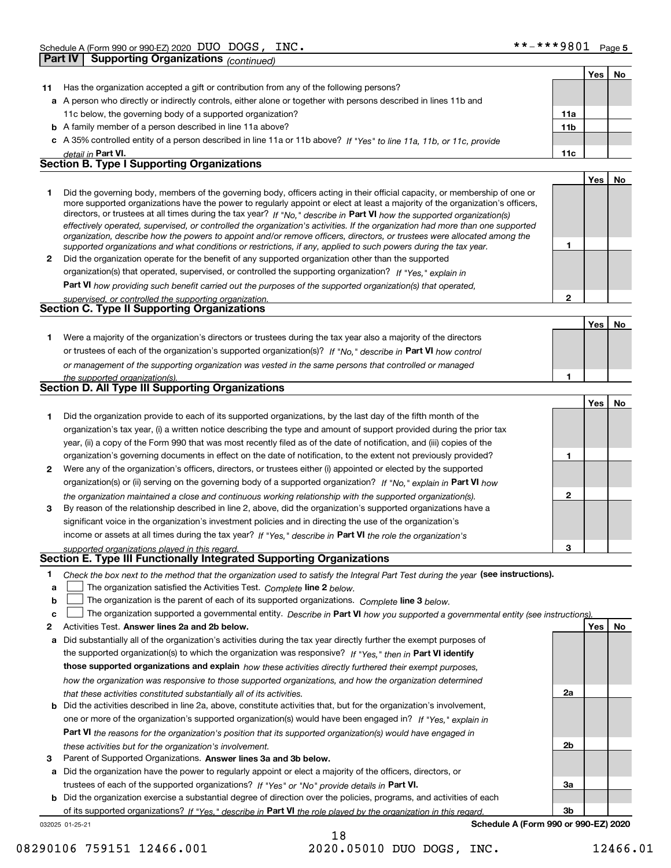| **-***9801 Page 5 |  |
|-------------------|--|
|-------------------|--|

|    |                                                                                                                                   |                 | Yes | No |
|----|-----------------------------------------------------------------------------------------------------------------------------------|-----------------|-----|----|
| 11 | Has the organization accepted a gift or contribution from any of the following persons?                                           |                 |     |    |
|    | a A person who directly or indirectly controls, either alone or together with persons described in lines 11b and                  |                 |     |    |
|    | 11c below, the governing body of a supported organization?                                                                        | 11a             |     |    |
|    | <b>b</b> A family member of a person described in line 11a above?                                                                 | 11 <sub>b</sub> |     |    |
|    | c A 35% controlled entity of a person described in line 11a or 11b above? If "Yes" to line 11a, 11b, or 11c, provide              |                 |     |    |
|    | detail in Part VI.                                                                                                                | 11c             |     |    |
|    | <b>Section B. Type I Supporting Organizations</b>                                                                                 |                 |     |    |
|    |                                                                                                                                   |                 | Yes | No |
| 1. | Did the governing body, members of the governing body, officers acting in their official capacity, or membership of one or        |                 |     |    |
|    | more supported organizations have the power to regularly appoint or elect at least a majority of the organization's officers,     |                 |     |    |
|    | directors, or trustees at all times during the tax year? If "No," describe in Part VI how the supported organization(s)           |                 |     |    |
|    | effectively operated, supervised, or controlled the organization's activities. If the organization had more than one supported    |                 |     |    |
|    | organization, describe how the powers to appoint and/or remove officers, directors, or trustees were allocated among the          |                 |     |    |
|    | supported organizations and what conditions or restrictions, if any, applied to such powers during the tax year.                  | 1               |     |    |
| 2  | Did the organization operate for the benefit of any supported organization other than the supported                               |                 |     |    |
|    | organization(s) that operated, supervised, or controlled the supporting organization? If "Yes," explain in                        |                 |     |    |
|    | Part VI how providing such benefit carried out the purposes of the supported organization(s) that operated,                       |                 |     |    |
|    | supervised, or controlled the supporting organization.                                                                            | $\mathbf{2}$    |     |    |
|    | Section C. Type II Supporting Organizations                                                                                       |                 |     |    |
|    |                                                                                                                                   |                 | Yes | No |
| 1. | Were a majority of the organization's directors or trustees during the tax year also a majority of the directors                  |                 |     |    |
|    | or trustees of each of the organization's supported organization(s)? If "No," describe in Part VI how control                     |                 |     |    |
|    | or management of the supporting organization was vested in the same persons that controlled or managed                            |                 |     |    |
|    | the supported organization(s).                                                                                                    | 1               |     |    |
|    | Section D. All Type III Supporting Organizations                                                                                  |                 |     |    |
|    |                                                                                                                                   |                 | Yes | No |
| 1  | Did the organization provide to each of its supported organizations, by the last day of the fifth month of the                    |                 |     |    |
|    | organization's tax year, (i) a written notice describing the type and amount of support provided during the prior tax             |                 |     |    |
|    | year, (ii) a copy of the Form 990 that was most recently filed as of the date of notification, and (iii) copies of the            |                 |     |    |
|    | organization's governing documents in effect on the date of notification, to the extent not previously provided?                  | 1               |     |    |
| 2  | Were any of the organization's officers, directors, or trustees either (i) appointed or elected by the supported                  |                 |     |    |
|    | organization(s) or (ii) serving on the governing body of a supported organization? If "No," explain in Part VI how                |                 |     |    |
|    | the organization maintained a close and continuous working relationship with the supported organization(s).                       | $\mathbf{2}$    |     |    |
| 3  | By reason of the relationship described in line 2, above, did the organization's supported organizations have a                   |                 |     |    |
|    | significant voice in the organization's investment policies and in directing the use of the organization's                        |                 |     |    |
|    | income or assets at all times during the tax year? If "Yes," describe in Part VI the role the organization's                      |                 |     |    |
|    | supported organizations played in this regard.                                                                                    | 3               |     |    |
|    | Section E. Type III Functionally Integrated Supporting Organizations                                                              |                 |     |    |
| 1  | Check the box next to the method that the organization used to satisfy the Integral Part Test during the year (see instructions). |                 |     |    |
| a  | The organization satisfied the Activities Test. Complete line 2 below.                                                            |                 |     |    |
| b  | The organization is the parent of each of its supported organizations. Complete line 3 below.                                     |                 |     |    |
| с  | The organization supported a governmental entity. Describe in Part VI how you supported a governmental entity (see instructions). |                 |     |    |
| 2  | Activities Test. Answer lines 2a and 2b below.                                                                                    |                 | Yes | No |
| а  | Did substantially all of the organization's activities during the tax year directly further the exempt purposes of                |                 |     |    |
|    | the supported organization(s) to which the organization was responsive? If "Yes," then in Part VI identify                        |                 |     |    |
|    | those supported organizations and explain how these activities directly furthered their exempt purposes,                          |                 |     |    |
|    |                                                                                                                                   |                 |     |    |
|    | how the organization was responsive to those supported organizations, and how the organization determined                         |                 |     |    |
|    | that these activities constituted substantially all of its activities.                                                            | 2a              |     |    |
| b  | Did the activities described in line 2a, above, constitute activities that, but for the organization's involvement,               |                 |     |    |
|    | one or more of the organization's supported organization(s) would have been engaged in? If "Yes," explain in                      |                 |     |    |
|    | Part VI the reasons for the organization's position that its supported organization(s) would have engaged in                      |                 |     |    |
|    | these activities but for the organization's involvement.                                                                          | 2b              |     |    |
| з  | Parent of Supported Organizations. Answer lines 3a and 3b below.                                                                  |                 |     |    |
| а  | Did the organization have the power to regularly appoint or elect a majority of the officers, directors, or                       |                 |     |    |
|    | trustees of each of the supported organizations? If "Yes" or "No" provide details in Part VI.                                     | За              |     |    |
|    | <b>b</b> Did the organization exercise a substantial degree of direction over the policies, programs, and activities of each      |                 |     |    |

032025 01-25-21 of its supported organizations? If "Yes," describe in Part VI the role played by the organization in this regard.

**Schedule A (Form 990 or 990-EZ) 2020**

**3b**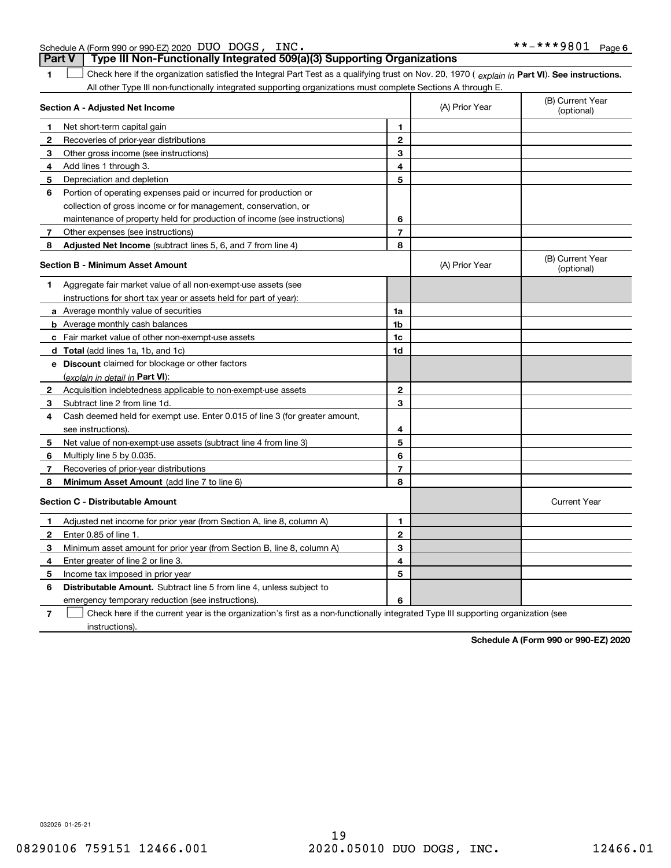| Schedule A (Form 990 or 990-EZ) 2020 DUO<br>DOGS .<br>INC.<br>Page |
|--------------------------------------------------------------------|
|--------------------------------------------------------------------|

**1Part VI** Check here if the organization satisfied the Integral Part Test as a qualifying trust on Nov. 20, 1970 ( *explain in* Part **VI**). See instructions. All other Type III non-functionally integrated supporting organizations must complete Sections A through E.  $\mathcal{L}^{\text{max}}$ 

**Part V Type III Non-Functionally Integrated 509(a)(3) Supporting Organizations** 

|   | Section A - Adjusted Net Income                                                                                                   |                | (A) Prior Year | (B) Current Year<br>(optional) |
|---|-----------------------------------------------------------------------------------------------------------------------------------|----------------|----------------|--------------------------------|
| 1 | Net short-term capital gain                                                                                                       | 1              |                |                                |
| 2 | Recoveries of prior-year distributions                                                                                            | $\overline{2}$ |                |                                |
| 3 | Other gross income (see instructions)                                                                                             | 3              |                |                                |
| 4 | Add lines 1 through 3.                                                                                                            | 4              |                |                                |
| 5 | Depreciation and depletion                                                                                                        | 5              |                |                                |
| 6 | Portion of operating expenses paid or incurred for production or                                                                  |                |                |                                |
|   | collection of gross income or for management, conservation, or                                                                    |                |                |                                |
|   | maintenance of property held for production of income (see instructions)                                                          | 6              |                |                                |
| 7 | Other expenses (see instructions)                                                                                                 | $\overline{7}$ |                |                                |
| 8 | Adjusted Net Income (subtract lines 5, 6, and 7 from line 4)                                                                      | 8              |                |                                |
|   | <b>Section B - Minimum Asset Amount</b>                                                                                           |                | (A) Prior Year | (B) Current Year<br>(optional) |
| 1 | Aggregate fair market value of all non-exempt-use assets (see                                                                     |                |                |                                |
|   | instructions for short tax year or assets held for part of year):                                                                 |                |                |                                |
|   | <b>a</b> Average monthly value of securities                                                                                      | 1a             |                |                                |
|   | <b>b</b> Average monthly cash balances                                                                                            | 1 <sub>b</sub> |                |                                |
|   | c Fair market value of other non-exempt-use assets                                                                                | 1c             |                |                                |
|   | d Total (add lines 1a, 1b, and 1c)                                                                                                | 1d             |                |                                |
|   | e Discount claimed for blockage or other factors                                                                                  |                |                |                                |
|   | (explain in detail in Part VI):                                                                                                   |                |                |                                |
| 2 | Acquisition indebtedness applicable to non-exempt-use assets                                                                      | 2              |                |                                |
| 3 | Subtract line 2 from line 1d.                                                                                                     | 3              |                |                                |
| 4 | Cash deemed held for exempt use. Enter 0.015 of line 3 (for greater amount,                                                       |                |                |                                |
|   | see instructions).                                                                                                                | 4              |                |                                |
| 5 | Net value of non-exempt-use assets (subtract line 4 from line 3)                                                                  | 5              |                |                                |
| 6 | Multiply line 5 by 0.035.                                                                                                         | 6              |                |                                |
| 7 | Recoveries of prior-year distributions                                                                                            | $\overline{7}$ |                |                                |
| 8 | Minimum Asset Amount (add line 7 to line 6)                                                                                       | 8              |                |                                |
|   | <b>Section C - Distributable Amount</b>                                                                                           |                |                | <b>Current Year</b>            |
| 1 | Adjusted net income for prior year (from Section A, line 8, column A)                                                             | 1              |                |                                |
| 2 | Enter 0.85 of line 1.                                                                                                             | $\overline{2}$ |                |                                |
| з | Minimum asset amount for prior year (from Section B, line 8, column A)                                                            | 3              |                |                                |
| 4 | Enter greater of line 2 or line 3.                                                                                                | 4              |                |                                |
| 5 | Income tax imposed in prior year                                                                                                  | 5              |                |                                |
| 6 | <b>Distributable Amount.</b> Subtract line 5 from line 4, unless subject to                                                       |                |                |                                |
|   | emergency temporary reduction (see instructions).                                                                                 | 6              |                |                                |
| 7 | Check here if the current year is the organization's first as a non-functionally integrated Type III supporting organization (see |                |                |                                |

instructions).

**Schedule A (Form 990 or 990-EZ) 2020**

032026 01-25-21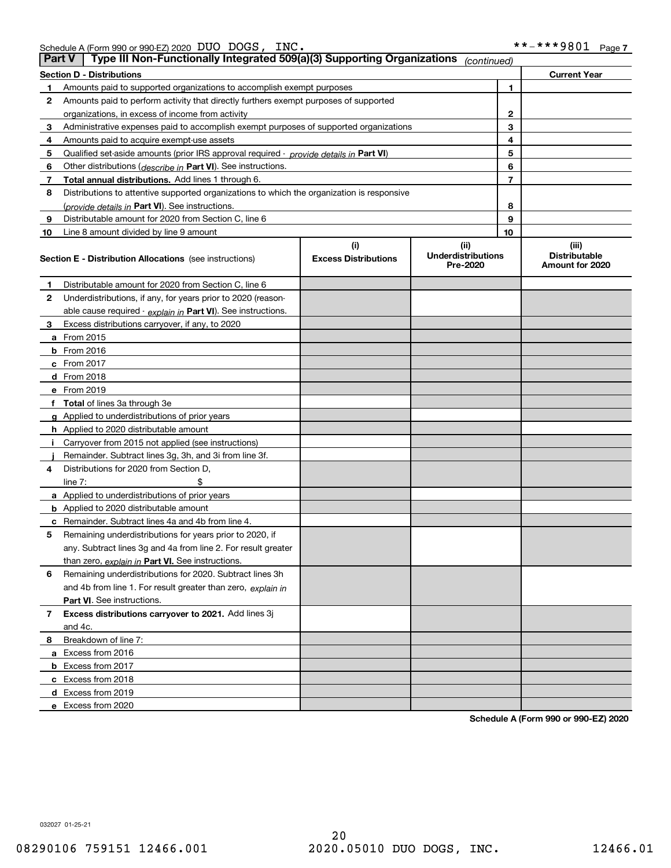| Schedule A (Form 990 or 990-EZ) 2020 $\,$ $\rm D UO$ $\,$ $\rm DOGS$ , $\,$ |  | INC. | **-***9801 | Page, |
|-----------------------------------------------------------------------------|--|------|------------|-------|
|                                                                             |  |      |            |       |

| Part V | Type III Non-Functionally Integrated 509(a)(3) Supporting Organizations                    |                             | (continued)                           |                                         |
|--------|--------------------------------------------------------------------------------------------|-----------------------------|---------------------------------------|-----------------------------------------|
|        | <b>Section D - Distributions</b>                                                           |                             |                                       | <b>Current Year</b>                     |
| 1      | Amounts paid to supported organizations to accomplish exempt purposes                      | 1                           |                                       |                                         |
| 2      | Amounts paid to perform activity that directly furthers exempt purposes of supported       |                             |                                       |                                         |
|        | organizations, in excess of income from activity                                           | 2                           |                                       |                                         |
| з      | Administrative expenses paid to accomplish exempt purposes of supported organizations      |                             | 3                                     |                                         |
| 4      | Amounts paid to acquire exempt-use assets                                                  |                             | 4                                     |                                         |
| 5      | Qualified set-aside amounts (prior IRS approval required - provide details in Part VI)     |                             | 5                                     |                                         |
| 6      | Other distributions ( <i>describe in</i> Part VI). See instructions.                       |                             | 6                                     |                                         |
| 7      | Total annual distributions. Add lines 1 through 6.                                         |                             | 7                                     |                                         |
| 8      | Distributions to attentive supported organizations to which the organization is responsive |                             |                                       |                                         |
|        | (provide details in Part VI). See instructions.                                            |                             | 8                                     |                                         |
| 9      | Distributable amount for 2020 from Section C, line 6                                       |                             | 9                                     |                                         |
| 10     | Line 8 amount divided by line 9 amount                                                     |                             | 10                                    |                                         |
|        |                                                                                            | (i)                         | (ii)                                  | (iii)                                   |
|        | <b>Section E - Distribution Allocations</b> (see instructions)                             | <b>Excess Distributions</b> | <b>Underdistributions</b><br>Pre-2020 | <b>Distributable</b><br>Amount for 2020 |
| 1      | Distributable amount for 2020 from Section C, line 6                                       |                             |                                       |                                         |
| 2      | Underdistributions, if any, for years prior to 2020 (reason-                               |                             |                                       |                                         |
|        | able cause required - explain in Part VI). See instructions.                               |                             |                                       |                                         |
| 3      | Excess distributions carryover, if any, to 2020                                            |                             |                                       |                                         |
|        | <b>a</b> From 2015                                                                         |                             |                                       |                                         |
|        | <b>b</b> From 2016                                                                         |                             |                                       |                                         |
|        | $c$ From 2017                                                                              |                             |                                       |                                         |
|        | <b>d</b> From 2018                                                                         |                             |                                       |                                         |
|        | e From 2019                                                                                |                             |                                       |                                         |
| f      | <b>Total</b> of lines 3a through 3e                                                        |                             |                                       |                                         |
|        | <b>g</b> Applied to underdistributions of prior years                                      |                             |                                       |                                         |
|        | <b>h</b> Applied to 2020 distributable amount                                              |                             |                                       |                                         |
|        | Carryover from 2015 not applied (see instructions)                                         |                             |                                       |                                         |
|        | Remainder. Subtract lines 3g, 3h, and 3i from line 3f.                                     |                             |                                       |                                         |
| 4      | Distributions for 2020 from Section D,                                                     |                             |                                       |                                         |
|        | line $7:$                                                                                  |                             |                                       |                                         |
|        | <b>a</b> Applied to underdistributions of prior years                                      |                             |                                       |                                         |
|        | <b>b</b> Applied to 2020 distributable amount                                              |                             |                                       |                                         |
|        | c Remainder. Subtract lines 4a and 4b from line 4.                                         |                             |                                       |                                         |
| 5      | Remaining underdistributions for years prior to 2020, if                                   |                             |                                       |                                         |
|        | any. Subtract lines 3g and 4a from line 2. For result greater                              |                             |                                       |                                         |
|        | than zero, explain in Part VI. See instructions.                                           |                             |                                       |                                         |
| 6      | Remaining underdistributions for 2020. Subtract lines 3h                                   |                             |                                       |                                         |
|        | and 4b from line 1. For result greater than zero, explain in                               |                             |                                       |                                         |
|        | <b>Part VI.</b> See instructions.                                                          |                             |                                       |                                         |
| 7      | Excess distributions carryover to 2021. Add lines 3j                                       |                             |                                       |                                         |
|        | and 4c.                                                                                    |                             |                                       |                                         |
| 8      | Breakdown of line 7:                                                                       |                             |                                       |                                         |
|        | a Excess from 2016                                                                         |                             |                                       |                                         |
|        | <b>b</b> Excess from 2017                                                                  |                             |                                       |                                         |
|        | c Excess from 2018                                                                         |                             |                                       |                                         |
|        | d Excess from 2019                                                                         |                             |                                       |                                         |
|        | e Excess from 2020                                                                         |                             |                                       |                                         |
|        |                                                                                            |                             |                                       |                                         |

**Schedule A (Form 990 or 990-EZ) 2020**

032027 01-25-21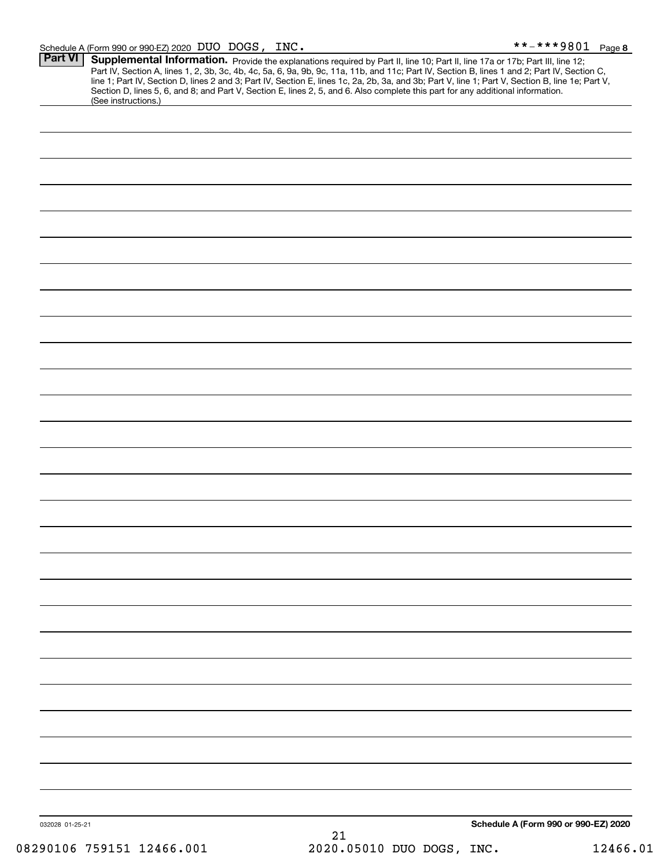|                 | Schedule A (Form 990 or 990-EZ) 2020 DUO DOGS, INC. |                                                                                                                                                                                                                                        | **-***9801 Page 8                    |
|-----------------|-----------------------------------------------------|----------------------------------------------------------------------------------------------------------------------------------------------------------------------------------------------------------------------------------------|--------------------------------------|
| <b>Part VI</b>  |                                                     | <b>Supplemental Information.</b> Provide the explanations required by Part II, line 10; Part II, line 17a or 17b; Part III, line 12;<br>Part IV, Section A, lines 1, 2, 3b, 3c, 4b, 4c, 5a, 6, 9a, 9b, 9c, 11a, 11b, and 11c; Part IV, |                                      |
|                 |                                                     | line 1; Part IV, Section D, lines 2 and 3; Part IV, Section E, lines 1c, 2a, 2b, 3a, and 3b; Part V, line 1; Part V, Section B, line 1e; Part V,                                                                                       |                                      |
|                 |                                                     | Section D, lines 5, 6, and 8; and Part V, Section E, lines 2, 5, and 6. Also complete this part for any additional information.                                                                                                        |                                      |
|                 | (See instructions.)                                 |                                                                                                                                                                                                                                        |                                      |
|                 |                                                     |                                                                                                                                                                                                                                        |                                      |
|                 |                                                     |                                                                                                                                                                                                                                        |                                      |
|                 |                                                     |                                                                                                                                                                                                                                        |                                      |
|                 |                                                     |                                                                                                                                                                                                                                        |                                      |
|                 |                                                     |                                                                                                                                                                                                                                        |                                      |
|                 |                                                     |                                                                                                                                                                                                                                        |                                      |
|                 |                                                     |                                                                                                                                                                                                                                        |                                      |
|                 |                                                     |                                                                                                                                                                                                                                        |                                      |
|                 |                                                     |                                                                                                                                                                                                                                        |                                      |
|                 |                                                     |                                                                                                                                                                                                                                        |                                      |
|                 |                                                     |                                                                                                                                                                                                                                        |                                      |
|                 |                                                     |                                                                                                                                                                                                                                        |                                      |
|                 |                                                     |                                                                                                                                                                                                                                        |                                      |
|                 |                                                     |                                                                                                                                                                                                                                        |                                      |
|                 |                                                     |                                                                                                                                                                                                                                        |                                      |
|                 |                                                     |                                                                                                                                                                                                                                        |                                      |
|                 |                                                     |                                                                                                                                                                                                                                        |                                      |
|                 |                                                     |                                                                                                                                                                                                                                        |                                      |
|                 |                                                     |                                                                                                                                                                                                                                        |                                      |
|                 |                                                     |                                                                                                                                                                                                                                        |                                      |
|                 |                                                     |                                                                                                                                                                                                                                        |                                      |
|                 |                                                     |                                                                                                                                                                                                                                        |                                      |
|                 |                                                     |                                                                                                                                                                                                                                        |                                      |
|                 |                                                     |                                                                                                                                                                                                                                        |                                      |
|                 |                                                     |                                                                                                                                                                                                                                        |                                      |
|                 |                                                     |                                                                                                                                                                                                                                        |                                      |
|                 |                                                     |                                                                                                                                                                                                                                        |                                      |
|                 |                                                     |                                                                                                                                                                                                                                        |                                      |
|                 |                                                     |                                                                                                                                                                                                                                        |                                      |
|                 |                                                     |                                                                                                                                                                                                                                        |                                      |
|                 |                                                     |                                                                                                                                                                                                                                        |                                      |
|                 |                                                     |                                                                                                                                                                                                                                        |                                      |
|                 |                                                     |                                                                                                                                                                                                                                        |                                      |
|                 |                                                     |                                                                                                                                                                                                                                        |                                      |
|                 |                                                     |                                                                                                                                                                                                                                        |                                      |
|                 |                                                     |                                                                                                                                                                                                                                        |                                      |
|                 |                                                     |                                                                                                                                                                                                                                        |                                      |
|                 |                                                     |                                                                                                                                                                                                                                        |                                      |
|                 |                                                     |                                                                                                                                                                                                                                        |                                      |
|                 |                                                     |                                                                                                                                                                                                                                        |                                      |
|                 |                                                     |                                                                                                                                                                                                                                        |                                      |
|                 |                                                     |                                                                                                                                                                                                                                        |                                      |
|                 |                                                     |                                                                                                                                                                                                                                        |                                      |
|                 |                                                     |                                                                                                                                                                                                                                        |                                      |
|                 |                                                     |                                                                                                                                                                                                                                        |                                      |
|                 |                                                     |                                                                                                                                                                                                                                        |                                      |
|                 |                                                     |                                                                                                                                                                                                                                        |                                      |
|                 |                                                     |                                                                                                                                                                                                                                        |                                      |
|                 |                                                     |                                                                                                                                                                                                                                        |                                      |
|                 |                                                     |                                                                                                                                                                                                                                        |                                      |
|                 |                                                     |                                                                                                                                                                                                                                        |                                      |
|                 |                                                     |                                                                                                                                                                                                                                        |                                      |
|                 |                                                     |                                                                                                                                                                                                                                        |                                      |
|                 |                                                     |                                                                                                                                                                                                                                        |                                      |
|                 |                                                     |                                                                                                                                                                                                                                        |                                      |
|                 |                                                     |                                                                                                                                                                                                                                        |                                      |
|                 |                                                     |                                                                                                                                                                                                                                        |                                      |
|                 |                                                     |                                                                                                                                                                                                                                        |                                      |
|                 |                                                     |                                                                                                                                                                                                                                        |                                      |
| 032028 01-25-21 |                                                     |                                                                                                                                                                                                                                        | Schedule A (Form 990 or 990-EZ) 2020 |
|                 |                                                     | 21                                                                                                                                                                                                                                     |                                      |
|                 | 08290106 759151 12466.001                           | 2020.05010 DUO DOGS, INC.                                                                                                                                                                                                              | 12466.01                             |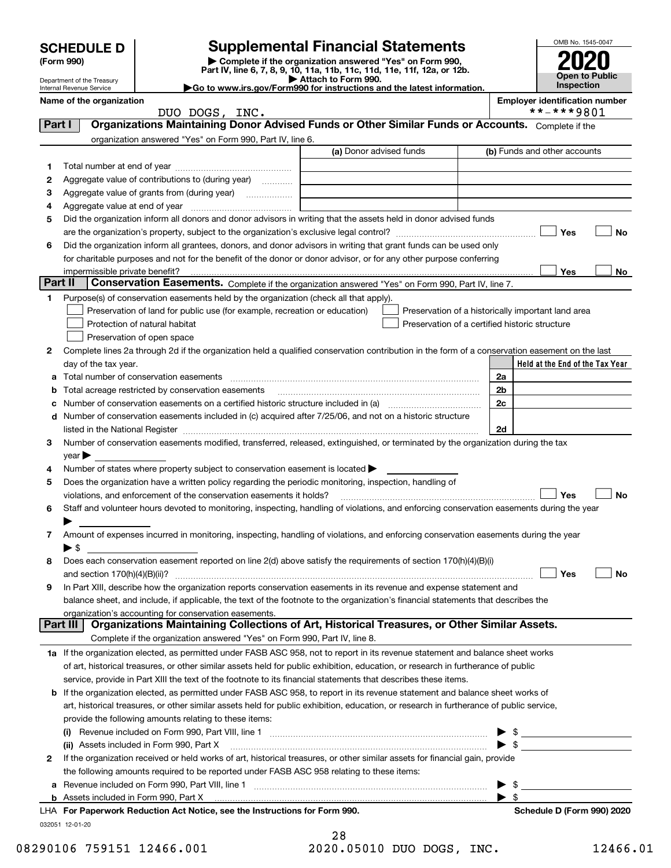| <b>SCHEDULE D</b> |  |
|-------------------|--|
|-------------------|--|

| (Form 990) |  |
|------------|--|
|------------|--|

**Part** 

## **Supplemental Financial Statements**

**(Form 990)** (**Form 990,**<br>Part IV, line 6, 7, 8, 9, 10, 11a, 11b, 11c, 11d, 11e, 11f, 12a, or 12b.<br>Department of the Treasury **and Exercise Connect Connect Connect Connect Connect Connect Connect Connect Connect** 

DUO DOGS, INC.  $\qquad \qquad | \qquad **-***9801$ 



Department of the Treasury Internal Revenue Service **Name of the organization Employer identification number**

**|Go to www.irs.gov/Form990 for instructions and the latest information.**

<code>Part I</code>  $|$   $|$  Organizations Maintaining Donor Advised Funds or Other Similar Funds or Accounts.  $\,$  <code>Complete</code> if the

|   | organization answered "Yes" on Form 990, Part IV, line 6.                                                                                                                                                                      |                         |  |                                                    |
|---|--------------------------------------------------------------------------------------------------------------------------------------------------------------------------------------------------------------------------------|-------------------------|--|----------------------------------------------------|
|   |                                                                                                                                                                                                                                | (a) Donor advised funds |  | (b) Funds and other accounts                       |
| 1 |                                                                                                                                                                                                                                |                         |  |                                                    |
| 2 | Aggregate value of contributions to (during year)                                                                                                                                                                              |                         |  |                                                    |
| 3 | Aggregate value of grants from (during year)                                                                                                                                                                                   |                         |  |                                                    |
| 4 |                                                                                                                                                                                                                                |                         |  |                                                    |
| 5 | Did the organization inform all donors and donor advisors in writing that the assets held in donor advised funds                                                                                                               |                         |  |                                                    |
|   |                                                                                                                                                                                                                                |                         |  | Yes<br>No                                          |
| 6 | Did the organization inform all grantees, donors, and donor advisors in writing that grant funds can be used only                                                                                                              |                         |  |                                                    |
|   | for charitable purposes and not for the benefit of the donor or donor advisor, or for any other purpose conferring                                                                                                             |                         |  |                                                    |
|   |                                                                                                                                                                                                                                |                         |  | Yes<br>No                                          |
|   | Part II<br>Conservation Easements. Complete if the organization answered "Yes" on Form 990, Part IV, line 7.                                                                                                                   |                         |  |                                                    |
| 1 | Purpose(s) of conservation easements held by the organization (check all that apply).                                                                                                                                          |                         |  |                                                    |
|   | Preservation of land for public use (for example, recreation or education)                                                                                                                                                     |                         |  | Preservation of a historically important land area |
|   | Protection of natural habitat                                                                                                                                                                                                  |                         |  | Preservation of a certified historic structure     |
|   | Preservation of open space                                                                                                                                                                                                     |                         |  |                                                    |
| 2 | Complete lines 2a through 2d if the organization held a qualified conservation contribution in the form of a conservation easement on the last                                                                                 |                         |  |                                                    |
|   | day of the tax year.                                                                                                                                                                                                           |                         |  | Held at the End of the Tax Year                    |
|   | <b>a</b> Total number of conservation easements                                                                                                                                                                                |                         |  | 2a                                                 |
| b | Total acreage restricted by conservation easements                                                                                                                                                                             |                         |  | 2b                                                 |
| c | Number of conservation easements on a certified historic structure included in (a) manufacture included in (a)                                                                                                                 |                         |  | 2c                                                 |
|   | d Number of conservation easements included in (c) acquired after 7/25/06, and not on a historic structure                                                                                                                     |                         |  |                                                    |
|   | listed in the National Register [111] increases the National Property of Register [15] increases the National Register [15] increases the Mational Register [15] increases the Mational Property of Mational Property of Matio |                         |  | 2d                                                 |
| 3 | Number of conservation easements modified, transferred, released, extinguished, or terminated by the organization during the tax                                                                                               |                         |  |                                                    |
|   | $\vee$ ear                                                                                                                                                                                                                     |                         |  |                                                    |
| 4 | Number of states where property subject to conservation easement is located >                                                                                                                                                  |                         |  |                                                    |
| 5 | Does the organization have a written policy regarding the periodic monitoring, inspection, handling of                                                                                                                         |                         |  |                                                    |
|   | violations, and enforcement of the conservation easements it holds?                                                                                                                                                            |                         |  | Yes<br>No                                          |
| 6 | Staff and volunteer hours devoted to monitoring, inspecting, handling of violations, and enforcing conservation easements during the year                                                                                      |                         |  |                                                    |
|   |                                                                                                                                                                                                                                |                         |  |                                                    |
| 7 | Amount of expenses incurred in monitoring, inspecting, handling of violations, and enforcing conservation easements during the year                                                                                            |                         |  |                                                    |
|   | ► \$                                                                                                                                                                                                                           |                         |  |                                                    |
| 8 | Does each conservation easement reported on line 2(d) above satisfy the requirements of section 170(h)(4)(B)(i)                                                                                                                |                         |  |                                                    |
|   | and section $170(h)(4)(B)(ii)?$                                                                                                                                                                                                |                         |  | Yes<br>No                                          |
| 9 | In Part XIII, describe how the organization reports conservation easements in its revenue and expense statement and                                                                                                            |                         |  |                                                    |
|   | balance sheet, and include, if applicable, the text of the footnote to the organization's financial statements that describes the                                                                                              |                         |  |                                                    |
|   | organization's accounting for conservation easements.                                                                                                                                                                          |                         |  |                                                    |
|   | Part III    Organizations Maintaining Collections of Art, Historical Treasures, or Other Similar Assets                                                                                                                        |                         |  |                                                    |
|   | Complete if the organization answered "Yes" on Form 990, Part IV, line 8.                                                                                                                                                      |                         |  |                                                    |
|   | 1a If the organization elected, as permitted under FASB ASC 958, not to report in its revenue statement and balance sheet works                                                                                                |                         |  |                                                    |
|   | of art, historical treasures, or other similar assets held for public exhibition, education, or research in furtherance of public                                                                                              |                         |  |                                                    |
|   | service, provide in Part XIII the text of the footnote to its financial statements that describes these items.                                                                                                                 |                         |  |                                                    |
|   | <b>b</b> If the organization elected, as permitted under FASB ASC 958, to report in its revenue statement and balance sheet works of                                                                                           |                         |  |                                                    |
|   | art, historical treasures, or other similar assets held for public exhibition, education, or research in furtherance of public service,                                                                                        |                         |  |                                                    |
|   | provide the following amounts relating to these items:                                                                                                                                                                         |                         |  |                                                    |
|   | (i)                                                                                                                                                                                                                            |                         |  | \$                                                 |
|   | (ii) Assets included in Form 990, Part X                                                                                                                                                                                       |                         |  | $\mathbb{S}$                                       |
| 2 | If the organization received or held works of art, historical treasures, or other similar assets for financial gain, provide                                                                                                   |                         |  |                                                    |
|   | the following amounts required to be reported under FASB ASC 958 relating to these items:                                                                                                                                      |                         |  |                                                    |
|   | a Revenue included on Form 990, Part VIII, line 1                                                                                                                                                                              |                         |  | ► \$                                               |

| <b>b</b> Assets included in Form 990, Part X |  |  |
|----------------------------------------------|--|--|

| LHA For Paperwork Reduction Act Notice, see the Instructions for Form 990. |
|----------------------------------------------------------------------------|
| 032051 12-01-20                                                            |

 $\blacktriangleright$  \$

08290106 759151 12466.001 2020.05010 DUO DOGS, INC. 12466.01

| 28                 |  |
|--------------------|--|
| 020.05010 DUO DOGS |  |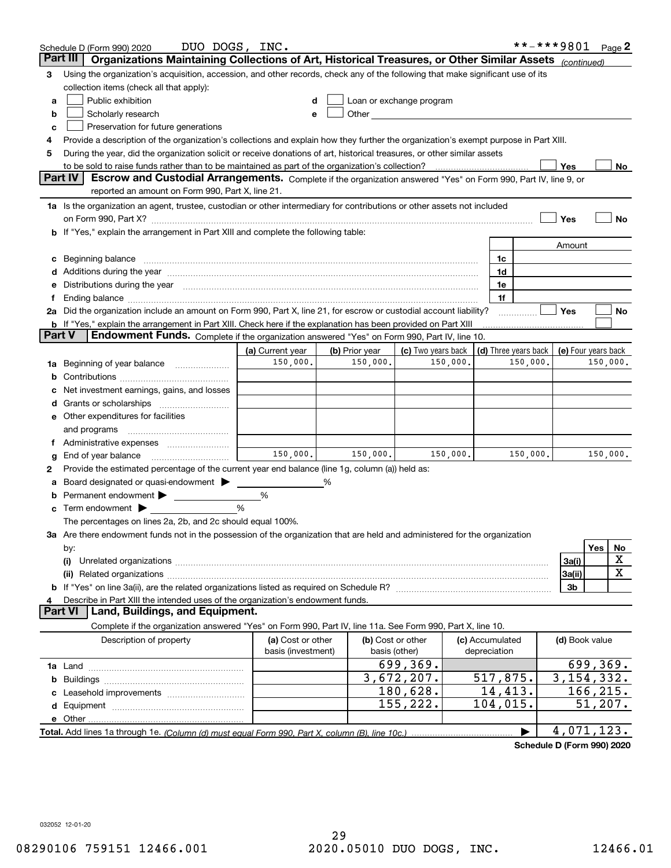|        | DUO DOGS, INC.<br>Schedule D (Form 990) 2020                                                                                                                                                                                   |                    |                |                                                                                                                                                                                                                               |                 | **-***9801           |                | Page 2              |
|--------|--------------------------------------------------------------------------------------------------------------------------------------------------------------------------------------------------------------------------------|--------------------|----------------|-------------------------------------------------------------------------------------------------------------------------------------------------------------------------------------------------------------------------------|-----------------|----------------------|----------------|---------------------|
|        | Part III<br>Organizations Maintaining Collections of Art, Historical Treasures, or Other Similar Assets (continued)                                                                                                            |                    |                |                                                                                                                                                                                                                               |                 |                      |                |                     |
| з      | Using the organization's acquisition, accession, and other records, check any of the following that make significant use of its                                                                                                |                    |                |                                                                                                                                                                                                                               |                 |                      |                |                     |
|        | collection items (check all that apply):                                                                                                                                                                                       |                    |                |                                                                                                                                                                                                                               |                 |                      |                |                     |
| a      | Public exhibition                                                                                                                                                                                                              |                    |                | Loan or exchange program                                                                                                                                                                                                      |                 |                      |                |                     |
| b      | Scholarly research                                                                                                                                                                                                             |                    |                | Other and the contract of the contract of the contract of the contract of the contract of the contract of the contract of the contract of the contract of the contract of the contract of the contract of the contract of the |                 |                      |                |                     |
| с      | Preservation for future generations                                                                                                                                                                                            |                    |                |                                                                                                                                                                                                                               |                 |                      |                |                     |
| 4      | Provide a description of the organization's collections and explain how they further the organization's exempt purpose in Part XIII.                                                                                           |                    |                |                                                                                                                                                                                                                               |                 |                      |                |                     |
| 5      | During the year, did the organization solicit or receive donations of art, historical treasures, or other similar assets                                                                                                       |                    |                |                                                                                                                                                                                                                               |                 |                      |                |                     |
|        | to be sold to raise funds rather than to be maintained as part of the organization's collection?                                                                                                                               |                    |                |                                                                                                                                                                                                                               |                 |                      | Yes            | No                  |
|        | <b>Part IV</b><br>Escrow and Custodial Arrangements. Complete if the organization answered "Yes" on Form 990, Part IV, line 9, or                                                                                              |                    |                |                                                                                                                                                                                                                               |                 |                      |                |                     |
|        | reported an amount on Form 990, Part X, line 21.                                                                                                                                                                               |                    |                |                                                                                                                                                                                                                               |                 |                      |                |                     |
|        | 1a Is the organization an agent, trustee, custodian or other intermediary for contributions or other assets not included                                                                                                       |                    |                |                                                                                                                                                                                                                               |                 |                      |                |                     |
|        |                                                                                                                                                                                                                                |                    |                |                                                                                                                                                                                                                               |                 |                      | Yes            | No                  |
|        | b If "Yes," explain the arrangement in Part XIII and complete the following table:                                                                                                                                             |                    |                |                                                                                                                                                                                                                               |                 |                      |                |                     |
|        |                                                                                                                                                                                                                                |                    |                |                                                                                                                                                                                                                               |                 |                      | Amount         |                     |
| c      | Beginning balance material content contracts and content and content and content and content and content and content and content and content and content and content and content and content and content and content and conte |                    |                |                                                                                                                                                                                                                               | 1c              |                      |                |                     |
|        | d Additions during the year manufactured and an account of the state of a distribution of Additions during the year manufactured and account of Additions during the year manufactured and account of Additional Additional Ad |                    |                |                                                                                                                                                                                                                               | 1d              |                      |                |                     |
|        | Distributions during the year manufactured and an extraordinary of the year manufactured with the year manufactured with the set of the set of the set of the set of the set of the set of the set of the set of the set of th |                    |                |                                                                                                                                                                                                                               | 1e              |                      |                |                     |
| Ť.     | Ending balance manufactured and contact the contract of the contract of the contract of the contract of the contract of the contract of the contract of the contract of the contract of the contract of the contract of the co |                    |                |                                                                                                                                                                                                                               | 1f              |                      |                |                     |
|        | 2a Did the organization include an amount on Form 990, Part X, line 21, for escrow or custodial account liability?                                                                                                             |                    |                |                                                                                                                                                                                                                               |                 |                      | Yes            | No                  |
| Part V | <b>b</b> If "Yes," explain the arrangement in Part XIII. Check here if the explanation has been provided on Part XIII                                                                                                          |                    |                |                                                                                                                                                                                                                               |                 |                      |                |                     |
|        | Endowment Funds. Complete if the organization answered "Yes" on Form 990, Part IV, line 10.                                                                                                                                    |                    |                |                                                                                                                                                                                                                               |                 |                      |                |                     |
|        |                                                                                                                                                                                                                                | (a) Current year   | (b) Prior year | (c) Two years back                                                                                                                                                                                                            |                 | (d) Three years back |                | (e) Four years back |
| 1a     | Beginning of year balance                                                                                                                                                                                                      | 150,000.           | 150,000.       | 150,000.                                                                                                                                                                                                                      |                 | 150,000.             |                | 150,000.            |
| b      |                                                                                                                                                                                                                                |                    |                |                                                                                                                                                                                                                               |                 |                      |                |                     |
|        | Net investment earnings, gains, and losses                                                                                                                                                                                     |                    |                |                                                                                                                                                                                                                               |                 |                      |                |                     |
| d      |                                                                                                                                                                                                                                |                    |                |                                                                                                                                                                                                                               |                 |                      |                |                     |
|        | e Other expenditures for facilities                                                                                                                                                                                            |                    |                |                                                                                                                                                                                                                               |                 |                      |                |                     |
|        | and programs                                                                                                                                                                                                                   |                    |                |                                                                                                                                                                                                                               |                 |                      |                |                     |
|        | f Administrative expenses                                                                                                                                                                                                      | 150,000.           | 150,000.       | 150,000.                                                                                                                                                                                                                      |                 | 150,000.             |                | 150,000.            |
| g      | End of year balance                                                                                                                                                                                                            |                    |                |                                                                                                                                                                                                                               |                 |                      |                |                     |
| 2      | Provide the estimated percentage of the current year end balance (line 1g, column (a)) held as:                                                                                                                                |                    |                |                                                                                                                                                                                                                               |                 |                      |                |                     |
| а      | Board designated or quasi-endowment                                                                                                                                                                                            |                    | %              |                                                                                                                                                                                                                               |                 |                      |                |                     |
|        | Permanent endowment ><br>Term endowment $\blacktriangleright$                                                                                                                                                                  | %<br>%             |                |                                                                                                                                                                                                                               |                 |                      |                |                     |
| c      | The percentages on lines 2a, 2b, and 2c should equal 100%.                                                                                                                                                                     |                    |                |                                                                                                                                                                                                                               |                 |                      |                |                     |
|        | 3a Are there endowment funds not in the possession of the organization that are held and administered for the organization                                                                                                     |                    |                |                                                                                                                                                                                                                               |                 |                      |                |                     |
|        | by:                                                                                                                                                                                                                            |                    |                |                                                                                                                                                                                                                               |                 |                      |                | Yes<br>No           |
|        | (i)                                                                                                                                                                                                                            |                    |                |                                                                                                                                                                                                                               |                 |                      | 3a(i)          | X                   |
|        |                                                                                                                                                                                                                                |                    |                |                                                                                                                                                                                                                               |                 |                      | 3a(ii)         | $\mathbf X$         |
|        |                                                                                                                                                                                                                                |                    |                |                                                                                                                                                                                                                               |                 |                      | 3b             |                     |
| 4      | Describe in Part XIII the intended uses of the organization's endowment funds.                                                                                                                                                 |                    |                |                                                                                                                                                                                                                               |                 |                      |                |                     |
|        | Land, Buildings, and Equipment.<br>Part VI                                                                                                                                                                                     |                    |                |                                                                                                                                                                                                                               |                 |                      |                |                     |
|        | Complete if the organization answered "Yes" on Form 990, Part IV, line 11a. See Form 990, Part X, line 10.                                                                                                                     |                    |                |                                                                                                                                                                                                                               |                 |                      |                |                     |
|        | Description of property                                                                                                                                                                                                        | (a) Cost or other  |                | (b) Cost or other                                                                                                                                                                                                             | (c) Accumulated |                      | (d) Book value |                     |
|        |                                                                                                                                                                                                                                | basis (investment) |                | basis (other)                                                                                                                                                                                                                 | depreciation    |                      |                |                     |
|        |                                                                                                                                                                                                                                |                    |                | 699,369.                                                                                                                                                                                                                      |                 |                      |                | 699,369.            |
| b      |                                                                                                                                                                                                                                |                    |                | 3,672,207.                                                                                                                                                                                                                    | 517,875.        |                      |                | 3, 154, 332.        |
|        |                                                                                                                                                                                                                                |                    |                | 180,628.                                                                                                                                                                                                                      | 14,413.         |                      |                | 166,215.            |
|        |                                                                                                                                                                                                                                |                    |                | 155,222.                                                                                                                                                                                                                      | 104,015.        |                      |                | 51,207.             |
|        |                                                                                                                                                                                                                                |                    |                |                                                                                                                                                                                                                               |                 |                      |                |                     |
|        |                                                                                                                                                                                                                                |                    |                |                                                                                                                                                                                                                               |                 |                      |                | 4,071,123.          |
|        |                                                                                                                                                                                                                                |                    |                |                                                                                                                                                                                                                               |                 |                      |                |                     |

**Schedule D (Form 990) 2020**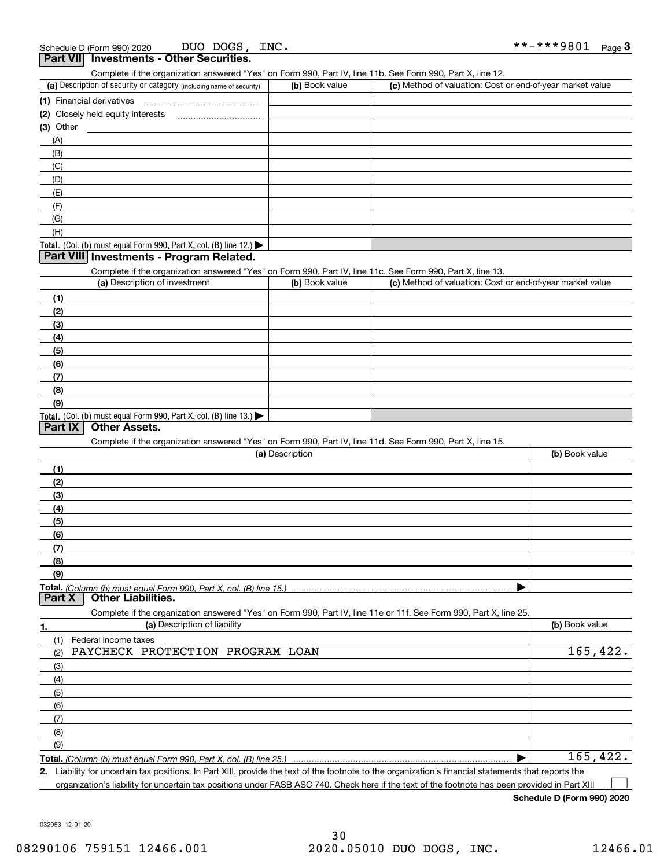| Schedule D (Form 990) 2020                      | DUO | DOGS . | INC. | **-***9801 | Page |
|-------------------------------------------------|-----|--------|------|------------|------|
| <b>Part VII</b> Investments - Other Securities. |     |        |      |            |      |

| Complete if the organization answered "Yes" on Form 990, Part IV, line 11b. See Form 990, Part X, line 12.        |                 |                                                           |                |
|-------------------------------------------------------------------------------------------------------------------|-----------------|-----------------------------------------------------------|----------------|
| (a) Description of security or category (including name of security)                                              | (b) Book value  | (c) Method of valuation: Cost or end-of-year market value |                |
| (1) Financial derivatives                                                                                         |                 |                                                           |                |
| (2) Closely held equity interests                                                                                 |                 |                                                           |                |
|                                                                                                                   |                 |                                                           |                |
| (3) Other                                                                                                         |                 |                                                           |                |
| (A)                                                                                                               |                 |                                                           |                |
| (B)                                                                                                               |                 |                                                           |                |
| (C)                                                                                                               |                 |                                                           |                |
| (D)                                                                                                               |                 |                                                           |                |
| (E)                                                                                                               |                 |                                                           |                |
|                                                                                                                   |                 |                                                           |                |
| (F)                                                                                                               |                 |                                                           |                |
| (G)                                                                                                               |                 |                                                           |                |
| (H)                                                                                                               |                 |                                                           |                |
| Total. (Col. (b) must equal Form 990, Part X, col. (B) line 12.)                                                  |                 |                                                           |                |
| Part VIII Investments - Program Related.                                                                          |                 |                                                           |                |
| Complete if the organization answered "Yes" on Form 990, Part IV, line 11c. See Form 990, Part X, line 13.        |                 |                                                           |                |
| (a) Description of investment                                                                                     | (b) Book value  | (c) Method of valuation: Cost or end-of-year market value |                |
|                                                                                                                   |                 |                                                           |                |
| (1)                                                                                                               |                 |                                                           |                |
| (2)                                                                                                               |                 |                                                           |                |
| (3)                                                                                                               |                 |                                                           |                |
| (4)                                                                                                               |                 |                                                           |                |
|                                                                                                                   |                 |                                                           |                |
| (5)                                                                                                               |                 |                                                           |                |
| (6)                                                                                                               |                 |                                                           |                |
| (7)                                                                                                               |                 |                                                           |                |
| (8)                                                                                                               |                 |                                                           |                |
| (9)                                                                                                               |                 |                                                           |                |
| Total. (Col. (b) must equal Form 990, Part X, col. (B) line 13.)                                                  |                 |                                                           |                |
| <b>Other Assets.</b><br>Part IX                                                                                   |                 |                                                           |                |
|                                                                                                                   |                 |                                                           |                |
| Complete if the organization answered "Yes" on Form 990, Part IV, line 11d. See Form 990, Part X, line 15.        |                 |                                                           |                |
|                                                                                                                   | (a) Description |                                                           | (b) Book value |
| (1)                                                                                                               |                 |                                                           |                |
| (2)                                                                                                               |                 |                                                           |                |
|                                                                                                                   |                 |                                                           |                |
| (3)                                                                                                               |                 |                                                           |                |
| (4)                                                                                                               |                 |                                                           |                |
| (5)                                                                                                               |                 |                                                           |                |
| (6)                                                                                                               |                 |                                                           |                |
| (7)                                                                                                               |                 |                                                           |                |
| (8)                                                                                                               |                 |                                                           |                |
|                                                                                                                   |                 |                                                           |                |
| (9)                                                                                                               |                 |                                                           |                |
| <b>Other Liabilities.</b><br>Part X                                                                               |                 |                                                           |                |
| Complete if the organization answered "Yes" on Form 990, Part IV, line 11e or 11f. See Form 990, Part X, line 25. |                 |                                                           |                |
| (a) Description of liability                                                                                      |                 |                                                           | (b) Book value |
| 1.                                                                                                                |                 |                                                           |                |
| (1)<br>Federal income taxes                                                                                       |                 |                                                           |                |
| PAYCHECK PROTECTION PROGRAM LOAN<br>(2)                                                                           |                 |                                                           | 165,422.       |
| (3)                                                                                                               |                 |                                                           |                |
| (4)                                                                                                               |                 |                                                           |                |
| (5)                                                                                                               |                 |                                                           |                |
|                                                                                                                   |                 |                                                           |                |
| (6)                                                                                                               |                 |                                                           |                |
| (7)                                                                                                               |                 |                                                           |                |
| (8)                                                                                                               |                 |                                                           |                |
| (9)                                                                                                               |                 |                                                           |                |
| Total. (Column (b) must equal Form 990, Part X, col. (B) line 25.)                                                |                 |                                                           | 165,422.       |
|                                                                                                                   |                 |                                                           |                |

**2.** Liability for uncertain tax positions. In Part XIII, provide the text of the footnote to the organization's financial statements that reports the organization's liability for uncertain tax positions under FASB ASC 740. Check here if the text of the footnote has been provided in Part XIII  $\mathcal{L}^{\text{max}}$ 

**Schedule D (Form 990) 2020**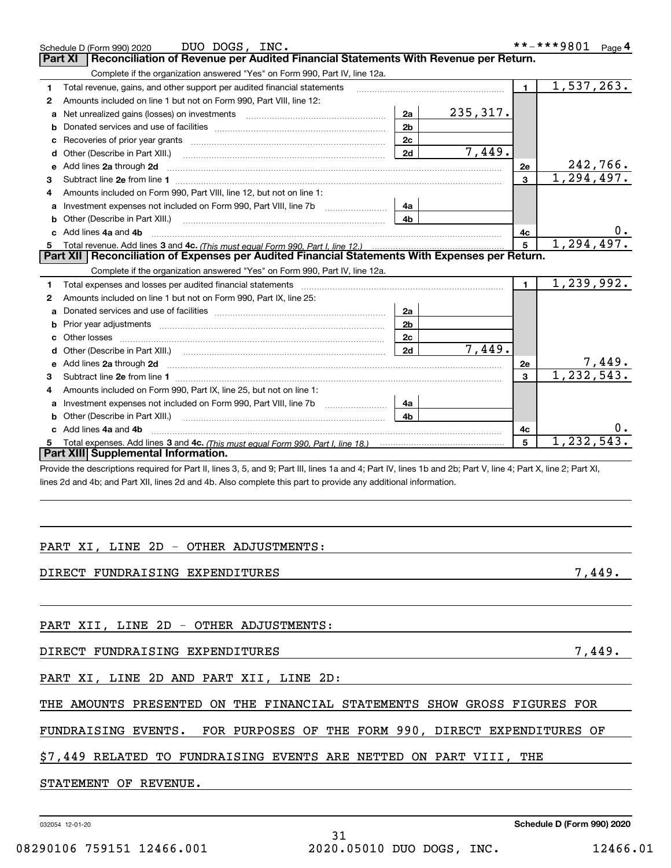|              | DUO DOGS,<br>INC.<br>Schedule D (Form 990) 2020                                                                                                                |                |           |                | **-***9801               | Page 4   |
|--------------|----------------------------------------------------------------------------------------------------------------------------------------------------------------|----------------|-----------|----------------|--------------------------|----------|
|              | Reconciliation of Revenue per Audited Financial Statements With Revenue per Return.<br>Part XI                                                                 |                |           |                |                          |          |
|              | Complete if the organization answered "Yes" on Form 990, Part IV, line 12a.                                                                                    |                |           |                |                          |          |
| 1            | Total revenue, gains, and other support per audited financial statements                                                                                       |                |           | $\mathbf{1}$   | $\overline{1,537}, 263.$ |          |
| $\mathbf{2}$ | Amounts included on line 1 but not on Form 990, Part VIII, line 12:                                                                                            |                |           |                |                          |          |
| a            |                                                                                                                                                                | 2a             | 235, 317. |                |                          |          |
| b            |                                                                                                                                                                | 2 <sub>b</sub> |           |                |                          |          |
| с            | Recoveries of prior year grants [111] Martin March 1997 (120 March 1997) March 1997 (120 March 1997) March 199                                                 | 2 <sub>c</sub> |           |                |                          |          |
| d            | Other (Describe in Part XIII.)                                                                                                                                 | 2d             | 7,449.    |                |                          |          |
| е            | Add lines 2a through 2d                                                                                                                                        |                |           | 2e             |                          | 242,766. |
| 3            |                                                                                                                                                                |                |           | 3              | 1, 294, 497.             |          |
| 4            | Amounts included on Form 990, Part VIII, line 12, but not on line 1:                                                                                           |                |           |                |                          |          |
| a            | Investment expenses not included on Form 990, Part VIII, line 7b                                                                                               | 4a             |           |                |                          |          |
| b            | Other (Describe in Part XIII.) <b>Construction Contract Construction</b> Construction Construction Construction Const                                          | 4b             |           |                |                          |          |
|              | c Add lines 4a and 4b                                                                                                                                          |                |           | 4c             |                          |          |
| 5.           |                                                                                                                                                                |                |           | 5              | 1, 294, 497.             |          |
|              | Reconciliation of Expenses per Audited Financial Statements With Expenses per Return.<br>Part XII                                                              |                |           |                |                          |          |
|              | Complete if the organization answered "Yes" on Form 990, Part IV, line 12a.                                                                                    |                |           |                |                          |          |
| 1            | Total expenses and losses per audited financial statements                                                                                                     |                |           | $\blacksquare$ | 1,239,992.               |          |
| 2            | Amounts included on line 1 but not on Form 990, Part IX, line 25:                                                                                              |                |           |                |                          |          |
|              |                                                                                                                                                                | 2a             |           |                |                          |          |
| b            | Prior year adjustments www.communication.com/www.communication.com/www.com/                                                                                    | 2 <sub>b</sub> |           |                |                          |          |
| с            |                                                                                                                                                                | 2c             |           |                |                          |          |
| d            | Other (Describe in Part XIII.)                                                                                                                                 | 2d             | 7.449.    |                |                          |          |
| е            | Add lines 2a through 2d                                                                                                                                        |                |           | 2e             |                          |          |
| 3            |                                                                                                                                                                |                |           | 3              | 1, 232, 543.             |          |
| 4            | Amounts included on Form 990, Part IX, line 25, but not on line 1:                                                                                             |                |           |                |                          |          |
| а            | Investment expenses not included on Form 990, Part VIII, line 7b                                                                                               | 4a             |           |                |                          |          |
| b            | Other (Describe in Part XIII.)                                                                                                                                 | 4b             |           |                |                          |          |
|              | c Add lines 4a and 4b                                                                                                                                          |                |           | 4с             |                          |          |
| 5.           |                                                                                                                                                                |                |           | 5              | 1, 232, 543.             |          |
|              | Part XIII Supplemental Information.                                                                                                                            |                |           |                |                          |          |
|              | Provide the descriptions required for Part II, lines 3, 5, and 9; Part III, lines 1a and 4; Part IV, lines 1b and 2b; Part V, line 4; Part X, line 2; Part XI, |                |           |                |                          |          |
|              | lines 2d and 4b; and Part XII, lines 2d and 4b. Also complete this part to provide any additional information.                                                 |                |           |                |                          |          |
|              |                                                                                                                                                                |                |           |                |                          |          |
|              |                                                                                                                                                                |                |           |                |                          |          |
|              |                                                                                                                                                                |                |           |                |                          |          |
|              |                                                                                                                                                                |                |           |                |                          |          |
|              | LINE 2D - OTHER ADJUSTMENTS:<br>PART XI,                                                                                                                       |                |           |                |                          |          |
|              |                                                                                                                                                                |                |           |                |                          |          |
|              | DIRECT FUNDRAISING EXPENDITURES                                                                                                                                |                |           |                |                          | 7,449.   |

PART XII, LINE 2D - OTHER ADJUSTMENTS:

DIRECT FUNDRAISING EXPENDITURES **1999** T.449.

PART XI, LINE 2D AND PART XII, LINE 2D:

THE AMOUNTS PRESENTED ON THE FINANCIAL STATEMENTS SHOW GROSS FIGURES FOR

FUNDRAISING EVENTS. FOR PURPOSES OF THE FORM 990, DIRECT EXPENDITURES OF

\$7,449 RELATED TO FUNDRAISING EVENTS ARE NETTED ON PART VIII, THE

STATEMENT OF REVENUE.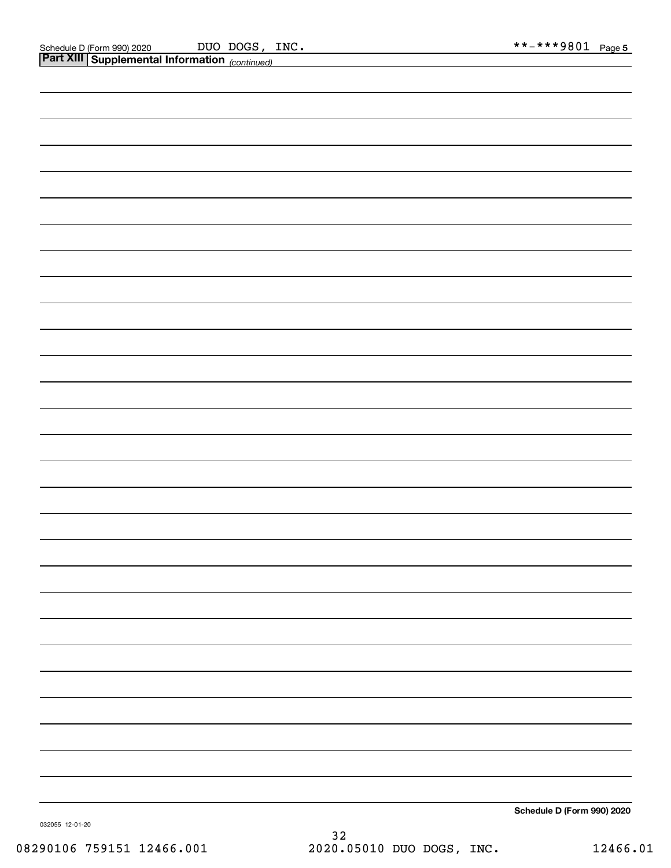| <b>Part XIII Supplemental Information</b> (continued) |
|-------------------------------------------------------|
|                                                       |
|                                                       |
|                                                       |
|                                                       |
|                                                       |
|                                                       |
|                                                       |
|                                                       |
|                                                       |
|                                                       |
|                                                       |
|                                                       |
|                                                       |
|                                                       |
|                                                       |
|                                                       |
|                                                       |
|                                                       |
|                                                       |
|                                                       |
|                                                       |
|                                                       |
|                                                       |
|                                                       |
|                                                       |
|                                                       |
|                                                       |
|                                                       |
|                                                       |
|                                                       |
| Schedule D (Form 990) 2020                            |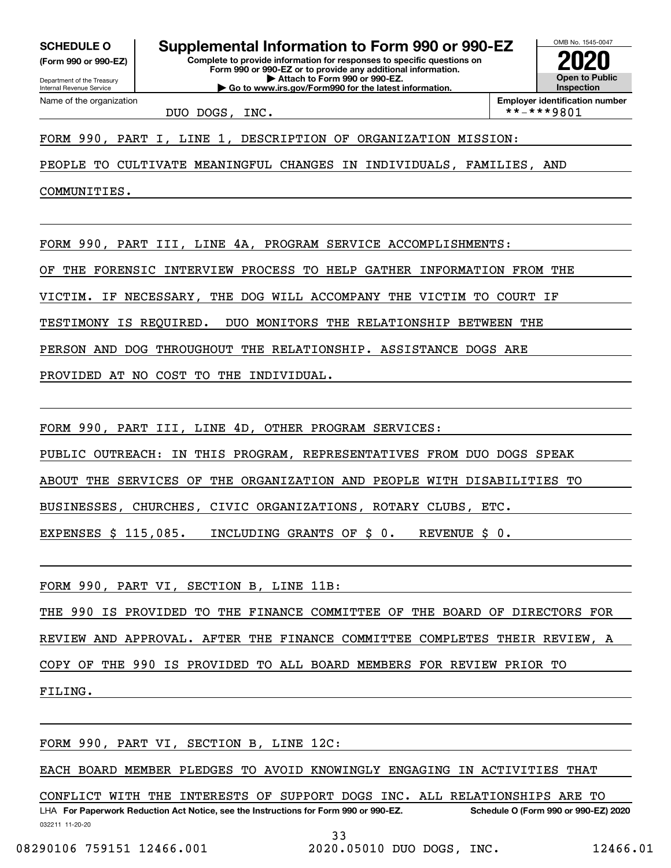**(Form 990 or 990-EZ)**

Department of the Treasury Internal Revenue Service Name of the organization

**Complete to provide information for responses to specific questions on SCHEDULE O Supplemental Information to Form 990 or 990-EZ**

**Form 990 or 990-EZ or to provide any additional information. | Attach to Form 990 or 990-EZ.**

**| Go to www.irs.gov/Form990 for the latest information.**

**Employer identification number**

OMB No. 1545-0047

**2020**

**Open to Public Inspection**

DUO DOGS, INC.  $\qquad \qquad \qquad \qquad$  \*\*-\*\*\*9801

## FORM 990, PART I, LINE 1, DESCRIPTION OF ORGANIZATION MISSION:

PEOPLE TO CULTIVATE MEANINGFUL CHANGES IN INDIVIDUALS, FAMILIES, AND

COMMUNITIES.

FORM 990, PART III, LINE 4A, PROGRAM SERVICE ACCOMPLISHMENTS:

OF THE FORENSIC INTERVIEW PROCESS TO HELP GATHER INFORMATION FROM THE

VICTIM. IF NECESSARY, THE DOG WILL ACCOMPANY THE VICTIM TO COURT IF

TESTIMONY IS REQUIRED. DUO MONITORS THE RELATIONSHIP BETWEEN THE

PERSON AND DOG THROUGHOUT THE RELATIONSHIP. ASSISTANCE DOGS ARE

PROVIDED AT NO COST TO THE INDIVIDUAL.

FORM 990, PART III, LINE 4D, OTHER PROGRAM SERVICES:

PUBLIC OUTREACH: IN THIS PROGRAM, REPRESENTATIVES FROM DUO DOGS SPEAK

ABOUT THE SERVICES OF THE ORGANIZATION AND PEOPLE WITH DISABILITIES TO

BUSINESSES, CHURCHES, CIVIC ORGANIZATIONS, ROTARY CLUBS, ETC.

EXPENSES \$ 115,085. INCLUDING GRANTS OF \$ 0. REVENUE \$ 0.

FORM 990, PART VI, SECTION B, LINE 11B:

THE 990 IS PROVIDED TO THE FINANCE COMMITTEE OF THE BOARD OF DIRECTORS FOR REVIEW AND APPROVAL. AFTER THE FINANCE COMMITTEE COMPLETES THEIR REVIEW, A COPY OF THE 990 IS PROVIDED TO ALL BOARD MEMBERS FOR REVIEW PRIOR TO FILING.

FORM 990, PART VI, SECTION B, LINE 12C:

EACH BOARD MEMBER PLEDGES TO AVOID KNOWINGLY ENGAGING IN ACTIVITIES THAT

032211 11-20-20 LHA For Paperwork Reduction Act Notice, see the Instructions for Form 990 or 990-EZ. Schedule O (Form 990 or 990-EZ) 2020 CONFLICT WITH THE INTERESTS OF SUPPORT DOGS INC. ALL RELATIONSHIPS ARE TO

33

08290106 759151 12466.001 2020.05010 DUO DOGS, INC. 12466.01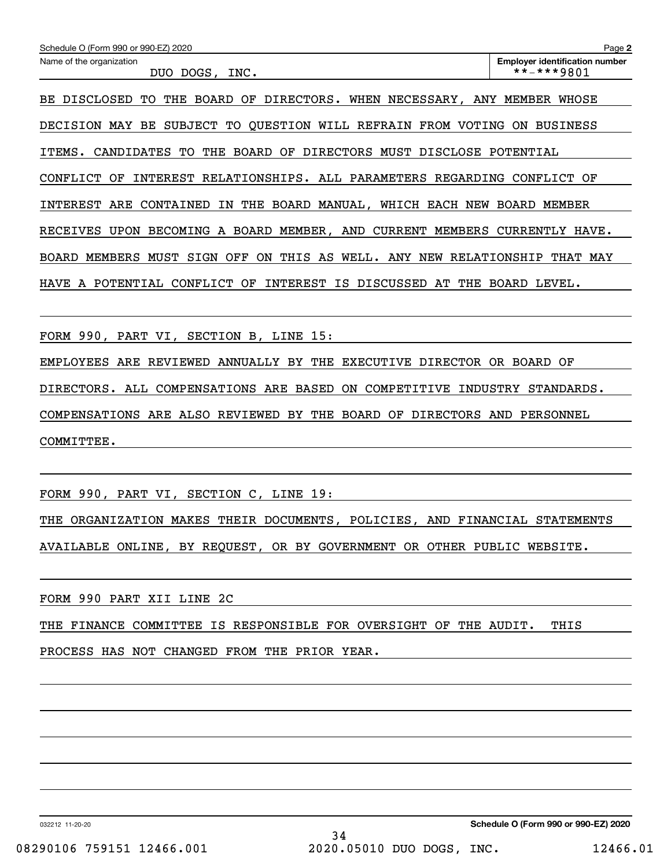| Schedule O (Form 990 or 990-EZ) 2020                                                            | Page 2                                              |
|-------------------------------------------------------------------------------------------------|-----------------------------------------------------|
| Name of the organization<br>DOGS, INC.<br>DUO                                                   | <b>Employer identification number</b><br>**-***9801 |
| DISCLOSED<br>BOARD<br>DIRECTORS.<br>WHEN<br>NECESSARY,<br>TО<br>THE<br>OF.<br>ANY<br>BE.        | MEMBER<br>WHOSE                                     |
| QUESTION WILL<br>SUBJECT TO<br><b>REFRAIN</b><br>DECISION<br>MAY<br>BЕ<br>FROM<br>VOTING        | <b>BUSINESS</b><br>ON.                              |
| BOARD<br>OF<br><b>DIRECTORS</b><br>MUST<br><b>DISCLOSE</b><br>ITEMS.<br>CANDIDATES<br>TО<br>THE | POTENTIAL                                           |
| RELATIONSHIPS. ALL PARAMETERS<br>CONFLICT<br>INTEREST<br>REGARDING<br>ОF                        | CONFLICT<br>OF                                      |
| BOARD<br>MANUAL,<br>ARE<br>THE<br>WHICH<br>EACH NEW<br>INTEREST<br>CONTAINED<br>IN              | <b>BOARD</b><br>MEMBER                              |
| MEMBER ,<br>CURRENT<br>RECEIVES<br>UPON<br><b>BECOMING</b><br>BOARD<br>AND<br>MEMBERS<br>A      | CURRENTLY<br>HAVE.                                  |
| OFF<br>THIS<br>AS<br>MEMBERS<br>MUST<br>SIGN<br><b>ON</b><br>WELL.<br>ANY NEW<br><b>BOARD</b>   | RELATIONSHIP<br>THAT MAY                            |
| DISCUSSED<br>POTENTIAL<br>CONFLICT<br>INTEREST<br>ΙS<br>AТ<br><b>HAVE</b><br>OF<br>THE<br>A     | <b>BOARD</b><br>LEVEL.                              |

FORM 990, PART VI, SECTION B, LINE 15:

EMPLOYEES ARE REVIEWED ANNUALLY BY THE EXECUTIVE DIRECTOR OR BOARD OF DIRECTORS. ALL COMPENSATIONS ARE BASED ON COMPETITIVE INDUSTRY STANDARDS. COMPENSATIONS ARE ALSO REVIEWED BY THE BOARD OF DIRECTORS AND PERSONNEL COMMITTEE.

FORM 990, PART VI, SECTION C, LINE 19:

THE ORGANIZATION MAKES THEIR DOCUMENTS, POLICIES, AND FINANCIAL STATEMENTS

AVAILABLE ONLINE, BY REQUEST, OR BY GOVERNMENT OR OTHER PUBLIC WEBSITE.

FORM 990 PART XII LINE 2C

THE FINANCE COMMITTEE IS RESPONSIBLE FOR OVERSIGHT OF THE AUDIT. THIS

PROCESS HAS NOT CHANGED FROM THE PRIOR YEAR.

032212 11-20-20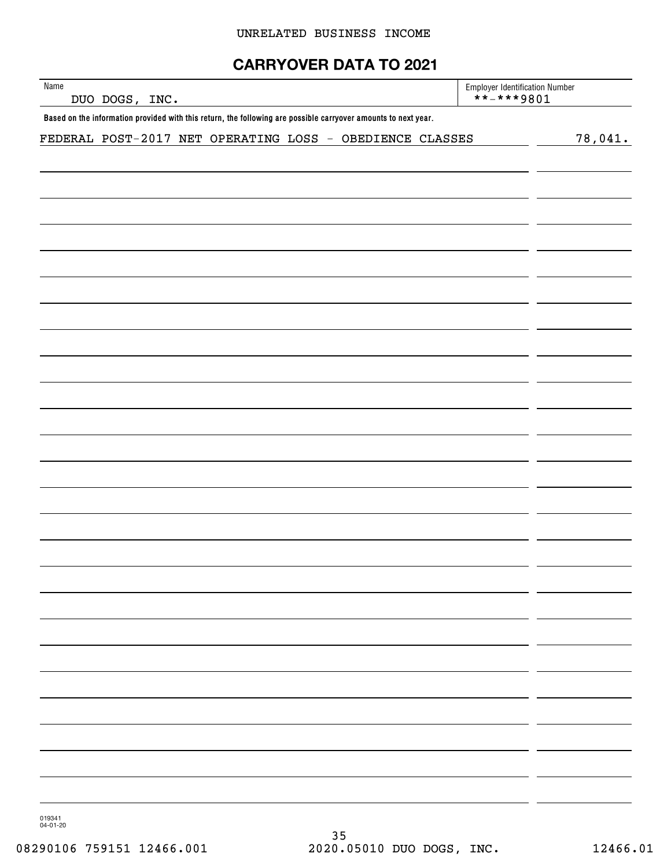## **CARRYOVER DATA TO 2021**

| Name<br>DUO DOGS, INC.<br>the control of the control of the control of the control of the control of           | <b>Employer Identification Number</b><br>**-***9801 |
|----------------------------------------------------------------------------------------------------------------|-----------------------------------------------------|
| Based on the information provided with this return, the following are possible carryover amounts to next year. |                                                     |
| FEDERAL POST-2017 NET OPERATING LOSS - OBEDIENCE CLASSES                                                       | 78,041.                                             |
|                                                                                                                |                                                     |
|                                                                                                                |                                                     |
|                                                                                                                |                                                     |
|                                                                                                                |                                                     |
|                                                                                                                |                                                     |
|                                                                                                                |                                                     |
|                                                                                                                |                                                     |
|                                                                                                                |                                                     |
|                                                                                                                |                                                     |
|                                                                                                                |                                                     |
|                                                                                                                |                                                     |
|                                                                                                                |                                                     |
|                                                                                                                |                                                     |
|                                                                                                                |                                                     |
|                                                                                                                |                                                     |
|                                                                                                                |                                                     |
|                                                                                                                |                                                     |
|                                                                                                                |                                                     |
|                                                                                                                |                                                     |
|                                                                                                                |                                                     |
|                                                                                                                |                                                     |
|                                                                                                                |                                                     |
|                                                                                                                |                                                     |
|                                                                                                                |                                                     |
|                                                                                                                |                                                     |
|                                                                                                                |                                                     |
|                                                                                                                |                                                     |
|                                                                                                                |                                                     |
|                                                                                                                |                                                     |
|                                                                                                                |                                                     |
|                                                                                                                |                                                     |
|                                                                                                                |                                                     |
|                                                                                                                |                                                     |

019341 04-01-20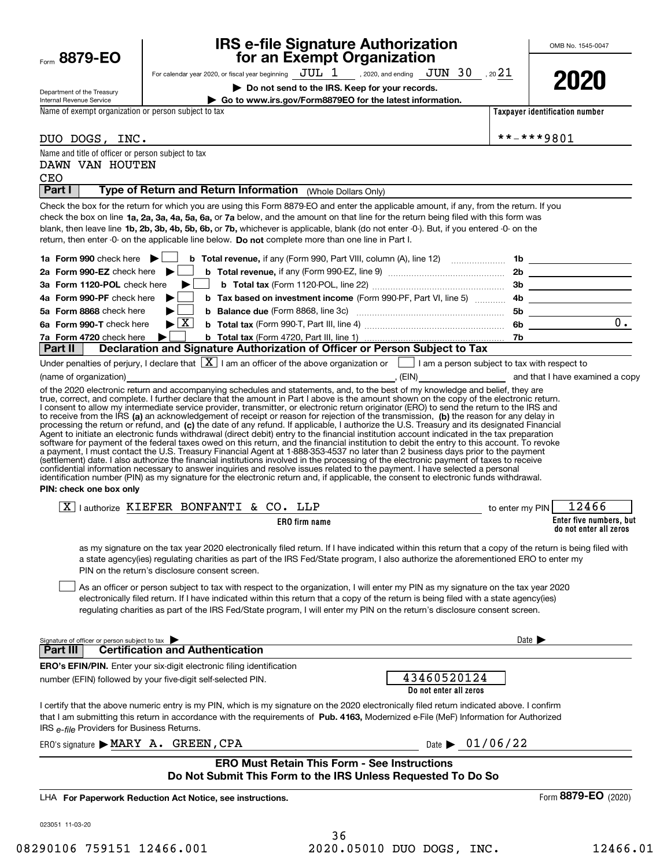| Form 8879-EO                                              |                                                                                                                     | <b>IRS e-file Signature Authorization</b><br>for an Exempt Organization                                                                                                                                                                                                                                                                                                                                                                                                                                                                                                                                                                                                                                 |                                       |                                | OMB No. 1545-0047                                 |  |  |  |
|-----------------------------------------------------------|---------------------------------------------------------------------------------------------------------------------|---------------------------------------------------------------------------------------------------------------------------------------------------------------------------------------------------------------------------------------------------------------------------------------------------------------------------------------------------------------------------------------------------------------------------------------------------------------------------------------------------------------------------------------------------------------------------------------------------------------------------------------------------------------------------------------------------------|---------------------------------------|--------------------------------|---------------------------------------------------|--|--|--|
|                                                           |                                                                                                                     | For calendar year 2020, or fiscal year beginning $JUL$ $1$ , 2020, and ending $JUN$ $30$ , 20 $21$                                                                                                                                                                                                                                                                                                                                                                                                                                                                                                                                                                                                      |                                       |                                |                                                   |  |  |  |
|                                                           |                                                                                                                     | Do not send to the IRS. Keep for your records.                                                                                                                                                                                                                                                                                                                                                                                                                                                                                                                                                                                                                                                          |                                       |                                | 2020                                              |  |  |  |
| Department of the Treasury<br>Internal Revenue Service    |                                                                                                                     | Go to www.irs.gov/Form8879EO for the latest information.                                                                                                                                                                                                                                                                                                                                                                                                                                                                                                                                                                                                                                                |                                       |                                |                                                   |  |  |  |
| Name of exempt organization or person subject to tax      |                                                                                                                     |                                                                                                                                                                                                                                                                                                                                                                                                                                                                                                                                                                                                                                                                                                         |                                       | Taxpayer identification number |                                                   |  |  |  |
|                                                           |                                                                                                                     |                                                                                                                                                                                                                                                                                                                                                                                                                                                                                                                                                                                                                                                                                                         |                                       |                                |                                                   |  |  |  |
| DUO DOGS, INC.                                            |                                                                                                                     | <u> 1989 - Johann Stein, mars and de Branch and de Branch and de Branch and de Branch and de Branch and de Branch</u>                                                                                                                                                                                                                                                                                                                                                                                                                                                                                                                                                                                   |                                       | **-***9801                     |                                                   |  |  |  |
| Name and title of officer or person subject to tax        |                                                                                                                     |                                                                                                                                                                                                                                                                                                                                                                                                                                                                                                                                                                                                                                                                                                         |                                       |                                |                                                   |  |  |  |
| DAWN VAN HOUTEN<br><b>CEO</b>                             |                                                                                                                     |                                                                                                                                                                                                                                                                                                                                                                                                                                                                                                                                                                                                                                                                                                         |                                       |                                |                                                   |  |  |  |
| Part I                                                    |                                                                                                                     | Type of Return and Return Information (Whole Dollars Only)                                                                                                                                                                                                                                                                                                                                                                                                                                                                                                                                                                                                                                              |                                       |                                |                                                   |  |  |  |
|                                                           |                                                                                                                     | Check the box for the return for which you are using this Form 8879-EO and enter the applicable amount, if any, from the return. If you<br>check the box on line 1a, 2a, 3a, 4a, 5a, 6a, or 7a below, and the amount on that line for the return being filed with this form was<br>blank, then leave line 1b, 2b, 3b, 4b, 5b, 6b, or 7b, whichever is applicable, blank (do not enter -0-). But, if you entered -0- on the<br>return, then enter -0- on the applicable line below. Do not complete more than one line in Part I.                                                                                                                                                                        |                                       |                                |                                                   |  |  |  |
| 1a Form 990 check here $\blacktriangleright$              |                                                                                                                     |                                                                                                                                                                                                                                                                                                                                                                                                                                                                                                                                                                                                                                                                                                         |                                       |                                |                                                   |  |  |  |
|                                                           |                                                                                                                     |                                                                                                                                                                                                                                                                                                                                                                                                                                                                                                                                                                                                                                                                                                         |                                       |                                |                                                   |  |  |  |
| 3a Form 1120-POL check here<br>4a Form 990-PF check here  | $\blacktriangleright$<br><b>Contract Contract</b><br>$\blacktriangleright$                                          |                                                                                                                                                                                                                                                                                                                                                                                                                                                                                                                                                                                                                                                                                                         |                                       |                                |                                                   |  |  |  |
| 5a Form 8868 check here                                   |                                                                                                                     |                                                                                                                                                                                                                                                                                                                                                                                                                                                                                                                                                                                                                                                                                                         |                                       |                                |                                                   |  |  |  |
| 6a Form 990-T check here                                  | $\blacktriangleright$ $\vert$ X $\vert$                                                                             | <b>b Balance due</b> (Form 8868, line 3c) $\ldots$ <b>5b</b><br><b>b Total tax</b> (Form 990-T. Part III. line 4) <b>6b 6b 6b 6b 6b 6</b>                                                                                                                                                                                                                                                                                                                                                                                                                                                                                                                                                               |                                       |                                |                                                   |  |  |  |
| 7a Form 4720 check here $\blacktriangleright$             |                                                                                                                     |                                                                                                                                                                                                                                                                                                                                                                                                                                                                                                                                                                                                                                                                                                         |                                       |                                |                                                   |  |  |  |
| Part II                                                   |                                                                                                                     | Declaration and Signature Authorization of Officer or Person Subject to Tax                                                                                                                                                                                                                                                                                                                                                                                                                                                                                                                                                                                                                             |                                       |                                |                                                   |  |  |  |
|                                                           |                                                                                                                     | Under penalties of perjury, I declare that $\boxed{\mathbf{X}}$ I am an officer of the above organization or $\boxed{\phantom{\mathbf{1}}}$ I am a person subject to tax with respect to                                                                                                                                                                                                                                                                                                                                                                                                                                                                                                                |                                       |                                |                                                   |  |  |  |
|                                                           |                                                                                                                     | (name of organization) <b>contract and that I have examined a copy</b> (name of organization) and that I have examined a copy                                                                                                                                                                                                                                                                                                                                                                                                                                                                                                                                                                           |                                       |                                |                                                   |  |  |  |
| PIN: check one box only                                   |                                                                                                                     | a payment, I must contact the U.S. Treasury Financial Agent at 1-888-353-4537 no later than 2 business days prior to the payment<br>(settlement) date. I also authorize the financial institutions involved in the processing of the electronic payment of taxes to receive<br>confidential information necessary to answer inquiries and resolve issues related to the payment. I have selected a personal<br>identification number (PIN) as my signature for the electronic return and, if applicable, the consent to electronic funds withdrawal.                                                                                                                                                    |                                       |                                |                                                   |  |  |  |
|                                                           | $\overline{X}$ authorize KIEFER BONFANTI & CO. LLP                                                                  |                                                                                                                                                                                                                                                                                                                                                                                                                                                                                                                                                                                                                                                                                                         | to enter my PIN                       |                                | $\frac{1}{2466}$                                  |  |  |  |
|                                                           |                                                                                                                     | ERO firm name                                                                                                                                                                                                                                                                                                                                                                                                                                                                                                                                                                                                                                                                                           |                                       |                                | Enter five numbers, but<br>do not enter all zeros |  |  |  |
|                                                           | PIN on the return's disclosure consent screen.                                                                      | as my signature on the tax year 2020 electronically filed return. If I have indicated within this return that a copy of the return is being filed with<br>a state agency(ies) regulating charities as part of the IRS Fed/State program, I also authorize the aforementioned ERO to enter my<br>As an officer or person subject to tax with respect to the organization, I will enter my PIN as my signature on the tax year 2020<br>electronically filed return. If I have indicated within this return that a copy of the return is being filed with a state agency(ies)<br>regulating charities as part of the IRS Fed/State program, I will enter my PIN on the return's disclosure consent screen. |                                       |                                |                                                   |  |  |  |
| Signature of officer or person subject to tax<br>Part III | <b>Certification and Authentication</b>                                                                             |                                                                                                                                                                                                                                                                                                                                                                                                                                                                                                                                                                                                                                                                                                         |                                       | Date $\blacktriangleright$     |                                                   |  |  |  |
|                                                           | <b>ERO's EFIN/PIN.</b> Enter your six-digit electronic filing identification                                        |                                                                                                                                                                                                                                                                                                                                                                                                                                                                                                                                                                                                                                                                                                         |                                       |                                |                                                   |  |  |  |
|                                                           | number (EFIN) followed by your five-digit self-selected PIN.                                                        |                                                                                                                                                                                                                                                                                                                                                                                                                                                                                                                                                                                                                                                                                                         | 43460520124<br>Do not enter all zeros |                                |                                                   |  |  |  |
| IRS e-file Providers for Business Returns.                |                                                                                                                     | I certify that the above numeric entry is my PIN, which is my signature on the 2020 electronically filed return indicated above. I confirm<br>that I am submitting this return in accordance with the requirements of Pub. 4163, Modernized e-File (MeF) Information for Authorized                                                                                                                                                                                                                                                                                                                                                                                                                     |                                       |                                |                                                   |  |  |  |
| ERO's signature $\blacktriangleright$ MARY A. GREEN, CPA  |                                                                                                                     |                                                                                                                                                                                                                                                                                                                                                                                                                                                                                                                                                                                                                                                                                                         |                                       | Date $\triangleright$ 01/06/22 |                                                   |  |  |  |
|                                                           | <b>ERO Must Retain This Form - See Instructions</b><br>Do Not Submit This Form to the IRS Unless Requested To Do So |                                                                                                                                                                                                                                                                                                                                                                                                                                                                                                                                                                                                                                                                                                         |                                       |                                |                                                   |  |  |  |
|                                                           | LHA For Paperwork Reduction Act Notice, see instructions.                                                           |                                                                                                                                                                                                                                                                                                                                                                                                                                                                                                                                                                                                                                                                                                         |                                       |                                | Form 8879-EO (2020)                               |  |  |  |
|                                                           |                                                                                                                     |                                                                                                                                                                                                                                                                                                                                                                                                                                                                                                                                                                                                                                                                                                         |                                       |                                |                                                   |  |  |  |
| 023051 11-03-20                                           |                                                                                                                     | ລ ແ                                                                                                                                                                                                                                                                                                                                                                                                                                                                                                                                                                                                                                                                                                     |                                       |                                |                                                   |  |  |  |

36 08290106 759151 12466.001 2020.05010 DUO DOGS, INC. 12466.01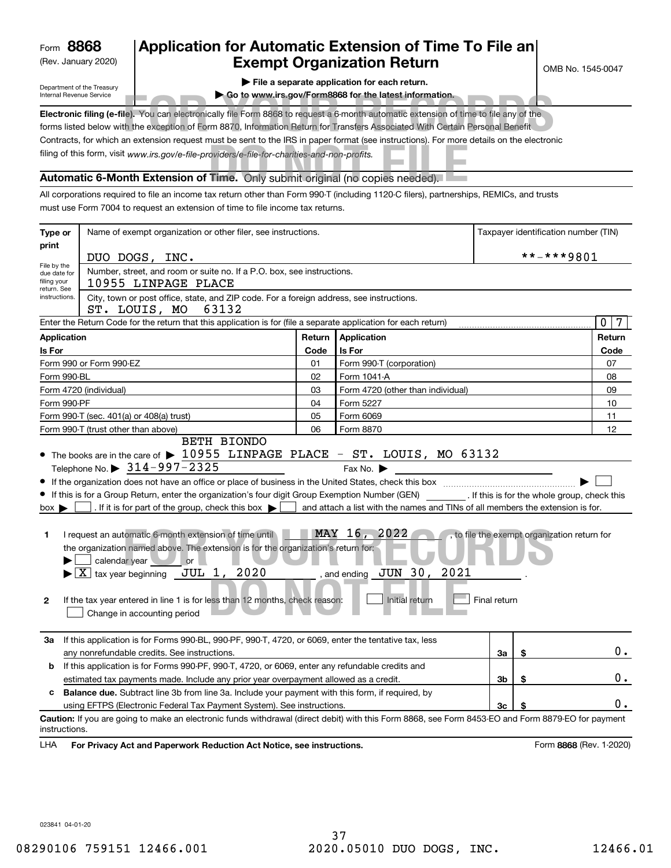(Rev. January 2020)

## **Application for Automatic Extension of Time To File an Exempt Organization Return**

OMB No. 1545-0047

Department of the Treasury Internal Revenue Service

**| File a separate application for each return.**

**| Go to www.irs.gov/Form8868 for the latest information.**

| internal Revenue Service | <b>Exactle www.irs.gov/Formoodo for the latest internation.</b>                                                                          |
|--------------------------|------------------------------------------------------------------------------------------------------------------------------------------|
|                          | Electronic filing (e-file). You can electronically file Form 8868 to request a 6-month automatic extension of time to file any of the    |
|                          | forms listed below with the exception of Form 8870, Information Return for Transfers Associated With Certain Personal Benefit            |
|                          | Contracts, for which an extension request must be sent to the IRS in paper format (see instructions). For more details on the electronic |
|                          | filing of this form, visit www.irs.gov/e-file-providers/e-file-for-charities-and-non-profits.                                            |
|                          | Automatic 6-Month Extension of Time. Only submit original (no copies needed).                                                            |

All corporations required to file an income tax return other than Form 990-T (including 1120-C filers), partnerships, REMICs, and trusts must use Form 7004 to request an extension of time to file income tax returns.

| Type or                                    | Name of exempt organization or other filer, see instructions.                                                                                                                                                                                                                                                                                                                                                                                                                                                                                                                                                                                  |        |                                                                                                                                                 |                |    | Taxpayer identification number (TIN)         |  |  |  |
|--------------------------------------------|------------------------------------------------------------------------------------------------------------------------------------------------------------------------------------------------------------------------------------------------------------------------------------------------------------------------------------------------------------------------------------------------------------------------------------------------------------------------------------------------------------------------------------------------------------------------------------------------------------------------------------------------|--------|-------------------------------------------------------------------------------------------------------------------------------------------------|----------------|----|----------------------------------------------|--|--|--|
| print                                      | DUO DOGS, INC.                                                                                                                                                                                                                                                                                                                                                                                                                                                                                                                                                                                                                                 |        |                                                                                                                                                 |                |    | **-***9801                                   |  |  |  |
| File by the<br>due date for<br>filing your | Number, street, and room or suite no. If a P.O. box, see instructions.<br>10955 LINPAGE PLACE                                                                                                                                                                                                                                                                                                                                                                                                                                                                                                                                                  |        |                                                                                                                                                 |                |    |                                              |  |  |  |
| return. See<br>instructions.               | City, town or post office, state, and ZIP code. For a foreign address, see instructions.<br>63132<br>ST. LOUIS, MO                                                                                                                                                                                                                                                                                                                                                                                                                                                                                                                             |        |                                                                                                                                                 |                |    |                                              |  |  |  |
|                                            | Enter the Return Code for the return that this application is for (file a separate application for each return)                                                                                                                                                                                                                                                                                                                                                                                                                                                                                                                                |        |                                                                                                                                                 |                |    | 0                                            |  |  |  |
| <b>Application</b>                         |                                                                                                                                                                                                                                                                                                                                                                                                                                                                                                                                                                                                                                                | Return | Application                                                                                                                                     |                |    | Return                                       |  |  |  |
| Is For                                     |                                                                                                                                                                                                                                                                                                                                                                                                                                                                                                                                                                                                                                                | Code   | Is For                                                                                                                                          |                |    | Code                                         |  |  |  |
|                                            | Form 990 or Form 990-EZ                                                                                                                                                                                                                                                                                                                                                                                                                                                                                                                                                                                                                        | 01     | Form 990-T (corporation)                                                                                                                        |                |    | 07                                           |  |  |  |
| Form 990-BL                                |                                                                                                                                                                                                                                                                                                                                                                                                                                                                                                                                                                                                                                                | 02     | Form 1041-A                                                                                                                                     |                |    | 08                                           |  |  |  |
|                                            | Form 4720 (individual)                                                                                                                                                                                                                                                                                                                                                                                                                                                                                                                                                                                                                         | 03     | Form 4720 (other than individual)                                                                                                               |                |    | 09                                           |  |  |  |
| Form 990-PF                                |                                                                                                                                                                                                                                                                                                                                                                                                                                                                                                                                                                                                                                                | 04     | Form 5227                                                                                                                                       |                |    | 10                                           |  |  |  |
|                                            | Form 990-T (sec. 401(a) or 408(a) trust)                                                                                                                                                                                                                                                                                                                                                                                                                                                                                                                                                                                                       | 05     | Form 6069                                                                                                                                       |                |    | 11                                           |  |  |  |
|                                            | Form 990-T (trust other than above)                                                                                                                                                                                                                                                                                                                                                                                                                                                                                                                                                                                                            | 06     | Form 8870                                                                                                                                       |                |    | 12                                           |  |  |  |
| $box \blacktriangleright$<br>1<br>2        | If this is for a Group Return, enter the organization's four digit Group Exemption Number (GEN) [If this is for the whole group, check this<br>. If it is for part of the group, check this box $\blacktriangleright$<br>I request an automatic 6-month extension of time until<br>the organization named above. The extension is for the organization's return for:<br>calendar year<br>$\Box$ or<br>$\blacktriangleright$ $ \underline{X} $ tax year beginning $\underline{\hspace{1em}\text{JUL}}\hspace{1em}\text{1}$ , 2020<br>If the tax year entered in line 1 is for less than 12 months, check reason:<br>Change in accounting period |        | and attach a list with the names and TINs of all members the extension is for.<br>MAY 16, 2022<br>, and ending $JUN$ 30, 2021<br>Initial return | Final return   |    | , to file the exempt organization return for |  |  |  |
| За                                         | If this application is for Forms 990-BL, 990-PF, 990-T, 4720, or 6069, enter the tentative tax, less                                                                                                                                                                                                                                                                                                                                                                                                                                                                                                                                           |        |                                                                                                                                                 |                |    |                                              |  |  |  |
|                                            | any nonrefundable credits. See instructions.                                                                                                                                                                                                                                                                                                                                                                                                                                                                                                                                                                                                   |        |                                                                                                                                                 | За             | \$ | Ο.                                           |  |  |  |
|                                            | If this application is for Forms 990-PF, 990-T, 4720, or 6069, enter any refundable credits and<br>b                                                                                                                                                                                                                                                                                                                                                                                                                                                                                                                                           |        |                                                                                                                                                 |                |    |                                              |  |  |  |
|                                            | estimated tax payments made. Include any prior year overpayment allowed as a credit.<br>3b<br>\$                                                                                                                                                                                                                                                                                                                                                                                                                                                                                                                                               |        |                                                                                                                                                 |                |    | 0.                                           |  |  |  |
|                                            | <b>Balance due.</b> Subtract line 3b from line 3a. Include your payment with this form, if required, by<br>c                                                                                                                                                                                                                                                                                                                                                                                                                                                                                                                                   |        |                                                                                                                                                 |                |    | 0.                                           |  |  |  |
|                                            | using EFTPS (Electronic Federal Tax Payment System). See instructions.<br>Caution: If you are going to make an electronic funds withdrawal (direct debit) with this Form 8868, see Form 8453-EO and Form 8879-EO for payment                                                                                                                                                                                                                                                                                                                                                                                                                   |        |                                                                                                                                                 | 3 <sub>c</sub> | S  |                                              |  |  |  |
| instructions.                              |                                                                                                                                                                                                                                                                                                                                                                                                                                                                                                                                                                                                                                                |        |                                                                                                                                                 |                |    |                                              |  |  |  |
| LHA                                        | For Privacy Act and Paperwork Reduction Act Notice, see instructions.                                                                                                                                                                                                                                                                                                                                                                                                                                                                                                                                                                          |        |                                                                                                                                                 |                |    | Form 8868 (Rev. 1-2020)                      |  |  |  |

023841 04-01-20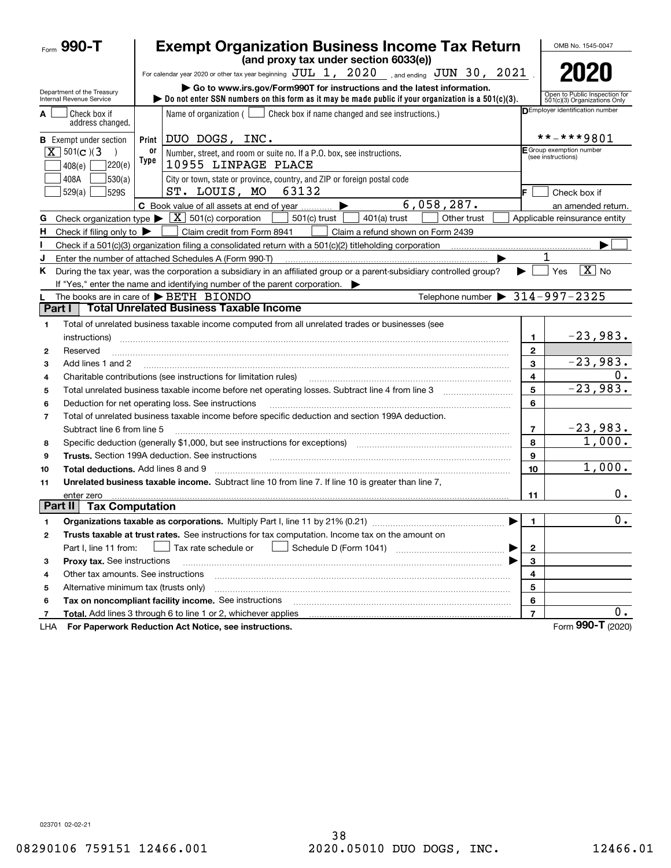|                | Form 990-T                                             |            | <b>Exempt Organization Business Income Tax Return</b>                                                                                                                                               |                | OMB No. 1545-0047                                             |
|----------------|--------------------------------------------------------|------------|-----------------------------------------------------------------------------------------------------------------------------------------------------------------------------------------------------|----------------|---------------------------------------------------------------|
|                |                                                        |            | (and proxy tax under section 6033(e))                                                                                                                                                               |                |                                                               |
|                |                                                        |            | For calendar year 2020 or other tax year beginning $JUL$ 1, $2020$ , and ending $JUN$ 30, $2021$ .                                                                                                  |                | 2020                                                          |
|                | Department of the Treasury<br>Internal Revenue Service |            | Go to www.irs.gov/Form990T for instructions and the latest information.<br>bo not enter SSN numbers on this form as it may be made public if your organization is a $501(c)(3)$ .                   |                | Open to Public Inspection for<br>501(c)(3) Organizations Only |
| A              | Check box if<br>address changed.                       |            | Name of organization $($ $\Box$ Check box if name changed and see instructions.)                                                                                                                    |                | DEmployer identification number                               |
|                | <b>B</b> Exempt under section                          |            | Print   DUO DOGS, INC.                                                                                                                                                                              |                | $***$ -***9801                                                |
|                | $\boxed{\mathbf{X}}$ 501(c)(3<br>220(e)<br>408(e)      | 0r<br>Type | Number, street, and room or suite no. If a P.O. box, see instructions.<br>10955 LINPAGE PLACE                                                                                                       |                | E Group exemption number<br>(see instructions)                |
|                | 530(a) <br>408A<br>529S<br>529(a)                      |            | City or town, state or province, country, and ZIP or foreign postal code<br>ST. LOUIS, MO<br>63132                                                                                                  | lF.            | Check box if                                                  |
|                |                                                        |            | 6,058,287.<br>C Book value of all assets at end of year                                                                                                                                             |                | an amended return.                                            |
| G              |                                                        |            | Check organization type $\triangleright$ $\boxed{X}$ 501(c) corporation<br>501(c) trust<br>$401(a)$ trust<br>Other trust                                                                            |                | Applicable reinsurance entity                                 |
| Н.             | Check if filing only to $\blacktriangleright$          |            | Claim credit from Form 8941<br>Claim a refund shown on Form 2439                                                                                                                                    |                |                                                               |
|                |                                                        |            |                                                                                                                                                                                                     |                |                                                               |
|                |                                                        |            | Enter the number of attached Schedules A (Form 990-T)<br>▶                                                                                                                                          |                |                                                               |
| Κ              |                                                        |            | During the tax year, was the corporation a subsidiary in an affiliated group or a parent-subsidiary controlled group?<br>If "Yes," enter the name and identifying number of the parent corporation. |                | $\overline{X}$ No<br>Yes                                      |
|                |                                                        |            | Telephone number $\triangleright$ 314-997-2325<br>The books are in care of BETH BIONDO                                                                                                              |                |                                                               |
| Part I         |                                                        |            | <b>Total Unrelated Business Taxable Income</b>                                                                                                                                                      |                |                                                               |
| 1              |                                                        |            | Total of unrelated business taxable income computed from all unrelated trades or businesses (see                                                                                                    |                |                                                               |
|                | instructions)                                          |            |                                                                                                                                                                                                     | 1              | $-23,983.$                                                    |
| 2              | Reserved                                               |            |                                                                                                                                                                                                     | $\mathbf{2}$   |                                                               |
| 3              | Add lines 1 and 2                                      |            |                                                                                                                                                                                                     | 3              | $-23,983.$                                                    |
| 4              |                                                        |            | Charitable contributions (see instructions for limitation rules)                                                                                                                                    | 4              | 0.                                                            |
| 5              |                                                        |            |                                                                                                                                                                                                     | 5              | $-23,983.$                                                    |
| 6              |                                                        |            | Deduction for net operating loss. See instructions                                                                                                                                                  | 6              |                                                               |
| $\overline{7}$ |                                                        |            | Total of unrelated business taxable income before specific deduction and section 199A deduction.                                                                                                    |                |                                                               |
|                | Subtract line 6 from line 5                            |            |                                                                                                                                                                                                     | $\overline{7}$ | $-23,983.$                                                    |
| 8              |                                                        |            | Specific deduction (generally \$1,000, but see instructions for exceptions) manufactured contains an exception of                                                                                   | 8              | 1,000.                                                        |
| 9              |                                                        |            | <b>Trusts.</b> Section 199A deduction. See instructions                                                                                                                                             | 9              |                                                               |
| 10             | Total deductions. Add lines 8 and 9                    |            |                                                                                                                                                                                                     | 10             | 1,000.                                                        |
| 11             |                                                        |            | Unrelated business taxable income. Subtract line 10 from line 7. If line 10 is greater than line 7,                                                                                                 |                |                                                               |
|                | enter zero                                             |            |                                                                                                                                                                                                     | 11             | 0.                                                            |
| Part II        | <b>Tax Computation</b>                                 |            |                                                                                                                                                                                                     |                |                                                               |
|                |                                                        |            | Organizations taxable as corporations. Multiply Part I, line 11 by 21% (0.21)                                                                                                                       | $\mathbf{1}$   | $0$ .                                                         |
| 2              |                                                        |            | Trusts taxable at trust rates. See instructions for tax computation. Income tax on the amount on                                                                                                    |                |                                                               |
|                | Part I, line 11 from:                                  |            | Schedule D (Form 1041)<br>Tax rate schedule or                                                                                                                                                      | $\mathbf{2}$   |                                                               |
| з              | Proxy tax. See instructions                            |            |                                                                                                                                                                                                     | 3              |                                                               |
| 4              | Other tax amounts. See instructions                    |            |                                                                                                                                                                                                     | 4              |                                                               |
| 5              | Alternative minimum tax (trusts only)                  |            |                                                                                                                                                                                                     | 5              |                                                               |
| 6              |                                                        |            | Tax on noncompliant facility income. See instructions                                                                                                                                               | 6              |                                                               |
| 7              |                                                        |            | Total. Add lines 3 through 6 to line 1 or 2, whichever applies                                                                                                                                      | $\overline{7}$ | $0$ .                                                         |
| LHA            |                                                        |            | For Paperwork Reduction Act Notice, see instructions.                                                                                                                                               |                | Form 990-T (2020)                                             |

023701 02-02-21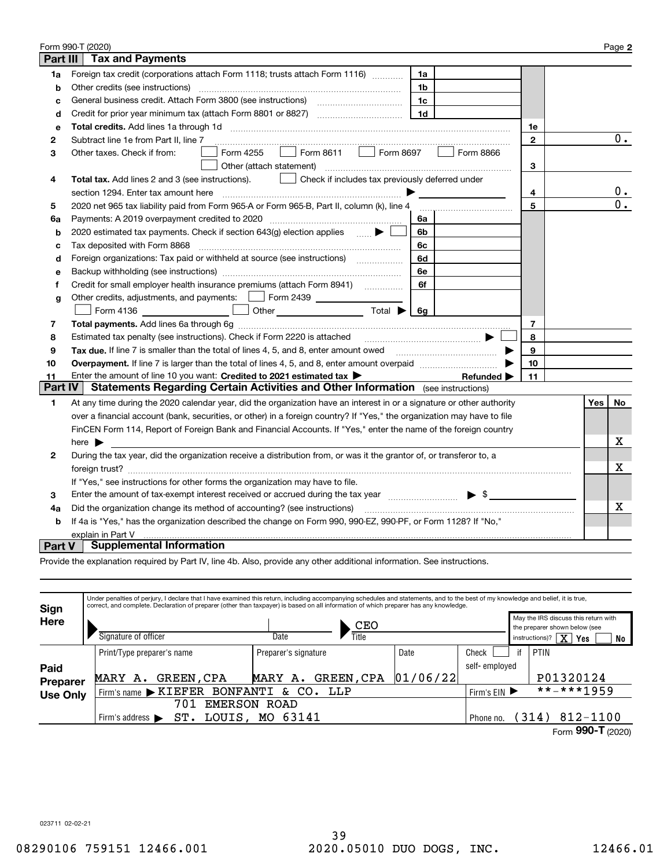|                                                                                                                    | Form 990-T (2020)                                                                                                                                                       |    |     | Page 2           |  |
|--------------------------------------------------------------------------------------------------------------------|-------------------------------------------------------------------------------------------------------------------------------------------------------------------------|----|-----|------------------|--|
| Part III                                                                                                           | <b>Tax and Payments</b>                                                                                                                                                 |    |     |                  |  |
| 1a                                                                                                                 | Foreign tax credit (corporations attach Form 1118; trusts attach Form 1116) [[[[[[[[[[[[[[[[[[[[[[[[<br>1a                                                              |    |     |                  |  |
| b                                                                                                                  | Other credits (see instructions)<br>1b                                                                                                                                  |    |     |                  |  |
| c                                                                                                                  | 1c                                                                                                                                                                      |    |     |                  |  |
| d                                                                                                                  | 1 <sub>d</sub>                                                                                                                                                          |    |     |                  |  |
| е                                                                                                                  |                                                                                                                                                                         | 1е |     |                  |  |
| 2                                                                                                                  | Subtract line 1e from Part II, line 7                                                                                                                                   | 2  |     | 0.               |  |
| 3                                                                                                                  | $\Box$ Form 8611<br>Form 8697<br>Form 8866<br>Form 4255<br>Other taxes. Check if from:<br>$\mathbf{1}$                                                                  |    |     |                  |  |
|                                                                                                                    | Other (attach statement)                                                                                                                                                | 3  |     |                  |  |
| 4                                                                                                                  | Total tax. Add lines 2 and 3 (see instructions).<br>Check if includes tax previously deferred under                                                                     |    |     |                  |  |
|                                                                                                                    | section 1294. Enter tax amount here                                                                                                                                     | 4  |     | $\mathbf{0}$ .   |  |
| 5                                                                                                                  | 2020 net 965 tax liability paid from Form 965-A or Form 965-B, Part II, column (k), line 4                                                                              | 5  |     | $\overline{0}$ . |  |
| 6a                                                                                                                 | Payments: A 2019 overpayment credited to 2020 [11] [12] maximum materials and Payments: A 2019 overpayment credited to 2020 [11] maximum materials and Payments A<br>6a |    |     |                  |  |
| b                                                                                                                  | 2020 estimated tax payments. Check if section 643(g) election applies<br>6b                                                                                             |    |     |                  |  |
| c                                                                                                                  | Tax deposited with Form 8868<br>6c                                                                                                                                      |    |     |                  |  |
| d                                                                                                                  | Foreign organizations: Tax paid or withheld at source (see instructions) [<br>6d                                                                                        |    |     |                  |  |
| е                                                                                                                  | 6е                                                                                                                                                                      |    |     |                  |  |
| f                                                                                                                  | Credit for small employer health insurance premiums (attach Form 8941) [<br>6f                                                                                          |    |     |                  |  |
| g                                                                                                                  | Other credits, adjustments, and payments:   Form 2439                                                                                                                   |    |     |                  |  |
|                                                                                                                    | Other $\overline{\hspace{1cm}}$ Total $\blacktriangleright$ $\overline{\hspace{1cm}}$ 6g<br>Form 4136                                                                   |    |     |                  |  |
| 7                                                                                                                  |                                                                                                                                                                         | 7  |     |                  |  |
| 8                                                                                                                  | Estimated tax penalty (see instructions). Check if Form 2220 is attached<br>□ …………………………………………… <del>…</del>                                                            | 8  |     |                  |  |
| 9                                                                                                                  | Tax due. If line 7 is smaller than the total of lines 4, 5, and 8, enter amount owed <i>manumenon containers</i>                                                        | 9  |     |                  |  |
| 10                                                                                                                 |                                                                                                                                                                         | 10 |     |                  |  |
| 11                                                                                                                 | Enter the amount of line 10 you want: Credited to 2021 estimated tax<br>Refunded $\blacktriangleright$                                                                  | 11 |     |                  |  |
| Part IV                                                                                                            | <b>Statements Regarding Certain Activities and Other Information</b> (see instructions)                                                                                 |    |     |                  |  |
| 1                                                                                                                  | At any time during the 2020 calendar year, did the organization have an interest in or a signature or other authority                                                   |    | Yes | No               |  |
|                                                                                                                    | over a financial account (bank, securities, or other) in a foreign country? If "Yes," the organization may have to file                                                 |    |     |                  |  |
|                                                                                                                    | FinCEN Form 114, Report of Foreign Bank and Financial Accounts. If "Yes," enter the name of the foreign country                                                         |    |     |                  |  |
|                                                                                                                    | here $\blacktriangleright$                                                                                                                                              |    |     | х                |  |
| 2                                                                                                                  | During the tax year, did the organization receive a distribution from, or was it the grantor of, or transferor to, a                                                    |    |     |                  |  |
|                                                                                                                    |                                                                                                                                                                         |    |     | x                |  |
|                                                                                                                    | If "Yes," see instructions for other forms the organization may have to file.                                                                                           |    |     |                  |  |
| 3                                                                                                                  | Enter the amount of tax-exempt interest received or accrued during the tax year manufactured $\blacktriangleright$ \$                                                   |    |     |                  |  |
| 4a                                                                                                                 | Did the organization change its method of accounting? (see instructions)                                                                                                |    |     |                  |  |
| If 4a is "Yes," has the organization described the change on Form 990, 990-EZ, 990-PF, or Form 1128? If "No,"<br>b |                                                                                                                                                                         |    |     |                  |  |
|                                                                                                                    | explain in Part V                                                                                                                                                       |    |     |                  |  |
| <b>Part V</b>                                                                                                      | <b>Supplemental Information</b>                                                                                                                                         |    |     |                  |  |

Provide the explanation required by Part IV, line 4b. Also, provide any other additional information. See instructions.

| Sign            | Under penalties of perjury, I declare that I have examined this return, including accompanying schedules and statements, and to the best of my knowledge and belief, it is true,<br>correct, and complete. Declaration of preparer (other than taxpayer) is based on all information of which preparer has any knowledge. |                          |          |               |                                                                       |  |  |  |  |  |
|-----------------|---------------------------------------------------------------------------------------------------------------------------------------------------------------------------------------------------------------------------------------------------------------------------------------------------------------------------|--------------------------|----------|---------------|-----------------------------------------------------------------------|--|--|--|--|--|
| Here            |                                                                                                                                                                                                                                                                                                                           | CEO                      |          |               | May the IRS discuss this return with<br>the preparer shown below (see |  |  |  |  |  |
|                 | Signature of officer                                                                                                                                                                                                                                                                                                      | Date<br>Title            |          |               | instructions)? $\boxed{\mathbf{X}}$<br>Yes<br>No                      |  |  |  |  |  |
|                 | Print/Type preparer's name                                                                                                                                                                                                                                                                                                | Preparer's signature     | Date     | Check         | if<br>PTIN                                                            |  |  |  |  |  |
| Paid            |                                                                                                                                                                                                                                                                                                                           |                          |          | self-employed |                                                                       |  |  |  |  |  |
| <b>Preparer</b> | GREEN, CPA<br>MARY A.                                                                                                                                                                                                                                                                                                     | GREEN, CPA<br>MARY<br>А. | 01/06/22 |               | P01320124                                                             |  |  |  |  |  |
| <b>Use Only</b> | Firm's name KIEFER BONFANTI & CO. LLP                                                                                                                                                                                                                                                                                     |                          |          | Firm's $EIN$  | $\overline{\text{***}}$ ****1959                                      |  |  |  |  |  |
|                 | 701                                                                                                                                                                                                                                                                                                                       | <b>EMERSON</b><br>ROAD   |          |               |                                                                       |  |  |  |  |  |
|                 | LOUIS,<br>ST.<br>Firm's address $\blacktriangleright$                                                                                                                                                                                                                                                                     | MO 63141                 |          | Phone no.     | $812 - 1100$<br>(314)                                                 |  |  |  |  |  |
|                 |                                                                                                                                                                                                                                                                                                                           |                          |          |               | $\sim$ $\sim$ $\sim$                                                  |  |  |  |  |  |

Form (2020)  **990-T**

023711 02-02-21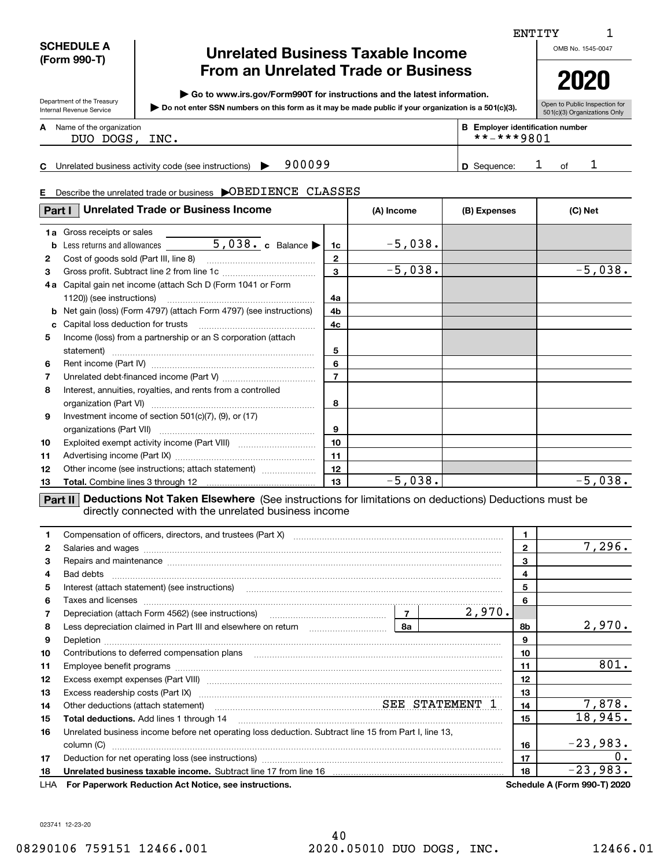#### **SCHEDULE A (Form 990-T)**

Department of the Treasury Internal Revenue Service

# **Unrelated Business Taxable Income From an Unrelated Trade or Business**

**| Go to www.irs.gov/Form990T for instructions and the latest information.**

**Do not enter SSN numbers on this form as it may be made public if your organization is a 501(c)(3). |** 

**2020**

| Open to Public Inspection for |  |
|-------------------------------|--|
| 501(c)(3) Organizations Only  |  |

|    | <b>A</b> Name of the organization<br>DUO DOGS.<br>$\_$ INC .  | <b>B</b> Employer identification number<br>**-***9801 |    |  |
|----|---------------------------------------------------------------|-------------------------------------------------------|----|--|
| C. | 900099<br>Unrelated business activity code (see instructions) | D Sequence:                                           | ∩t |  |

#### **E**Describe the unrelated trade or business | OBEDIENCE CLASSES

| Part I       | <b>Unrelated Trade or Business Income</b>                                                                            |                  | (A) Income | (B) Expenses | (C) Net   |
|--------------|----------------------------------------------------------------------------------------------------------------------|------------------|------------|--------------|-----------|
|              | <b>1a</b> Gross receipts or sales<br>Less returns and allowances $\overline{5,038 \cdot c}$ Balance                  |                  |            |              |           |
| b            |                                                                                                                      | 1c               | $-5,038.$  |              |           |
| $\mathbf{2}$ | Cost of goods sold (Part III, line 8)                                                                                | $\mathbf{2}$     |            |              |           |
| З            |                                                                                                                      | 3                | $-5,038.$  |              | $-5,038.$ |
| 4a           | Capital gain net income (attach Sch D (Form 1041 or Form                                                             |                  |            |              |           |
|              | 1120)) (see instructions)                                                                                            | 4a               |            |              |           |
|              | <b>b</b> Net gain (loss) (Form 4797) (attach Form 4797) (see instructions)                                           | 4b               |            |              |           |
| c            | Capital loss deduction for trusts                                                                                    | 4c               |            |              |           |
| 5            | Income (loss) from a partnership or an S corporation (attach                                                         |                  |            |              |           |
|              | statement)                                                                                                           | 5                |            |              |           |
| 6            |                                                                                                                      | 6                |            |              |           |
| 7            |                                                                                                                      | $\overline{7}$   |            |              |           |
| 8            | Interest, annuities, royalties, and rents from a controlled                                                          |                  |            |              |           |
|              | organization (Part VI)                                                                                               | 8                |            |              |           |
| 9            | Investment income of section $501(c)(7)$ , (9), or (17)                                                              |                  |            |              |           |
|              |                                                                                                                      | 9                |            |              |           |
| 10           |                                                                                                                      | 10 <sup>10</sup> |            |              |           |
| 11           |                                                                                                                      | 11               |            |              |           |
| 12           | Other income (see instructions; attach statement)                                                                    | 12               |            |              |           |
| 13           |                                                                                                                      | 13               | $-5,038.$  |              | $-5,038.$ |
|              | <b>Deductions Not Taken Elsewhere</b> (See instructions for limitations on deductions) Deductions must be<br>Part II |                  |            |              |           |

directly connected with the unrelated business income

|    | Compensation of officers, directors, and trustees (Part X) [11] [2010] [2010] [2010] [2010] [2010] [2010] [2010] [3010] [2010] [2010] [3010] [2010] [3010] [3010] [3010] [3010] [3010] [3010] [3010] [3010] [3010] [3010] [301                                                                                                                                                                                                                                                                  | 1              |                              |
|----|-------------------------------------------------------------------------------------------------------------------------------------------------------------------------------------------------------------------------------------------------------------------------------------------------------------------------------------------------------------------------------------------------------------------------------------------------------------------------------------------------|----------------|------------------------------|
| 2  | Salaries and wages with the continuum control of the control of the control of the control of the control of the control of the control of the control of the control of the control of the control of the control of the cont                                                                                                                                                                                                                                                                  | $\overline{2}$ | 7,296.                       |
| з  | Repairs and maintenance material continuum contracts and maintenance material contracts and maintenance material contracts and maintenance material contracts and maintenance material contracts and a series of the state of                                                                                                                                                                                                                                                                   | 3              |                              |
| 4  | Bad debts                                                                                                                                                                                                                                                                                                                                                                                                                                                                                       | 4              |                              |
| 5  | Interest (attach statement) (see instructions)<br>$\begin{minipage}{0.5\textwidth} \begin{tabular}{ l l l } \hline & \multicolumn{1}{ l l } \hline & \multicolumn{1}{ l } \multicolumn{1}{ l } \multicolumn{1}{ l } \multicolumn{1}{ l } \multicolumn{1}{ l } \multicolumn{1}{ l } \multicolumn{1}{ l } \multicolumn{1}{ l } \multicolumn{1}{ l } \multicolumn{1}{ l } \multicolumn{1}{ l } \multicolumn{1}{ l } \multicolumn{1}{ l } \multicolumn{1}{ l } \multicolumn{1}{ l } \multicolumn{1$ | 5              |                              |
| 6  | Taxes and licenses <b>construction and construction of the construction</b> and construction of the construction of the construction of the construction of the construction of the construction of the construction of the constru                                                                                                                                                                                                                                                             | 6              |                              |
|    | 2,970.                                                                                                                                                                                                                                                                                                                                                                                                                                                                                          |                |                              |
| 8  | 8а<br>Less depreciation claimed in Part III and elsewhere on return mature mature in the last filled the state of th                                                                                                                                                                                                                                                                                                                                                                            | 8b             | 2,970.                       |
| 9  |                                                                                                                                                                                                                                                                                                                                                                                                                                                                                                 | 9              |                              |
| 10 | Contributions to deferred compensation plans<br>$\begin{minipage}{0.5\textwidth} \begin{tabular}{ l l l } \hline & \multicolumn{1}{ l l } \hline & \multicolumn{1}{ l } \multicolumn{1}{ l } \hline \multicolumn{1}{ l } \multicolumn{1}{ l } \multicolumn{1}{ l } \multicolumn{1}{ l } \multicolumn{1}{ l } \multicolumn{1}{ l } \multicolumn{1}{ l } \multicolumn{1}{ l } \multicolumn{1}{ l } \multicolumn{1}{ l } \multicolumn{1}{ l } \multicolumn{1}{ l } \multicolumn{1}{ l } \multic$   | 10             |                              |
| 11 |                                                                                                                                                                                                                                                                                                                                                                                                                                                                                                 | 11             | 801.                         |
| 12 |                                                                                                                                                                                                                                                                                                                                                                                                                                                                                                 | 12             |                              |
| 13 |                                                                                                                                                                                                                                                                                                                                                                                                                                                                                                 | 13             |                              |
| 14 | Other deductions (attach statement) material material material SEE STATEMENT 1                                                                                                                                                                                                                                                                                                                                                                                                                  | 14             | 7,878.                       |
| 15 |                                                                                                                                                                                                                                                                                                                                                                                                                                                                                                 | 15             | 18,945.                      |
| 16 | Unrelated business income before net operating loss deduction. Subtract line 15 from Part I, line 13,                                                                                                                                                                                                                                                                                                                                                                                           |                |                              |
|    | column (C)                                                                                                                                                                                                                                                                                                                                                                                                                                                                                      | 16             | $-23,983.$                   |
| 17 |                                                                                                                                                                                                                                                                                                                                                                                                                                                                                                 | 17             | 0.                           |
| 18 | Unrelated business taxable income. Subtract line 17 from line 16 [11] manuscripts in the university control of                                                                                                                                                                                                                                                                                                                                                                                  | 18             | $-23,983.$                   |
|    | LHA For Paperwork Reduction Act Notice, see instructions.                                                                                                                                                                                                                                                                                                                                                                                                                                       |                | Schedule A (Form 990-T) 2020 |

023741 12-23-20

1

|  | OMB No. 1545-0047 |
|--|-------------------|
|  |                   |

ENTITY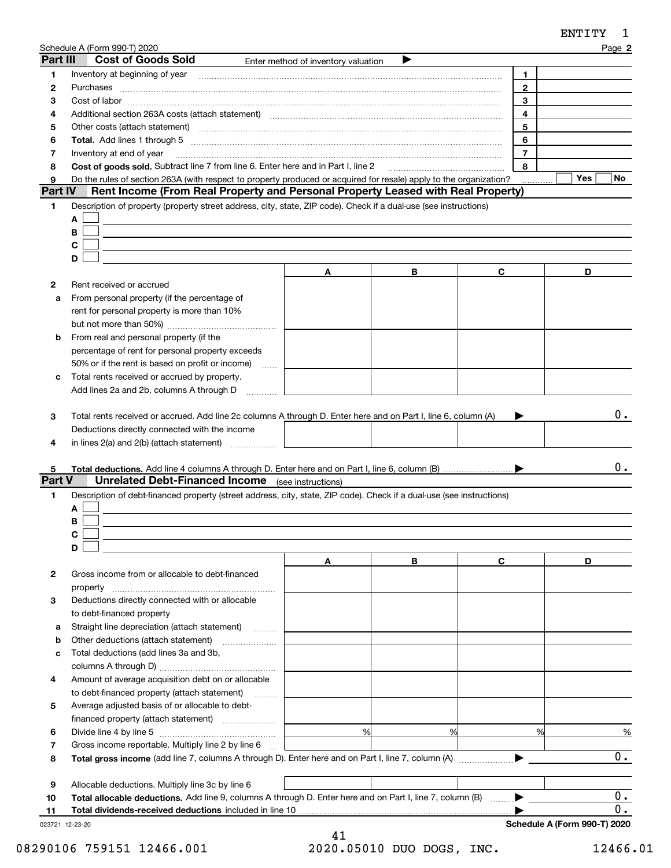| Part III<br>Enter method of inventory valuation<br>Inventory at beginning of year<br>1.<br>1<br>$\overline{2}$<br>2<br>3<br>3<br>Additional section 263A costs (attach statement) material content and according to the Additional section 263A<br>4<br>4<br>5<br>5<br>Other costs (attach statement) material contracts and a statement of the statement of the statement of the statement of the statement of the statement of the statement of the statement of the statement of the statement of<br>6<br>Total. Add lines 1 through 5 [111] [12] manuscription of the state of the state of the state of the state of the state of the state of the state of the state of the state of the state of the state of the state of the state<br>6<br>$\overline{7}$<br>7<br>Inventory at end of year<br>8<br>Cost of goods sold. Subtract line 7 from line 6. Enter here and in Part I, line 2<br>8<br>Yes<br>Do the rules of section 263A (with respect to property produced or acquired for resale) apply to the organization?<br>9<br>Part IV<br>Rent Income (From Real Property and Personal Property Leased with Real Property)<br>Description of property (property street address, city, state, ZIP code). Check if a dual-use (see instructions)<br>1<br>A<br>В<br>С<br>D<br>В<br>C<br>D<br>Α<br>Rent received or accrued<br>2<br>From personal property (if the percentage of<br>a<br>rent for personal property is more than 10%<br>From real and personal property (if the<br>b<br>percentage of rent for personal property exceeds<br>50% or if the rent is based on profit or income)<br>$\ldots$<br>Total rents received or accrued by property.<br>c<br>Add lines 2a and 2b, columns A through D<br>Total rents received or accrued. Add line 2c columns A through D. Enter here and on Part I, line 6, column (A)<br>з<br>Deductions directly connected with the income<br>in lines 2(a) and 2(b) (attach statement)<br>4<br>5<br><b>Unrelated Debt-Financed Income</b><br>(see instructions)<br>Description of debt-financed property (street address, city, state, ZIP code). Check if a dual-use (see instructions)<br>1.<br>A<br>В<br>C<br>D<br>В<br>C<br>D<br>Α<br>Gross income from or allocable to debt-financed<br>2<br>property<br>Deductions directly connected with or allocable<br>з<br>to debt-financed property<br>Straight line depreciation (attach statement)<br>а<br>Other deductions (attach statement)<br>b<br>Total deductions (add lines 3a and 3b,<br>с<br>Amount of average acquisition debt on or allocable<br>4<br>to debt-financed property (attach statement)<br>.<br>Average adjusted basis of or allocable to debt-<br>5<br>%<br>%<br>%<br>6<br>Gross income reportable. Multiply line 2 by line 6<br>7<br>8<br>Allocable deductions. Multiply line 3c by line 6<br>9 | Schedule A (Form 990-T) 2020 |  | Page 2 |
|--------------------------------------------------------------------------------------------------------------------------------------------------------------------------------------------------------------------------------------------------------------------------------------------------------------------------------------------------------------------------------------------------------------------------------------------------------------------------------------------------------------------------------------------------------------------------------------------------------------------------------------------------------------------------------------------------------------------------------------------------------------------------------------------------------------------------------------------------------------------------------------------------------------------------------------------------------------------------------------------------------------------------------------------------------------------------------------------------------------------------------------------------------------------------------------------------------------------------------------------------------------------------------------------------------------------------------------------------------------------------------------------------------------------------------------------------------------------------------------------------------------------------------------------------------------------------------------------------------------------------------------------------------------------------------------------------------------------------------------------------------------------------------------------------------------------------------------------------------------------------------------------------------------------------------------------------------------------------------------------------------------------------------------------------------------------------------------------------------------------------------------------------------------------------------------------------------------------------------------------------------------------------------------------------------------------------------------------------------------------------------------------------------------------------------------------------------------------------------------------------------------------------------------------------------------------------------------------------------------------------------------------------------------------------------------------------------------------------------------------------------------------------------------------------------------------|------------------------------|--|--------|
|                                                                                                                                                                                                                                                                                                                                                                                                                                                                                                                                                                                                                                                                                                                                                                                                                                                                                                                                                                                                                                                                                                                                                                                                                                                                                                                                                                                                                                                                                                                                                                                                                                                                                                                                                                                                                                                                                                                                                                                                                                                                                                                                                                                                                                                                                                                                                                                                                                                                                                                                                                                                                                                                                                                                                                                                                    | <b>Cost of Goods Sold</b>    |  |        |
|                                                                                                                                                                                                                                                                                                                                                                                                                                                                                                                                                                                                                                                                                                                                                                                                                                                                                                                                                                                                                                                                                                                                                                                                                                                                                                                                                                                                                                                                                                                                                                                                                                                                                                                                                                                                                                                                                                                                                                                                                                                                                                                                                                                                                                                                                                                                                                                                                                                                                                                                                                                                                                                                                                                                                                                                                    |                              |  |        |
|                                                                                                                                                                                                                                                                                                                                                                                                                                                                                                                                                                                                                                                                                                                                                                                                                                                                                                                                                                                                                                                                                                                                                                                                                                                                                                                                                                                                                                                                                                                                                                                                                                                                                                                                                                                                                                                                                                                                                                                                                                                                                                                                                                                                                                                                                                                                                                                                                                                                                                                                                                                                                                                                                                                                                                                                                    |                              |  |        |
|                                                                                                                                                                                                                                                                                                                                                                                                                                                                                                                                                                                                                                                                                                                                                                                                                                                                                                                                                                                                                                                                                                                                                                                                                                                                                                                                                                                                                                                                                                                                                                                                                                                                                                                                                                                                                                                                                                                                                                                                                                                                                                                                                                                                                                                                                                                                                                                                                                                                                                                                                                                                                                                                                                                                                                                                                    |                              |  |        |
|                                                                                                                                                                                                                                                                                                                                                                                                                                                                                                                                                                                                                                                                                                                                                                                                                                                                                                                                                                                                                                                                                                                                                                                                                                                                                                                                                                                                                                                                                                                                                                                                                                                                                                                                                                                                                                                                                                                                                                                                                                                                                                                                                                                                                                                                                                                                                                                                                                                                                                                                                                                                                                                                                                                                                                                                                    |                              |  |        |
|                                                                                                                                                                                                                                                                                                                                                                                                                                                                                                                                                                                                                                                                                                                                                                                                                                                                                                                                                                                                                                                                                                                                                                                                                                                                                                                                                                                                                                                                                                                                                                                                                                                                                                                                                                                                                                                                                                                                                                                                                                                                                                                                                                                                                                                                                                                                                                                                                                                                                                                                                                                                                                                                                                                                                                                                                    |                              |  |        |
|                                                                                                                                                                                                                                                                                                                                                                                                                                                                                                                                                                                                                                                                                                                                                                                                                                                                                                                                                                                                                                                                                                                                                                                                                                                                                                                                                                                                                                                                                                                                                                                                                                                                                                                                                                                                                                                                                                                                                                                                                                                                                                                                                                                                                                                                                                                                                                                                                                                                                                                                                                                                                                                                                                                                                                                                                    |                              |  |        |
|                                                                                                                                                                                                                                                                                                                                                                                                                                                                                                                                                                                                                                                                                                                                                                                                                                                                                                                                                                                                                                                                                                                                                                                                                                                                                                                                                                                                                                                                                                                                                                                                                                                                                                                                                                                                                                                                                                                                                                                                                                                                                                                                                                                                                                                                                                                                                                                                                                                                                                                                                                                                                                                                                                                                                                                                                    |                              |  |        |
|                                                                                                                                                                                                                                                                                                                                                                                                                                                                                                                                                                                                                                                                                                                                                                                                                                                                                                                                                                                                                                                                                                                                                                                                                                                                                                                                                                                                                                                                                                                                                                                                                                                                                                                                                                                                                                                                                                                                                                                                                                                                                                                                                                                                                                                                                                                                                                                                                                                                                                                                                                                                                                                                                                                                                                                                                    |                              |  |        |
|                                                                                                                                                                                                                                                                                                                                                                                                                                                                                                                                                                                                                                                                                                                                                                                                                                                                                                                                                                                                                                                                                                                                                                                                                                                                                                                                                                                                                                                                                                                                                                                                                                                                                                                                                                                                                                                                                                                                                                                                                                                                                                                                                                                                                                                                                                                                                                                                                                                                                                                                                                                                                                                                                                                                                                                                                    |                              |  | No     |
|                                                                                                                                                                                                                                                                                                                                                                                                                                                                                                                                                                                                                                                                                                                                                                                                                                                                                                                                                                                                                                                                                                                                                                                                                                                                                                                                                                                                                                                                                                                                                                                                                                                                                                                                                                                                                                                                                                                                                                                                                                                                                                                                                                                                                                                                                                                                                                                                                                                                                                                                                                                                                                                                                                                                                                                                                    |                              |  |        |
|                                                                                                                                                                                                                                                                                                                                                                                                                                                                                                                                                                                                                                                                                                                                                                                                                                                                                                                                                                                                                                                                                                                                                                                                                                                                                                                                                                                                                                                                                                                                                                                                                                                                                                                                                                                                                                                                                                                                                                                                                                                                                                                                                                                                                                                                                                                                                                                                                                                                                                                                                                                                                                                                                                                                                                                                                    |                              |  |        |
|                                                                                                                                                                                                                                                                                                                                                                                                                                                                                                                                                                                                                                                                                                                                                                                                                                                                                                                                                                                                                                                                                                                                                                                                                                                                                                                                                                                                                                                                                                                                                                                                                                                                                                                                                                                                                                                                                                                                                                                                                                                                                                                                                                                                                                                                                                                                                                                                                                                                                                                                                                                                                                                                                                                                                                                                                    |                              |  |        |
|                                                                                                                                                                                                                                                                                                                                                                                                                                                                                                                                                                                                                                                                                                                                                                                                                                                                                                                                                                                                                                                                                                                                                                                                                                                                                                                                                                                                                                                                                                                                                                                                                                                                                                                                                                                                                                                                                                                                                                                                                                                                                                                                                                                                                                                                                                                                                                                                                                                                                                                                                                                                                                                                                                                                                                                                                    |                              |  |        |
|                                                                                                                                                                                                                                                                                                                                                                                                                                                                                                                                                                                                                                                                                                                                                                                                                                                                                                                                                                                                                                                                                                                                                                                                                                                                                                                                                                                                                                                                                                                                                                                                                                                                                                                                                                                                                                                                                                                                                                                                                                                                                                                                                                                                                                                                                                                                                                                                                                                                                                                                                                                                                                                                                                                                                                                                                    |                              |  |        |
|                                                                                                                                                                                                                                                                                                                                                                                                                                                                                                                                                                                                                                                                                                                                                                                                                                                                                                                                                                                                                                                                                                                                                                                                                                                                                                                                                                                                                                                                                                                                                                                                                                                                                                                                                                                                                                                                                                                                                                                                                                                                                                                                                                                                                                                                                                                                                                                                                                                                                                                                                                                                                                                                                                                                                                                                                    |                              |  |        |
|                                                                                                                                                                                                                                                                                                                                                                                                                                                                                                                                                                                                                                                                                                                                                                                                                                                                                                                                                                                                                                                                                                                                                                                                                                                                                                                                                                                                                                                                                                                                                                                                                                                                                                                                                                                                                                                                                                                                                                                                                                                                                                                                                                                                                                                                                                                                                                                                                                                                                                                                                                                                                                                                                                                                                                                                                    |                              |  |        |
|                                                                                                                                                                                                                                                                                                                                                                                                                                                                                                                                                                                                                                                                                                                                                                                                                                                                                                                                                                                                                                                                                                                                                                                                                                                                                                                                                                                                                                                                                                                                                                                                                                                                                                                                                                                                                                                                                                                                                                                                                                                                                                                                                                                                                                                                                                                                                                                                                                                                                                                                                                                                                                                                                                                                                                                                                    |                              |  |        |
| Part V                                                                                                                                                                                                                                                                                                                                                                                                                                                                                                                                                                                                                                                                                                                                                                                                                                                                                                                                                                                                                                                                                                                                                                                                                                                                                                                                                                                                                                                                                                                                                                                                                                                                                                                                                                                                                                                                                                                                                                                                                                                                                                                                                                                                                                                                                                                                                                                                                                                                                                                                                                                                                                                                                                                                                                                                             |                              |  |        |
|                                                                                                                                                                                                                                                                                                                                                                                                                                                                                                                                                                                                                                                                                                                                                                                                                                                                                                                                                                                                                                                                                                                                                                                                                                                                                                                                                                                                                                                                                                                                                                                                                                                                                                                                                                                                                                                                                                                                                                                                                                                                                                                                                                                                                                                                                                                                                                                                                                                                                                                                                                                                                                                                                                                                                                                                                    |                              |  |        |
|                                                                                                                                                                                                                                                                                                                                                                                                                                                                                                                                                                                                                                                                                                                                                                                                                                                                                                                                                                                                                                                                                                                                                                                                                                                                                                                                                                                                                                                                                                                                                                                                                                                                                                                                                                                                                                                                                                                                                                                                                                                                                                                                                                                                                                                                                                                                                                                                                                                                                                                                                                                                                                                                                                                                                                                                                    |                              |  |        |
|                                                                                                                                                                                                                                                                                                                                                                                                                                                                                                                                                                                                                                                                                                                                                                                                                                                                                                                                                                                                                                                                                                                                                                                                                                                                                                                                                                                                                                                                                                                                                                                                                                                                                                                                                                                                                                                                                                                                                                                                                                                                                                                                                                                                                                                                                                                                                                                                                                                                                                                                                                                                                                                                                                                                                                                                                    |                              |  |        |
|                                                                                                                                                                                                                                                                                                                                                                                                                                                                                                                                                                                                                                                                                                                                                                                                                                                                                                                                                                                                                                                                                                                                                                                                                                                                                                                                                                                                                                                                                                                                                                                                                                                                                                                                                                                                                                                                                                                                                                                                                                                                                                                                                                                                                                                                                                                                                                                                                                                                                                                                                                                                                                                                                                                                                                                                                    |                              |  |        |
|                                                                                                                                                                                                                                                                                                                                                                                                                                                                                                                                                                                                                                                                                                                                                                                                                                                                                                                                                                                                                                                                                                                                                                                                                                                                                                                                                                                                                                                                                                                                                                                                                                                                                                                                                                                                                                                                                                                                                                                                                                                                                                                                                                                                                                                                                                                                                                                                                                                                                                                                                                                                                                                                                                                                                                                                                    |                              |  |        |
|                                                                                                                                                                                                                                                                                                                                                                                                                                                                                                                                                                                                                                                                                                                                                                                                                                                                                                                                                                                                                                                                                                                                                                                                                                                                                                                                                                                                                                                                                                                                                                                                                                                                                                                                                                                                                                                                                                                                                                                                                                                                                                                                                                                                                                                                                                                                                                                                                                                                                                                                                                                                                                                                                                                                                                                                                    |                              |  |        |
|                                                                                                                                                                                                                                                                                                                                                                                                                                                                                                                                                                                                                                                                                                                                                                                                                                                                                                                                                                                                                                                                                                                                                                                                                                                                                                                                                                                                                                                                                                                                                                                                                                                                                                                                                                                                                                                                                                                                                                                                                                                                                                                                                                                                                                                                                                                                                                                                                                                                                                                                                                                                                                                                                                                                                                                                                    |                              |  |        |
|                                                                                                                                                                                                                                                                                                                                                                                                                                                                                                                                                                                                                                                                                                                                                                                                                                                                                                                                                                                                                                                                                                                                                                                                                                                                                                                                                                                                                                                                                                                                                                                                                                                                                                                                                                                                                                                                                                                                                                                                                                                                                                                                                                                                                                                                                                                                                                                                                                                                                                                                                                                                                                                                                                                                                                                                                    |                              |  |        |
|                                                                                                                                                                                                                                                                                                                                                                                                                                                                                                                                                                                                                                                                                                                                                                                                                                                                                                                                                                                                                                                                                                                                                                                                                                                                                                                                                                                                                                                                                                                                                                                                                                                                                                                                                                                                                                                                                                                                                                                                                                                                                                                                                                                                                                                                                                                                                                                                                                                                                                                                                                                                                                                                                                                                                                                                                    |                              |  |        |
|                                                                                                                                                                                                                                                                                                                                                                                                                                                                                                                                                                                                                                                                                                                                                                                                                                                                                                                                                                                                                                                                                                                                                                                                                                                                                                                                                                                                                                                                                                                                                                                                                                                                                                                                                                                                                                                                                                                                                                                                                                                                                                                                                                                                                                                                                                                                                                                                                                                                                                                                                                                                                                                                                                                                                                                                                    |                              |  | 0.     |
|                                                                                                                                                                                                                                                                                                                                                                                                                                                                                                                                                                                                                                                                                                                                                                                                                                                                                                                                                                                                                                                                                                                                                                                                                                                                                                                                                                                                                                                                                                                                                                                                                                                                                                                                                                                                                                                                                                                                                                                                                                                                                                                                                                                                                                                                                                                                                                                                                                                                                                                                                                                                                                                                                                                                                                                                                    |                              |  |        |
|                                                                                                                                                                                                                                                                                                                                                                                                                                                                                                                                                                                                                                                                                                                                                                                                                                                                                                                                                                                                                                                                                                                                                                                                                                                                                                                                                                                                                                                                                                                                                                                                                                                                                                                                                                                                                                                                                                                                                                                                                                                                                                                                                                                                                                                                                                                                                                                                                                                                                                                                                                                                                                                                                                                                                                                                                    |                              |  |        |
|                                                                                                                                                                                                                                                                                                                                                                                                                                                                                                                                                                                                                                                                                                                                                                                                                                                                                                                                                                                                                                                                                                                                                                                                                                                                                                                                                                                                                                                                                                                                                                                                                                                                                                                                                                                                                                                                                                                                                                                                                                                                                                                                                                                                                                                                                                                                                                                                                                                                                                                                                                                                                                                                                                                                                                                                                    |                              |  |        |
|                                                                                                                                                                                                                                                                                                                                                                                                                                                                                                                                                                                                                                                                                                                                                                                                                                                                                                                                                                                                                                                                                                                                                                                                                                                                                                                                                                                                                                                                                                                                                                                                                                                                                                                                                                                                                                                                                                                                                                                                                                                                                                                                                                                                                                                                                                                                                                                                                                                                                                                                                                                                                                                                                                                                                                                                                    |                              |  |        |
|                                                                                                                                                                                                                                                                                                                                                                                                                                                                                                                                                                                                                                                                                                                                                                                                                                                                                                                                                                                                                                                                                                                                                                                                                                                                                                                                                                                                                                                                                                                                                                                                                                                                                                                                                                                                                                                                                                                                                                                                                                                                                                                                                                                                                                                                                                                                                                                                                                                                                                                                                                                                                                                                                                                                                                                                                    |                              |  | 0.     |
|                                                                                                                                                                                                                                                                                                                                                                                                                                                                                                                                                                                                                                                                                                                                                                                                                                                                                                                                                                                                                                                                                                                                                                                                                                                                                                                                                                                                                                                                                                                                                                                                                                                                                                                                                                                                                                                                                                                                                                                                                                                                                                                                                                                                                                                                                                                                                                                                                                                                                                                                                                                                                                                                                                                                                                                                                    |                              |  |        |
|                                                                                                                                                                                                                                                                                                                                                                                                                                                                                                                                                                                                                                                                                                                                                                                                                                                                                                                                                                                                                                                                                                                                                                                                                                                                                                                                                                                                                                                                                                                                                                                                                                                                                                                                                                                                                                                                                                                                                                                                                                                                                                                                                                                                                                                                                                                                                                                                                                                                                                                                                                                                                                                                                                                                                                                                                    |                              |  |        |
|                                                                                                                                                                                                                                                                                                                                                                                                                                                                                                                                                                                                                                                                                                                                                                                                                                                                                                                                                                                                                                                                                                                                                                                                                                                                                                                                                                                                                                                                                                                                                                                                                                                                                                                                                                                                                                                                                                                                                                                                                                                                                                                                                                                                                                                                                                                                                                                                                                                                                                                                                                                                                                                                                                                                                                                                                    |                              |  |        |
|                                                                                                                                                                                                                                                                                                                                                                                                                                                                                                                                                                                                                                                                                                                                                                                                                                                                                                                                                                                                                                                                                                                                                                                                                                                                                                                                                                                                                                                                                                                                                                                                                                                                                                                                                                                                                                                                                                                                                                                                                                                                                                                                                                                                                                                                                                                                                                                                                                                                                                                                                                                                                                                                                                                                                                                                                    |                              |  |        |
|                                                                                                                                                                                                                                                                                                                                                                                                                                                                                                                                                                                                                                                                                                                                                                                                                                                                                                                                                                                                                                                                                                                                                                                                                                                                                                                                                                                                                                                                                                                                                                                                                                                                                                                                                                                                                                                                                                                                                                                                                                                                                                                                                                                                                                                                                                                                                                                                                                                                                                                                                                                                                                                                                                                                                                                                                    |                              |  |        |
|                                                                                                                                                                                                                                                                                                                                                                                                                                                                                                                                                                                                                                                                                                                                                                                                                                                                                                                                                                                                                                                                                                                                                                                                                                                                                                                                                                                                                                                                                                                                                                                                                                                                                                                                                                                                                                                                                                                                                                                                                                                                                                                                                                                                                                                                                                                                                                                                                                                                                                                                                                                                                                                                                                                                                                                                                    |                              |  |        |
|                                                                                                                                                                                                                                                                                                                                                                                                                                                                                                                                                                                                                                                                                                                                                                                                                                                                                                                                                                                                                                                                                                                                                                                                                                                                                                                                                                                                                                                                                                                                                                                                                                                                                                                                                                                                                                                                                                                                                                                                                                                                                                                                                                                                                                                                                                                                                                                                                                                                                                                                                                                                                                                                                                                                                                                                                    |                              |  |        |
|                                                                                                                                                                                                                                                                                                                                                                                                                                                                                                                                                                                                                                                                                                                                                                                                                                                                                                                                                                                                                                                                                                                                                                                                                                                                                                                                                                                                                                                                                                                                                                                                                                                                                                                                                                                                                                                                                                                                                                                                                                                                                                                                                                                                                                                                                                                                                                                                                                                                                                                                                                                                                                                                                                                                                                                                                    |                              |  |        |
|                                                                                                                                                                                                                                                                                                                                                                                                                                                                                                                                                                                                                                                                                                                                                                                                                                                                                                                                                                                                                                                                                                                                                                                                                                                                                                                                                                                                                                                                                                                                                                                                                                                                                                                                                                                                                                                                                                                                                                                                                                                                                                                                                                                                                                                                                                                                                                                                                                                                                                                                                                                                                                                                                                                                                                                                                    |                              |  |        |
|                                                                                                                                                                                                                                                                                                                                                                                                                                                                                                                                                                                                                                                                                                                                                                                                                                                                                                                                                                                                                                                                                                                                                                                                                                                                                                                                                                                                                                                                                                                                                                                                                                                                                                                                                                                                                                                                                                                                                                                                                                                                                                                                                                                                                                                                                                                                                                                                                                                                                                                                                                                                                                                                                                                                                                                                                    |                              |  |        |
|                                                                                                                                                                                                                                                                                                                                                                                                                                                                                                                                                                                                                                                                                                                                                                                                                                                                                                                                                                                                                                                                                                                                                                                                                                                                                                                                                                                                                                                                                                                                                                                                                                                                                                                                                                                                                                                                                                                                                                                                                                                                                                                                                                                                                                                                                                                                                                                                                                                                                                                                                                                                                                                                                                                                                                                                                    |                              |  |        |
|                                                                                                                                                                                                                                                                                                                                                                                                                                                                                                                                                                                                                                                                                                                                                                                                                                                                                                                                                                                                                                                                                                                                                                                                                                                                                                                                                                                                                                                                                                                                                                                                                                                                                                                                                                                                                                                                                                                                                                                                                                                                                                                                                                                                                                                                                                                                                                                                                                                                                                                                                                                                                                                                                                                                                                                                                    |                              |  |        |
|                                                                                                                                                                                                                                                                                                                                                                                                                                                                                                                                                                                                                                                                                                                                                                                                                                                                                                                                                                                                                                                                                                                                                                                                                                                                                                                                                                                                                                                                                                                                                                                                                                                                                                                                                                                                                                                                                                                                                                                                                                                                                                                                                                                                                                                                                                                                                                                                                                                                                                                                                                                                                                                                                                                                                                                                                    |                              |  |        |
|                                                                                                                                                                                                                                                                                                                                                                                                                                                                                                                                                                                                                                                                                                                                                                                                                                                                                                                                                                                                                                                                                                                                                                                                                                                                                                                                                                                                                                                                                                                                                                                                                                                                                                                                                                                                                                                                                                                                                                                                                                                                                                                                                                                                                                                                                                                                                                                                                                                                                                                                                                                                                                                                                                                                                                                                                    |                              |  |        |
|                                                                                                                                                                                                                                                                                                                                                                                                                                                                                                                                                                                                                                                                                                                                                                                                                                                                                                                                                                                                                                                                                                                                                                                                                                                                                                                                                                                                                                                                                                                                                                                                                                                                                                                                                                                                                                                                                                                                                                                                                                                                                                                                                                                                                                                                                                                                                                                                                                                                                                                                                                                                                                                                                                                                                                                                                    |                              |  |        |
|                                                                                                                                                                                                                                                                                                                                                                                                                                                                                                                                                                                                                                                                                                                                                                                                                                                                                                                                                                                                                                                                                                                                                                                                                                                                                                                                                                                                                                                                                                                                                                                                                                                                                                                                                                                                                                                                                                                                                                                                                                                                                                                                                                                                                                                                                                                                                                                                                                                                                                                                                                                                                                                                                                                                                                                                                    |                              |  |        |
|                                                                                                                                                                                                                                                                                                                                                                                                                                                                                                                                                                                                                                                                                                                                                                                                                                                                                                                                                                                                                                                                                                                                                                                                                                                                                                                                                                                                                                                                                                                                                                                                                                                                                                                                                                                                                                                                                                                                                                                                                                                                                                                                                                                                                                                                                                                                                                                                                                                                                                                                                                                                                                                                                                                                                                                                                    |                              |  |        |
|                                                                                                                                                                                                                                                                                                                                                                                                                                                                                                                                                                                                                                                                                                                                                                                                                                                                                                                                                                                                                                                                                                                                                                                                                                                                                                                                                                                                                                                                                                                                                                                                                                                                                                                                                                                                                                                                                                                                                                                                                                                                                                                                                                                                                                                                                                                                                                                                                                                                                                                                                                                                                                                                                                                                                                                                                    |                              |  |        |
|                                                                                                                                                                                                                                                                                                                                                                                                                                                                                                                                                                                                                                                                                                                                                                                                                                                                                                                                                                                                                                                                                                                                                                                                                                                                                                                                                                                                                                                                                                                                                                                                                                                                                                                                                                                                                                                                                                                                                                                                                                                                                                                                                                                                                                                                                                                                                                                                                                                                                                                                                                                                                                                                                                                                                                                                                    |                              |  |        |
|                                                                                                                                                                                                                                                                                                                                                                                                                                                                                                                                                                                                                                                                                                                                                                                                                                                                                                                                                                                                                                                                                                                                                                                                                                                                                                                                                                                                                                                                                                                                                                                                                                                                                                                                                                                                                                                                                                                                                                                                                                                                                                                                                                                                                                                                                                                                                                                                                                                                                                                                                                                                                                                                                                                                                                                                                    |                              |  |        |
|                                                                                                                                                                                                                                                                                                                                                                                                                                                                                                                                                                                                                                                                                                                                                                                                                                                                                                                                                                                                                                                                                                                                                                                                                                                                                                                                                                                                                                                                                                                                                                                                                                                                                                                                                                                                                                                                                                                                                                                                                                                                                                                                                                                                                                                                                                                                                                                                                                                                                                                                                                                                                                                                                                                                                                                                                    |                              |  | $\%$   |
|                                                                                                                                                                                                                                                                                                                                                                                                                                                                                                                                                                                                                                                                                                                                                                                                                                                                                                                                                                                                                                                                                                                                                                                                                                                                                                                                                                                                                                                                                                                                                                                                                                                                                                                                                                                                                                                                                                                                                                                                                                                                                                                                                                                                                                                                                                                                                                                                                                                                                                                                                                                                                                                                                                                                                                                                                    |                              |  |        |
|                                                                                                                                                                                                                                                                                                                                                                                                                                                                                                                                                                                                                                                                                                                                                                                                                                                                                                                                                                                                                                                                                                                                                                                                                                                                                                                                                                                                                                                                                                                                                                                                                                                                                                                                                                                                                                                                                                                                                                                                                                                                                                                                                                                                                                                                                                                                                                                                                                                                                                                                                                                                                                                                                                                                                                                                                    |                              |  | 0.     |
|                                                                                                                                                                                                                                                                                                                                                                                                                                                                                                                                                                                                                                                                                                                                                                                                                                                                                                                                                                                                                                                                                                                                                                                                                                                                                                                                                                                                                                                                                                                                                                                                                                                                                                                                                                                                                                                                                                                                                                                                                                                                                                                                                                                                                                                                                                                                                                                                                                                                                                                                                                                                                                                                                                                                                                                                                    |                              |  |        |
|                                                                                                                                                                                                                                                                                                                                                                                                                                                                                                                                                                                                                                                                                                                                                                                                                                                                                                                                                                                                                                                                                                                                                                                                                                                                                                                                                                                                                                                                                                                                                                                                                                                                                                                                                                                                                                                                                                                                                                                                                                                                                                                                                                                                                                                                                                                                                                                                                                                                                                                                                                                                                                                                                                                                                                                                                    |                              |  |        |
| Total allocable deductions. Add line 9, columns A through D. Enter here and on Part I, line 7, column (B)<br>10                                                                                                                                                                                                                                                                                                                                                                                                                                                                                                                                                                                                                                                                                                                                                                                                                                                                                                                                                                                                                                                                                                                                                                                                                                                                                                                                                                                                                                                                                                                                                                                                                                                                                                                                                                                                                                                                                                                                                                                                                                                                                                                                                                                                                                                                                                                                                                                                                                                                                                                                                                                                                                                                                                    |                              |  | 0.     |
| Total dividends-received deductions included in line 10<br>11                                                                                                                                                                                                                                                                                                                                                                                                                                                                                                                                                                                                                                                                                                                                                                                                                                                                                                                                                                                                                                                                                                                                                                                                                                                                                                                                                                                                                                                                                                                                                                                                                                                                                                                                                                                                                                                                                                                                                                                                                                                                                                                                                                                                                                                                                                                                                                                                                                                                                                                                                                                                                                                                                                                                                      |                              |  | 0.     |

023721 12-23-20

41 08290106 759151 12466.001 2020.05010 DUO DOGS, INC. 12466.01

**Schedule A (Form 990-T) 2020**

ENTITY 1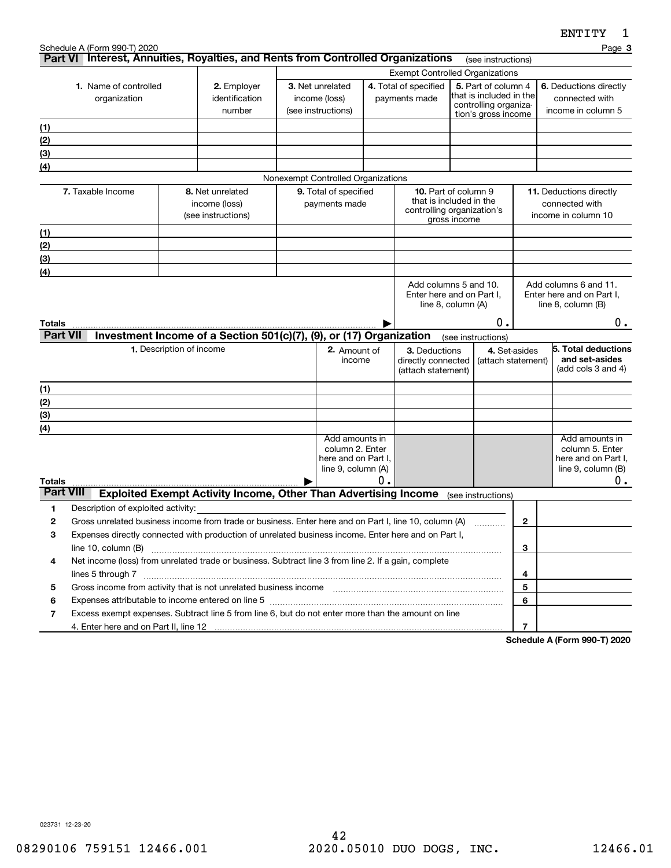|                                   | Schedule A (Form 990-T) 2020<br>Part VI Interest, Annuities, Royalties, and Rents from Controlled Organizations                                                                                                                |                                         |                                                                        |                                                                          |                                                              |                                                                                  |                                                                                                |                                                                 |                                                                               |                                                                | Page 3                                                           |
|-----------------------------------|--------------------------------------------------------------------------------------------------------------------------------------------------------------------------------------------------------------------------------|-----------------------------------------|------------------------------------------------------------------------|--------------------------------------------------------------------------|--------------------------------------------------------------|----------------------------------------------------------------------------------|------------------------------------------------------------------------------------------------|-----------------------------------------------------------------|-------------------------------------------------------------------------------|----------------------------------------------------------------|------------------------------------------------------------------|
|                                   |                                                                                                                                                                                                                                |                                         |                                                                        |                                                                          |                                                              |                                                                                  |                                                                                                |                                                                 | (see instructions)                                                            |                                                                |                                                                  |
|                                   | 1. Name of controlled<br>organization                                                                                                                                                                                          | 2. Employer<br>identification<br>number |                                                                        | 3. Net unrelated<br>income (loss)<br>(see instructions)                  |                                                              | <b>Exempt Controlled Organizations</b><br>4. Total of specified<br>payments made | 5. Part of column 4<br>that is included in the<br>controlling organiza-<br>tion's gross income |                                                                 |                                                                               | 6. Deductions directly<br>connected with<br>income in column 5 |                                                                  |
| (1)                               |                                                                                                                                                                                                                                |                                         |                                                                        |                                                                          |                                                              |                                                                                  |                                                                                                |                                                                 |                                                                               |                                                                |                                                                  |
| (2)                               |                                                                                                                                                                                                                                |                                         |                                                                        |                                                                          |                                                              |                                                                                  |                                                                                                |                                                                 |                                                                               |                                                                |                                                                  |
| (3)                               |                                                                                                                                                                                                                                |                                         |                                                                        |                                                                          |                                                              |                                                                                  |                                                                                                |                                                                 |                                                                               |                                                                |                                                                  |
| (4)                               |                                                                                                                                                                                                                                |                                         |                                                                        |                                                                          |                                                              |                                                                                  |                                                                                                |                                                                 |                                                                               |                                                                |                                                                  |
|                                   |                                                                                                                                                                                                                                |                                         |                                                                        |                                                                          | Nonexempt Controlled Organizations                           |                                                                                  |                                                                                                |                                                                 |                                                                               |                                                                |                                                                  |
|                                   | 7. Taxable Income                                                                                                                                                                                                              |                                         | 8. Net unrelated<br>income (loss)<br>(see instructions)                |                                                                          | 9. Total of specified<br>payments made                       |                                                                                  | controlling organization's                                                                     | 10. Part of column 9<br>that is included in the<br>gross income |                                                                               |                                                                | 11. Deductions directly<br>connected with<br>income in column 10 |
| (1)                               |                                                                                                                                                                                                                                |                                         |                                                                        |                                                                          |                                                              |                                                                                  |                                                                                                |                                                                 |                                                                               |                                                                |                                                                  |
| (2)                               |                                                                                                                                                                                                                                |                                         |                                                                        |                                                                          |                                                              |                                                                                  |                                                                                                |                                                                 |                                                                               |                                                                |                                                                  |
| (3)                               |                                                                                                                                                                                                                                |                                         |                                                                        |                                                                          |                                                              |                                                                                  |                                                                                                |                                                                 |                                                                               |                                                                |                                                                  |
| (4)                               |                                                                                                                                                                                                                                |                                         |                                                                        |                                                                          |                                                              |                                                                                  |                                                                                                |                                                                 |                                                                               |                                                                |                                                                  |
|                                   |                                                                                                                                                                                                                                |                                         |                                                                        | Add columns 5 and 10.<br>Enter here and on Part I.<br>line 8, column (A) |                                                              |                                                                                  |                                                                                                |                                                                 | Add columns 6 and 11.<br>Enter here and on Part I,<br>line $8$ , column $(B)$ |                                                                |                                                                  |
| <b>Totals</b>                     |                                                                                                                                                                                                                                |                                         |                                                                        |                                                                          |                                                              |                                                                                  |                                                                                                |                                                                 | 0.                                                                            |                                                                | 0.                                                               |
| <b>Part VII</b>                   |                                                                                                                                                                                                                                |                                         | Investment Income of a Section 501(c)(7), (9), or (17) Organization    |                                                                          |                                                              |                                                                                  |                                                                                                | (see instructions)                                              |                                                                               |                                                                |                                                                  |
|                                   |                                                                                                                                                                                                                                | 1. Description of income                |                                                                        |                                                                          | 2. Amount of<br>income                                       |                                                                                  | 3. Deductions<br>directly connected<br>(attach statement)                                      |                                                                 | 4. Set-asides<br>(attach statement)                                           |                                                                | 5. Total deductions<br>and set-asides<br>(add cols 3 and 4)      |
| (1)                               |                                                                                                                                                                                                                                |                                         |                                                                        |                                                                          |                                                              |                                                                                  |                                                                                                |                                                                 |                                                                               |                                                                |                                                                  |
| (2)                               |                                                                                                                                                                                                                                |                                         |                                                                        |                                                                          |                                                              |                                                                                  |                                                                                                |                                                                 |                                                                               |                                                                |                                                                  |
| (3)                               |                                                                                                                                                                                                                                |                                         |                                                                        |                                                                          |                                                              |                                                                                  |                                                                                                |                                                                 |                                                                               |                                                                |                                                                  |
| (4)                               |                                                                                                                                                                                                                                |                                         |                                                                        |                                                                          | Add amounts in                                               |                                                                                  |                                                                                                |                                                                 |                                                                               |                                                                | Add amounts in                                                   |
|                                   |                                                                                                                                                                                                                                |                                         |                                                                        |                                                                          | column 2. Enter<br>here and on Part I,<br>line 9, column (A) |                                                                                  |                                                                                                |                                                                 |                                                                               |                                                                | column 5. Enter<br>here and on Part I,<br>line 9, column (B)     |
| <b>Totals</b><br><b>Part VIII</b> |                                                                                                                                                                                                                                |                                         | <b>Exploited Exempt Activity Income, Other Than Advertising Income</b> |                                                                          |                                                              | 0.                                                                               |                                                                                                |                                                                 |                                                                               |                                                                | 0.                                                               |
|                                   | Description of exploited activity:                                                                                                                                                                                             |                                         |                                                                        |                                                                          |                                                              |                                                                                  |                                                                                                | (see instructions)                                              |                                                                               |                                                                |                                                                  |
| 1<br>2                            | Gross unrelated business income from trade or business. Enter here and on Part I, line 10, column (A)                                                                                                                          |                                         |                                                                        |                                                                          |                                                              |                                                                                  |                                                                                                |                                                                 |                                                                               | 2                                                              |                                                                  |
| з                                 | Expenses directly connected with production of unrelated business income. Enter here and on Part I,                                                                                                                            |                                         |                                                                        |                                                                          |                                                              |                                                                                  |                                                                                                |                                                                 |                                                                               |                                                                |                                                                  |
|                                   | line 10, column (B)                                                                                                                                                                                                            |                                         |                                                                        |                                                                          |                                                              |                                                                                  |                                                                                                |                                                                 |                                                                               | 3                                                              |                                                                  |
| 4                                 | Net income (loss) from unrelated trade or business. Subtract line 3 from line 2. If a gain, complete                                                                                                                           |                                         |                                                                        |                                                                          |                                                              |                                                                                  |                                                                                                |                                                                 |                                                                               |                                                                |                                                                  |
|                                   |                                                                                                                                                                                                                                |                                         |                                                                        |                                                                          |                                                              |                                                                                  |                                                                                                |                                                                 |                                                                               | 4                                                              |                                                                  |
| 5                                 | Gross income from activity that is not unrelated business income [11] manument in the summan measure from activity that is not unrelated business income [11] manument in the summan summan summan summan summan summan summan |                                         |                                                                        |                                                                          |                                                              |                                                                                  |                                                                                                |                                                                 |                                                                               | 5                                                              |                                                                  |
| 6                                 | Expenses attributable to income entered on line 5 [111] [12] matterial continuum material contracts attributable to income entered on line 5 [11] matterial contracts at the state of the state of the state of the state of t |                                         |                                                                        |                                                                          |                                                              |                                                                                  |                                                                                                |                                                                 |                                                                               | 6                                                              |                                                                  |
| 7                                 | Excess exempt expenses. Subtract line 5 from line 6, but do not enter more than the amount on line                                                                                                                             |                                         |                                                                        |                                                                          |                                                              |                                                                                  |                                                                                                |                                                                 |                                                                               |                                                                |                                                                  |
|                                   | 4. Enter here and on Part II, line 12                                                                                                                                                                                          |                                         |                                                                        |                                                                          |                                                              |                                                                                  |                                                                                                |                                                                 |                                                                               | $\overline{7}$                                                 |                                                                  |
|                                   |                                                                                                                                                                                                                                |                                         |                                                                        |                                                                          |                                                              |                                                                                  |                                                                                                |                                                                 |                                                                               |                                                                | Cahadula A (Faum 000 T) 0000                                     |

**Schedule A (Form 990-T) 2020**

023731 12-23-20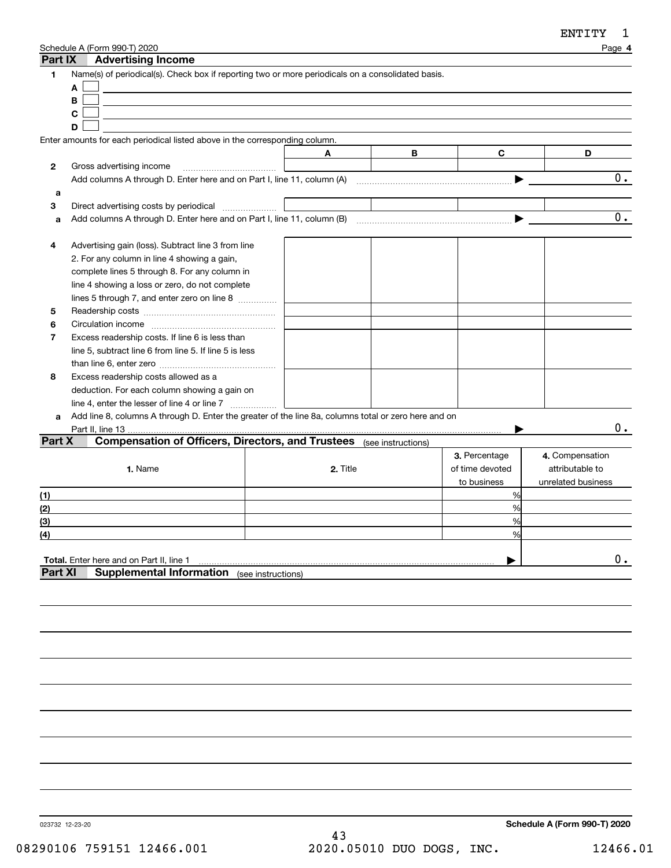| Part IX                                 | Schedule A (Form 990-T) 2020<br><b>Advertising Income</b>                                                                                                                                                                                                                                                                                                                                                                                                                                                                                                        |          |   |                                                 | Page 4                                                   |
|-----------------------------------------|------------------------------------------------------------------------------------------------------------------------------------------------------------------------------------------------------------------------------------------------------------------------------------------------------------------------------------------------------------------------------------------------------------------------------------------------------------------------------------------------------------------------------------------------------------------|----------|---|-------------------------------------------------|----------------------------------------------------------|
| 1                                       | Name(s) of periodical(s). Check box if reporting two or more periodicals on a consolidated basis.<br>A<br>B<br>С<br>D                                                                                                                                                                                                                                                                                                                                                                                                                                            |          |   |                                                 |                                                          |
|                                         | Enter amounts for each periodical listed above in the corresponding column.                                                                                                                                                                                                                                                                                                                                                                                                                                                                                      |          |   |                                                 |                                                          |
|                                         |                                                                                                                                                                                                                                                                                                                                                                                                                                                                                                                                                                  | A        | B | C                                               | D                                                        |
| 2                                       | Gross advertising income                                                                                                                                                                                                                                                                                                                                                                                                                                                                                                                                         |          |   |                                                 |                                                          |
|                                         |                                                                                                                                                                                                                                                                                                                                                                                                                                                                                                                                                                  |          |   | ▶                                               | 0.                                                       |
| a                                       |                                                                                                                                                                                                                                                                                                                                                                                                                                                                                                                                                                  |          |   |                                                 |                                                          |
| 3                                       |                                                                                                                                                                                                                                                                                                                                                                                                                                                                                                                                                                  |          |   |                                                 |                                                          |
| a                                       |                                                                                                                                                                                                                                                                                                                                                                                                                                                                                                                                                                  |          |   |                                                 | 0.                                                       |
| 4<br>5<br>6<br>$\overline{7}$<br>8<br>a | Advertising gain (loss). Subtract line 3 from line<br>2. For any column in line 4 showing a gain,<br>complete lines 5 through 8. For any column in<br>line 4 showing a loss or zero, do not complete<br>lines 5 through 7, and enter zero on line 8<br>Excess readership costs. If line 6 is less than<br>line 5, subtract line 6 from line 5. If line 5 is less<br>Excess readership costs allowed as a<br>deduction. For each column showing a gain on<br>Add line 8, columns A through D. Enter the greater of the line 8a, columns total or zero here and on |          |   |                                                 |                                                          |
|                                         |                                                                                                                                                                                                                                                                                                                                                                                                                                                                                                                                                                  |          |   |                                                 | 0.                                                       |
| Part X                                  | Compensation of Officers, Directors, and Trustees (see instructions)                                                                                                                                                                                                                                                                                                                                                                                                                                                                                             |          |   |                                                 |                                                          |
|                                         | 1. Name                                                                                                                                                                                                                                                                                                                                                                                                                                                                                                                                                          | 2. Title |   | 3. Percentage<br>of time devoted<br>to business | 4. Compensation<br>attributable to<br>unrelated business |
| (1)                                     |                                                                                                                                                                                                                                                                                                                                                                                                                                                                                                                                                                  |          |   | %                                               |                                                          |
| (2)                                     |                                                                                                                                                                                                                                                                                                                                                                                                                                                                                                                                                                  |          |   | %                                               |                                                          |
| (3)                                     |                                                                                                                                                                                                                                                                                                                                                                                                                                                                                                                                                                  |          |   | %                                               |                                                          |
| (4)                                     |                                                                                                                                                                                                                                                                                                                                                                                                                                                                                                                                                                  |          |   | %                                               |                                                          |
|                                         | <b>Total.</b> Enter here and on Part II, line 1                                                                                                                                                                                                                                                                                                                                                                                                                                                                                                                  |          |   |                                                 | 0.                                                       |
| Part XI                                 | <b>Supplemental Information</b> (see instructions)                                                                                                                                                                                                                                                                                                                                                                                                                                                                                                               |          |   |                                                 |                                                          |

023732 12-23-20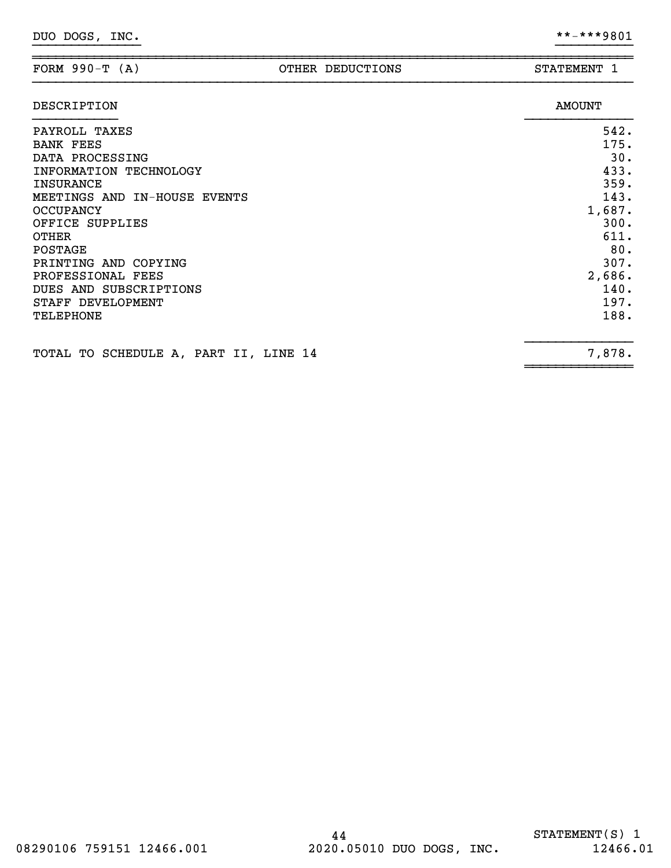| FORM | $990-$<br>m | A | <b>OTHER</b> | DEDUCTIONS | STATEMENT |  |
|------|-------------|---|--------------|------------|-----------|--|

}}}}}}}}}}}}}} }}}}}}}}}}

| DESCRIPTION                           | <b>AMOUNT</b> |
|---------------------------------------|---------------|
| PAYROLL TAXES                         | 542.          |
| <b>BANK FEES</b>                      | 175.          |
| DATA PROCESSING                       | 30.           |
| INFORMATION TECHNOLOGY                | 433.          |
| <b>INSURANCE</b>                      | 359.          |
| MEETINGS AND IN-HOUSE EVENTS          | 143.          |
| <b>OCCUPANCY</b>                      | 1,687.        |
| OFFICE SUPPLIES                       | 300.          |
| <b>OTHER</b>                          | 611.          |
| POSTAGE                               | 80.           |
| PRINTING AND COPYING                  | 307.          |
| PROFESSIONAL FEES                     | 2,686.        |
| DUES AND SUBSCRIPTIONS                | 140.          |
| STAFF DEVELOPMENT                     | 197.          |
| TELEPHONE                             | 188.          |
| TOTAL TO SCHEDULE A, PART II, LINE 14 | 7,878.        |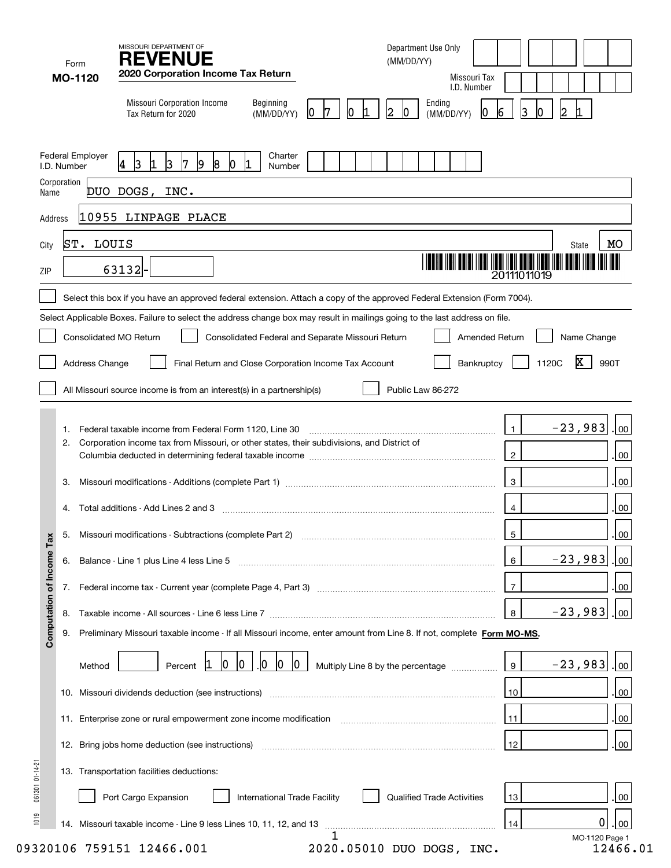| MO-1120<br>Federal Employer<br>I.D. Number<br>Corporation<br>Address<br>ST. LOUIS | 2020 Corporation Income Tax Return<br><b>Missouri Corporation Income</b><br>Tax Return for 2020<br>13<br>13<br>$\overline{9}$<br>18<br>17<br>Ю<br>DUO DOGS, INC.<br>10955 LINPAGE PLACE | Beginning<br>(MM/DD/YY)<br>Charter<br>Number                                                                                                                                      | 10                                                        | 10                                                                                                                                                                                             | 10 | Ending<br>(MM/DD/YY)                                                                                       | Missouri Tax<br>I.D. Number                                                                | 16<br>10          | 13                                                                                                                                                                                                                                                                                                                                                                                                                                                                                                                                                                                              |                                                                                                                                                                                                                                 | 2                                                                                                                                                                                                                                               |       |                                                                                                       |
|-----------------------------------------------------------------------------------|-----------------------------------------------------------------------------------------------------------------------------------------------------------------------------------------|-----------------------------------------------------------------------------------------------------------------------------------------------------------------------------------|-----------------------------------------------------------|------------------------------------------------------------------------------------------------------------------------------------------------------------------------------------------------|----|------------------------------------------------------------------------------------------------------------|--------------------------------------------------------------------------------------------|-------------------|-------------------------------------------------------------------------------------------------------------------------------------------------------------------------------------------------------------------------------------------------------------------------------------------------------------------------------------------------------------------------------------------------------------------------------------------------------------------------------------------------------------------------------------------------------------------------------------------------|---------------------------------------------------------------------------------------------------------------------------------------------------------------------------------------------------------------------------------|-------------------------------------------------------------------------------------------------------------------------------------------------------------------------------------------------------------------------------------------------|-------|-------------------------------------------------------------------------------------------------------|
|                                                                                   |                                                                                                                                                                                         |                                                                                                                                                                                   |                                                           |                                                                                                                                                                                                |    |                                                                                                            |                                                                                            |                   |                                                                                                                                                                                                                                                                                                                                                                                                                                                                                                                                                                                                 |                                                                                                                                                                                                                                 |                                                                                                                                                                                                                                                 |       |                                                                                                       |
|                                                                                   |                                                                                                                                                                                         |                                                                                                                                                                                   |                                                           |                                                                                                                                                                                                |    |                                                                                                            |                                                                                            |                   |                                                                                                                                                                                                                                                                                                                                                                                                                                                                                                                                                                                                 |                                                                                                                                                                                                                                 |                                                                                                                                                                                                                                                 |       |                                                                                                       |
|                                                                                   |                                                                                                                                                                                         |                                                                                                                                                                                   |                                                           |                                                                                                                                                                                                |    |                                                                                                            |                                                                                            |                   |                                                                                                                                                                                                                                                                                                                                                                                                                                                                                                                                                                                                 |                                                                                                                                                                                                                                 |                                                                                                                                                                                                                                                 |       |                                                                                                       |
|                                                                                   |                                                                                                                                                                                         |                                                                                                                                                                                   |                                                           |                                                                                                                                                                                                |    |                                                                                                            |                                                                                            |                   |                                                                                                                                                                                                                                                                                                                                                                                                                                                                                                                                                                                                 |                                                                                                                                                                                                                                 |                                                                                                                                                                                                                                                 |       |                                                                                                       |
|                                                                                   |                                                                                                                                                                                         |                                                                                                                                                                                   |                                                           |                                                                                                                                                                                                |    |                                                                                                            |                                                                                            |                   |                                                                                                                                                                                                                                                                                                                                                                                                                                                                                                                                                                                                 |                                                                                                                                                                                                                                 |                                                                                                                                                                                                                                                 |       |                                                                                                       |
|                                                                                   |                                                                                                                                                                                         |                                                                                                                                                                                   |                                                           |                                                                                                                                                                                                |    |                                                                                                            |                                                                                            |                   |                                                                                                                                                                                                                                                                                                                                                                                                                                                                                                                                                                                                 |                                                                                                                                                                                                                                 | State                                                                                                                                                                                                                                           |       | MO                                                                                                    |
|                                                                                   | 63132                                                                                                                                                                                   |                                                                                                                                                                                   |                                                           |                                                                                                                                                                                                |    |                                                                                                            |                                                                                            |                   |                                                                                                                                                                                                                                                                                                                                                                                                                                                                                                                                                                                                 | 20111011019                                                                                                                                                                                                                     | I IODIID IIDII DOIBI IIDBI IIDBI IIDII DOIBI IIDBI IIDII DOIBI I                                                                                                                                                                                | III   |                                                                                                       |
|                                                                                   |                                                                                                                                                                                         |                                                                                                                                                                                   |                                                           |                                                                                                                                                                                                |    |                                                                                                            |                                                                                            |                   |                                                                                                                                                                                                                                                                                                                                                                                                                                                                                                                                                                                                 |                                                                                                                                                                                                                                 |                                                                                                                                                                                                                                                 |       |                                                                                                       |
|                                                                                   |                                                                                                                                                                                         |                                                                                                                                                                                   |                                                           |                                                                                                                                                                                                |    |                                                                                                            |                                                                                            |                   |                                                                                                                                                                                                                                                                                                                                                                                                                                                                                                                                                                                                 |                                                                                                                                                                                                                                 |                                                                                                                                                                                                                                                 |       |                                                                                                       |
|                                                                                   |                                                                                                                                                                                         |                                                                                                                                                                                   |                                                           |                                                                                                                                                                                                |    |                                                                                                            |                                                                                            |                   |                                                                                                                                                                                                                                                                                                                                                                                                                                                                                                                                                                                                 |                                                                                                                                                                                                                                 |                                                                                                                                                                                                                                                 |       |                                                                                                       |
|                                                                                   |                                                                                                                                                                                         |                                                                                                                                                                                   |                                                           |                                                                                                                                                                                                |    |                                                                                                            |                                                                                            |                   |                                                                                                                                                                                                                                                                                                                                                                                                                                                                                                                                                                                                 |                                                                                                                                                                                                                                 |                                                                                                                                                                                                                                                 |       |                                                                                                       |
|                                                                                   |                                                                                                                                                                                         |                                                                                                                                                                                   |                                                           |                                                                                                                                                                                                |    |                                                                                                            |                                                                                            |                   |                                                                                                                                                                                                                                                                                                                                                                                                                                                                                                                                                                                                 |                                                                                                                                                                                                                                 |                                                                                                                                                                                                                                                 |       |                                                                                                       |
|                                                                                   |                                                                                                                                                                                         |                                                                                                                                                                                   |                                                           |                                                                                                                                                                                                |    |                                                                                                            |                                                                                            |                   |                                                                                                                                                                                                                                                                                                                                                                                                                                                                                                                                                                                                 |                                                                                                                                                                                                                                 |                                                                                                                                                                                                                                                 |       |                                                                                                       |
| 2.                                                                                |                                                                                                                                                                                         |                                                                                                                                                                                   |                                                           |                                                                                                                                                                                                |    |                                                                                                            |                                                                                            |                   | $\mathbf{1}$<br>$2\overline{ }$                                                                                                                                                                                                                                                                                                                                                                                                                                                                                                                                                                 |                                                                                                                                                                                                                                 |                                                                                                                                                                                                                                                 |       | . 00<br>00                                                                                            |
| З.                                                                                |                                                                                                                                                                                         |                                                                                                                                                                                   |                                                           |                                                                                                                                                                                                |    |                                                                                                            |                                                                                            |                   | $\mathbf{3}$                                                                                                                                                                                                                                                                                                                                                                                                                                                                                                                                                                                    |                                                                                                                                                                                                                                 |                                                                                                                                                                                                                                                 |       | 00                                                                                                    |
| 4.                                                                                |                                                                                                                                                                                         |                                                                                                                                                                                   |                                                           |                                                                                                                                                                                                |    |                                                                                                            |                                                                                            |                   |                                                                                                                                                                                                                                                                                                                                                                                                                                                                                                                                                                                                 |                                                                                                                                                                                                                                 |                                                                                                                                                                                                                                                 |       | 00                                                                                                    |
|                                                                                   |                                                                                                                                                                                         |                                                                                                                                                                                   |                                                           |                                                                                                                                                                                                |    |                                                                                                            |                                                                                            |                   |                                                                                                                                                                                                                                                                                                                                                                                                                                                                                                                                                                                                 |                                                                                                                                                                                                                                 |                                                                                                                                                                                                                                                 |       |                                                                                                       |
|                                                                                   |                                                                                                                                                                                         |                                                                                                                                                                                   |                                                           |                                                                                                                                                                                                |    |                                                                                                            |                                                                                            |                   |                                                                                                                                                                                                                                                                                                                                                                                                                                                                                                                                                                                                 |                                                                                                                                                                                                                                 |                                                                                                                                                                                                                                                 |       | 00                                                                                                    |
| 6.                                                                                |                                                                                                                                                                                         |                                                                                                                                                                                   |                                                           |                                                                                                                                                                                                |    |                                                                                                            |                                                                                            |                   | $6\overline{6}$                                                                                                                                                                                                                                                                                                                                                                                                                                                                                                                                                                                 |                                                                                                                                                                                                                                 |                                                                                                                                                                                                                                                 |       | .00                                                                                                   |
| 7.                                                                                |                                                                                                                                                                                         |                                                                                                                                                                                   |                                                           |                                                                                                                                                                                                |    |                                                                                                            |                                                                                            |                   | $\overline{7}$                                                                                                                                                                                                                                                                                                                                                                                                                                                                                                                                                                                  |                                                                                                                                                                                                                                 |                                                                                                                                                                                                                                                 |       | 00                                                                                                    |
| 8.                                                                                |                                                                                                                                                                                         |                                                                                                                                                                                   |                                                           |                                                                                                                                                                                                |    |                                                                                                            |                                                                                            |                   | 8                                                                                                                                                                                                                                                                                                                                                                                                                                                                                                                                                                                               |                                                                                                                                                                                                                                 |                                                                                                                                                                                                                                                 |       | 00  .                                                                                                 |
| 9.                                                                                |                                                                                                                                                                                         |                                                                                                                                                                                   |                                                           |                                                                                                                                                                                                |    |                                                                                                            |                                                                                            |                   |                                                                                                                                                                                                                                                                                                                                                                                                                                                                                                                                                                                                 |                                                                                                                                                                                                                                 |                                                                                                                                                                                                                                                 |       |                                                                                                       |
| Method                                                                            | 10<br>10<br>11<br>Percent                                                                                                                                                               | . IO<br>$ 0\rangle$                                                                                                                                                               |                                                           |                                                                                                                                                                                                |    |                                                                                                            |                                                                                            |                   | 9                                                                                                                                                                                                                                                                                                                                                                                                                                                                                                                                                                                               |                                                                                                                                                                                                                                 |                                                                                                                                                                                                                                                 |       | 00  .                                                                                                 |
|                                                                                   |                                                                                                                                                                                         |                                                                                                                                                                                   |                                                           |                                                                                                                                                                                                |    |                                                                                                            |                                                                                            |                   | 10                                                                                                                                                                                                                                                                                                                                                                                                                                                                                                                                                                                              |                                                                                                                                                                                                                                 |                                                                                                                                                                                                                                                 |       | 00                                                                                                    |
|                                                                                   |                                                                                                                                                                                         |                                                                                                                                                                                   |                                                           |                                                                                                                                                                                                |    |                                                                                                            |                                                                                            |                   | 11                                                                                                                                                                                                                                                                                                                                                                                                                                                                                                                                                                                              |                                                                                                                                                                                                                                 |                                                                                                                                                                                                                                                 |       | 00                                                                                                    |
|                                                                                   |                                                                                                                                                                                         |                                                                                                                                                                                   |                                                           |                                                                                                                                                                                                |    |                                                                                                            |                                                                                            |                   |                                                                                                                                                                                                                                                                                                                                                                                                                                                                                                                                                                                                 |                                                                                                                                                                                                                                 |                                                                                                                                                                                                                                                 |       | 00                                                                                                    |
|                                                                                   |                                                                                                                                                                                         |                                                                                                                                                                                   |                                                           |                                                                                                                                                                                                |    |                                                                                                            |                                                                                            |                   |                                                                                                                                                                                                                                                                                                                                                                                                                                                                                                                                                                                                 |                                                                                                                                                                                                                                 |                                                                                                                                                                                                                                                 |       |                                                                                                       |
|                                                                                   |                                                                                                                                                                                         |                                                                                                                                                                                   |                                                           |                                                                                                                                                                                                |    |                                                                                                            |                                                                                            |                   |                                                                                                                                                                                                                                                                                                                                                                                                                                                                                                                                                                                                 |                                                                                                                                                                                                                                 |                                                                                                                                                                                                                                                 |       |                                                                                                       |
|                                                                                   |                                                                                                                                                                                         |                                                                                                                                                                                   |                                                           |                                                                                                                                                                                                |    |                                                                                                            |                                                                                            |                   | 13                                                                                                                                                                                                                                                                                                                                                                                                                                                                                                                                                                                              |                                                                                                                                                                                                                                 |                                                                                                                                                                                                                                                 |       | 00                                                                                                    |
|                                                                                   |                                                                                                                                                                                         |                                                                                                                                                                                   |                                                           |                                                                                                                                                                                                |    |                                                                                                            |                                                                                            |                   | 14                                                                                                                                                                                                                                                                                                                                                                                                                                                                                                                                                                                              |                                                                                                                                                                                                                                 |                                                                                                                                                                                                                                                 | 0     | 00                                                                                                    |
|                                                                                   | 5.                                                                                                                                                                                      | Consolidated MO Return<br>Address Change<br>Total additions - Add Lines 2 and 3<br>13. Transportation facilities deductions:<br>Port Cargo Expansion<br>09320106 759151 12466.001 | 1. Federal taxable income from Federal Form 1120, Line 30 | All Missouri source income is from an interest(s) in a partnership(s)<br>$ 0\rangle$<br>11. Enterprise zone or rural empowerment zone income modification<br>International Trade Facility<br>1 |    | Consolidated Federal and Separate Missouri Return<br>Final Return and Close Corporation Income Tax Account | Corporation income tax from Missouri, or other states, their subdivisions, and District of | Public Law 86-272 | Missouri modifications - Subtractions (complete Part 2) manufacture content and modifications - Subtractions (complete Part 2)<br>Balance - Line 1 plus Line 4 less Line 5 [11] [12] matter contracts and all all and the state of the state of the state of the state of the state of the state of the state of the state of the state of the state of the stat<br>10. Missouri dividends deduction (see instructions) manufactured content and content and content and the Missouri dividends deduction (see instructions).<br><b>Qualified Trade Activities</b><br>2020.05010 DUO DOGS, INC. | Select Applicable Boxes. Failure to select the address change box may result in mailings going to the last address on file.<br>Amended Return<br>Bankruptcy<br>4<br>5<br>Multiply Line 8 by the percentage <i>manumum</i><br>12 | Select this box if you have an approved federal extension. Attach a copy of the approved Federal Extension (Form 7004).<br>Preliminary Missouri taxable income - If all Missouri income, enter amount from Line 8. If not, complete Form MO-MS. | 1120C | Name Change<br>990T<br>$-23,983$<br>$-23,983$<br>$-23,983$<br>$-23,983$<br>MO-1120 Page 1<br>12466.01 |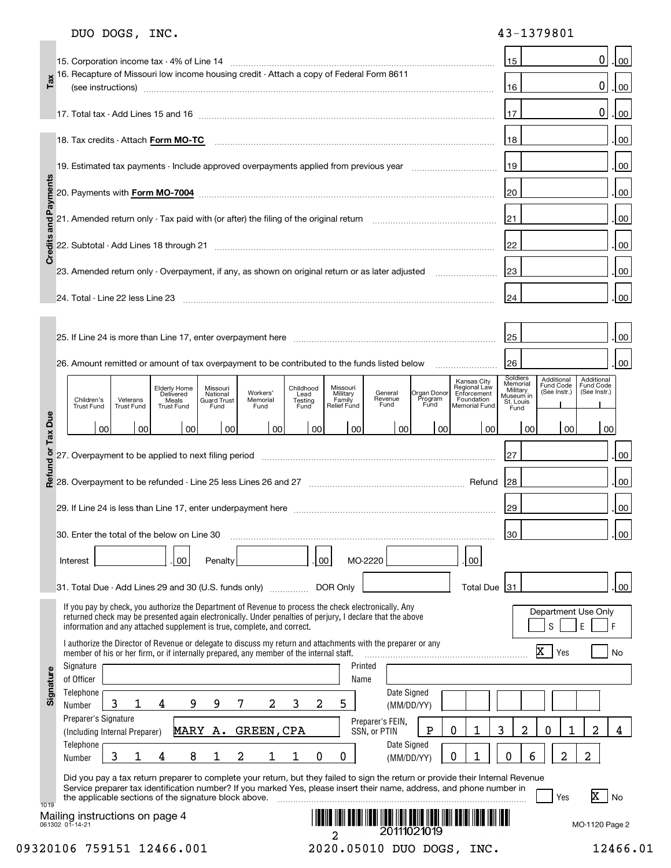|              |                                                                                                                                                                                                                                                                                                                   |                               |    |                                  |                                        |                    |                  |                                                                                                                                                                                                                                |                       |                                  |                           |                 |                                                                                                                                                                                                                                                                                                    | 43-1379801      |                                  |                                         |                                         |                      |
|--------------|-------------------------------------------------------------------------------------------------------------------------------------------------------------------------------------------------------------------------------------------------------------------------------------------------------------------|-------------------------------|----|----------------------------------|----------------------------------------|--------------------|------------------|--------------------------------------------------------------------------------------------------------------------------------------------------------------------------------------------------------------------------------|-----------------------|----------------------------------|---------------------------|-----------------|----------------------------------------------------------------------------------------------------------------------------------------------------------------------------------------------------------------------------------------------------------------------------------------------------|-----------------|----------------------------------|-----------------------------------------|-----------------------------------------|----------------------|
|              |                                                                                                                                                                                                                                                                                                                   |                               |    |                                  |                                        |                    |                  |                                                                                                                                                                                                                                |                       |                                  |                           |                 |                                                                                                                                                                                                                                                                                                    |                 | 15                               |                                         |                                         | $\mathbf 0$<br>.  00 |
| Tax          | 16. Recapture of Missouri low income housing credit - Attach a copy of Federal Form 8611                                                                                                                                                                                                                          |                               |    |                                  |                                        |                    |                  |                                                                                                                                                                                                                                |                       |                                  |                           |                 |                                                                                                                                                                                                                                                                                                    |                 | 16                               |                                         |                                         | 0<br>. 00            |
|              |                                                                                                                                                                                                                                                                                                                   |                               |    |                                  |                                        |                    |                  |                                                                                                                                                                                                                                |                       |                                  |                           |                 |                                                                                                                                                                                                                                                                                                    |                 |                                  |                                         |                                         |                      |
|              |                                                                                                                                                                                                                                                                                                                   |                               |    |                                  |                                        |                    |                  |                                                                                                                                                                                                                                |                       |                                  |                           |                 |                                                                                                                                                                                                                                                                                                    |                 | 17                               |                                         |                                         | $\mathbf 0$<br>. 00  |
|              |                                                                                                                                                                                                                                                                                                                   |                               |    |                                  |                                        |                    |                  |                                                                                                                                                                                                                                |                       |                                  |                           | 18              |                                                                                                                                                                                                                                                                                                    |                 | $\overline{00}$                  |                                         |                                         |                      |
|              | 19. Estimated tax payments - Include approved overpayments applied from previous year [19]                                                                                                                                                                                                                        |                               |    |                                  |                                        |                    |                  |                                                                                                                                                                                                                                |                       |                                  |                           |                 |                                                                                                                                                                                                                                                                                                    | 00              |                                  |                                         |                                         |                      |
| and Payments |                                                                                                                                                                                                                                                                                                                   |                               |    |                                  |                                        |                    |                  |                                                                                                                                                                                                                                |                       |                                  |                           | 20              |                                                                                                                                                                                                                                                                                                    |                 | 00                               |                                         |                                         |                      |
|              | 21. Amended return only - Tax paid with (or after) the filing of the original return [21. Amended return [21                                                                                                                                                                                                      |                               |    |                                  |                                        |                    |                  |                                                                                                                                                                                                                                |                       |                                  |                           |                 |                                                                                                                                                                                                                                                                                                    |                 |                                  |                                         |                                         |                      |
|              |                                                                                                                                                                                                                                                                                                                   |                               |    |                                  |                                        |                    |                  |                                                                                                                                                                                                                                |                       |                                  |                           |                 |                                                                                                                                                                                                                                                                                                    |                 |                                  |                                         |                                         | 00                   |
| Credits      |                                                                                                                                                                                                                                                                                                                   |                               |    |                                  |                                        |                    |                  |                                                                                                                                                                                                                                |                       |                                  |                           |                 |                                                                                                                                                                                                                                                                                                    |                 | 22                               |                                         |                                         | 00                   |
|              | 23. Amended return only - Overpayment, if any, as shown on original return or as later adjusted [23 [23]                                                                                                                                                                                                          |                               |    |                                  |                                        |                    |                  |                                                                                                                                                                                                                                |                       |                                  |                           |                 |                                                                                                                                                                                                                                                                                                    |                 |                                  |                                         |                                         | 00                   |
|              |                                                                                                                                                                                                                                                                                                                   |                               |    |                                  |                                        |                    |                  |                                                                                                                                                                                                                                |                       |                                  |                           |                 |                                                                                                                                                                                                                                                                                                    |                 | 24                               |                                         |                                         | 00                   |
|              |                                                                                                                                                                                                                                                                                                                   |                               |    |                                  |                                        |                    |                  |                                                                                                                                                                                                                                |                       |                                  |                           |                 |                                                                                                                                                                                                                                                                                                    |                 |                                  |                                         |                                         |                      |
|              |                                                                                                                                                                                                                                                                                                                   |                               |    |                                  |                                        |                    |                  |                                                                                                                                                                                                                                |                       |                                  |                           |                 |                                                                                                                                                                                                                                                                                                    |                 | 25                               |                                         |                                         | 00                   |
|              |                                                                                                                                                                                                                                                                                                                   |                               |    |                                  |                                        |                    |                  |                                                                                                                                                                                                                                |                       |                                  |                           |                 |                                                                                                                                                                                                                                                                                                    |                 | 26                               |                                         |                                         | 00                   |
|              |                                                                                                                                                                                                                                                                                                                   |                               |    | <b>Elderly Home</b><br>Delivered | Missouri                               |                    | Workers'         | Childhood                                                                                                                                                                                                                      | Missouri<br>Military  | General                          |                           |                 | Organ Donor<br>Program<br>Program<br>Program<br>Fund<br>Fund<br>Fund<br>Fund<br>Fund<br>Fund<br>Fund<br>Fund<br>Fund<br>Fund<br>Fund<br>Fund<br>Fund<br>Fund<br>Fund<br>Fund<br>Fund<br>Fund<br>Fund<br>Fund<br>Fund<br>Fund<br>Fund<br>Fund<br>Fund<br>Fund<br>Fund<br>Fund<br>Fund<br>Fund<br>Fu |                 | Soldiers<br>Memorial<br>Military | Additional<br>Fund Code<br>(See Instr.) | Additional<br>Fund Code<br>(See Instr.) |                      |
|              | Children's<br><b>Trust Fund</b>                                                                                                                                                                                                                                                                                   | Veterans<br><b>Trust Fund</b> |    | Meals<br><b>Trust Fund</b>       | National<br><b>Guard Trust</b><br>Fund |                    | Memorial<br>Fund | Lead<br>Testing<br>Fund                                                                                                                                                                                                        | Family<br>Relief Fund | Revenue<br>Fund                  |                           | Fund            | <b>Memorial Fund</b>                                                                                                                                                                                                                                                                               |                 | Museum in<br>St. Louis<br>Fund   |                                         |                                         |                      |
| Tax Due      |                                                                                                                                                                                                                                                                                                                   | 00                            | 00 | 00                               |                                        | 00 <sup>1</sup>    | 00 <sup>1</sup>  | 00 <sub>1</sub>                                                                                                                                                                                                                | 00                    |                                  | 00                        | 00 <sup>1</sup> |                                                                                                                                                                                                                                                                                                    | 00 <sup>1</sup> | 00                               | 00                                      |                                         | 00                   |
|              |                                                                                                                                                                                                                                                                                                                   |                               |    |                                  |                                        |                    |                  |                                                                                                                                                                                                                                |                       |                                  |                           |                 |                                                                                                                                                                                                                                                                                                    |                 | 27                               |                                         |                                         |                      |
|              |                                                                                                                                                                                                                                                                                                                   |                               |    |                                  |                                        |                    |                  |                                                                                                                                                                                                                                |                       |                                  |                           |                 |                                                                                                                                                                                                                                                                                                    |                 |                                  |                                         |                                         |                      |
|              |                                                                                                                                                                                                                                                                                                                   |                               |    |                                  |                                        |                    |                  | 27. Overpayment to be applied to next filing period manufactured contract contract to be applied to next filing period manufactured contract contract of the set of the set of the set of the set of the set of the set of the |                       |                                  |                           |                 |                                                                                                                                                                                                                                                                                                    |                 |                                  |                                         |                                         | 00                   |
| Refund or    |                                                                                                                                                                                                                                                                                                                   |                               |    |                                  |                                        |                    |                  |                                                                                                                                                                                                                                |                       |                                  |                           |                 |                                                                                                                                                                                                                                                                                                    |                 |                                  |                                         |                                         | $ 00\rangle$         |
|              |                                                                                                                                                                                                                                                                                                                   |                               |    |                                  |                                        |                    |                  |                                                                                                                                                                                                                                |                       |                                  |                           |                 |                                                                                                                                                                                                                                                                                                    |                 |                                  |                                         |                                         | $ 00\rangle$         |
|              | 30. Enter the total of the below on Line 30                                                                                                                                                                                                                                                                       |                               |    |                                  |                                        |                    |                  |                                                                                                                                                                                                                                |                       |                                  |                           |                 |                                                                                                                                                                                                                                                                                                    |                 | 30                               |                                         |                                         | 00                   |
|              |                                                                                                                                                                                                                                                                                                                   |                               |    |                                  |                                        |                    |                  |                                                                                                                                                                                                                                |                       |                                  |                           |                 |                                                                                                                                                                                                                                                                                                    |                 |                                  |                                         |                                         |                      |
|              | Interest                                                                                                                                                                                                                                                                                                          |                               |    | 00 <sup>1</sup>                  | Penalty                                |                    |                  |                                                                                                                                                                                                                                | 00                    | MO-2220                          |                           |                 | 00                                                                                                                                                                                                                                                                                                 |                 |                                  |                                         |                                         |                      |
|              | 31. Total Due - Add Lines 29 and 30 (U.S. funds only)  DOR Only                                                                                                                                                                                                                                                   |                               |    |                                  |                                        |                    |                  |                                                                                                                                                                                                                                |                       |                                  |                           |                 | Total Due 131                                                                                                                                                                                                                                                                                      |                 |                                  |                                         |                                         | l oo                 |
|              | If you pay by check, you authorize the Department of Revenue to process the check electronically. Any<br>returned check may be presented again electronically. Under penalties of perjury, I declare that the above                                                                                               |                               |    |                                  |                                        |                    |                  |                                                                                                                                                                                                                                |                       |                                  |                           |                 |                                                                                                                                                                                                                                                                                                    |                 |                                  | Department Use Only                     |                                         |                      |
|              | information and any attached supplement is true, complete, and correct.<br>I authorize the Director of Revenue or delegate to discuss my return and attachments with the preparer or any                                                                                                                          |                               |    |                                  |                                        |                    |                  |                                                                                                                                                                                                                                |                       |                                  |                           |                 |                                                                                                                                                                                                                                                                                                    |                 |                                  | <sub>S</sub>                            | E                                       | F                    |
|              | member of his or her firm, or if internally prepared, any member of the internal staff.<br>Signature                                                                                                                                                                                                              |                               |    |                                  |                                        |                    |                  |                                                                                                                                                                                                                                |                       | Printed                          |                           |                 |                                                                                                                                                                                                                                                                                                    |                 |                                  | x<br>Yes                                |                                         | <b>No</b>            |
|              | of Officer                                                                                                                                                                                                                                                                                                        |                               |    |                                  |                                        |                    |                  |                                                                                                                                                                                                                                |                       | Name                             |                           |                 |                                                                                                                                                                                                                                                                                                    |                 |                                  |                                         |                                         |                      |
| Signature    | Telephone<br>Number                                                                                                                                                                                                                                                                                               | 3                             | 1  | 4                                | 9<br>9                                 | 7                  | $\overline{a}$   | 2<br>3                                                                                                                                                                                                                         | 5                     |                                  | Date Signed<br>(MM/DD/YY) |                 |                                                                                                                                                                                                                                                                                                    |                 |                                  |                                         |                                         |                      |
|              | Preparer's Signature<br>(Including Internal Preparer)                                                                                                                                                                                                                                                             |                               |    |                                  |                                        | MARY A. GREEN, CPA |                  |                                                                                                                                                                                                                                |                       | Preparer's FEIN,<br>SSN, or PTIN |                           | ${\bf P}$       | 0                                                                                                                                                                                                                                                                                                  | 3               | 2                                | 0                                       | 2                                       | 4                    |
|              | Telephone<br>Number                                                                                                                                                                                                                                                                                               | 3                             | 1  | 4                                | 8                                      | 2                  |                  | 0                                                                                                                                                                                                                              | 0                     |                                  | Date Signed<br>(MM/DD/YY) |                 | 0                                                                                                                                                                                                                                                                                                  |                 | 6<br>0                           | 2                                       | 2                                       |                      |
|              | Did you pay a tax return preparer to complete your return, but they failed to sign the return or provide their Internal Revenue<br>Service preparer tax identification number? If you marked Yes, please insert their name, address, and phone number in<br>the applicable sections of the signature block above. |                               |    |                                  |                                        |                    |                  |                                                                                                                                                                                                                                |                       |                                  |                           |                 |                                                                                                                                                                                                                                                                                                    |                 |                                  | Yes                                     | lx.                                     | $ $ No               |
| 1019         | Mailing instructions on page 4<br>061302 01-14-21                                                                                                                                                                                                                                                                 |                               |    |                                  |                                        |                    |                  |                                                                                                                                                                                                                                | 2                     |                                  | 20111021019               |                 |                                                                                                                                                                                                                                                                                                    |                 |                                  |                                         | MO-1120 Page 2                          |                      |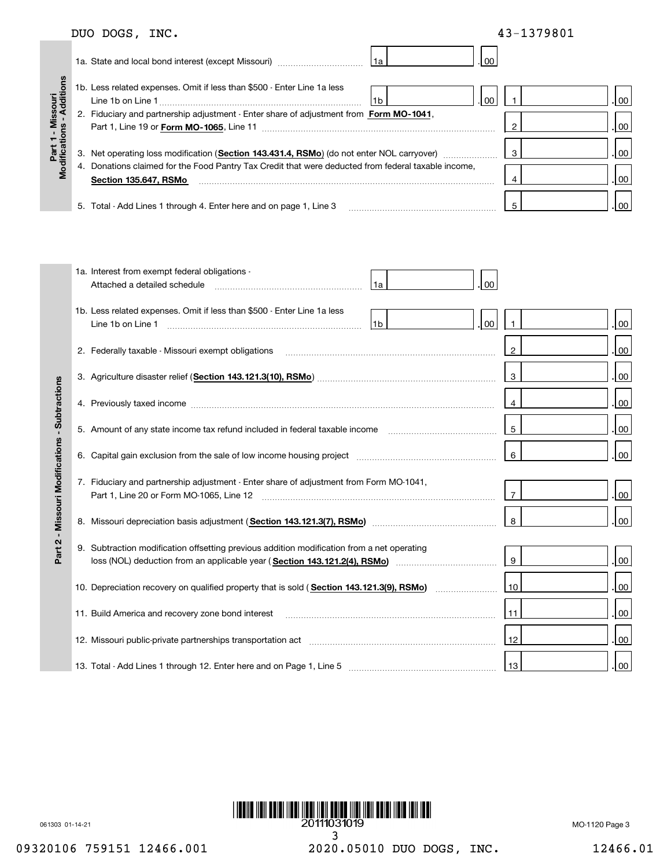|                                                | DUO DOGS, INC.                                                                                                                                                          |                                                                                                                                                                                                                                                                                                                                                                                                                            |      | 43-1379801                     |                |          |
|------------------------------------------------|-------------------------------------------------------------------------------------------------------------------------------------------------------------------------|----------------------------------------------------------------------------------------------------------------------------------------------------------------------------------------------------------------------------------------------------------------------------------------------------------------------------------------------------------------------------------------------------------------------------|------|--------------------------------|----------------|----------|
|                                                |                                                                                                                                                                         |                                                                                                                                                                                                                                                                                                                                                                                                                            | 00   |                                |                |          |
| Part 1 - Missouri<br>Modifications - Additions | 1b. Less related expenses. Omit if less than \$500 - Enter Line 1a less<br>2. Fiduciary and partnership adjustment - Enter share of adjustment from Form MO-1041,       | 1 <sub>b</sub>                                                                                                                                                                                                                                                                                                                                                                                                             | l oo | $\mathbf{1}$<br>$\overline{2}$ |                | 00<br>00 |
|                                                | 4. Donations claimed for the Food Pantry Tax Credit that were deducted from federal taxable income,<br>Section 135.647, RSMo                                            |                                                                                                                                                                                                                                                                                                                                                                                                                            |      | 4                              |                | 00<br>00 |
|                                                | 5. Total - Add Lines 1 through 4. Enter here and on page 1, Line 3                                                                                                      |                                                                                                                                                                                                                                                                                                                                                                                                                            |      | $5\overline{5}$                |                | 00       |
|                                                | 1a. Interest from exempt federal obligations -<br>Attached a detailed schedule                                                                                          | l 1a                                                                                                                                                                                                                                                                                                                                                                                                                       | 00   |                                |                |          |
|                                                | 1b. Less related expenses. Omit if less than \$500 - Enter Line 1a less<br>Line 1b on Line 1                                                                            | 1 <sub>b</sub>                                                                                                                                                                                                                                                                                                                                                                                                             | l oo | $\overline{1}$                 |                | 00       |
|                                                | 2. Federally taxable - Missouri exempt obligations                                                                                                                      |                                                                                                                                                                                                                                                                                                                                                                                                                            |      | $\overline{2}$                 |                | 00       |
|                                                |                                                                                                                                                                         |                                                                                                                                                                                                                                                                                                                                                                                                                            |      |                                |                | 00       |
|                                                |                                                                                                                                                                         |                                                                                                                                                                                                                                                                                                                                                                                                                            |      | $\overline{4}$                 |                | 00       |
|                                                |                                                                                                                                                                         |                                                                                                                                                                                                                                                                                                                                                                                                                            |      |                                |                | 00       |
|                                                |                                                                                                                                                                         |                                                                                                                                                                                                                                                                                                                                                                                                                            |      |                                |                | 00       |
| souri Modifications - Subtractions             | 7. Fiduciary and partnership adjustment - Enter share of adjustment from Form MO-1041,<br>Part 1, Line 20 or Form MO-1065, Line 12                                      | $\overline{a_1, \ldots, a_n, \ldots, a_n, \ldots, a_n, \ldots, a_n, \ldots, a_n, \ldots, a_n, \ldots, a_n, \ldots, a_n, \ldots, a_n, \ldots, a_n, \ldots, a_n, \ldots, a_n, \ldots, a_n, \ldots, a_n, \ldots, a_n, \ldots, a_n, \ldots, a_n, \ldots, a_n, \ldots, a_n, \ldots, a_n, \ldots, a_n, \ldots, a_n, \ldots, a_n, \ldots, a_n, \ldots, a_n, \ldots, a_n, \ldots, a_n, \ldots, a_n, \ldots, a_n, \ldots, a_n, \ld$ |      | $\vert$ 7                      |                | 00       |
|                                                | 8. Missouri depreciation basis adjustment (Section 143.121.3(7), RSMo)                                                                                                  |                                                                                                                                                                                                                                                                                                                                                                                                                            |      | 8                              |                | 00       |
| Part 2 - Mis                                   | 9. Subtraction modification offsetting previous addition modification from a net operating<br>loss (NOL) deduction from an applicable year (Section 143.121.2(4), RSMo) |                                                                                                                                                                                                                                                                                                                                                                                                                            |      | 9                              |                | 00       |
|                                                | 10. Depreciation recovery on qualified property that is sold (Section 143.121.3(9), RSMo)                                                                               |                                                                                                                                                                                                                                                                                                                                                                                                                            |      | 10                             |                | 00       |
|                                                | 11. Build America and recovery zone bond interest                                                                                                                       |                                                                                                                                                                                                                                                                                                                                                                                                                            |      | 11                             |                | 00       |
|                                                | 12. Missouri public-private partnerships transportation act manufactured and content and the manufactured and t                                                         |                                                                                                                                                                                                                                                                                                                                                                                                                            |      | 12                             |                | 00       |
|                                                | 13. Total - Add Lines 1 through 12. Enter here and on Page 1, Line 5 [11] [11] Total - Add Lines 1 through 12. Enter here and on Page 1, Line 5                         |                                                                                                                                                                                                                                                                                                                                                                                                                            |      | 13                             |                | $00\,$   |
|                                                |                                                                                                                                                                         |                                                                                                                                                                                                                                                                                                                                                                                                                            |      |                                |                |          |
| 061303 01-14-21                                | I IDDIID IIDII DDIBI IIDDI IIDDI IIDII DDIDD <u>IIIDI IIDII DDIBI IIDII DII</u><br>20111031019                                                                          |                                                                                                                                                                                                                                                                                                                                                                                                                            |      |                                | MO-1120 Page 3 |          |